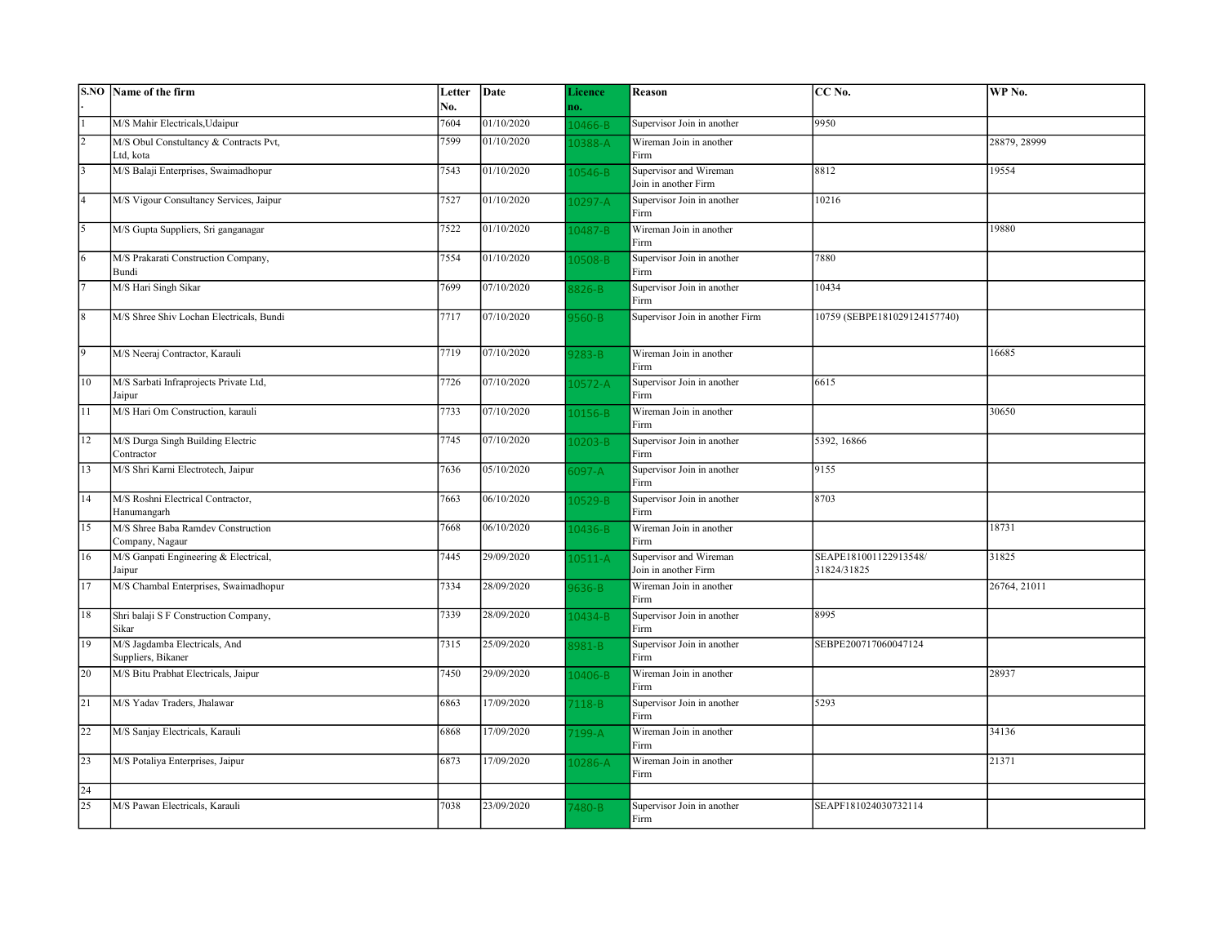|                 | S.NO Name of the firm                                 | Letter | Date       | Licence     | Reason                             | CC No.                       | WP No.       |
|-----------------|-------------------------------------------------------|--------|------------|-------------|------------------------------------|------------------------------|--------------|
|                 |                                                       | No.    |            | no.         |                                    |                              |              |
|                 | M/S Mahir Electricals, Udaipur                        | 7604   | 01/10/2020 | $.0466 - B$ | Supervisor Join in another         | 9950                         |              |
| $\overline{2}$  | M/S Obul Constultancy & Contracts Pvt,                | 7599   | 01/10/2020 | 0388-A      | Wireman Join in another            |                              | 28879, 28999 |
|                 | Ltd, kota                                             |        |            |             | Firm                               |                              |              |
| 3               | M/S Balaji Enterprises, Swaimadhopur                  | 7543   | 01/10/2020 | 10546-B     | Supervisor and Wireman             | 8812                         | 19554        |
|                 |                                                       |        |            |             | Join in another Firm               |                              |              |
| 4               | M/S Vigour Consultancy Services, Jaipur               | 7527   | 01/10/2020 | $.0297 - A$ | Supervisor Join in another         | 10216                        |              |
|                 |                                                       |        |            |             | Firm                               |                              |              |
| $\overline{5}$  | M/S Gupta Suppliers, Sri ganganagar                   | 7522   | 01/10/2020 | 10487-B     | Wireman Join in another<br>Firm    |                              | 19880        |
| 6               | M/S Prakarati Construction Company,                   | 7554   | 01/10/2020 |             | Supervisor Join in another         | 7880                         |              |
|                 | Bundi                                                 |        |            | 10508-B     | Firm                               |                              |              |
| $\overline{7}$  | M/S Hari Singh Sikar                                  | 7699   | 07/10/2020 | 826-B       | Supervisor Join in another         | 10434                        |              |
|                 |                                                       |        |            |             | Firm                               |                              |              |
| 8               | M/S Shree Shiv Lochan Electricals, Bundi              | 7717   | 07/10/2020 | 560-B       | Supervisor Join in another Firm    | 10759 (SEBPE181029124157740) |              |
|                 |                                                       |        |            |             |                                    |                              |              |
| $\overline{9}$  | M/S Neeraj Contractor, Karauli                        | 7719   | 07/10/2020 |             | Wireman Join in another            |                              | 16685        |
|                 |                                                       |        |            | $283 - B$   | Firm                               |                              |              |
| 10              | M/S Sarbati Infraprojects Private Ltd,                | 7726   | 07/10/2020 | $10572 - A$ | Supervisor Join in another         | 6615                         |              |
|                 | Jaipur                                                |        |            |             | Firm                               |                              |              |
| 11              | M/S Hari Om Construction, karauli                     | 7733   | 07/10/2020 | 10156-B     | Wireman Join in another            |                              | 30650        |
|                 |                                                       |        |            |             | Firm                               |                              |              |
| 12              | M/S Durga Singh Building Electric                     | 7745   | 07/10/2020 | 10203-B     | Supervisor Join in another         | 5392, 16866                  |              |
|                 | Contractor                                            |        |            |             | Firm                               |                              |              |
| 13              | M/S Shri Karni Electrotech, Jaipur                    | 7636   | 05/10/2020 | $6097 - A$  | Supervisor Join in another         | 9155                         |              |
|                 |                                                       |        |            |             | Firm                               |                              |              |
| $\overline{14}$ | M/S Roshni Electrical Contractor,                     | 7663   | 06/10/2020 | $.0529 - B$ | Supervisor Join in another         | 8703                         |              |
|                 | Hanumangarh                                           |        |            |             | Firm                               |                              |              |
| 15              | M/S Shree Baba Ramdev Construction<br>Company, Nagaur | 7668   | 06/10/2020 | 10436-B     | Wireman Join in another<br>Firm    |                              | 18731        |
| 16              | M/S Ganpati Engineering & Electrical,                 | 7445   | 29/09/2020 |             | Supervisor and Wireman             | SEAPE181001122913548/        | 31825        |
|                 | Jaipur                                                |        |            | 10511-A     | Join in another Firm               | 31824/31825                  |              |
| 17              | M/S Chambal Enterprises, Swaimadhopur                 | 7334   | 28/09/2020 | 636-B       | Wireman Join in another            |                              | 26764, 21011 |
|                 |                                                       |        |            |             | Firm                               |                              |              |
| 18              | Shri balaji S F Construction Company,                 | 7339   | 28/09/2020 | 10434-B     | Supervisor Join in another         | 8995                         |              |
|                 | Sikar                                                 |        |            |             | Firm                               |                              |              |
| 19              | M/S Jagdamba Electricals, And                         | 7315   | 25/09/2020 | 3981-B      | Supervisor Join in another         | SEBPE200717060047124         |              |
|                 | Suppliers, Bikaner                                    |        |            |             | Firm                               |                              |              |
| 20              | M/S Bitu Prabhat Electricals, Jaipur                  | 7450   | 29/09/2020 | 10406-B     | Wireman Join in another            |                              | 28937        |
|                 |                                                       |        |            |             | Firm                               |                              |              |
| 21              | M/S Yadav Traders, Jhalawar                           | 6863   | 17/09/2020 | $7118-B$    | Supervisor Join in another<br>Firm | 5293                         |              |
| 22              | M/S Sanjay Electricals, Karauli                       | 6868   | 17/09/2020 | 7199-A      | Wireman Join in another            |                              | 34136        |
|                 |                                                       |        |            |             | Firm                               |                              |              |
| 23              | M/S Potaliya Enterprises, Jaipur                      | 6873   | 17/09/2020 | 10286-A     | Wireman Join in another            |                              | 21371        |
|                 |                                                       |        |            |             | Firm                               |                              |              |
| 24              |                                                       |        |            |             |                                    |                              |              |
| 25              | M/S Pawan Electricals, Karauli                        | 7038   | 23/09/2020 | $480 - B$   | Supervisor Join in another         | SEAPF181024030732114         |              |
|                 |                                                       |        |            |             | Firm                               |                              |              |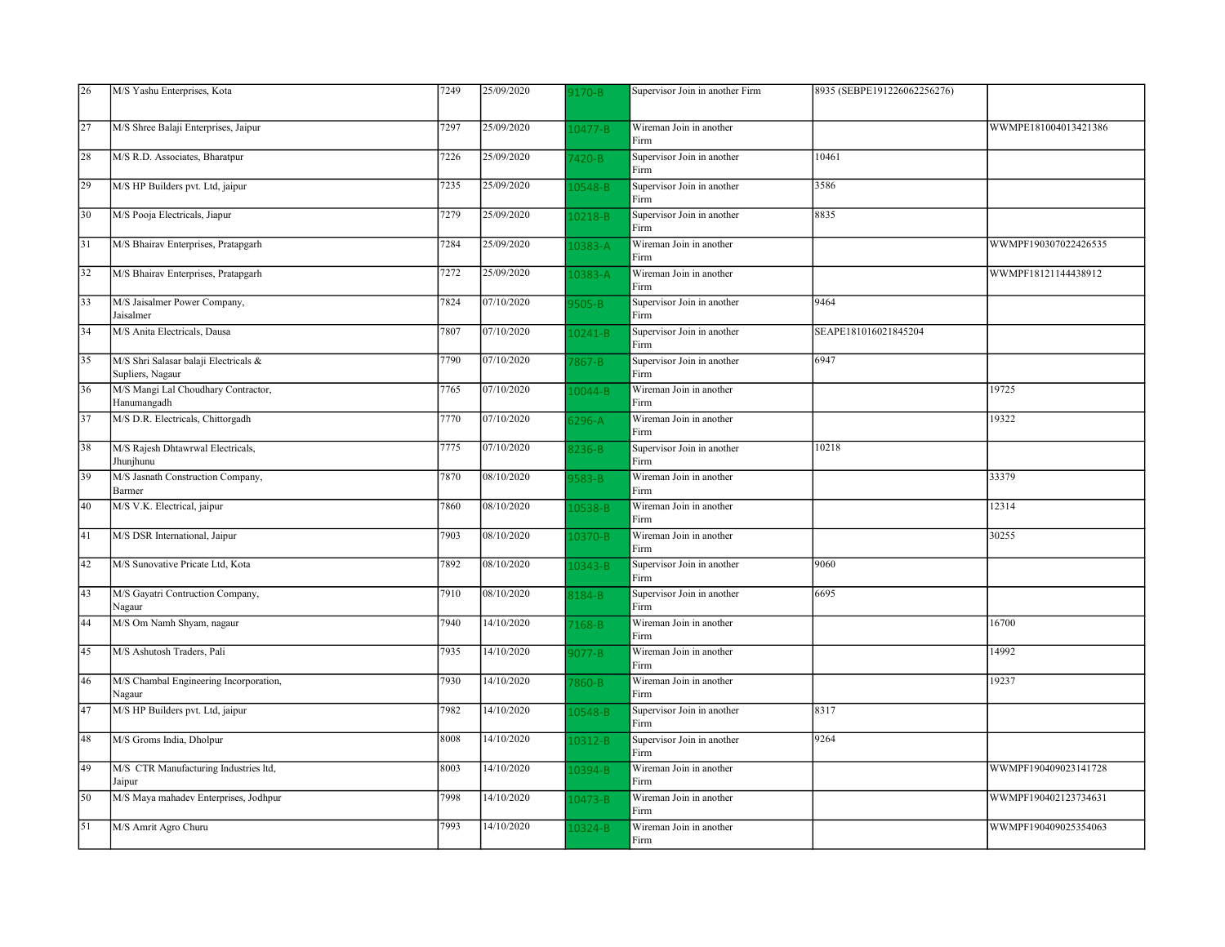| 26 | M/S Yashu Enterprises, Kota                               | 7249 | 25/09/2020 | 170-B       | Supervisor Join in another Firm    | 8935 (SEBPE191226062256276) |                      |
|----|-----------------------------------------------------------|------|------------|-------------|------------------------------------|-----------------------------|----------------------|
|    |                                                           |      |            |             |                                    |                             |                      |
| 27 | M/S Shree Balaji Enterprises, Jaipur                      | 7297 | 25/09/2020 | 10477-B     | Wireman Join in another<br>Firm    |                             | WWMPE181004013421386 |
| 28 | M/S R.D. Associates, Bharatpur                            | 7226 | 25/09/2020 | 7420-B      | Supervisor Join in another<br>Firm | 10461                       |                      |
| 29 | M/S HP Builders pvt. Ltd, jaipur                          | 7235 | 25/09/2020 | 10548-B     | Supervisor Join in another<br>Firm | 3586                        |                      |
| 30 | M/S Pooja Electricals, Jiapur                             | 7279 | 25/09/2020 | 10218-B     | Supervisor Join in another<br>Firm | 8835                        |                      |
| 31 | M/S Bhairav Enterprises, Pratapgarh                       | 7284 | 25/09/2020 | L0383-A     | Wireman Join in another<br>Firm    |                             | WWMPF190307022426535 |
| 32 | M/S Bhairav Enterprises, Pratapgarh                       | 7272 | 25/09/2020 | 10383-A     | Wireman Join in another<br>Firm    |                             | WWMPF18121144438912  |
| 33 | M/S Jaisalmer Power Company,<br>Jaisalmer                 | 7824 | 07/10/2020 | $505 - B$   | Supervisor Join in another<br>Firm | 9464                        |                      |
| 34 | M/S Anita Electricals, Dausa                              | 7807 | 07/10/2020 | $.0241 - B$ | Supervisor Join in another<br>Firm | SEAPE181016021845204        |                      |
| 35 | M/S Shri Salasar balaji Electricals &<br>Supliers, Nagaur | 7790 | 07/10/2020 | $867 - B$   | Supervisor Join in another<br>Firm | 6947                        |                      |
| 36 | M/S Mangi Lal Choudhary Contractor,<br>Hanumangadh        | 7765 | 07/10/2020 | 10044-B     | Wireman Join in another<br>Firm    |                             | 19725                |
| 37 | M/S D.R. Electricals, Chittorgadh                         | 7770 | 07/10/2020 | $296 - A$   | Wireman Join in another<br>Firm    |                             | 19322                |
| 38 | M/S Rajesh Dhtawrwal Electricals,<br>Jhunjhunu            | 7775 | 07/10/2020 | 3236-B      | Supervisor Join in another<br>Firm | 10218                       |                      |
| 39 | M/S Jasnath Construction Company,<br>Barmer               | 7870 | 08/10/2020 | 583-B       | Wireman Join in another<br>Firm    |                             | 33379                |
| 40 | M/S V.K. Electrical, jaipur                               | 7860 | 08/10/2020 | L0538-B     | Wireman Join in another<br>Firm    |                             | 12314                |
| 41 | M/S DSR International, Jaipur                             | 7903 | 08/10/2020 | $10370 - B$ | Wireman Join in another<br>Firm    |                             | 30255                |
| 42 | M/S Sunovative Pricate Ltd, Kota                          | 7892 | 08/10/2020 | 10343-B     | Supervisor Join in another<br>Firm | 9060                        |                      |
| 43 | M/S Gayatri Contruction Company,<br>Nagaur                | 7910 | 08/10/2020 | 3184-B      | Supervisor Join in another<br>Firm | 6695                        |                      |
| 44 | M/S Om Namh Shyam, nagaur                                 | 7940 | 14/10/2020 | $168 - B$   | Wireman Join in another<br>Firm    |                             | 16700                |
| 45 | M/S Ashutosh Traders, Pali                                | 7935 | 14/10/2020 | $077 - B$   | Wireman Join in another<br>Firm    |                             | 14992                |
| 46 | M/S Chambal Engineering Incorporation,<br>Nagaur          | 7930 | 14/10/2020 | $860 - B$   | Wireman Join in another<br>Firm    |                             | 19237                |
| 47 | M/S HP Builders pvt. Ltd, jaipur                          | 7982 | 14/10/2020 | 0548-B      | Supervisor Join in another<br>Firm | 8317                        |                      |
| 48 | M/S Groms India, Dholpur                                  | 8008 | 14/10/2020 | 10312-B     | Supervisor Join in another<br>Firm | 9264                        |                      |
| 49 | M/S CTR Manufacturing Industries ltd,<br>Jaipur           | 8003 | 14/10/2020 | 0394-B      | Wireman Join in another<br>Firm    |                             | WWMPF190409023141728 |
| 50 | M/S Maya mahadev Enterprises, Jodhpur                     | 7998 | 14/10/2020 | $10473 - B$ | Wireman Join in another<br>Firm    |                             | WWMPF190402123734631 |
| 51 | M/S Amrit Agro Churu                                      | 7993 | 14/10/2020 | 10324-B     | Wireman Join in another<br>Firm    |                             | WWMPF190409025354063 |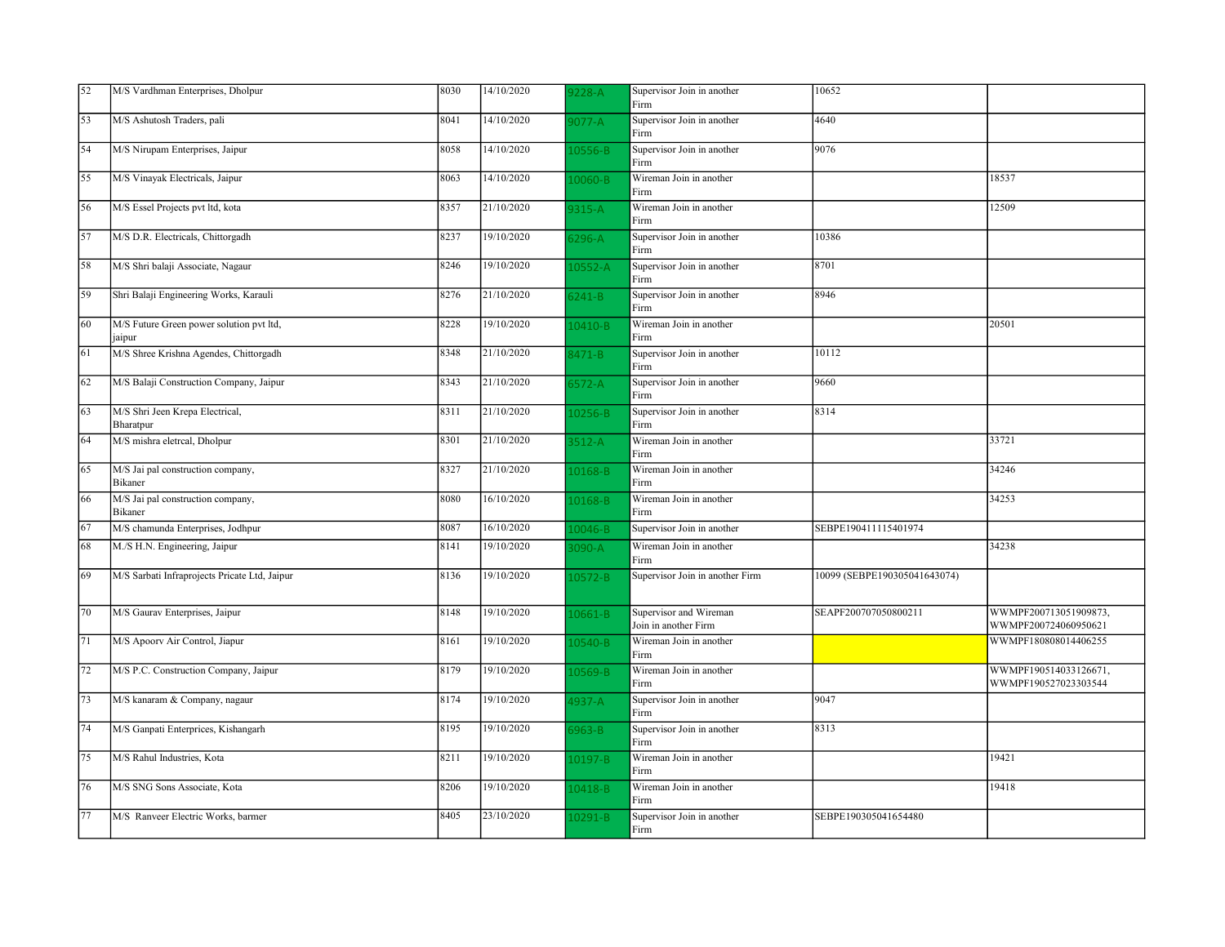| 52 | M/S Vardhman Enterprises, Dholpur                  | 8030 | 14/10/2020 | $228 - A$   | Supervisor Join in another<br>Firm             | 10652                        |                                               |
|----|----------------------------------------------------|------|------------|-------------|------------------------------------------------|------------------------------|-----------------------------------------------|
| 53 | M/S Ashutosh Traders, pali                         | 8041 | 14/10/2020 | $077 - A$   | Supervisor Join in another<br>Firm             | 4640                         |                                               |
| 54 | M/S Nirupam Enterprises, Jaipur                    | 8058 | 14/10/2020 | 10556-B     | Supervisor Join in another<br>Firm             | 9076                         |                                               |
| 55 | M/S Vinayak Electricals, Jaipur                    | 8063 | 14/10/2020 | 10060-B     | Wireman Join in another<br>Firm                |                              | 18537                                         |
| 56 | M/S Essel Projects pvt ltd, kota                   | 8357 | 21/10/2020 | 9315-A      | Wireman Join in another<br>Firm                |                              | 12509                                         |
| 57 | M/S D.R. Electricals, Chittorgadh                  | 8237 | 19/10/2020 | $3296 - A$  | Supervisor Join in another<br>Firm             | 10386                        |                                               |
| 58 | M/S Shri balaji Associate, Nagaur                  | 8246 | 19/10/2020 | 10552-A     | Supervisor Join in another<br>Firm             | 8701                         |                                               |
| 59 | Shri Balaji Engineering Works, Karauli             | 8276 | 21/10/2020 | $3241 - B$  | Supervisor Join in another<br>Firm             | 8946                         |                                               |
| 60 | M/S Future Green power solution pvt ltd,<br>jaipur | 8228 | 19/10/2020 | 10410-B     | Wireman Join in another<br>Firm                |                              | 20501                                         |
| 61 | M/S Shree Krishna Agendes, Chittorgadh             | 8348 | 21/10/2020 | 3471-B      | Supervisor Join in another<br>Firm             | 10112                        |                                               |
| 62 | M/S Balaji Construction Company, Jaipur            | 8343 | 21/10/2020 | $572 - A$   | Supervisor Join in another<br>Firm             | 9660                         |                                               |
| 63 | M/S Shri Jeen Krepa Electrical,<br>Bharatpur       | 8311 | 21/10/2020 | 10256-B     | Supervisor Join in another<br>Firm             | 8314                         |                                               |
| 64 | M/S mishra eletrcal, Dholpur                       | 8301 | 21/10/2020 | $3512-A$    | Wireman Join in another<br>Firm                |                              | 33721                                         |
| 65 | M/S Jai pal construction company,<br>Bikaner       | 8327 | 21/10/2020 | 10168-B     | Wireman Join in another<br>Firm                |                              | 34246                                         |
| 66 | M/S Jai pal construction company,<br>Bikaner       | 8080 | 16/10/2020 | 10168-B     | Wireman Join in another<br>Firm                |                              | 34253                                         |
| 67 | M/S chamunda Enterprises, Jodhpur                  | 8087 | 16/10/2020 | 10046-B     | Supervisor Join in another                     | SEBPE190411115401974         |                                               |
| 68 | M./S H.N. Engineering, Jaipur                      | 8141 | 19/10/2020 | 3090-A      | Wireman Join in another<br>Firm                |                              | 34238                                         |
| 69 | M/S Sarbati Infraprojects Pricate Ltd, Jaipur      | 8136 | 19/10/2020 | 10572-B     | Supervisor Join in another Firm                | 10099 (SEBPE190305041643074) |                                               |
| 70 | M/S Gaurav Enterprises, Jaipur                     | 8148 | 19/10/2020 | 10661-B     | Supervisor and Wireman<br>Join in another Firm | SEAPF200707050800211         | WWMPF200713051909873,<br>WWMPF200724060950621 |
| 71 | M/S Apoorv Air Control, Jiapur                     | 8161 | 19/10/2020 | $10540 - B$ | Wireman Join in another<br>Firm                |                              | WWMPF180808014406255                          |
| 72 | M/S P.C. Construction Company, Jaipur              | 8179 | 19/10/2020 | L0569-B     | Wireman Join in another<br>Firm                |                              | WWMPF190514033126671,<br>WWMPF190527023303544 |
| 73 | M/S kanaram & Company, nagaur                      | 8174 | 19/10/2020 | $937 - A$   | Supervisor Join in another<br>Firm             | 9047                         |                                               |
| 74 | M/S Ganpati Enterprices, Kishangarh                | 8195 | 19/10/2020 | $963 - B$   | Supervisor Join in another<br>Firm             | 8313                         |                                               |
| 75 | M/S Rahul Industries, Kota                         | 8211 | 19/10/2020 | 10197-B     | Wireman Join in another<br>Firm                |                              | 19421                                         |
| 76 | M/S SNG Sons Associate, Kota                       | 8206 | 19/10/2020 | 10418-B     | Wireman Join in another<br>Firm                |                              | 19418                                         |
| 77 | M/S Ranveer Electric Works, barmer                 | 8405 | 23/10/2020 | $.0291 - B$ | Supervisor Join in another<br>Firm             | SEBPE190305041654480         |                                               |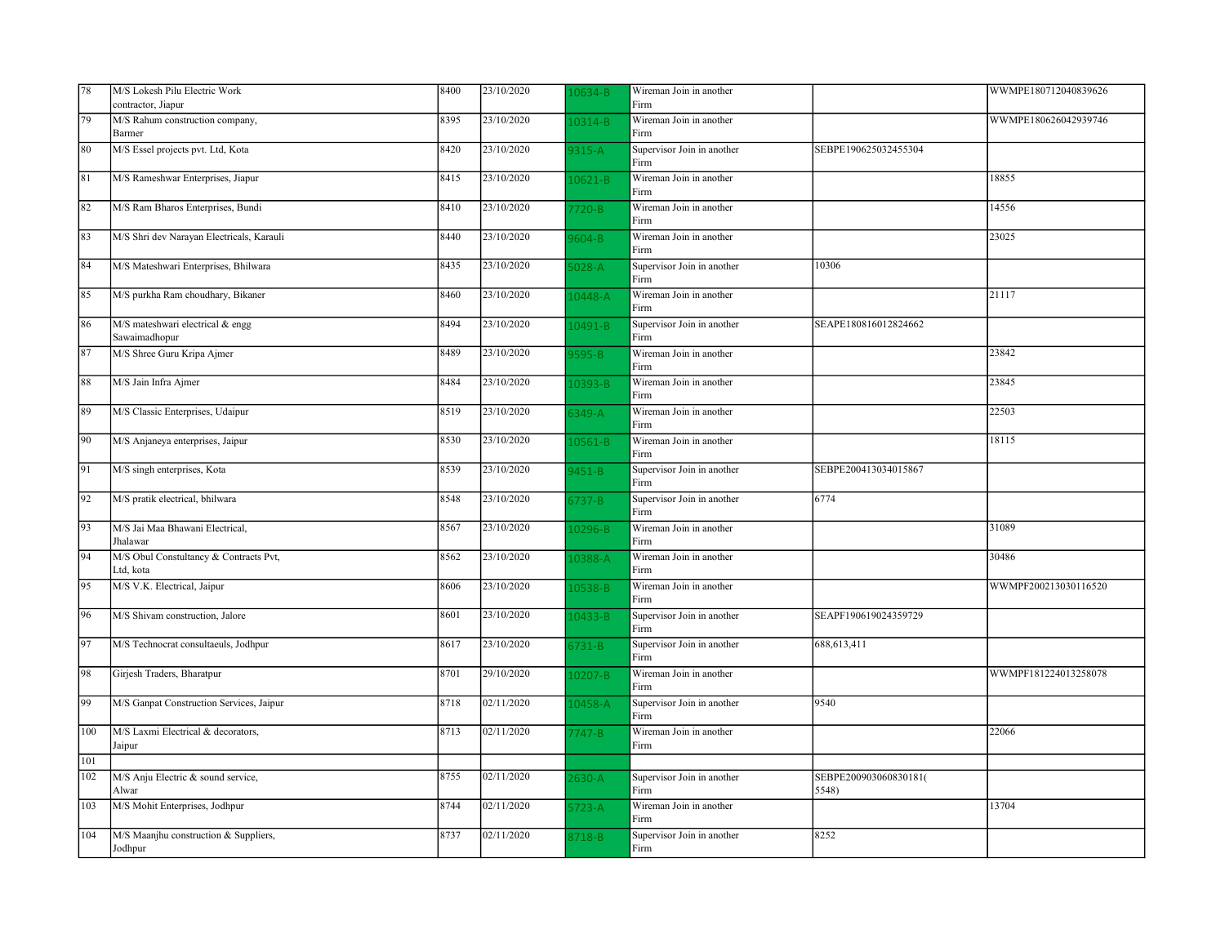| 78  | M/S Lokesh Pilu Electric Work                       | 8400 | 23/10/2020              | 0634-B      | Wireman Join in another            |                                | WWMPE180712040839626 |
|-----|-----------------------------------------------------|------|-------------------------|-------------|------------------------------------|--------------------------------|----------------------|
|     | contractor, Jiapur                                  |      |                         |             | Firm                               |                                |                      |
| 79  | M/S Rahum construction company,<br>Barmer           | 8395 | 23/10/2020              | $10314 - B$ | Wireman Join in another<br>Firm    |                                | WWMPE180626042939746 |
| 80  | M/S Essel projects pvt. Ltd, Kota                   | 8420 | 23/10/2020              | $315-A$     | Supervisor Join in another<br>Firm | SEBPE190625032455304           |                      |
| 81  | M/S Rameshwar Enterprises, Jiapur                   | 8415 | 23/10/2020              | 10621-B     | Wireman Join in another<br>Firm    |                                | 18855                |
| 82  | M/S Ram Bharos Enterprises, Bundi                   | 8410 | 23/10/2020              | 720-B       | Wireman Join in another<br>Firm    |                                | 14556                |
| 83  | M/S Shri dev Narayan Electricals, Karauli           | 8440 | 23/10/2020              | 604-B       | Wireman Join in another<br>Firm    |                                | 23025                |
| 84  | M/S Mateshwari Enterprises, Bhilwara                | 8435 | 23/10/2020              | $6028 - A$  | Supervisor Join in another<br>Firm | 10306                          |                      |
| 85  | M/S purkha Ram choudhary, Bikaner                   | 8460 | 23/10/2020              | 10448-A     | Wireman Join in another<br>Firm    |                                | 21117                |
| 86  | M/S mateshwari electrical & engg<br>Sawaimadhopur   | 8494 | 23/10/2020              | 0491-B      | Supervisor Join in another<br>Firm | SEAPE180816012824662           |                      |
| 87  | M/S Shree Guru Kripa Ajmer                          | 8489 | 23/10/2020              | 595-B       | Wireman Join in another<br>Firm    |                                | 23842                |
| 88  | M/S Jain Infra Ajmer                                | 8484 | 23/10/2020              | 10393-B     | Wireman Join in another<br>Firm    |                                | 23845                |
| 89  | M/S Classic Enterprises, Udaipur                    | 8519 | 23/10/2020              | $349-A$     | Wireman Join in another<br>Firm    |                                | 22503                |
| 90  | M/S Anjaneya enterprises, Jaipur                    | 8530 | 23/10/2020              | $10561 - B$ | Wireman Join in another<br>Firm    |                                | 18115                |
| 91  | M/S singh enterprises, Kota                         | 8539 | 23/10/2020              | $451 - B$   | Supervisor Join in another<br>Firm | SEBPE200413034015867           |                      |
| 92  | M/S pratik electrical, bhilwara                     | 8548 | 23/10/2020              | $5737 - B$  | Supervisor Join in another<br>Firm | 6774                           |                      |
| 93  | M/S Jai Maa Bhawani Electrical.<br>Jhalawar         | 8567 | 23/10/2020              | 0296-B      | Wireman Join in another<br>Firm    |                                | 31089                |
| 94  | M/S Obul Constultancy & Contracts Pvt,<br>Ltd, kota | 8562 | 23/10/2020              | 0388-A      | Wireman Join in another<br>Firm    |                                | 30486                |
| 95  | M/S V.K. Electrical, Jaipur                         | 8606 | 23/10/2020              | 0538-B      | Wireman Join in another<br>Firm    |                                | WWMPF200213030116520 |
| 96  | M/S Shivam construction, Jalore                     | 8601 | 23/10/2020              | 10433-B     | Supervisor Join in another<br>Firm | SEAPF190619024359729           |                      |
| 97  | M/S Technocrat consultaeuls, Jodhpur                | 8617 | 23/10/2020              | $5731 - B$  | Supervisor Join in another<br>Firm | 688,613,411                    |                      |
| 98  | Girjesh Traders, Bharatpur                          | 8701 | 29/10/2020              | 0207-B      | Wireman Join in another<br>Firm    |                                | WWMPF181224013258078 |
| 99  | M/S Ganpat Construction Services, Jaipur            | 8718 | 02/11/2020              | 10458-A     | Supervisor Join in another<br>Firm | 9540                           |                      |
| 100 | M/S Laxmi Electrical & decorators,<br>Jaipur        | 8713 | 02/11/2020              | 747-B       | Wireman Join in another<br>Firm    |                                | 22066                |
| 101 |                                                     |      |                         |             |                                    |                                |                      |
| 102 | M/S Anju Electric & sound service,<br>Alwar         | 8755 | 02/11/2020              | $630 - A$   | Supervisor Join in another<br>Firm | SEBPE200903060830181(<br>5548) |                      |
| 103 | M/S Mohit Enterprises, Jodhpur                      | 8744 | 02/11/2020              | $723-A$     | Wireman Join in another<br>Firm    |                                | 13704                |
| 104 | M/S Maanjhu construction & Suppliers,<br>Jodhpur    | 8737 | $\overline{02/11/2020}$ | 3718-B      | Supervisor Join in another<br>Firm | 8252                           |                      |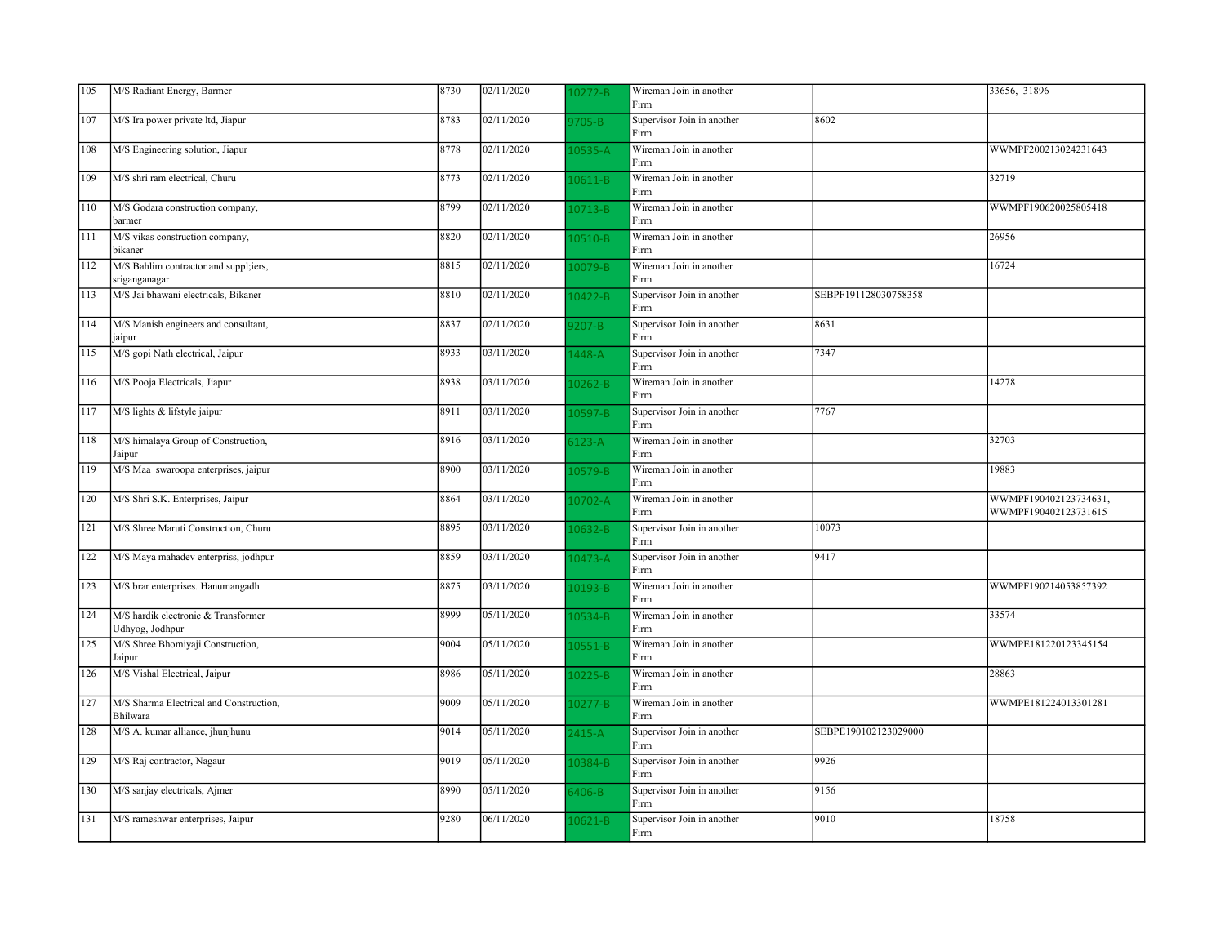| 105 | M/S Radiant Energy, Barmer                             | 8730 | 02/11/2020 | $10272 - B$ | Wireman Join in another<br>Firm    |                      | 33656, 31896                                  |
|-----|--------------------------------------------------------|------|------------|-------------|------------------------------------|----------------------|-----------------------------------------------|
| 107 | M/S Ira power private ltd, Jiapur                      | 8783 | 02/11/2020 | 9705-B      | Supervisor Join in another<br>Firm | 8602                 |                                               |
| 108 | M/S Engineering solution, Jiapur                       | 8778 | 02/11/2020 | $10535-A$   | Wireman Join in another<br>Firm    |                      | WWMPF200213024231643                          |
| 109 | M/S shri ram electrical, Churu                         | 8773 | 02/11/2020 | 10611-B     | Wireman Join in another<br>Firm    |                      | 32719                                         |
| 110 | M/S Godara construction company,<br>barmer             | 8799 | 02/11/2020 | 10713-B     | Wireman Join in another<br>Firm    |                      | WWMPF190620025805418                          |
| 111 | M/S vikas construction company,<br>bikaner             | 8820 | 02/11/2020 | 10510-B     | Wireman Join in another<br>Firm    |                      | 26956                                         |
| 112 | M/S Bahlim contractor and suppl;iers,<br>sriganganagar | 8815 | 02/11/2020 | 10079-B     | Wireman Join in another<br>Firm    |                      | 16724                                         |
| 113 | M/S Jai bhawani electricals, Bikaner                   | 8810 | 02/11/2020 | L0422-B     | Supervisor Join in another<br>Firm | SEBPF191128030758358 |                                               |
| 114 | M/S Manish engineers and consultant,<br>jaipur         | 8837 | 02/11/2020 | $9207 - B$  | Supervisor Join in another<br>Firm | 8631                 |                                               |
| 115 | M/S gopi Nath electrical, Jaipur                       | 8933 | 03/11/2020 | 1448-A      | Supervisor Join in another<br>Firm | 7347                 |                                               |
| 116 | M/S Pooja Electricals, Jiapur                          | 8938 | 03/11/2020 | 10262-B     | Wireman Join in another<br>Firm    |                      | 14278                                         |
| 117 | M/S lights & lifstyle jaipur                           | 8911 | 03/11/2020 | 10597-B     | Supervisor Join in another<br>Firm | 7767                 |                                               |
| 118 | M/S himalaya Group of Construction,<br>Jaipur          | 8916 | 03/11/2020 | $5123 - A$  | Wireman Join in another<br>Firm    |                      | 32703                                         |
| 119 | M/S Maa swaroopa enterprises, jaipur                   | 8900 | 03/11/2020 | $10579 - B$ | Wireman Join in another<br>Firm    |                      | 19883                                         |
| 120 | M/S Shri S.K. Enterprises, Jaipur                      | 8864 | 03/11/2020 | 10702-A     | Wireman Join in another<br>Firm    |                      | WWMPF190402123734631,<br>WWMPF190402123731615 |
| 121 | M/S Shree Maruti Construction, Churu                   | 8895 | 03/11/2020 | $10632 - B$ | Supervisor Join in another<br>Firm | 10073                |                                               |
| 122 | M/S Maya mahadev enterpriss, jodhpur                   | 8859 | 03/11/2020 | 10473-A     | Supervisor Join in another<br>Firm | 9417                 |                                               |
| 123 | M/S brar enterprises. Hanumangadh                      | 8875 | 03/11/2020 | 10193-B     | Wireman Join in another<br>Firm    |                      | WWMPF190214053857392                          |
| 124 | M/S hardik electronic & Transformer<br>Udhyog, Jodhpur | 8999 | 05/11/2020 | L0534-B     | Wireman Join in another<br>Firm    |                      | 33574                                         |
| 125 | M/S Shree Bhomiyaji Construction,<br>Jaipur            | 9004 | 05/11/2020 | $10551 - B$ | Wireman Join in another<br>Firm    |                      | WWMPE181220123345154                          |
| 126 | M/S Vishal Electrical, Jaipur                          | 8986 | 05/11/2020 | $10225 - B$ | Wireman Join in another<br>Firm    |                      | 28863                                         |
| 127 | M/S Sharma Electrical and Construction,<br>Bhilwara    | 9009 | 05/11/2020 | $10277 - B$ | Wireman Join in another<br>Firm    |                      | WWMPE181224013301281                          |
| 128 | M/S A. kumar alliance, jhunjhunu                       | 9014 | 05/11/2020 | 2415-A      | Supervisor Join in another<br>Firm | SEBPE190102123029000 |                                               |
| 129 | M/S Raj contractor, Nagaur                             | 9019 | 05/11/2020 | 10384-B     | Supervisor Join in another<br>Firm | 9926                 |                                               |
| 130 | M/S sanjay electricals, Ajmer                          | 8990 | 05/11/2020 | 5406-B      | Supervisor Join in another<br>Firm | 9156                 |                                               |
| 131 | M/S rameshwar enterprises, Jaipur                      | 9280 | 06/11/2020 | $10621 - B$ | Supervisor Join in another<br>Firm | 9010                 | 18758                                         |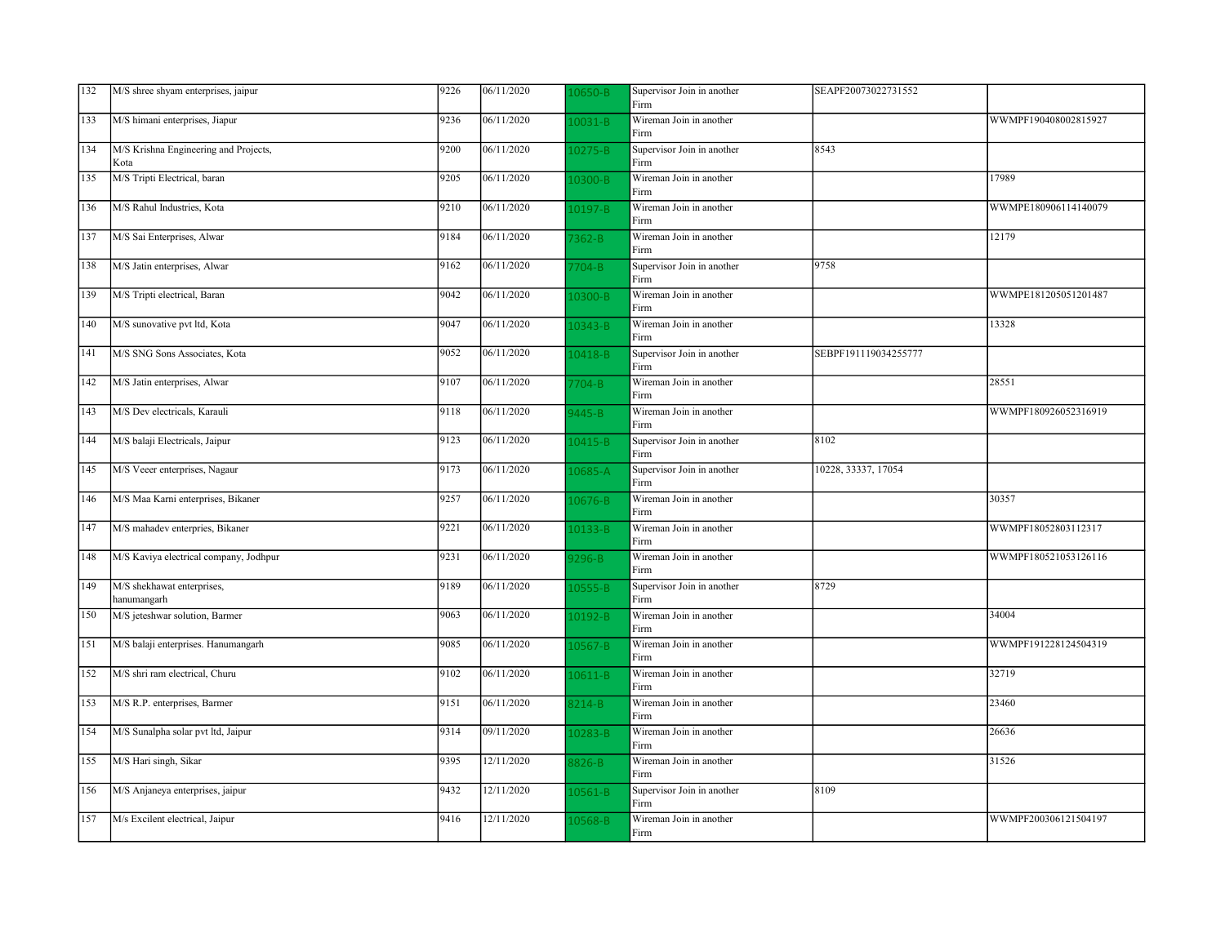| 132 | M/S shree shyam enterprises, jaipur           | 9226 | 06/11/2020 | 0650-B      | Supervisor Join in another<br>Firm | SEAPF20073022731552  |                      |
|-----|-----------------------------------------------|------|------------|-------------|------------------------------------|----------------------|----------------------|
| 133 | M/S himani enterprises, Jiapur                | 9236 | 06/11/2020 | 10031-B     | Wireman Join in another<br>Firm    |                      | WWMPF190408002815927 |
| 134 | M/S Krishna Engineering and Projects,<br>Kota | 9200 | 06/11/2020 | 10275-B     | Supervisor Join in another<br>Firm | 8543                 |                      |
| 135 | M/S Tripti Electrical, baran                  | 9205 | 06/11/2020 | $10300 - B$ | Wireman Join in another<br>Firm    |                      | 17989                |
| 136 | M/S Rahul Industries, Kota                    | 9210 | 06/11/2020 | 10197-B     | Wireman Join in another<br>Firm    |                      | WWMPE180906114140079 |
| 137 | M/S Sai Enterprises, Alwar                    | 9184 | 06/11/2020 | 7362-B      | Wireman Join in another<br>Firm    |                      | 12179                |
| 138 | M/S Jatin enterprises, Alwar                  | 9162 | 06/11/2020 | 7704-B      | Supervisor Join in another<br>Firm | 9758                 |                      |
| 139 | M/S Tripti electrical, Baran                  | 9042 | 06/11/2020 | 10300-B     | Wireman Join in another<br>Firm    |                      | WWMPE181205051201487 |
| 140 | M/S sunovative pvt ltd, Kota                  | 9047 | 06/11/2020 | 10343-B     | Wireman Join in another<br>Firm    |                      | 13328                |
| 141 | M/S SNG Sons Associates, Kota                 | 9052 | 06/11/2020 | 10418-B     | Supervisor Join in another<br>Firm | SEBPF191119034255777 |                      |
| 142 | M/S Jatin enterprises, Alwar                  | 9107 | 06/11/2020 | 7704-B      | Wireman Join in another<br>Firm    |                      | 28551                |
| 143 | M/S Dev electricals, Karauli                  | 9118 | 06/11/2020 | $9445 - B$  | Wireman Join in another<br>Firm    |                      | WWMPF180926052316919 |
| 144 | M/S balaji Electricals, Jaipur                | 9123 | 06/11/2020 | $10415 - B$ | Supervisor Join in another<br>Firm | 8102                 |                      |
| 145 | M/S Veeer enterprises, Nagaur                 | 9173 | 06/11/2020 | 10685-A     | Supervisor Join in another<br>Firm | 10228, 33337, 17054  |                      |
| 146 | M/S Maa Karni enterprises, Bikaner            | 9257 | 06/11/2020 | $10676 - B$ | Wireman Join in another<br>Firm    |                      | 30357                |
| 147 | M/S mahadev enterpries, Bikaner               | 9221 | 06/11/2020 | $10133 - B$ | Wireman Join in another<br>Firm    |                      | WWMPF18052803112317  |
| 148 | M/S Kaviya electrical company, Jodhpur        | 9231 | 06/11/2020 | $9296 - B$  | Wireman Join in another<br>Firm    |                      | WWMPF180521053126116 |
| 149 | M/S shekhawat enterprises,<br>hanumangarh     | 9189 | 06/11/2020 | 10555-B     | Supervisor Join in another<br>Firm | 8729                 |                      |
| 150 | M/S jeteshwar solution, Barmer                | 9063 | 06/11/2020 | 0192-B      | Wireman Join in another<br>Firm    |                      | 34004                |
| 151 | M/S balaji enterprises. Hanumangarh           | 9085 | 06/11/2020 | $10567 - B$ | Wireman Join in another<br>Firm    |                      | WWMPF191228124504319 |
| 152 | M/S shri ram electrical, Churu                | 9102 | 06/11/2020 | 10611-B     | Wireman Join in another<br>Firm    |                      | 32719                |
| 153 | M/S R.P. enterprises, Barmer                  | 9151 | 06/11/2020 | $3214 - B$  | Wireman Join in another<br>Firm    |                      | 23460                |
| 154 | M/S Sunalpha solar pvt ltd, Jaipur            | 9314 | 09/11/2020 | 10283-B     | Wireman Join in another<br>Firm    |                      | 26636                |
| 155 | M/S Hari singh, Sikar                         | 9395 | 12/11/2020 | 8826-B      | Wireman Join in another<br>Firm    |                      | 31526                |
| 156 | M/S Anjaneya enterprises, jaipur              | 9432 | 12/11/2020 | 10561-B     | Supervisor Join in another<br>Firm | 8109                 |                      |
| 157 | M/s Excilent electrical, Jaipur               | 9416 | 12/11/2020 | L0568-B     | Wireman Join in another<br>Firm    |                      | WWMPF200306121504197 |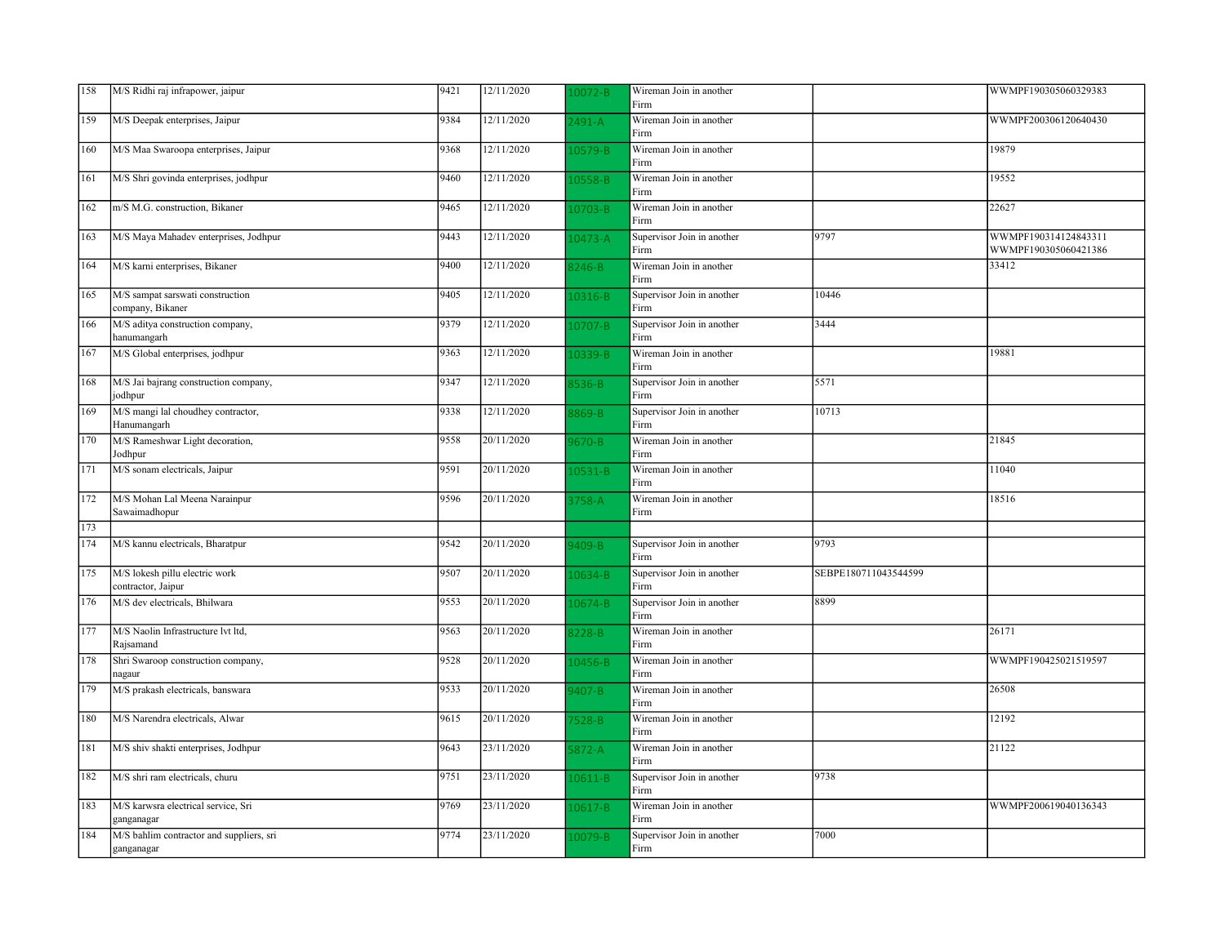| 158 | M/S Ridhi raj infrapower, jaipur                       | 9421 | 12/11/2020 | $10072 - B$ | Wireman Join in another<br>Firm    |                      | WWMPF190305060329383                         |
|-----|--------------------------------------------------------|------|------------|-------------|------------------------------------|----------------------|----------------------------------------------|
| 159 | M/S Deepak enterprises, Jaipur                         | 9384 | 12/11/2020 | 2491-A      | Wireman Join in another<br>Firm    |                      | WWMPF200306120640430                         |
| 160 | M/S Maa Swaroopa enterprises, Jaipur                   | 9368 | 12/11/2020 | 10579-B     | Wireman Join in another<br>Firm    |                      | 19879                                        |
| 161 | M/S Shri govinda enterprises, jodhpur                  | 9460 | 12/11/2020 | 10558-B     | Wireman Join in another<br>Firm    |                      | 19552                                        |
| 162 | m/S M.G. construction, Bikaner                         | 9465 | 12/11/2020 | $10703 - B$ | Wireman Join in another<br>Firm    |                      | 22627                                        |
| 163 | M/S Maya Mahadev enterprises, Jodhpur                  | 9443 | 12/11/2020 | L0473-A     | Supervisor Join in another<br>Firm | 9797                 | WWMPF190314124843311<br>WWMPF190305060421386 |
| 164 | M/S karni enterprises, Bikaner                         | 9400 | 12/11/2020 | 3246-B      | Wireman Join in another<br>Firm    |                      | 33412                                        |
| 165 | M/S sampat sarswati construction<br>company, Bikaner   | 9405 | 12/11/2020 | 10316-B     | Supervisor Join in another<br>Firm | 10446                |                                              |
| 166 | M/S aditya construction company,<br>hanumangarh        | 9379 | 12/11/2020 | 10707-B     | Supervisor Join in another<br>Firm | 3444                 |                                              |
| 167 | M/S Global enterprises, jodhpur                        | 9363 | 12/11/2020 | L0339-B     | Wireman Join in another<br>Firm    |                      | 19881                                        |
| 168 | M/S Jai bajrang construction company,<br>jodhpur       | 9347 | 12/11/2020 | 3536-B      | Supervisor Join in another<br>Firm | 5571                 |                                              |
| 169 | M/S mangi lal choudhey contractor,<br>Hanumangarh      | 9338 | 12/11/2020 | 8869-B      | Supervisor Join in another<br>Firm | 10713                |                                              |
| 170 | M/S Rameshwar Light decoration,<br>Jodhpur             | 9558 | 20/11/2020 | 0670-B      | Wireman Join in another<br>Firm    |                      | 21845                                        |
| 171 | M/S sonam electricals, Jaipur                          | 9591 | 20/11/2020 | 10531-B     | Wireman Join in another<br>Firm    |                      | 11040                                        |
| 172 | M/S Mohan Lal Meena Narainpur<br>Sawaimadhopur         | 9596 | 20/11/2020 | 3758-A      | Wireman Join in another<br>Firm    |                      | 18516                                        |
| 173 |                                                        |      |            |             |                                    |                      |                                              |
| 174 | M/S kannu electricals, Bharatpur                       | 9542 | 20/11/2020 | 409-B       | Supervisor Join in another<br>Firm | 9793                 |                                              |
| 175 | M/S lokesh pillu electric work<br>contractor, Jaipur   | 9507 | 20/11/2020 | 10634-B     | Supervisor Join in another<br>Firm | SEBPE180711043544599 |                                              |
| 176 | M/S dev electricals, Bhilwara                          | 9553 | 20/11/2020 | 10674-B     | Supervisor Join in another<br>Firm | 8899                 |                                              |
| 177 | M/S Naolin Infrastructure lvt ltd,<br>Rajsamand        | 9563 | 20/11/2020 | 3228-B      | Wireman Join in another<br>Firm    |                      | 26171                                        |
| 178 | Shri Swaroop construction company,<br>nagaur           | 9528 | 20/11/2020 | 10456-B     | Wireman Join in another<br>Firm    |                      | WWMPF190425021519597                         |
| 179 | M/S prakash electricals, banswara                      | 9533 | 20/11/2020 | $9407 - B$  | Wireman Join in another<br>Firm    |                      | 26508                                        |
| 180 | M/S Narendra electricals, Alwar                        | 9615 | 20/11/2020 | 7528-B      | Wireman Join in another<br>Firm    |                      | 12192                                        |
| 181 | M/S shiv shakti enterprises, Jodhpur                   | 9643 | 23/11/2020 | $5872 - A$  | Wireman Join in another<br>Firm    |                      | 21122                                        |
| 182 | M/S shri ram electricals, churu                        | 9751 | 23/11/2020 | 10611-B     | Supervisor Join in another<br>Firm | 9738                 |                                              |
| 183 | M/S karwsra electrical service, Sri<br>ganganagar      | 9769 | 23/11/2020 | 10617-B     | Wireman Join in another<br>Firm    |                      | WWMPF200619040136343                         |
| 184 | M/S bahlim contractor and suppliers, sri<br>ganganagar | 9774 | 23/11/2020 | L0079-B     | Supervisor Join in another<br>Firm | 7000                 |                                              |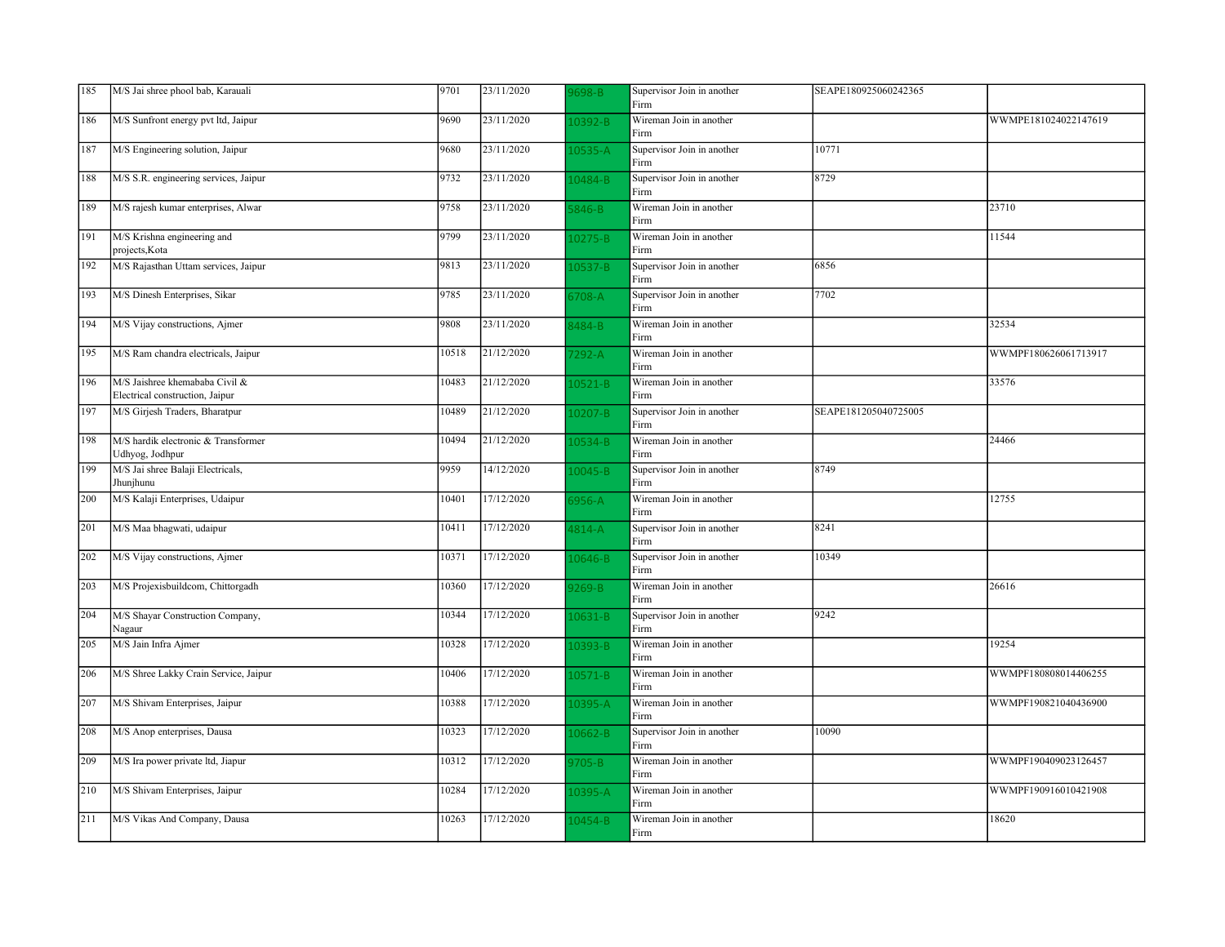| 185 | M/S Jai shree phool bab, Karauali                                 | 9701  | 23/11/2020 | 698-B       | Supervisor Join in another<br>Firm | SEAPE180925060242365 |                      |
|-----|-------------------------------------------------------------------|-------|------------|-------------|------------------------------------|----------------------|----------------------|
| 186 | M/S Sunfront energy pvt ltd, Jaipur                               | 9690  | 23/11/2020 | 10392-B     | Wireman Join in another<br>Firm    |                      | WWMPE181024022147619 |
| 187 | M/S Engineering solution, Jaipur                                  | 9680  | 23/11/2020 | $.0535 - A$ | Supervisor Join in another<br>Firm | 10771                |                      |
| 188 | M/S S.R. engineering services, Jaipur                             | 9732  | 23/11/2020 | 10484-B     | Supervisor Join in another<br>Firm | 8729                 |                      |
| 189 | M/S rajesh kumar enterprises, Alwar                               | 9758  | 23/11/2020 | $846 - B$   | Wireman Join in another<br>Firm    |                      | 23710                |
| 191 | M/S Krishna engineering and<br>projects, Kota                     | 9799  | 23/11/2020 | 10275-B     | Wireman Join in another<br>Firm    |                      | 11544                |
| 192 | M/S Rajasthan Uttam services, Jaipur                              | 9813  | 23/11/2020 | $.0537 - B$ | Supervisor Join in another<br>Firm | 6856                 |                      |
| 193 | M/S Dinesh Enterprises, Sikar                                     | 9785  | 23/11/2020 | 708-A       | Supervisor Join in another<br>Firm | 7702                 |                      |
| 194 | M/S Vijay constructions, Ajmer                                    | 9808  | 23/11/2020 | 3484-B      | Wireman Join in another<br>Firm    |                      | 32534                |
| 195 | M/S Ram chandra electricals, Jaipur                               | 10518 | 21/12/2020 | $292 - A$   | Wireman Join in another<br>Firm    |                      | WWMPF180626061713917 |
| 196 | M/S Jaishree khemababa Civil &<br>Electrical construction, Jaipur | 10483 | 21/12/2020 | $.0521 - B$ | Wireman Join in another<br>Firm    |                      | 33576                |
| 197 | M/S Girjesh Traders, Bharatpur                                    | 10489 | 21/12/2020 | $.0207 - B$ | Supervisor Join in another<br>Firm | SEAPE181205040725005 |                      |
| 198 | M/S hardik electronic & Transformer<br>Udhyog, Jodhpur            | 10494 | 21/12/2020 | 10534-B     | Wireman Join in another<br>Firm    |                      | 24466                |
| 199 | M/S Jai shree Balaji Electricals,<br>Jhunjhunu                    | 9959  | 14/12/2020 | 10045-B     | Supervisor Join in another<br>Firm | 8749                 |                      |
| 200 | M/S Kalaji Enterprises, Udaipur                                   | 10401 | 17/12/2020 | $956 - A$   | Wireman Join in another<br>Firm    |                      | 12755                |
| 201 | M/S Maa bhagwati, udaipur                                         | 10411 | 17/12/2020 | $1814 - A$  | Supervisor Join in another<br>Firm | 8241                 |                      |
| 202 | M/S Vijay constructions, Ajmer                                    | 10371 | 17/12/2020 | $.0646 - B$ | Supervisor Join in another<br>Firm | 10349                |                      |
| 203 | M/S Projexisbuildcom, Chittorgadh                                 | 10360 | 17/12/2020 | $269 - B$   | Wireman Join in another<br>Firm    |                      | 26616                |
| 204 | M/S Shayar Construction Company,<br>Nagaur                        | 10344 | 17/12/2020 | 10631-B     | Supervisor Join in another<br>Firm | 9242                 |                      |
| 205 | M/S Jain Infra Ajmer                                              | 10328 | 17/12/2020 | 10393-B     | Wireman Join in another<br>Firm    |                      | 19254                |
| 206 | M/S Shree Lakky Crain Service, Jaipur                             | 10406 | 17/12/2020 | $10571 - B$ | Wireman Join in another<br>Firm    |                      | WWMPF180808014406255 |
| 207 | M/S Shivam Enterprises, Jaipur                                    | 10388 | 17/12/2020 | $.0395 - A$ | Wireman Join in another<br>Firm    |                      | WWMPF190821040436900 |
| 208 | M/S Anop enterprises, Dausa                                       | 10323 | 17/12/2020 | 10662-B     | Supervisor Join in another<br>Firm | 10090                |                      |
| 209 | M/S Ira power private ltd, Jiapur                                 | 10312 | 17/12/2020 | 705-B       | Wireman Join in another<br>Firm    |                      | WWMPF190409023126457 |
| 210 | M/S Shivam Enterprises, Jaipur                                    | 10284 | 17/12/2020 | 10395-A     | Wireman Join in another<br>Firm    |                      | WWMPF190916010421908 |
| 211 | M/S Vikas And Company, Dausa                                      | 10263 | 17/12/2020 | $10454 - B$ | Wireman Join in another<br>Firm    |                      | 18620                |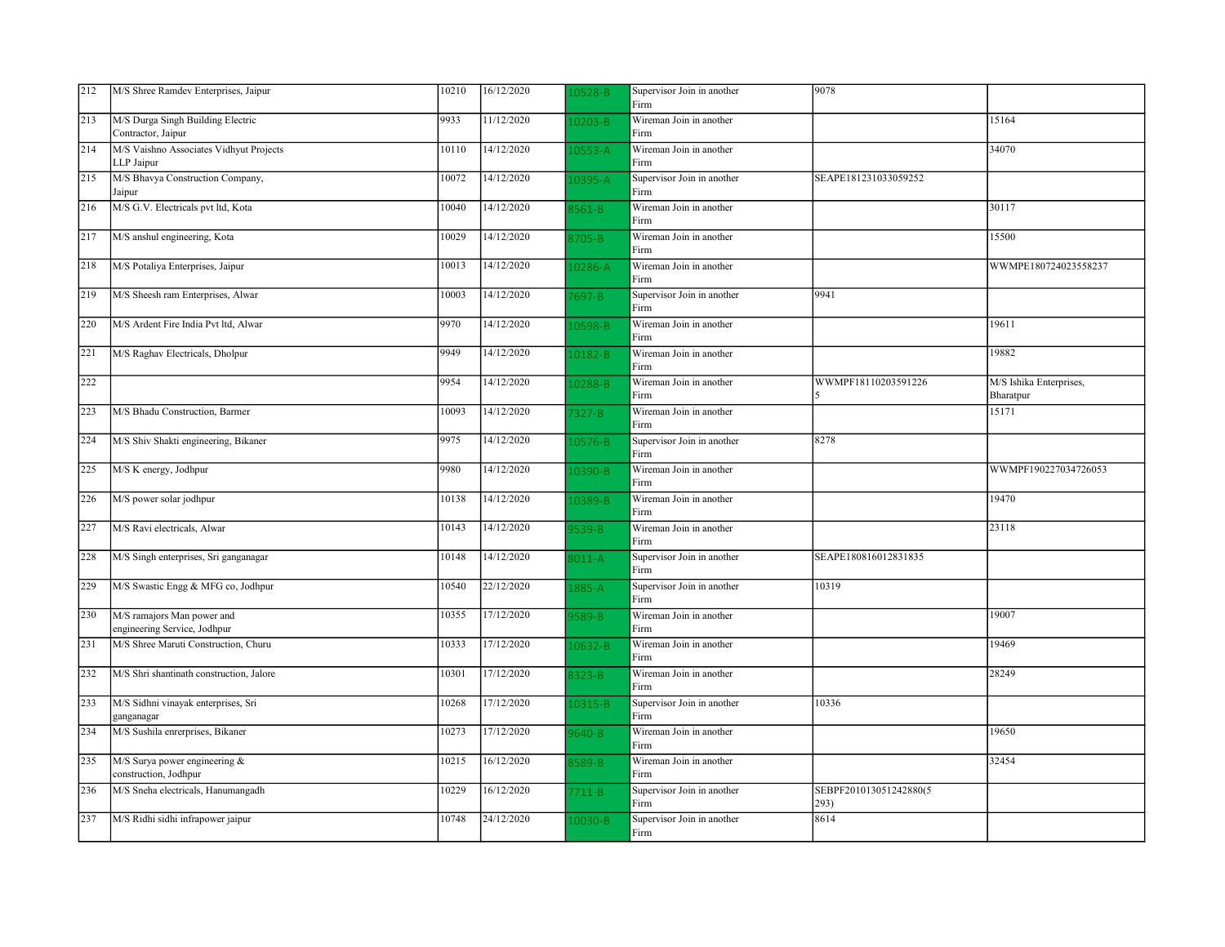| 212 | M/S Shree Ramdev Enterprises, Jaipur                       | 10210 | 16/12/2020 | 0528-B      | Supervisor Join in another<br>Firm | 9078                           |                                      |
|-----|------------------------------------------------------------|-------|------------|-------------|------------------------------------|--------------------------------|--------------------------------------|
| 213 | M/S Durga Singh Building Electric<br>Contractor, Jaipur    | 9933  | 11/12/2020 | 10203-B     | Wireman Join in another<br>Firm    |                                | 15164                                |
| 214 | M/S Vaishno Associates Vidhyut Projects<br>LLP Jaipur      | 10110 | 14/12/2020 | $10553 - A$ | Wireman Join in another<br>Firm    |                                | 34070                                |
| 215 | M/S Bhavya Construction Company,<br>Jaipur                 | 10072 | 14/12/2020 | 10395-A     | Supervisor Join in another<br>Firm | SEAPE181231033059252           |                                      |
| 216 | M/S G.V. Electricals pvt ltd, Kota                         | 10040 | 14/12/2020 | $561 - B$   | Wireman Join in another<br>Firm    |                                | 30117                                |
| 217 | M/S anshul engineering, Kota                               | 10029 | 14/12/2020 | $3705 - B$  | Wireman Join in another<br>Firm    |                                | 15500                                |
| 218 | M/S Potaliya Enterprises, Jaipur                           | 10013 | 14/12/2020 | 0286-A      | Wireman Join in another<br>Firm    |                                | WWMPE180724023558237                 |
| 219 | M/S Sheesh ram Enterprises, Alwar                          | 10003 | 14/12/2020 | 697-B       | Supervisor Join in another<br>Firm | 9941                           |                                      |
| 220 | M/S Ardent Fire India Pvt ltd, Alwar                       | 9970  | 14/12/2020 | 10598-B     | Wireman Join in another<br>Firm    |                                | 19611                                |
| 221 | M/S Raghav Electricals, Dholpur                            | 9949  | 14/12/2020 | 10182-B     | Wireman Join in another<br>Firm    |                                | 19882                                |
| 222 |                                                            | 9954  | 14/12/2020 | $10288 - B$ | Wireman Join in another<br>Firm    | WWMPF18110203591226            | M/S Ishika Enterprises,<br>Bharatpur |
| 223 | M/S Bhadu Construction, Barmer                             | 10093 | 14/12/2020 | 7327-B      | Wireman Join in another<br>Firm    |                                | 15171                                |
| 224 | M/S Shiv Shakti engineering, Bikaner                       | 9975  | 14/12/2020 | 0576-B      | Supervisor Join in another<br>Firm | 8278                           |                                      |
| 225 | M/S K energy, Jodhpur                                      | 9980  | 14/12/2020 | 10390-B     | Wireman Join in another<br>Firm    |                                | WWMPF190227034726053                 |
| 226 | M/S power solar jodhpur                                    | 10138 | 14/12/2020 | 0389-B      | Wireman Join in another<br>Firm    |                                | 19470                                |
| 227 | M/S Ravi electricals, Alwar                                | 10143 | 14/12/2020 | 3539-B      | Wireman Join in another<br>Firm    |                                | 23118                                |
| 228 | M/S Singh enterprises, Sri ganganagar                      | 10148 | 14/12/2020 | $011-A$     | Supervisor Join in another<br>Firm | SEAPE180816012831835           |                                      |
| 229 | M/S Swastic Engg & MFG co, Jodhpur                         | 10540 | 22/12/2020 | 1885-A      | Supervisor Join in another<br>Firm | 10319                          |                                      |
| 230 | M/S ramajors Man power and<br>engineering Service, Jodhpur | 10355 | 17/12/2020 | 589-B       | Wireman Join in another<br>Firm    |                                | 19007                                |
| 231 | M/S Shree Maruti Construction, Churu                       | 10333 | 17/12/2020 | L0632-B     | Wireman Join in another<br>Firm    |                                | 19469                                |
| 232 | M/S Shri shantinath construction, Jalore                   | 10301 | 17/12/2020 | $323 - B$   | Wireman Join in another<br>Firm    |                                | 28249                                |
| 233 | M/S Sidhni vinayak enterprises, Sri<br>ganganagar          | 10268 | 17/12/2020 | 10315-B     | Supervisor Join in another<br>Firm | 10336                          |                                      |
| 234 | M/S Sushila enrerprises, Bikaner                           | 10273 | 17/12/2020 | 640-B       | Wireman Join in another<br>Firm    |                                | 19650                                |
| 235 | M/S Surya power engineering &<br>construction, Jodhpur     | 10215 | 16/12/2020 | 589-B       | Wireman Join in another<br>Firm    |                                | 32454                                |
| 236 | M/S Sneha electricals, Hanumangadh                         | 10229 | 16/12/2020 | $711 - B$   | Supervisor Join in another<br>Firm | SEBPF201013051242880(5<br>293) |                                      |
| 237 | M/S Ridhi sidhi infrapower jaipur                          | 10748 | 24/12/2020 | 10030-B     | Supervisor Join in another<br>Firm | 8614                           |                                      |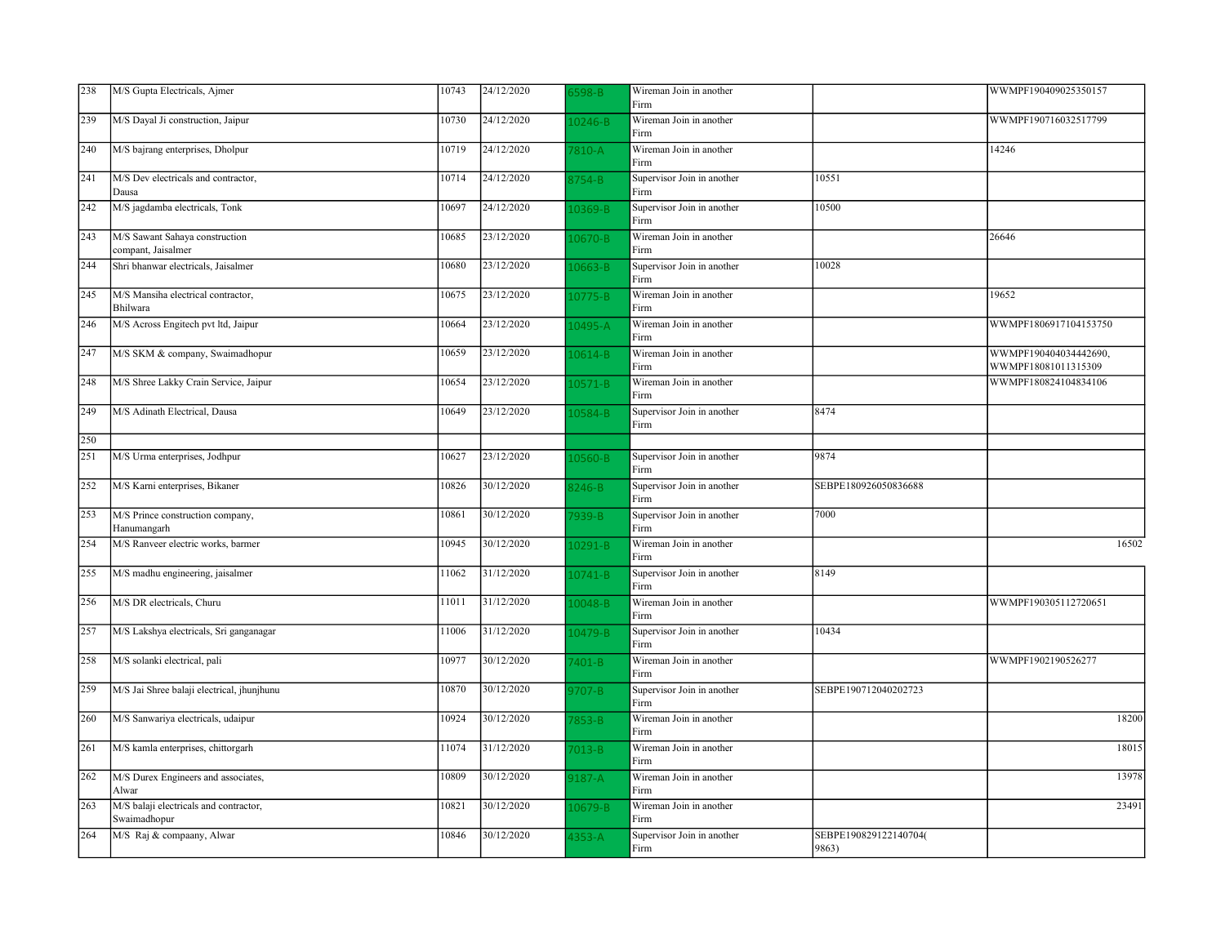| 238 | M/S Gupta Electricals, Ajmer                           | 10743 | 24/12/2020 | 5598-B      | Wireman Join in another<br>Firm    |                                | WWMPF190409025350157                         |
|-----|--------------------------------------------------------|-------|------------|-------------|------------------------------------|--------------------------------|----------------------------------------------|
| 239 | M/S Dayal Ji construction, Jaipur                      | 10730 | 24/12/2020 | $0246 - B$  | Wireman Join in another<br>Firm    |                                | WWMPF190716032517799                         |
| 240 | M/S bajrang enterprises, Dholpur                       | 10719 | 24/12/2020 | 7810-A      | Wireman Join in another<br>Firm    |                                | 14246                                        |
| 241 | M/S Dev electricals and contractor,<br>Dausa           | 10714 | 24/12/2020 | 3754-B      | Supervisor Join in another<br>Firm | 10551                          |                                              |
| 242 | M/S jagdamba electricals, Tonk                         | 10697 | 24/12/2020 | L0369-B     | Supervisor Join in another<br>Firm | 10500                          |                                              |
| 243 | M/S Sawant Sahaya construction<br>compant, Jaisalmer   | 10685 | 23/12/2020 | 0670-B      | Wireman Join in another<br>Firm    |                                | 26646                                        |
| 244 | Shri bhanwar electricals, Jaisalmer                    | 10680 | 23/12/2020 | L0663-B     | Supervisor Join in another<br>Firm | 10028                          |                                              |
| 245 | M/S Mansiha electrical contractor,<br>Bhilwara         | 10675 | 23/12/2020 | 10775-B     | Wireman Join in another<br>Firm    |                                | 19652                                        |
| 246 | M/S Across Engitech pvt ltd, Jaipur                    | 10664 | 23/12/2020 | 10495-A     | Wireman Join in another<br>Firm    |                                | WWMPF1806917104153750                        |
| 247 | M/S SKM & company, Swaimadhopur                        | 10659 | 23/12/2020 | 10614-B     | Wireman Join in another<br>Firm    |                                | WWMPF190404034442690,<br>WWMPF18081011315309 |
| 248 | M/S Shree Lakky Crain Service, Jaipur                  | 10654 | 23/12/2020 | $10571 - B$ | Wireman Join in another<br>Firm    |                                | WWMPF180824104834106                         |
| 249 | M/S Adinath Electrical, Dausa                          | 10649 | 23/12/2020 | 10584-B     | Supervisor Join in another<br>Firm | 8474                           |                                              |
| 250 |                                                        |       |            |             |                                    |                                |                                              |
| 251 | M/S Urma enterprises, Jodhpur                          | 10627 | 23/12/2020 | $10560 - B$ | Supervisor Join in another<br>Firm | 9874                           |                                              |
| 252 | M/S Karni enterprises, Bikaner                         | 10826 | 30/12/2020 | 3246-B      | Supervisor Join in another<br>Firm | SEBPE180926050836688           |                                              |
| 253 | M/S Prince construction company,<br>Hanumangarh        | 10861 | 30/12/2020 | 7939-B      | Supervisor Join in another<br>Firm | 7000                           |                                              |
| 254 | M/S Ranveer electric works, barmer                     | 10945 | 30/12/2020 | 10291-B     | Wireman Join in another<br>Firm    |                                | 16502                                        |
| 255 | M/S madhu engineering, jaisalmer                       | 11062 | 31/12/2020 | 10741-B     | Supervisor Join in another<br>Firm | 8149                           |                                              |
| 256 | M/S DR electricals, Churu                              | 11011 | 31/12/2020 | 10048-B     | Wireman Join in another<br>Firm    |                                | WWMPF190305112720651                         |
| 257 | M/S Lakshya electricals, Sri ganganagar                | 11006 | 31/12/2020 | 10479-B     | Supervisor Join in another<br>Firm | 10434                          |                                              |
| 258 | M/S solanki electrical, pali                           | 10977 | 30/12/2020 | 7401-B      | Wireman Join in another<br>Firm    |                                | WWMPF1902190526277                           |
| 259 | M/S Jai Shree balaji electrical, jhunjhunu             | 10870 | 30/12/2020 | $707 - B$   | Supervisor Join in another<br>Firm | SEBPE190712040202723           |                                              |
| 260 | M/S Sanwariya electricals, udaipur                     | 10924 | 30/12/2020 | 7853-B      | Wireman Join in another<br>Firm    |                                | 18200                                        |
| 261 | M/S kamla enterprises, chittorgarh                     | 11074 | 31/12/2020 | $7013-B$    | Wireman Join in another<br>Firm    |                                | 18015                                        |
| 262 | M/S Durex Engineers and associates,<br>Alwar           | 10809 | 30/12/2020 | $3187 - A$  | Wireman Join in another<br>Firm    |                                | 13978                                        |
| 263 | M/S balaji electricals and contractor,<br>Swaimadhopur | 10821 | 30/12/2020 | L0679-B     | Wireman Join in another<br>Firm    |                                | 23491                                        |
| 264 | M/S Raj & compaany, Alwar                              | 10846 | 30/12/2020 | $1353 - A$  | Supervisor Join in another<br>Firm | SEBPE190829122140704(<br>9863) |                                              |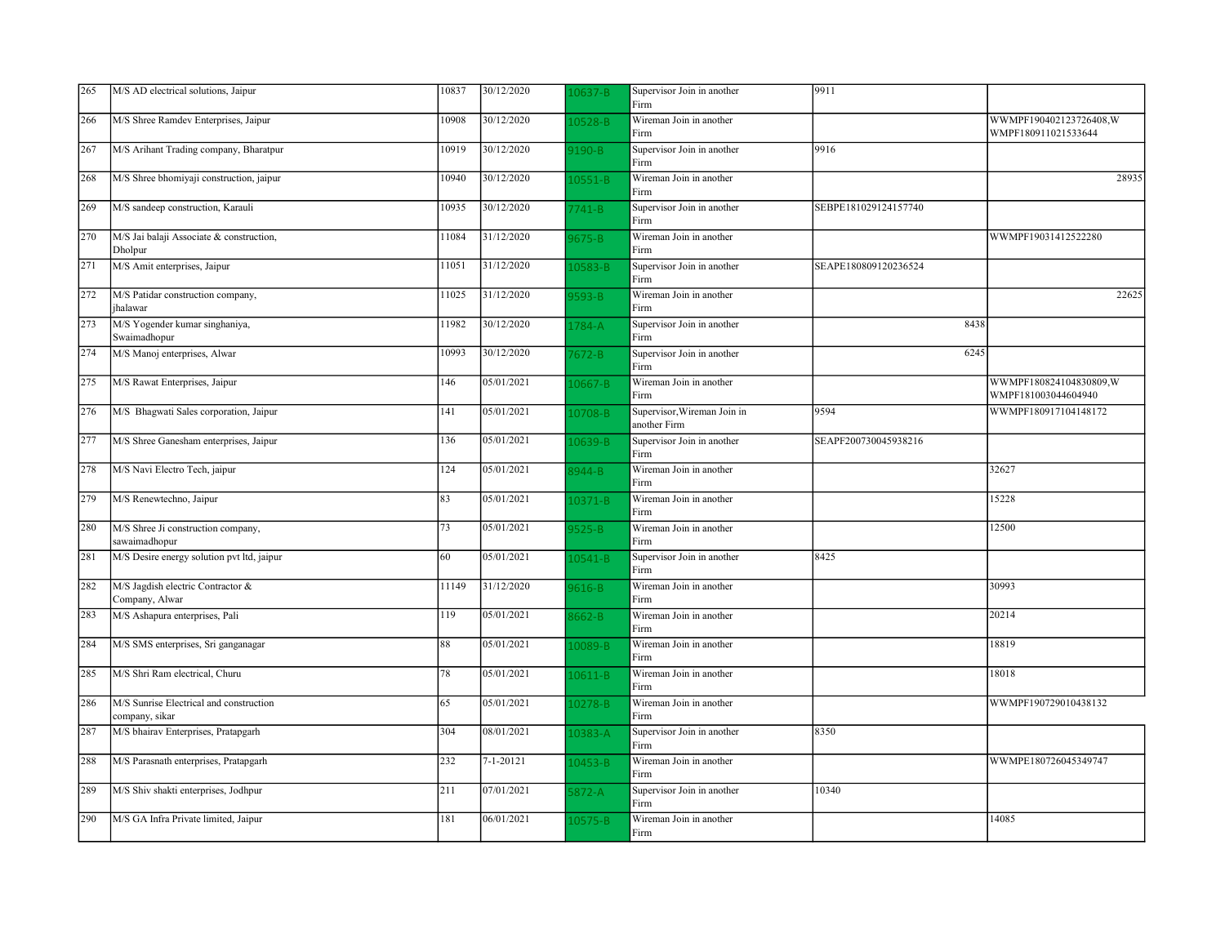| 265 | M/S AD electrical solutions, Jaipur                       | 10837 | 30/12/2020              | $.0637 - B$ | Supervisor Join in another<br>Firm          | 9911                 |                                                |
|-----|-----------------------------------------------------------|-------|-------------------------|-------------|---------------------------------------------|----------------------|------------------------------------------------|
| 266 | M/S Shree Ramdev Enterprises, Jaipur                      | 10908 | 30/12/2020              | 0528-B      | Wireman Join in another<br>Firm             |                      | WWMPF190402123726408, W<br>WMPF180911021533644 |
| 267 | M/S Arihant Trading company, Bharatpur                    | 10919 | 30/12/2020              | 190-B       | Supervisor Join in another<br>Firm          | 9916                 |                                                |
| 268 | M/S Shree bhomiyaji construction, jaipur                  | 10940 | 30/12/2020              | $10551 - B$ | Wireman Join in another<br>Firm             |                      | 28935                                          |
| 269 | M/S sandeep construction, Karauli                         | 10935 | 30/12/2020              | $741 - B$   | Supervisor Join in another<br>Firm          | SEBPE181029124157740 |                                                |
| 270 | M/S Jai balaji Associate & construction,<br>Dholpur       | 11084 | 31/12/2020              | 675-B       | Wireman Join in another<br>Firm             |                      | WWMPF19031412522280                            |
| 271 | M/S Amit enterprises, Jaipur                              | 11051 | 31/12/2020              | 0583-B      | Supervisor Join in another<br>Firm          | SEAPE180809120236524 |                                                |
| 272 | M/S Patidar construction company,<br>jhalawar             | 11025 | 31/12/2020              | 3593-B      | Wireman Join in another<br>Firm             |                      | 22625                                          |
| 273 | M/S Yogender kumar singhaniya,<br>Swaimadhopur            | 11982 | 30/12/2020              | 1784-A      | Supervisor Join in another<br>Firm          | 8438                 |                                                |
| 274 | M/S Manoj enterprises, Alwar                              | 10993 | 30/12/2020              | $7672 - B$  | Supervisor Join in another<br>Firm          | 6245                 |                                                |
| 275 | M/S Rawat Enterprises, Jaipur                             | 146   | 05/01/2021              | $10667 - B$ | Wireman Join in another<br>Firm             |                      | WWMPF180824104830809, W<br>WMPF181003044604940 |
| 276 | M/S Bhagwati Sales corporation, Jaipur                    | 141   | 05/01/2021              | 10708-B     | Supervisor, Wireman Join in<br>another Firm | 9594                 | WWMPF180917104148172                           |
| 277 | M/S Shree Ganesham enterprises, Jaipur                    | 136   | 05/01/2021              | 0639-B      | Supervisor Join in another<br>Firm          | SEAPF200730045938216 |                                                |
| 278 | M/S Navi Electro Tech, jaipur                             | 124   | 05/01/2021              | 3944-B      | Wireman Join in another<br>Firm             |                      | 32627                                          |
| 279 | M/S Renewtechno, Jaipur                                   | 83    | 05/01/2021              | $10371 - B$ | Wireman Join in another<br>Firm             |                      | 15228                                          |
| 280 | M/S Shree Ji construction company,<br>sawaimadhopur       | 73    | 05/01/2021              | $9525 - B$  | Wireman Join in another<br>Firm             |                      | 12500                                          |
| 281 | M/S Desire energy solution pvt ltd, jaipur                | 60    | 05/01/2021              | $.0541 - B$ | Supervisor Join in another<br>Firm          | 8425                 |                                                |
| 282 | M/S Jagdish electric Contractor &<br>Company, Alwar       | 11149 | 31/12/2020              | 616-B       | Wireman Join in another<br>Firm             |                      | 30993                                          |
| 283 | M/S Ashapura enterprises, Pali                            | 119   | 05/01/2021              | $8662 - B$  | Wireman Join in another<br>Firm             |                      | 20214                                          |
| 284 | M/S SMS enterprises, Sri ganganagar                       | 88    | 05/01/2021              | 0089-B      | Wireman Join in another<br>Firm             |                      | 18819                                          |
| 285 | M/S Shri Ram electrical, Churu                            | 78    | 05/01/2021              | 0611-B      | Wireman Join in another<br>Firm             |                      | 18018                                          |
| 286 | M/S Sunrise Electrical and construction<br>company, sikar | 65    | 05/01/2021              | 0278-B      | Wireman Join in another<br>Firm             |                      | WWMPF190729010438132                           |
| 287 | M/S bhairav Enterprises, Pratapgarh                       | 304   | 08/01/2021              | 0383-A      | Supervisor Join in another<br>Firm          | 8350                 |                                                |
| 288 | M/S Parasnath enterprises, Pratapgarh                     | 232   | 7-1-20121               | $10453 - B$ | Wireman Join in another<br>Firm             |                      | WWMPE180726045349747                           |
| 289 | M/S Shiv shakti enterprises, Jodhpur                      | 211   | $\overline{07}/01/2021$ | $872 - A$   | Supervisor Join in another<br>Firm          | 10340                |                                                |
| 290 | M/S GA Infra Private limited, Jaipur                      | 181   | 06/01/2021              | 0575-B      | Wireman Join in another<br>Firm             |                      | 14085                                          |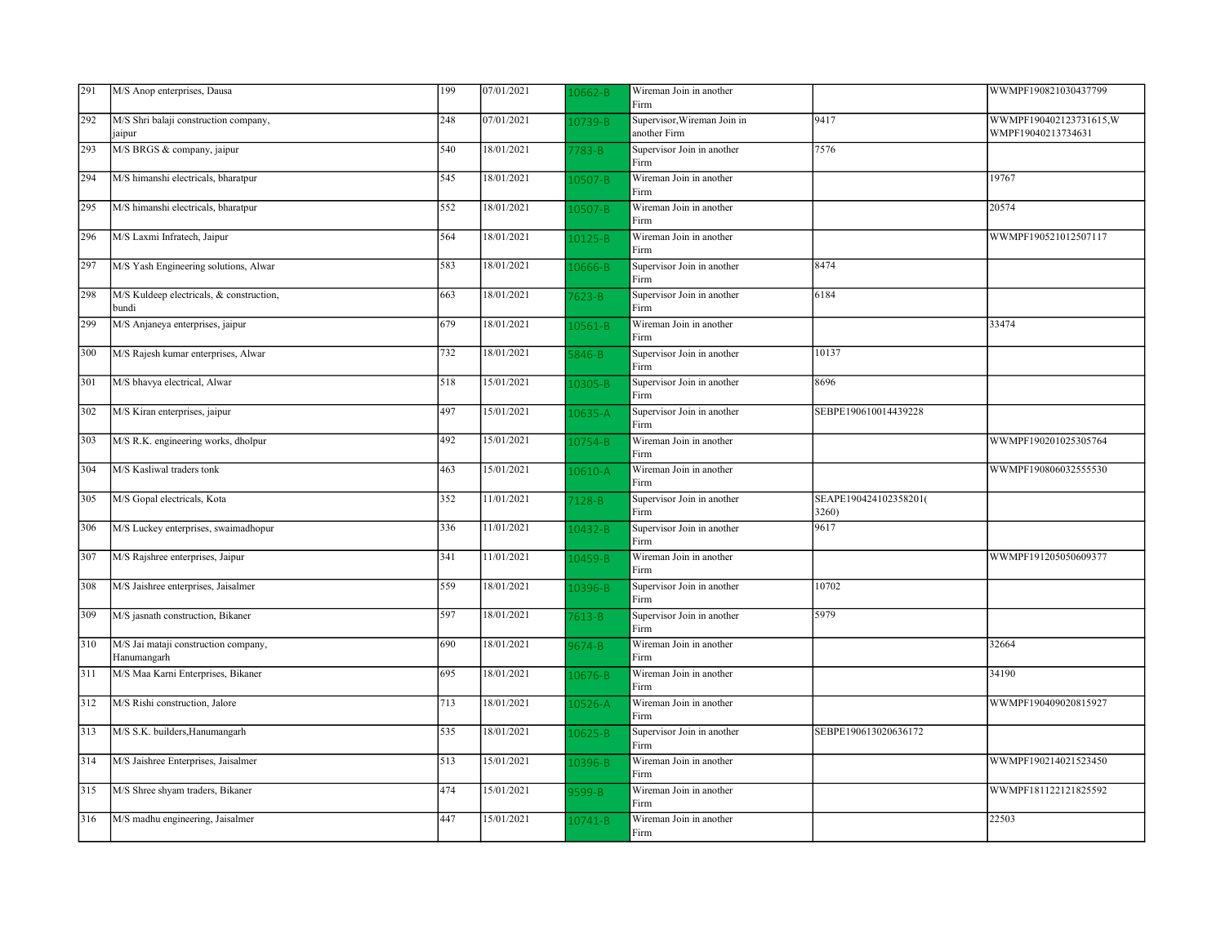| 291 | M/S Anop enterprises, Dausa                         | 199 | 07/01/2021 | $.0662 - B$ | Wireman Join in another<br>Firm             |                                | WWMPF190821030437799                         |
|-----|-----------------------------------------------------|-----|------------|-------------|---------------------------------------------|--------------------------------|----------------------------------------------|
| 292 | M/S Shri balaji construction company,<br>jaipur     | 248 | 07/01/2021 | 0739-B      | Supervisor, Wireman Join in<br>another Firm | 9417                           | WWMPF190402123731615,W<br>WMPF19040213734631 |
| 293 | M/S BRGS & company, jaipur                          | 540 | 18/01/2021 | 783-B       | Supervisor Join in another<br>Firm          | 7576                           |                                              |
| 294 | M/S himanshi electricals, bharatpur                 | 545 | 18/01/2021 | 0507-B      | Wireman Join in another<br>Firm             |                                | 19767                                        |
| 295 | M/S himanshi electricals, bharatpur                 | 552 | 18/01/2021 | 0507-B      | Wireman Join in another<br>Firm             |                                | 20574                                        |
| 296 | M/S Laxmi Infratech, Jaipur                         | 564 | 18/01/2021 | 10125-B     | Wireman Join in another<br>Firm             |                                | WWMPF190521012507117                         |
| 297 | M/S Yash Engineering solutions, Alwar               | 583 | 18/01/2021 | $10666 - B$ | Supervisor Join in another<br>Firm          | 8474                           |                                              |
| 298 | M/S Kuldeep electricals, & construction,<br>bundi   | 663 | 18/01/2021 | $7623 - B$  | Supervisor Join in another<br>Firm          | 6184                           |                                              |
| 299 | M/S Anjaneya enterprises, jaipur                    | 679 | 18/01/2021 | $.0561 - B$ | Wireman Join in another<br>Firm             |                                | 33474                                        |
| 300 | M/S Rajesh kumar enterprises, Alwar                 | 732 | 18/01/2021 | $846 - B$   | Supervisor Join in another<br>Firm          | 10137                          |                                              |
| 301 | M/S bhavya electrical, Alwar                        | 518 | 15/01/2021 | $10305 - B$ | Supervisor Join in another<br>Firm          | 8696                           |                                              |
| 302 | M/S Kiran enterprises, jaipur                       | 497 | 15/01/2021 | $10635 - A$ | Supervisor Join in another<br>Firm          | SEBPE190610014439228           |                                              |
| 303 | M/S R.K. engineering works, dholpur                 | 492 | 15/01/2021 | 0754-B      | Wireman Join in another<br>Firm             |                                | WWMPF190201025305764                         |
| 304 | M/S Kasliwal traders tonk                           | 463 | 15/01/2021 | $10610 - A$ | Wireman Join in another<br>Firm             |                                | WWMPF190806032555530                         |
| 305 | M/S Gopal electricals, Kota                         | 352 | 11/01/2021 | $7128 - B$  | Supervisor Join in another<br>Firm          | SEAPE190424102358201(<br>3260) |                                              |
| 306 | M/S Luckey enterprises, swaimadhopur                | 336 | 11/01/2021 | 10432-B     | Supervisor Join in another<br>Firm          | 9617                           |                                              |
| 307 | M/S Rajshree enterprises, Jaipur                    | 341 | 11/01/2021 | 0459-B      | Wireman Join in another<br>Firm             |                                | WWMPF191205050609377                         |
| 308 | M/S Jaishree enterprises, Jaisalmer                 | 559 | 18/01/2021 | 0396-B      | Supervisor Join in another<br>Firm          | 10702                          |                                              |
| 309 | M/S jasnath construction, Bikaner                   | 597 | 18/01/2021 | $7613 - B$  | Supervisor Join in another<br>Firm          | 5979                           |                                              |
| 310 | M/S Jai mataji construction company,<br>Hanumangarh | 690 | 18/01/2021 | 9674-B      | Wireman Join in another<br>Firm             |                                | 32664                                        |
| 311 | M/S Maa Karni Enterprises, Bikaner                  | 695 | 18/01/2021 | 0676-B      | Wireman Join in another<br>Firm             |                                | 34190                                        |
| 312 | M/S Rishi construction, Jalore                      | 713 | 18/01/2021 | 0526-A      | Wireman Join in another<br>Firm             |                                | WWMPF190409020815927                         |
| 313 | M/S S.K. builders, Hanumangarh                      | 535 | 18/01/2021 | $10625 - B$ | Supervisor Join in another<br>Firm          | SEBPE190613020636172           |                                              |
| 314 | M/S Jaishree Enterprises, Jaisalmer                 | 513 | 15/01/2021 | 0396-B      | Wireman Join in another<br>Firm             |                                | WWMPF190214021523450                         |
| 315 | M/S Shree shyam traders, Bikaner                    | 474 | 15/01/2021 | 3599-B      | Wireman Join in another<br>Firm             |                                | WWMPF181122121825592                         |
| 316 | M/S madhu engineering, Jaisalmer                    | 447 | 15/01/2021 | $10741 - B$ | Wireman Join in another<br>Firm             |                                | 22503                                        |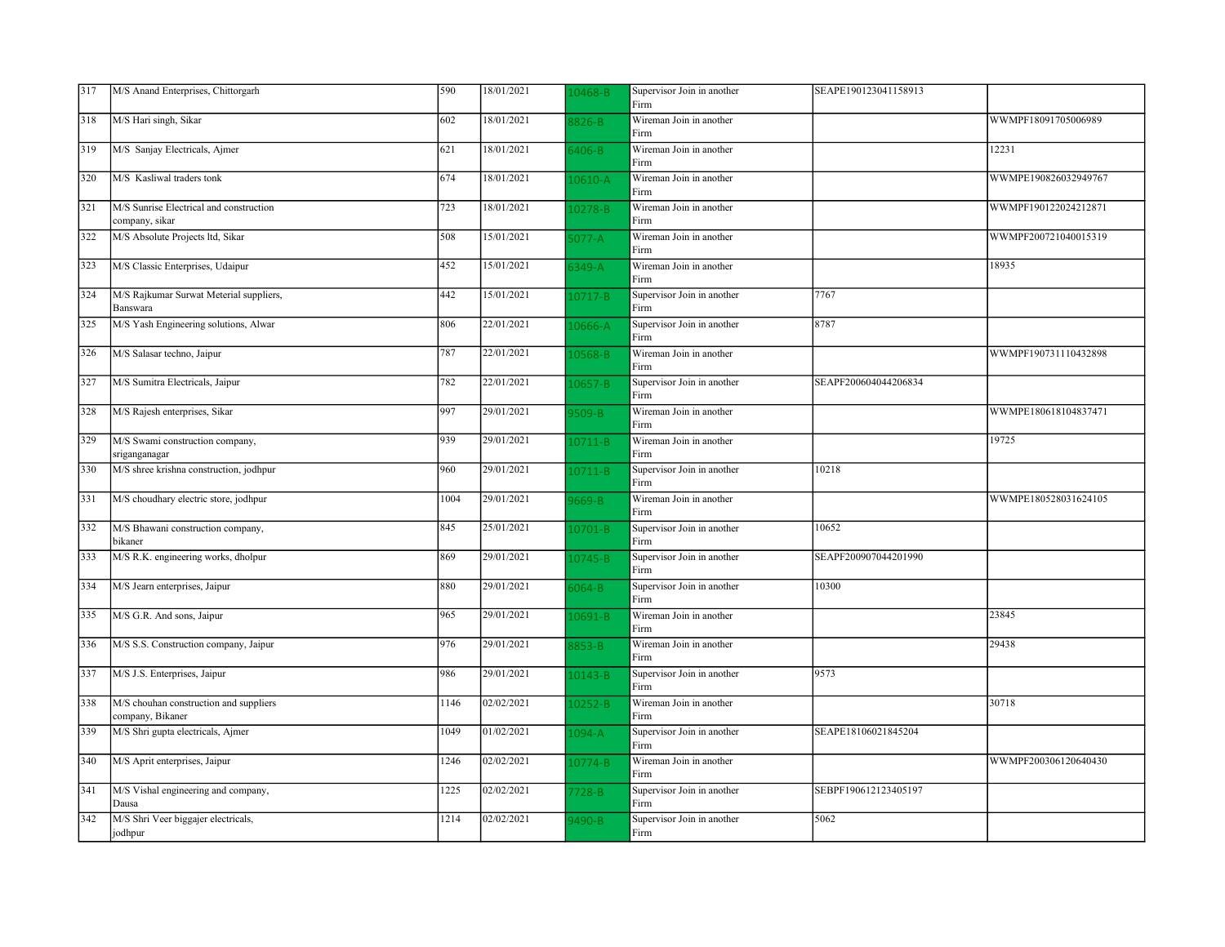| 317 | M/S Anand Enterprises, Chittorgarh                         | 590  | 18/01/2021 | 0468-B      | Supervisor Join in another<br>Firm | SEAPE190123041158913 |                      |
|-----|------------------------------------------------------------|------|------------|-------------|------------------------------------|----------------------|----------------------|
| 318 | M/S Hari singh, Sikar                                      | 602  | 18/01/2021 | 826-B       | Wireman Join in another<br>Firm    |                      | WWMPF18091705006989  |
| 319 | M/S Sanjay Electricals, Ajmer                              | 621  | 18/01/2021 | $6406 - B$  | Wireman Join in another<br>Firm    |                      | 12231                |
| 320 | M/S Kasliwal traders tonk                                  | 674  | 18/01/2021 | $10610 - A$ | Wireman Join in another<br>Firm    |                      | WWMPE190826032949767 |
| 321 | M/S Sunrise Electrical and construction<br>company, sikar  | 723  | 18/01/2021 | $0278 - B$  | Wireman Join in another<br>Firm    |                      | WWMPF190122024212871 |
| 322 | M/S Absolute Projects ltd, Sikar                           | 508  | 15/01/2021 | $3077-A$    | Wireman Join in another<br>Firm    |                      | WWMPF200721040015319 |
| 323 | M/S Classic Enterprises, Udaipur                           | 452  | 15/01/2021 | $349-A$     | Wireman Join in another<br>Firm    |                      | 18935                |
| 324 | M/S Rajkumar Surwat Meterial suppliers,<br>Banswara        | 442  | 15/01/2021 | 10717-B     | Supervisor Join in another<br>Firm | 7767                 |                      |
| 325 | M/S Yash Engineering solutions, Alwar                      | 806  | 22/01/2021 | $.0666 - A$ | Supervisor Join in another<br>Firm | 8787                 |                      |
| 326 | M/S Salasar techno, Jaipur                                 | 787  | 22/01/2021 | 0568-B      | Wireman Join in another<br>Firm    |                      | WWMPF190731110432898 |
| 327 | M/S Sumitra Electricals, Jaipur                            | 782  | 22/01/2021 | $10657 - B$ | Supervisor Join in another<br>Firm | SEAPF200604044206834 |                      |
| 328 | M/S Rajesh enterprises, Sikar                              | 997  | 29/01/2021 | 3509-B      | Wireman Join in another<br>Firm    |                      | WWMPE180618104837471 |
| 329 | M/S Swami construction company,<br>sriganganagar           | 939  | 29/01/2021 | $10711 - B$ | Wireman Join in another<br>Firm    |                      | 19725                |
| 330 | M/S shree krishna construction, jodhpur                    | 960  | 29/01/2021 | $10711 - B$ | Supervisor Join in another<br>Firm | 10218                |                      |
| 331 | M/S choudhary electric store, jodhpur                      | 1004 | 29/01/2021 | 669-B       | Wireman Join in another<br>Firm    |                      | WWMPE180528031624105 |
| 332 | M/S Bhawani construction company,<br>bikaner               | 845  | 25/01/2021 | $10701 - B$ | Supervisor Join in another<br>Firm | 10652                |                      |
| 333 | M/S R.K. engineering works, dholpur                        | 869  | 29/01/2021 | 0745-B      | Supervisor Join in another<br>Firm | SEAPF200907044201990 |                      |
| 334 | M/S Jearn enterprises, Jaipur                              | 880  | 29/01/2021 | $6064 - B$  | Supervisor Join in another<br>Firm | 10300                |                      |
| 335 | M/S G.R. And sons, Jaipur                                  | 965  | 29/01/2021 | $10691 - B$ | Wireman Join in another<br>Firm    |                      | 23845                |
| 336 | M/S S.S. Construction company, Jaipur                      | 976  | 29/01/2021 | 8853-B      | Wireman Join in another<br>Firm    |                      | 29438                |
| 337 | M/S J.S. Enterprises, Jaipur                               | 986  | 29/01/2021 | $10143 - B$ | Supervisor Join in another<br>Firm | 9573                 |                      |
| 338 | M/S chouhan construction and suppliers<br>company, Bikaner | 1146 | 02/02/2021 | $10252 - B$ | Wireman Join in another<br>Firm    |                      | 30718                |
| 339 | M/S Shri gupta electricals, Ajmer                          | 1049 | 01/02/2021 | $1094 - A$  | Supervisor Join in another<br>Firm | SEAPE18106021845204  |                      |
| 340 | M/S Aprit enterprises, Jaipur                              | 1246 | 02/02/2021 | $10774 - B$ | Wireman Join in another<br>Firm    |                      | WWMPF200306120640430 |
| 341 | M/S Vishal engineering and company,<br>Dausa               | 1225 | 02/02/2021 | 728-B       | Supervisor Join in another<br>Firm | SEBPF190612123405197 |                      |
| 342 | M/S Shri Veer biggajer electricals,<br>jodhpur             | 1214 | 02/02/2021 | 490-B       | Supervisor Join in another<br>Firm | 5062                 |                      |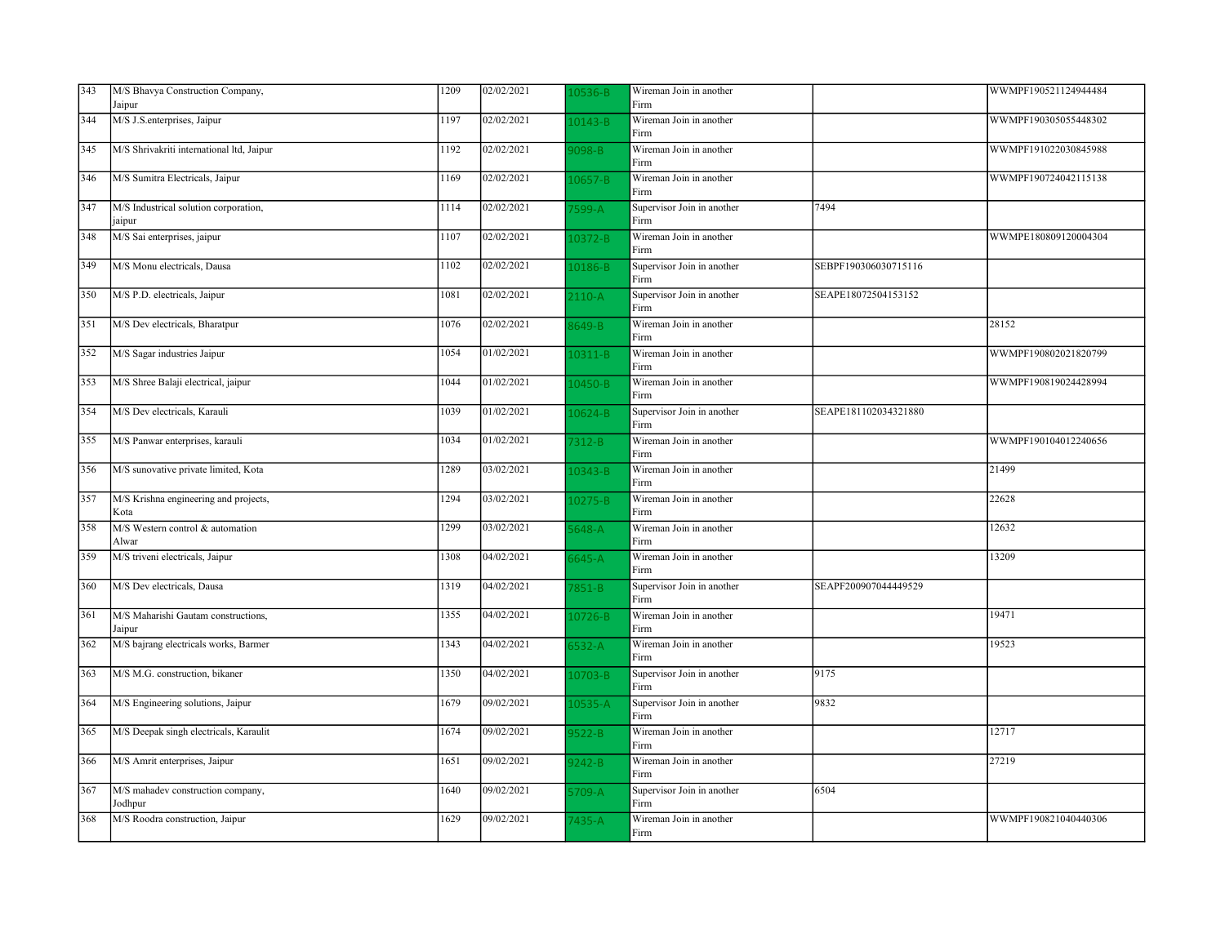| 343 | M/S Bhavya Construction Company,                | 1209 | 02/02/2021 | $.0536 - B$ | Wireman Join in another            |                      | WWMPF190521124944484 |
|-----|-------------------------------------------------|------|------------|-------------|------------------------------------|----------------------|----------------------|
|     | Jaipur                                          |      |            |             | Firm                               |                      |                      |
| 344 | M/S J.S.enterprises, Jaipur                     | 1197 | 02/02/2021 | 0143-B      | Wireman Join in another<br>Firm    |                      | WWMPF190305055448302 |
| 345 | M/S Shrivakriti international ltd, Jaipur       | 1192 | 02/02/2021 | 098-B       | Wireman Join in another<br>Firm    |                      | WWMPF191022030845988 |
| 346 | M/S Sumitra Electricals, Jaipur                 | 1169 | 02/02/2021 | 0657-B      | Wireman Join in another<br>Firm    |                      | WWMPF190724042115138 |
| 347 | M/S Industrical solution corporation,<br>jaipur | 1114 | 02/02/2021 | 7599-A      | Supervisor Join in another<br>Firm | 7494                 |                      |
| 348 | M/S Sai enterprises, jaipur                     | 1107 | 02/02/2021 | 0372-B      | Wireman Join in another<br>Firm    |                      | WWMPE180809120004304 |
| 349 | M/S Monu electricals, Dausa                     | 1102 | 02/02/2021 | 0186-B      | Supervisor Join in another<br>Firm | SEBPF190306030715116 |                      |
| 350 | M/S P.D. electricals, Jaipur                    | 1081 | 02/02/2021 | $2110 - A$  | Supervisor Join in another<br>Firm | SEAPE18072504153152  |                      |
| 351 | M/S Dev electricals, Bharatpur                  | 1076 | 02/02/2021 | 3649-B      | Wireman Join in another<br>Firm    |                      | 28152                |
| 352 | M/S Sagar industries Jaipur                     | 1054 | 01/02/2021 | 0311-B      | Wireman Join in another<br>Firm    |                      | WWMPF190802021820799 |
| 353 | M/S Shree Balaji electrical, jaipur             | 1044 | 01/02/2021 | $10450 - B$ | Wireman Join in another<br>Firm    |                      | WWMPF190819024428994 |
| 354 | M/S Dev electricals, Karauli                    | 1039 | 01/02/2021 | 0624-B      | Supervisor Join in another<br>Firm | SEAPE181102034321880 |                      |
| 355 | M/S Panwar enterprises, karauli                 | 1034 | 01/02/2021 | $7312 - B$  | Wireman Join in another<br>Firm    |                      | WWMPF190104012240656 |
| 356 | M/S sunovative private limited, Kota            | 1289 | 03/02/2021 | 0343-B      | Wireman Join in another<br>Firm    |                      | 21499                |
| 357 | M/S Krishna engineering and projects,<br>Kota   | 1294 | 03/02/2021 | $10275 - B$ | Wireman Join in another<br>Firm    |                      | 22628                |
| 358 | M/S Western control & automation<br>Alwar       | 1299 | 03/02/2021 | $648 - A$   | Wireman Join in another<br>Firm    |                      | 12632                |
| 359 | M/S triveni electricals, Jaipur                 | 1308 | 04/02/2021 | $645-A$     | Wireman Join in another<br>Firm    |                      | 13209                |
| 360 | M/S Dev electricals, Dausa                      | 1319 | 04/02/2021 | $7851 - B$  | Supervisor Join in another<br>Firm | SEAPF200907044449529 |                      |
| 361 | M/S Maharishi Gautam constructions,<br>Jaipur   | 1355 | 04/02/2021 | 0726-B      | Wireman Join in another<br>Firm    |                      | 19471                |
| 362 | M/S bajrang electricals works, Barmer           | 1343 | 04/02/2021 | $5532 - A$  | Wireman Join in another<br>Firm    |                      | 19523                |
| 363 | M/S M.G. construction, bikaner                  | 1350 | 04/02/2021 | 0703-B      | Supervisor Join in another<br>Firm | 9175                 |                      |
| 364 | M/S Engineering solutions, Jaipur               | 1679 | 09/02/2021 | $10535 - A$ | Supervisor Join in another<br>Firm | 9832                 |                      |
| 365 | M/S Deepak singh electricals, Karaulit          | 1674 | 09/02/2021 | $3522 - B$  | Wireman Join in another<br>Firm    |                      | 12717                |
| 366 | M/S Amrit enterprises, Jaipur                   | 1651 | 09/02/2021 | $9242 - B$  | Wireman Join in another<br>Firm    |                      | 27219                |
| 367 | M/S mahadev construction company,<br>Jodhpur    | 1640 | 09/02/2021 | 5709-A      | Supervisor Join in another<br>Firm | 6504                 |                      |
| 368 | M/S Roodra construction, Jaipur                 | 1629 | 09/02/2021 | 7435-A      | Wireman Join in another<br>Firm    |                      | WWMPF190821040440306 |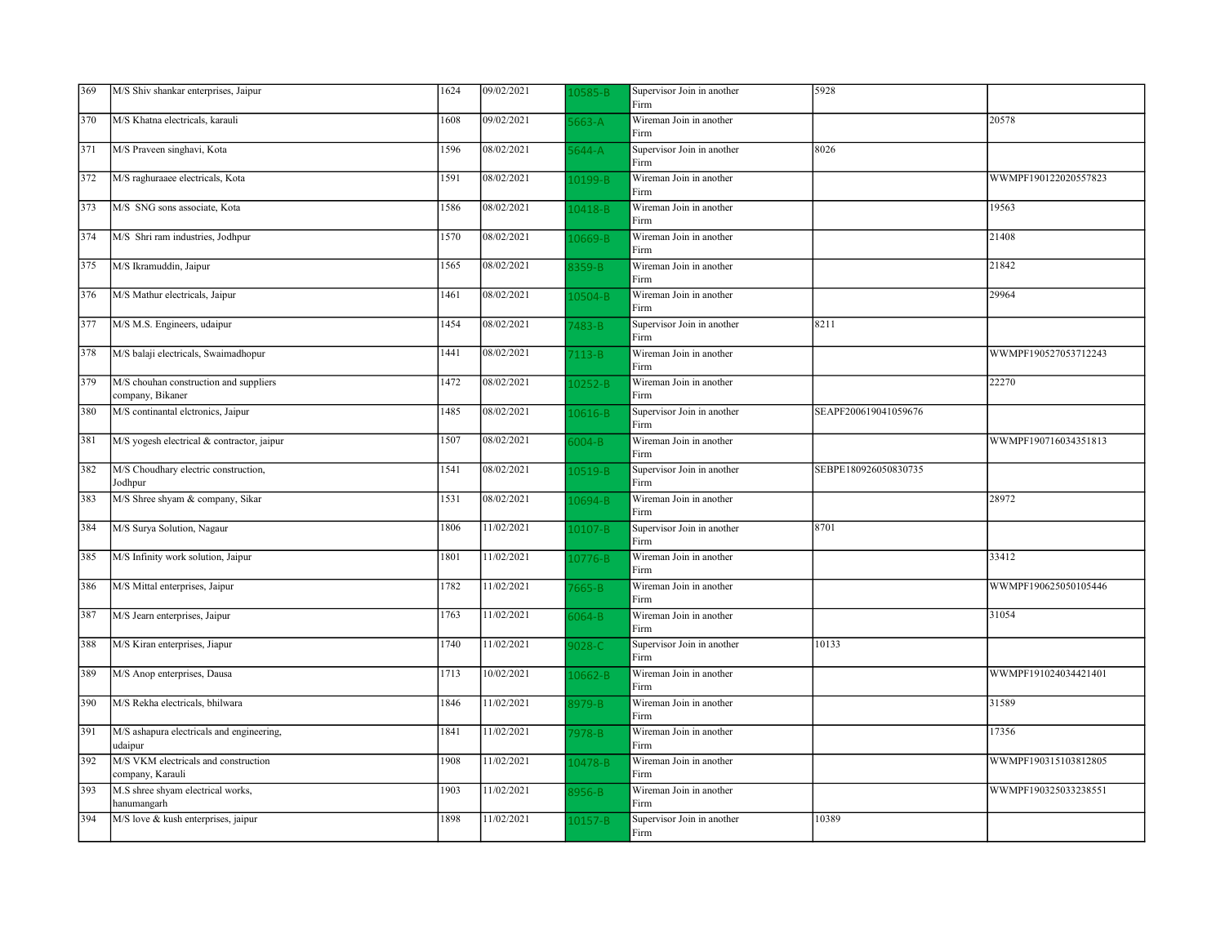| 369 | M/S Shiv shankar enterprises, Jaipur                       | 1624 | 09/02/2021 | 0585-B      | Supervisor Join in another<br>Firm | 5928                 |                      |
|-----|------------------------------------------------------------|------|------------|-------------|------------------------------------|----------------------|----------------------|
| 370 | M/S Khatna electricals, karauli                            | 1608 | 09/02/2021 | $663-A$     | Wireman Join in another<br>Firm    |                      | 20578                |
| 371 | M/S Praveen singhavi, Kota                                 | 1596 | 08/02/2021 | $644 - A$   | Supervisor Join in another<br>Firm | 8026                 |                      |
| 372 | M/S raghuraaee electricals, Kota                           | 1591 | 08/02/2021 | 10199-B     | Wireman Join in another<br>Firm    |                      | WWMPF190122020557823 |
| 373 | M/S SNG sons associate, Kota                               | 1586 | 08/02/2021 | 0418-B      | Wireman Join in another<br>Firm    |                      | 19563                |
| 374 | M/S Shri ram industries, Jodhpur                           | 1570 | 08/02/2021 | L0669-B     | Wireman Join in another<br>Firm    |                      | 21408                |
| 375 | M/S Ikramuddin, Jaipur                                     | 1565 | 08/02/2021 | 3359-B      | Wireman Join in another<br>Firm    |                      | 21842                |
| 376 | M/S Mathur electricals, Jaipur                             | 1461 | 08/02/2021 | $.0504 - B$ | Wireman Join in another<br>Firm    |                      | 29964                |
| 377 | M/S M.S. Engineers, udaipur                                | 1454 | 08/02/2021 | $483 - B$   | Supervisor Join in another<br>Firm | 8211                 |                      |
| 378 | M/S balaji electricals, Swaimadhopur                       | 1441 | 08/02/2021 | $7113-B$    | Wireman Join in another<br>Firm    |                      | WWMPF190527053712243 |
| 379 | M/S chouhan construction and suppliers<br>company, Bikaner | 1472 | 08/02/2021 | $.0252 - B$ | Wireman Join in another<br>Firm    |                      | 22270                |
| 380 | M/S continantal eletronics, Jaipur                         | 1485 | 08/02/2021 | 10616-B     | Supervisor Join in another<br>Firm | SEAPF200619041059676 |                      |
| 381 | M/S yogesh electrical & contractor, jaipur                 | 1507 | 08/02/2021 | $004 - B$   | Wireman Join in another<br>Firm    |                      | WWMPF190716034351813 |
| 382 | M/S Choudhary electric construction,<br>Jodhpur            | 1541 | 08/02/2021 | $10519 - B$ | Supervisor Join in another<br>Firm | SEBPE180926050830735 |                      |
| 383 | M/S Shree shyam & company, Sikar                           | 1531 | 08/02/2021 | $.0694 - B$ | Wireman Join in another<br>Firm    |                      | 28972                |
| 384 | M/S Surya Solution, Nagaur                                 | 1806 | 11/02/2021 | $.0107 - B$ | Supervisor Join in another<br>Firm | 8701                 |                      |
| 385 | M/S Infinity work solution, Jaipur                         | 1801 | 11/02/2021 | $.0776 - B$ | Wireman Join in another<br>Firm    |                      | 33412                |
| 386 | M/S Mittal enterprises, Jaipur                             | 1782 | 11/02/2021 | $7665 - B$  | Wireman Join in another<br>Firm    |                      | WWMPF190625050105446 |
| 387 | M/S Jearn enterprises, Jaipur                              | 1763 | 11/02/2021 | $064 - B$   | Wireman Join in another<br>Firm    |                      | 31054                |
| 388 | M/S Kiran enterprises, Jiapur                              | 1740 | 11/02/2021 | 028-C       | Supervisor Join in another<br>Firm | 10133                |                      |
| 389 | M/S Anop enterprises, Dausa                                | 1713 | 10/02/2021 | L0662-B     | Wireman Join in another<br>Firm    |                      | WWMPF191024034421401 |
| 390 | M/S Rekha electricals, bhilwara                            | 1846 | 11/02/2021 | 3979-B      | Wireman Join in another<br>Firm    |                      | 31589                |
| 391 | M/S ashapura electricals and engineering,<br>udaipur       | 1841 | 11/02/2021 | 7978-B      | Wireman Join in another<br>Firm    |                      | 17356                |
| 392 | M/S VKM electricals and construction<br>company, Karauli   | 1908 | 11/02/2021 | 10478-B     | Wireman Join in another<br>Firm    |                      | WWMPF190315103812805 |
| 393 | M.S shree shyam electrical works,<br>hanumangarh           | 1903 | 11/02/2021 | 3956-B      | Wireman Join in another<br>Firm    |                      | WWMPF190325033238551 |
| 394 | M/S love & kush enterprises, jaipur                        | 1898 | 11/02/2021 | $.0157 - B$ | Supervisor Join in another<br>Firm | 10389                |                      |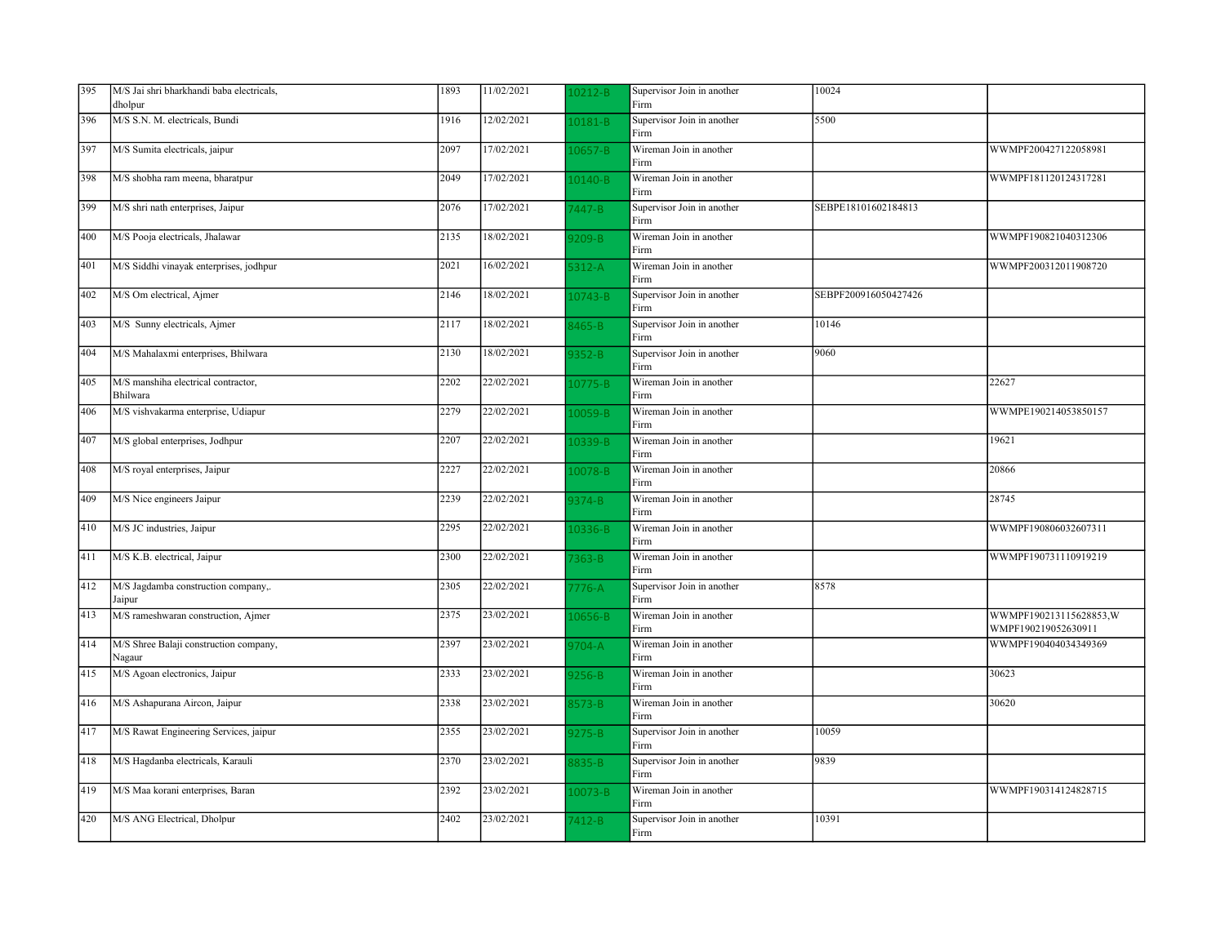| 395 | M/S Jai shri bharkhandi baba electricals,<br>dholpur | 1893 | 11/02/2021 | 0212-B      | Supervisor Join in another<br>Firm | 10024                |                                                |
|-----|------------------------------------------------------|------|------------|-------------|------------------------------------|----------------------|------------------------------------------------|
| 396 | M/S S.N. M. electricals, Bundi                       | 1916 | 12/02/2021 | 0181-B      | Supervisor Join in another<br>Firm | 5500                 |                                                |
| 397 | M/S Sumita electricals, jaipur                       | 2097 | 17/02/2021 | 0657-B      | Wireman Join in another<br>Firm    |                      | WWMPF200427122058981                           |
| 398 | M/S shobha ram meena, bharatpur                      | 2049 | 17/02/2021 | 10140-B     | Wireman Join in another<br>Firm    |                      | WWMPF181120124317281                           |
| 399 | M/S shri nath enterprises, Jaipur                    | 2076 | 17/02/2021 | 7447-B      | Supervisor Join in another<br>Firm | SEBPE18101602184813  |                                                |
| 400 | M/S Pooja electricals, Jhalawar                      | 2135 | 18/02/2021 | $9209 - B$  | Wireman Join in another<br>Firm    |                      | WWMPF190821040312306                           |
| 401 | M/S Siddhi vinayak enterprises, jodhpur              | 2021 | 16/02/2021 | $312 - A$   | Wireman Join in another<br>Firm    |                      | WWMPF200312011908720                           |
| 402 | M/S Om electrical, Ajmer                             | 2146 | 18/02/2021 | 10743-B     | Supervisor Join in another<br>Firm | SEBPF200916050427426 |                                                |
| 403 | M/S Sunny electricals, Ajmer                         | 2117 | 18/02/2021 | 3465-B      | Supervisor Join in another<br>Firm | 10146                |                                                |
| 404 | M/S Mahalaxmi enterprises, Bhilwara                  | 2130 | 18/02/2021 | $352 - B$   | Supervisor Join in another<br>Firm | 9060                 |                                                |
| 405 | M/S manshiha electrical contractor,<br>Bhilwara      | 2202 | 22/02/2021 | $10775 - B$ | Wireman Join in another<br>Firm    |                      | 22627                                          |
| 406 | M/S vishvakarma enterprise, Udiapur                  | 2279 | 22/02/2021 | 0059-B      | Wireman Join in another<br>Firm    |                      | WWMPE190214053850157                           |
| 407 | M/S global enterprises, Jodhpur                      | 2207 | 22/02/2021 | 0339-B      | Wireman Join in another<br>Firm    |                      | 19621                                          |
| 408 | M/S royal enterprises, Jaipur                        | 2227 | 22/02/2021 | 0078-B      | Wireman Join in another<br>Firm    |                      | 20866                                          |
| 409 | M/S Nice engineers Jaipur                            | 2239 | 22/02/2021 | 374-B       | Wireman Join in another<br>Firm    |                      | 28745                                          |
| 410 | M/S JC industries, Jaipur                            | 2295 | 22/02/2021 | 0336-B      | Wireman Join in another<br>Firm    |                      | WWMPF190806032607311                           |
| 411 | M/S K.B. electrical, Jaipur                          | 2300 | 22/02/2021 | $363 - B$   | Wireman Join in another<br>Firm    |                      | WWMPF190731110919219                           |
| 412 | M/S Jagdamba construction company,.<br>Jaipur        | 2305 | 22/02/2021 | 776-A       | Supervisor Join in another<br>Firm | 8578                 |                                                |
| 413 | M/S rameshwaran construction, Ajmer                  | 2375 | 23/02/2021 | 0656-B      | Wireman Join in another<br>Firm    |                      | WWMPF190213115628853, W<br>WMPF190219052630911 |
| 414 | M/S Shree Balaji construction company,<br>Nagaur     | 2397 | 23/02/2021 | $3704 - A$  | Wireman Join in another<br>Firm    |                      | WWMPF190404034349369                           |
| 415 | M/S Agoan electronics, Jaipur                        | 2333 | 23/02/2021 | $256 - B$   | Wireman Join in another<br>Firm    |                      | 30623                                          |
| 416 | M/S Ashapurana Aircon, Jaipur                        | 2338 | 23/02/2021 | 3573-B      | Wireman Join in another<br>Firm    |                      | 30620                                          |
| 417 | M/S Rawat Engineering Services, jaipur               | 2355 | 23/02/2021 | $275 - B$   | Supervisor Join in another<br>Firm | 10059                |                                                |
| 418 | M/S Hagdanba electricals, Karauli                    | 2370 | 23/02/2021 | 8835-B      | Supervisor Join in another<br>Firm | 9839                 |                                                |
| 419 | M/S Maa korani enterprises, Baran                    | 2392 | 23/02/2021 | 0073-B      | Wireman Join in another<br>Firm    |                      | WWMPF190314124828715                           |
| 420 | M/S ANG Electrical, Dholpur                          | 2402 | 23/02/2021 | 7412-B      | Supervisor Join in another<br>Firm | 10391                |                                                |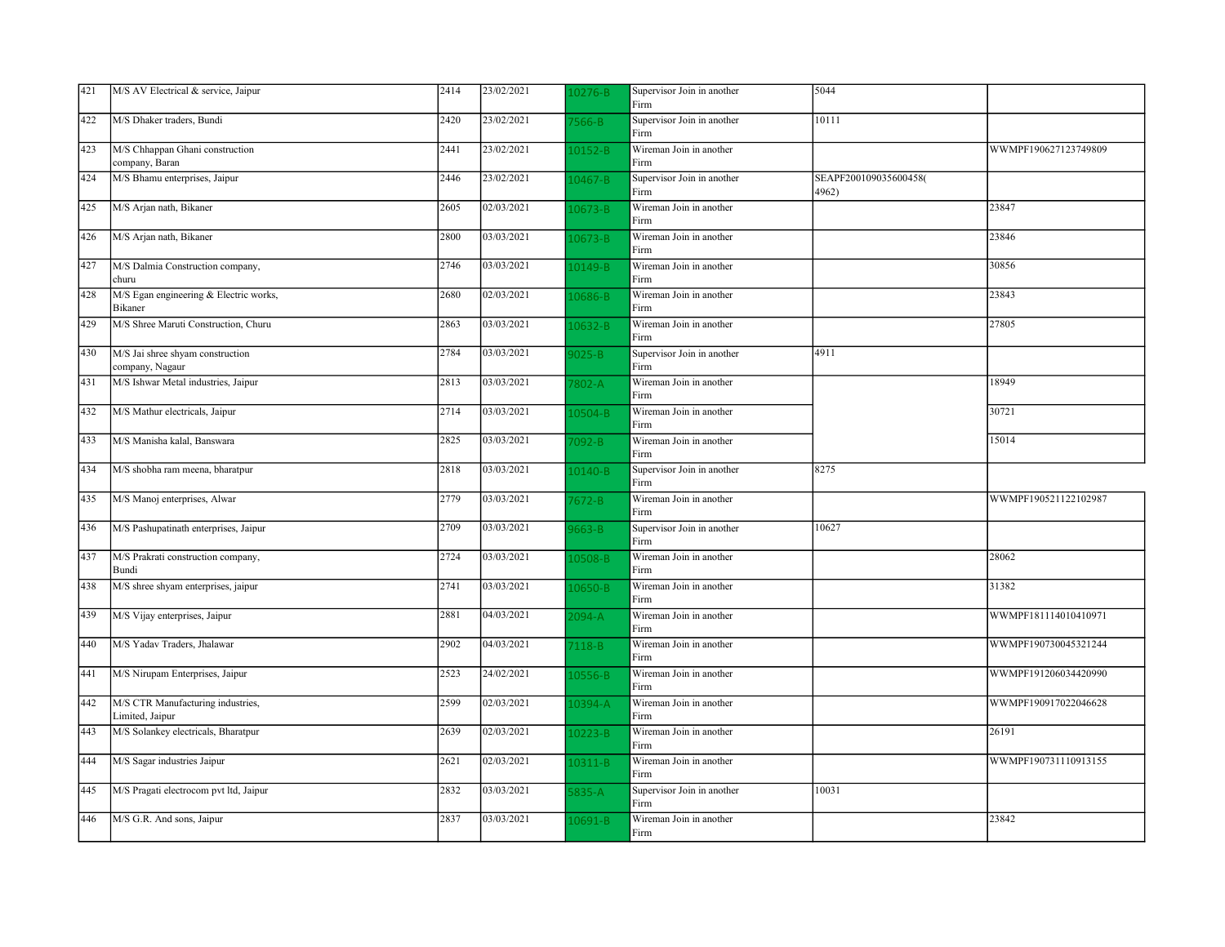| 421 | M/S AV Electrical & service, Jaipur                  | 2414 | 23/02/2021 | $.0276 - B$ | Supervisor Join in another<br>Firm | 5044                           |                      |
|-----|------------------------------------------------------|------|------------|-------------|------------------------------------|--------------------------------|----------------------|
| 422 | M/S Dhaker traders, Bundi                            | 2420 | 23/02/2021 | $566 - B$   | Supervisor Join in another<br>Firm | 10111                          |                      |
| 423 | M/S Chhappan Ghani construction<br>company, Baran    | 2441 | 23/02/2021 | $10152 - B$ | Wireman Join in another<br>Firm    |                                | WWMPF190627123749809 |
| 424 | M/S Bhamu enterprises, Jaipur                        | 2446 | 23/02/2021 | 10467-B     | Supervisor Join in another<br>Firm | SEAPF200109035600458(<br>4962) |                      |
| 425 | M/S Arjan nath, Bikaner                              | 2605 | 02/03/2021 | $.0673 - B$ | Wireman Join in another<br>Firm    |                                | 23847                |
| 426 | M/S Arjan nath, Bikaner                              | 2800 | 03/03/2021 | L0673-B     | Wireman Join in another<br>Firm    |                                | 23846                |
| 427 | M/S Dalmia Construction company,<br>churu            | 2746 | 03/03/2021 | 10149-B     | Wireman Join in another<br>Firm    |                                | 30856                |
| 428 | M/S Egan engineering & Electric works,<br>Bikaner    | 2680 | 02/03/2021 | 10686-B     | Wireman Join in another<br>Firm    |                                | 23843                |
| 429 | M/S Shree Maruti Construction, Churu                 | 2863 | 03/03/2021 | $.0632 - B$ | Wireman Join in another<br>Firm    |                                | 27805                |
| 430 | M/S Jai shree shyam construction<br>company, Nagaur  | 2784 | 03/03/2021 | $025 - B$   | Supervisor Join in another<br>Firm | 4911                           |                      |
| 431 | M/S Ishwar Metal industries, Jaipur                  | 2813 | 03/03/2021 | $802 - A$   | Wireman Join in another<br>Firm    |                                | 18949                |
| 432 | M/S Mathur electricals, Jaipur                       | 2714 | 03/03/2021 | 10504-B     | Wireman Join in another<br>Firm    |                                | 30721                |
| 433 | M/S Manisha kalal, Banswara                          | 2825 | 03/03/2021 | 7092-B      | Wireman Join in another<br>Firm    |                                | 15014                |
| 434 | M/S shobha ram meena, bharatpur                      | 2818 | 03/03/2021 | $10140 - B$ | Supervisor Join in another<br>Firm | 8275                           |                      |
| 435 | M/S Manoj enterprises, Alwar                         | 2779 | 03/03/2021 | 7672-B      | Wireman Join in another<br>Firm    |                                | WWMPF190521122102987 |
| 436 | M/S Pashupatinath enterprises, Jaipur                | 2709 | 03/03/2021 | 663-B       | Supervisor Join in another<br>Firm | 10627                          |                      |
| 437 | M/S Prakrati construction company,<br>Bundi          | 2724 | 03/03/2021 | 0508-B      | Wireman Join in another<br>Firm    |                                | 28062                |
| 438 | M/S shree shyam enterprises, jaipur                  | 2741 | 03/03/2021 | 10650-B     | Wireman Join in another<br>Firm    |                                | 31382                |
| 439 | M/S Vijay enterprises, Jaipur                        | 2881 | 04/03/2021 | $2094 - A$  | Wireman Join in another<br>Firm    |                                | WWMPF181114010410971 |
| 440 | M/S Yadav Traders, Jhalawar                          | 2902 | 04/03/2021 | 7118-B      | Wireman Join in another<br>Firm    |                                | WWMPF190730045321244 |
| 441 | M/S Nirupam Enterprises, Jaipur                      | 2523 | 24/02/2021 | 10556-B     | Wireman Join in another<br>Firm    |                                | WWMPF191206034420990 |
| 442 | M/S CTR Manufacturing industries,<br>Limited, Jaipur | 2599 | 02/03/2021 | $.0394 - A$ | Wireman Join in another<br>Firm    |                                | WWMPF190917022046628 |
| 443 | M/S Solankey electricals, Bharatpur                  | 2639 | 02/03/2021 | 10223-B     | Wireman Join in another<br>Firm    |                                | 26191                |
| 444 | M/S Sagar industries Jaipur                          | 2621 | 02/03/2021 | $.0311 - B$ | Wireman Join in another<br>Firm    |                                | WWMPF190731110913155 |
| 445 | M/S Pragati electrocom pvt ltd, Jaipur               | 2832 | 03/03/2021 | $835 - A$   | Supervisor Join in another<br>Firm | 10031                          |                      |
| 446 | M/S G.R. And sons, Jaipur                            | 2837 | 03/03/2021 | $.0691 - B$ | Wireman Join in another<br>Firm    |                                | 23842                |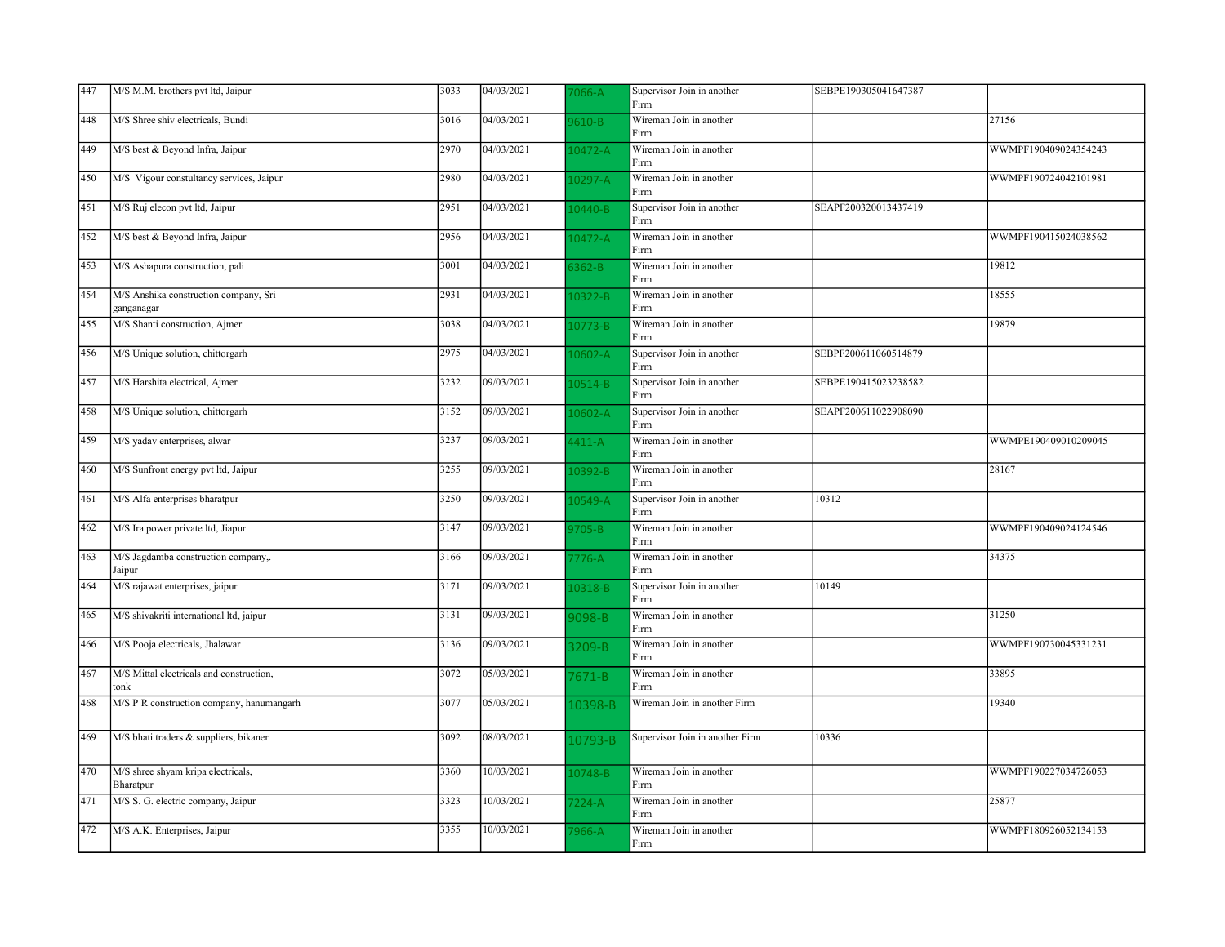| 447 | M/S M.M. brothers pvt ltd, Jaipur                   | 3033 | 04/03/2021              | $066 - A$   | Supervisor Join in another<br>Firm | SEBPE190305041647387 |                      |
|-----|-----------------------------------------------------|------|-------------------------|-------------|------------------------------------|----------------------|----------------------|
| 448 | M/S Shree shiv electricals, Bundi                   | 3016 | 04/03/2021              | 610-B       | Wireman Join in another<br>Firm    |                      | 27156                |
| 449 | M/S best & Beyond Infra, Jaipur                     | 2970 | 04/03/2021              | 10472-A     | Wireman Join in another<br>Firm    |                      | WWMPF190409024354243 |
| 450 | M/S Vigour constultancy services, Jaipur            | 2980 | 04/03/2021              | $10297 - A$ | Wireman Join in another<br>Firm    |                      | WWMPF190724042101981 |
| 451 | M/S Ruj elecon pvt ltd, Jaipur                      | 2951 | 04/03/2021              | $10440 - B$ | Supervisor Join in another<br>Firm | SEAPF200320013437419 |                      |
| 452 | M/S best & Beyond Infra, Jaipur                     | 2956 | 04/03/2021              | $10472 - A$ | Wireman Join in another<br>Firm    |                      | WWMPF190415024038562 |
| 453 | M/S Ashapura construction, pali                     | 3001 | 04/03/2021              | $362 - B$   | Wireman Join in another<br>Firm    |                      | 19812                |
| 454 | M/S Anshika construction company, Sri<br>ganganagar | 2931 | 04/03/2021              | 0322-B      | Wireman Join in another<br>Firm    |                      | 18555                |
| 455 | M/S Shanti construction, Ajmer                      | 3038 | 04/03/2021              | 10773-B     | Wireman Join in another<br>Firm    |                      | 19879                |
| 456 | M/S Unique solution, chittorgarh                    | 2975 | 04/03/2021              | 0602-A      | Supervisor Join in another<br>Firm | SEBPF200611060514879 |                      |
| 457 | M/S Harshita electrical, Ajmer                      | 3232 | $\sqrt{09}/03/2021$     | $10514 - B$ | Supervisor Join in another<br>Firm | SEBPE190415023238582 |                      |
| 458 | M/S Unique solution, chittorgarh                    | 3152 | 09/03/2021              | $10602 - A$ | Supervisor Join in another<br>Firm | SEAPF200611022908090 |                      |
| 459 | M/S yadav enterprises, alwar                        | 3237 | 09/03/2021              | $1411 - A$  | Wireman Join in another<br>Firm    |                      | WWMPE190409010209045 |
| 460 | M/S Sunfront energy pvt ltd, Jaipur                 | 3255 | $\overline{09/03}/2021$ | 0392-B      | Wireman Join in another<br>Firm    |                      | 28167                |
| 461 | M/S Alfa enterprises bharatpur                      | 3250 | 09/03/2021              | $10549 - A$ | Supervisor Join in another<br>Firm | 10312                |                      |
| 462 | M/S Ira power private ltd, Jiapur                   | 3147 | 09/03/2021              | 9705-B      | Wireman Join in another<br>Firm    |                      | WWMPF190409024124546 |
| 463 | M/S Jagdamba construction company,.<br>Jaipur       | 3166 | 09/03/2021              | $7776 - A$  | Wireman Join in another<br>Firm    |                      | 34375                |
| 464 | M/S rajawat enterprises, jaipur                     | 3171 | 09/03/2021              | 0318-B      | Supervisor Join in another<br>Firm | 10149                |                      |
| 465 | M/S shivakriti international ltd, jaipur            | 3131 | 09/03/2021              | 098-B       | Wireman Join in another<br>Firm    |                      | 31250                |
| 466 | M/S Pooja electricals, Jhalawar                     | 3136 | 09/03/2021              | 3209-B      | Wireman Join in another<br>Firm    |                      | WWMPF190730045331231 |
| 467 | M/S Mittal electricals and construction,<br>tonk    | 3072 | 05/03/2021              | $7671 - B$  | Wireman Join in another<br>Firm    |                      | 33895                |
| 468 | M/S P R construction company, hanumangarh           | 3077 | 05/03/2021              | 10398-B     | Wireman Join in another Firm       |                      | 19340                |
| 469 | M/S bhati traders & suppliers, bikaner              | 3092 | $\overline{08/03/20}21$ | 10793-B     | Supervisor Join in another Firm    | 10336                |                      |
| 470 | M/S shree shyam kripa electricals,<br>Bharatpur     | 3360 | 10/03/2021              | 0748-B      | Wireman Join in another<br>Firm    |                      | WWMPF190227034726053 |
| 471 | M/S S. G. electric company, Jaipur                  | 3323 | 10/03/2021              | $7224 - A$  | Wireman Join in another<br>Firm    |                      | 25877                |
| 472 | M/S A.K. Enterprises, Jaipur                        | 3355 | 10/03/2021              | '966-A      | Wireman Join in another<br>Firm    |                      | WWMPF180926052134153 |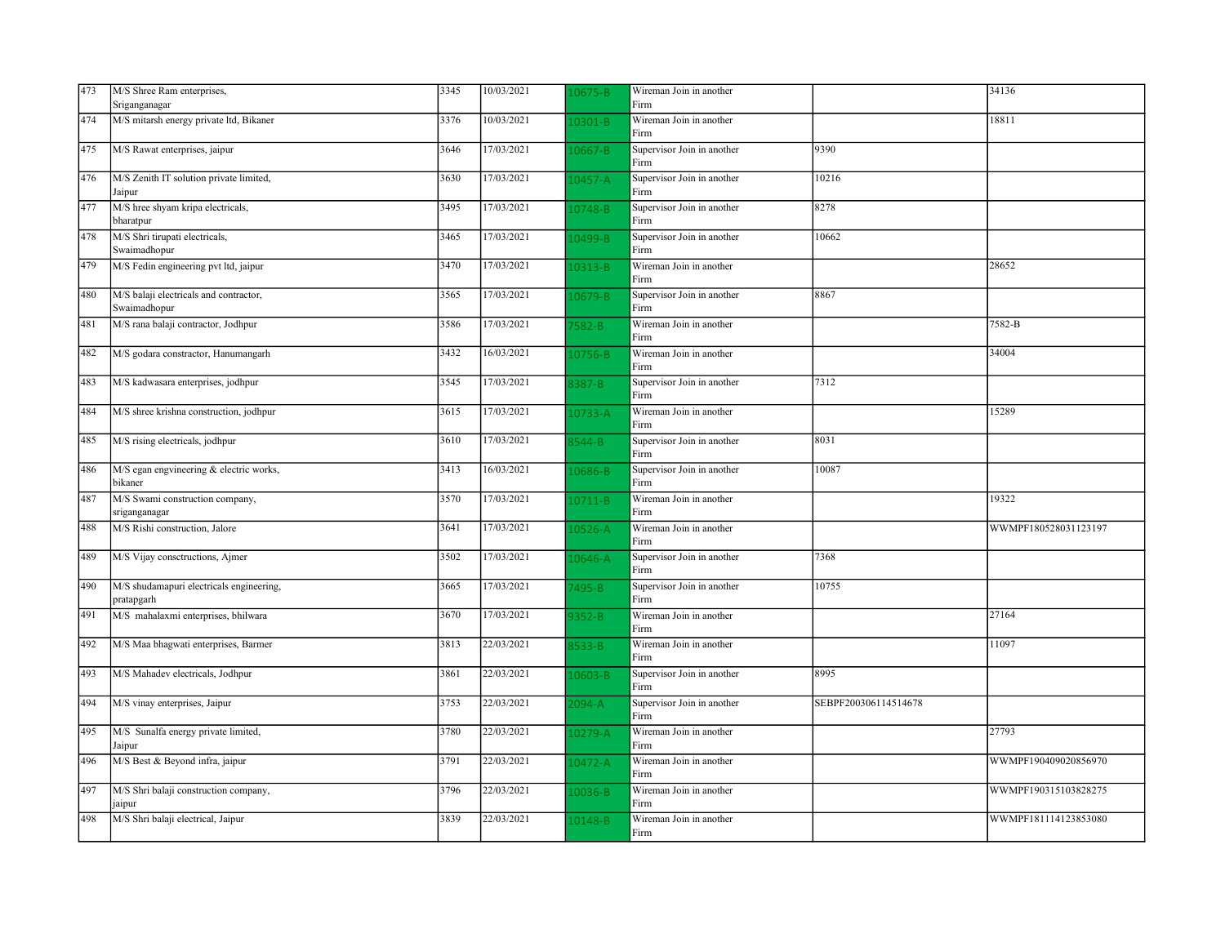| 473 | M/S Shree Ram enterprises,                             | 3345 | 10/03/2021 | 0675-B      | Wireman Join in another            |                      | 34136                |
|-----|--------------------------------------------------------|------|------------|-------------|------------------------------------|----------------------|----------------------|
|     | Sriganganagar                                          |      |            |             | Firm                               |                      |                      |
| 474 | M/S mitarsh energy private ltd, Bikaner                | 3376 | 10/03/2021 | 0301-B      | Wireman Join in another<br>Firm    |                      | 18811                |
| 475 | M/S Rawat enterprises, jaipur                          | 3646 | 17/03/2021 | $10667 - B$ | Supervisor Join in another<br>Firm | 9390                 |                      |
| 476 | M/S Zenith IT solution private limited,<br>Jaipur      | 3630 | 17/03/2021 | $10457 - A$ | Supervisor Join in another<br>Firm | 10216                |                      |
| 477 | M/S hree shyam kripa electricals,<br>bharatpur         | 3495 | 17/03/2021 | 0748-B      | Supervisor Join in another<br>Firm | 8278                 |                      |
| 478 | M/S Shri tirupati electricals,<br>Swaimadhopur         | 3465 | 17/03/2021 | 10499-B     | Supervisor Join in another<br>Firm | 10662                |                      |
| 479 | M/S Fedin engineering pvt ltd, jaipur                  | 3470 | 17/03/2021 | 0313-B      | Wireman Join in another<br>Firm    |                      | 28652                |
| 480 | M/S balaji electricals and contractor,<br>Swaimadhopur | 3565 | 17/03/2021 | L0679-B     | Supervisor Join in another<br>Firm | 8867                 |                      |
| 481 | M/S rana balaji contractor, Jodhpur                    | 3586 | 17/03/2021 | $582 - B$   | Wireman Join in another<br>Firm    |                      | 7582-B               |
| 482 | M/S godara constractor, Hanumangarh                    | 3432 | 16/03/2021 | 10756-B     | Wireman Join in another<br>Firm    |                      | 34004                |
| 483 | M/S kadwasara enterprises, jodhpur                     | 3545 | 17/03/2021 | 387-B       | Supervisor Join in another<br>Firm | 7312                 |                      |
| 484 | M/S shree krishna construction, jodhpur                | 3615 | 17/03/2021 | 10733-A     | Wireman Join in another<br>Firm    |                      | 15289                |
| 485 | M/S rising electricals, jodhpur                        | 3610 | 17/03/2021 | $544 - B$   | Supervisor Join in another<br>Firm | 8031                 |                      |
| 486 | M/S egan engvineering & electric works,<br>bikaner     | 3413 | 16/03/2021 | L0686-B     | Supervisor Join in another<br>Firm | 10087                |                      |
| 487 | M/S Swami construction company,<br>sriganganagar       | 3570 | 17/03/2021 | $10711 - B$ | Wireman Join in another<br>Firm    |                      | 19322                |
| 488 | M/S Rishi construction, Jalore                         | 3641 | 17/03/2021 | 10526-A     | Wireman Join in another<br>Firm    |                      | WWMPF180528031123197 |
| 489 | M/S Vijay consctructions, Ajmer                        | 3502 | 17/03/2021 | $10646 - A$ | Supervisor Join in another<br>Firm | 7368                 |                      |
| 490 | M/S shudamapuri electricals engineering,<br>pratapgarh | 3665 | 17/03/2021 | 7495-B      | Supervisor Join in another<br>Firm | 10755                |                      |
| 491 | M/S mahalaxmi enterprises, bhilwara                    | 3670 | 17/03/2021 | $352 - B$   | Wireman Join in another<br>Firm    |                      | 27164                |
| 492 | M/S Maa bhagwati enterprises, Barmer                   | 3813 | 22/03/2021 | $333 - B$   | Wireman Join in another<br>Firm    |                      | 11097                |
| 493 | M/S Mahadev electricals, Jodhpur                       | 3861 | 22/03/2021 | 0603-B      | Supervisor Join in another<br>Firm | 8995                 |                      |
| 494 | M/S vinay enterprises, Jaipur                          | 3753 | 22/03/2021 | $2094 - A$  | Supervisor Join in another<br>Firm | SEBPF200306114514678 |                      |
| 495 | M/S Sunalfa energy private limited,<br>Jaipur          | 3780 | 22/03/2021 | $.0279 - A$ | Wireman Join in another<br>Firm    |                      | 27793                |
| 496 | M/S Best & Beyond infra, jaipur                        | 3791 | 22/03/2021 | 10472-A     | Wireman Join in another<br>Firm    |                      | WWMPF190409020856970 |
| 497 | M/S Shri balaji construction company,<br>jaipur        | 3796 | 22/03/2021 | 10036-B     | Wireman Join in another<br>Firm    |                      | WWMPF190315103828275 |
| 498 | M/S Shri balaji electrical, Jaipur                     | 3839 | 22/03/2021 | $10148 - B$ | Wireman Join in another<br>Firm    |                      | WWMPF181114123853080 |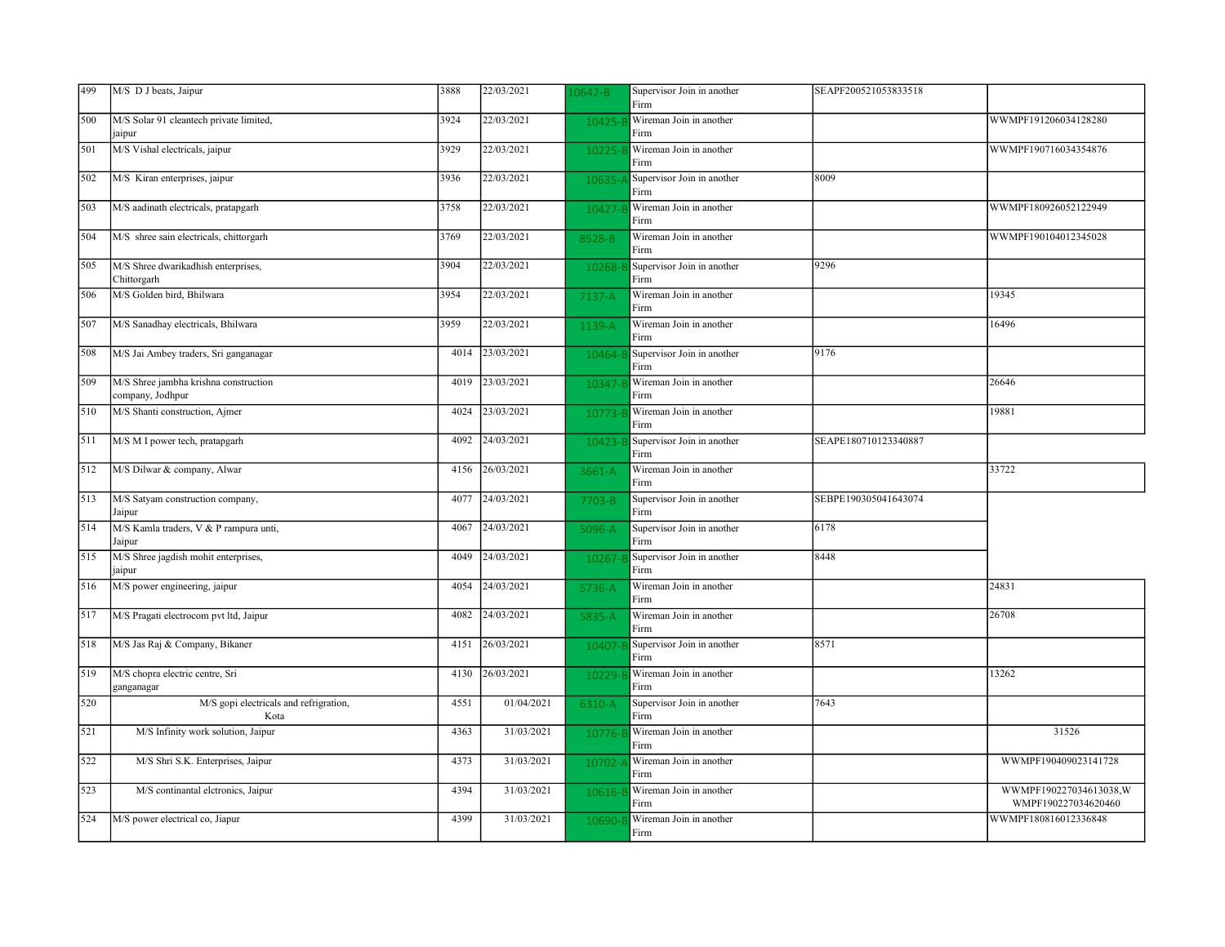| 499 | M/S D J beats, Jaipur                                     | 3888 | 22/03/2021 | $.0642 - B$ | Supervisor Join in another<br>Firm | SEAPF200521053833518 |                                               |
|-----|-----------------------------------------------------------|------|------------|-------------|------------------------------------|----------------------|-----------------------------------------------|
| 500 | M/S Solar 91 cleantech private limited,<br>jaipur         | 3924 | 22/03/2021 | 10425-      | Wireman Join in another<br>Firm    |                      | WWMPF191206034128280                          |
| 501 | M/S Vishal electricals, jaipur                            | 3929 | 22/03/2021 | 10225-      | Wireman Join in another<br>Firm    |                      | WWMPF190716034354876                          |
| 502 | M/S Kiran enterprises, jaipur                             | 3936 | 22/03/2021 | $10635 -$   | Supervisor Join in another<br>Firm | 8009                 |                                               |
| 503 | M/S aadinath electricals, pratapgarh                      | 3758 | 22/03/2021 | 10427-      | Wireman Join in another<br>Firm    |                      | WWMPF180926052122949                          |
| 504 | M/S shree sain electricals, chittorgarh                   | 3769 | 22/03/2021 | 8528-B      | Wireman Join in another<br>Firm    |                      | WWMPF190104012345028                          |
| 505 | M/S Shree dwarikadhish enterprises,<br>Chittorgarh        | 3904 | 22/03/2021 | 10268-      | Supervisor Join in another<br>Firm | 9296                 |                                               |
| 506 | M/S Golden bird, Bhilwara                                 | 3954 | 22/03/2021 | 7137-A      | Wireman Join in another<br>Firm    |                      | 19345                                         |
| 507 | M/S Sanadhay electricals, Bhilwara                        | 3959 | 22/03/2021 | 1139-A      | Wireman Join in another<br>Firm    |                      | 16496                                         |
| 508 | M/S Jai Ambey traders, Sri ganganagar                     | 4014 | 23/03/2021 | 10464-      | Supervisor Join in another<br>Firm | 9176                 |                                               |
| 509 | M/S Shree jambha krishna construction<br>company, Jodhpur | 4019 | 23/03/2021 | 10347-      | Wireman Join in another<br>Firm    |                      | 26646                                         |
| 510 | M/S Shanti construction, Ajmer                            | 4024 | 23/03/2021 | 10773-      | Wireman Join in another<br>Firm    |                      | 19881                                         |
| 511 | M/S M I power tech, pratapgarh                            | 4092 | 24/03/2021 | 10423-      | Supervisor Join in another<br>Firm | SEAPE180710123340887 |                                               |
| 512 | M/S Dilwar & company, Alwar                               | 4156 | 26/03/2021 | 3661-A      | Wireman Join in another<br>Firm    |                      | 33722                                         |
| 513 | M/S Satyam construction company,<br>Jaipur                | 4077 | 24/03/2021 | $7703 - B$  | Supervisor Join in another<br>Firm | SEBPE190305041643074 |                                               |
| 514 | M/S Kamla traders, V & P rampura unti,<br>Jaipur          | 4067 | 24/03/2021 | 5096-A      | Supervisor Join in another<br>Firm | 6178                 |                                               |
| 515 | M/S Shree jagdish mohit enterprises,<br>jaipur            | 4049 | 24/03/2021 | 10267-      | Supervisor Join in another<br>Firm | 8448                 |                                               |
| 516 | M/S power engineering, jaipur                             | 4054 | 24/03/2021 | 5736-A      | Wireman Join in another<br>Firm    |                      | 24831                                         |
| 517 | M/S Pragati electrocom pvt ltd, Jaipur                    | 4082 | 24/03/2021 | 5835-A      | Wireman Join in another<br>Firm    |                      | 26708                                         |
| 518 | M/S Jas Raj & Company, Bikaner                            | 4151 | 26/03/2021 | 10407-      | Supervisor Join in another<br>Firm | 8571                 |                                               |
| 519 | M/S chopra electric centre, Sri<br>ganganagar             | 4130 | 26/03/2021 | 10229-      | Wireman Join in another<br>Firm    |                      | 13262                                         |
| 520 | M/S gopi electricals and refrigration,<br>Kota            | 4551 | 01/04/2021 | 6310-A      | Supervisor Join in another<br>Firm | 7643                 |                                               |
| 521 | M/S Infinity work solution, Jaipur                        | 4363 | 31/03/2021 | 10776-      | Wireman Join in another<br>Firm    |                      | 31526                                         |
| 522 | M/S Shri S.K. Enterprises, Jaipur                         | 4373 | 31/03/2021 | 10702-      | Wireman Join in another<br>Firm    |                      | WWMPF190409023141728                          |
| 523 | M/S continantal eletronics, Jaipur                        | 4394 | 31/03/2021 | 10616-      | Wireman Join in another<br>Firm    |                      | WWMPF190227034613038,W<br>WMPF190227034620460 |
| 524 | M/S power electrical co, Jiapur                           | 4399 | 31/03/2021 | 10690-      | Wireman Join in another<br>Firm    |                      | WWMPF180816012336848                          |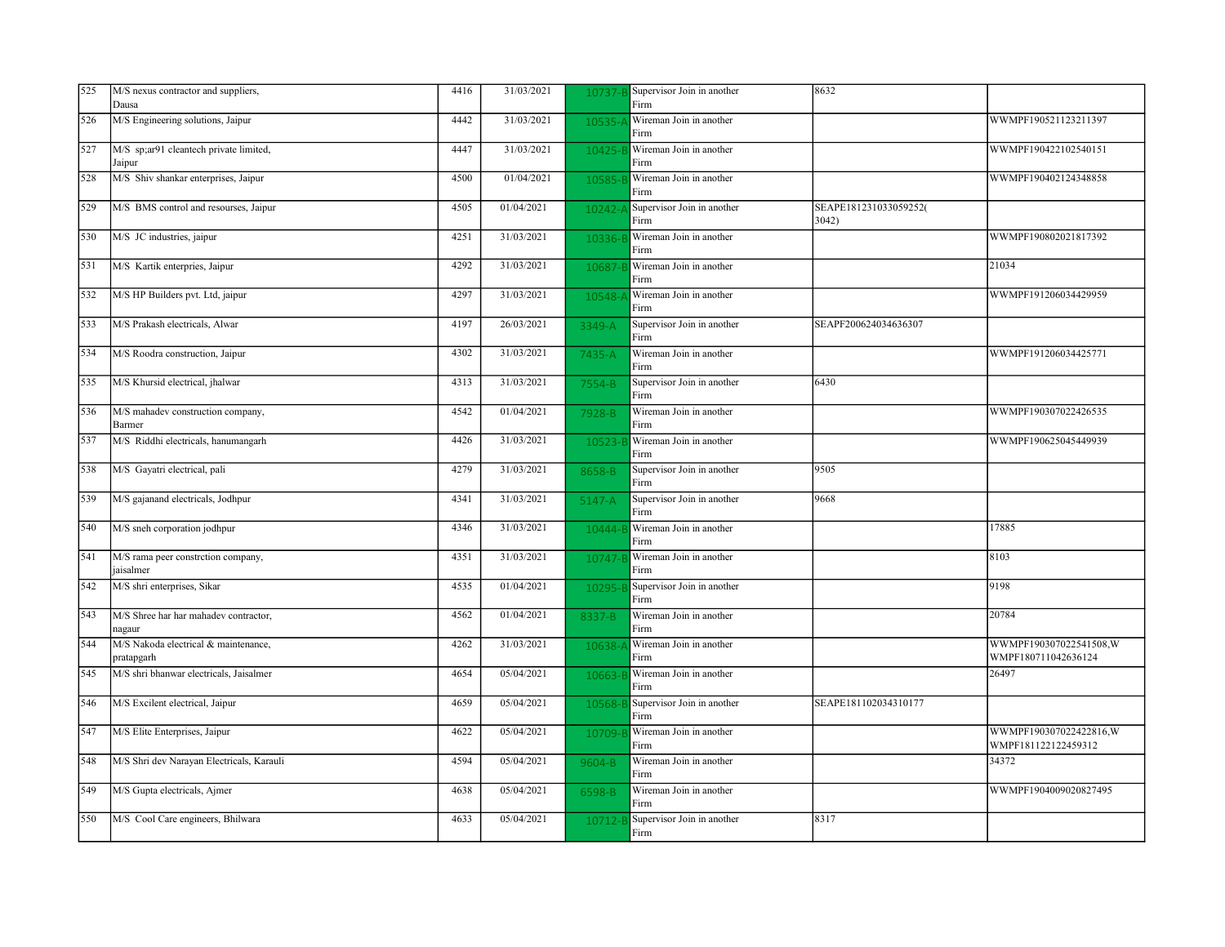| 525 | M/S nexus contractor and suppliers,<br>Dausa       | 4416 | 31/03/2021          | 10737-    | Supervisor Join in another<br>Firm | 8632                           |                                               |
|-----|----------------------------------------------------|------|---------------------|-----------|------------------------------------|--------------------------------|-----------------------------------------------|
| 526 | M/S Engineering solutions, Jaipur                  | 4442 | 31/03/2021          | $10535 -$ | Wireman Join in another<br>Firm    |                                | WWMPF190521123211397                          |
| 527 | M/S sp;ar91 cleantech private limited,<br>Jaipur   | 4447 | 31/03/2021          | $10425 -$ | Wireman Join in another<br>Firm    |                                | WWMPF190422102540151                          |
| 528 | M/S Shiv shankar enterprises, Jaipur               | 4500 | 01/04/2021          | 10585-    | Wireman Join in another<br>Firm    |                                | WWMPF190402124348858                          |
| 529 | M/S BMS control and resourses, Jaipur              | 4505 | 01/04/2021          | 10242-    | Supervisor Join in another<br>Firm | SEAPE181231033059252(<br>3042) |                                               |
| 530 | M/S JC industries, jaipur                          | 4251 | 31/03/2021          | 10336-E   | Wireman Join in another<br>Firm    |                                | WWMPF190802021817392                          |
| 531 | M/S Kartik enterpries, Jaipur                      | 4292 | 31/03/2021          | 10687-    | Wireman Join in another<br>Firm    |                                | 21034                                         |
| 532 | M/S HP Builders pvt. Ltd, jaipur                   | 4297 | 31/03/2021          | $10548 -$ | Wireman Join in another<br>Firm    |                                | WWMPF191206034429959                          |
| 533 | M/S Prakash electricals, Alwar                     | 4197 | 26/03/2021          | 3349-A    | Supervisor Join in another<br>Firm | SEAPF200624034636307           |                                               |
| 534 | M/S Roodra construction, Jaipur                    | 4302 | 31/03/2021          | 7435-A    | Wireman Join in another<br>Firm    |                                | WWMPF191206034425771                          |
| 535 | M/S Khursid electrical, jhalwar                    | 4313 | 31/03/2021          | 7554-B    | Supervisor Join in another<br>Firm | 6430                           |                                               |
| 536 | M/S mahadev construction company,<br>Barmer        | 4542 | 01/04/2021          | 7928-B    | Wireman Join in another<br>Firm    |                                | WWMPF190307022426535                          |
| 537 | M/S Riddhi electricals, hanumangarh                | 4426 | 31/03/2021          | 10523-    | Wireman Join in another<br>Firm    |                                | WWMPF190625045449939                          |
| 538 | M/S Gayatri electrical, pali                       | 4279 | 31/03/2021          | 8658-B    | Supervisor Join in another<br>Firm | 9505                           |                                               |
| 539 | M/S gajanand electricals, Jodhpur                  | 4341 | 31/03/2021          | $5147-A$  | Supervisor Join in another<br>Firm | 9668                           |                                               |
| 540 | M/S sneh corporation jodhpur                       | 4346 | 31/03/2021          | $10444 -$ | Wireman Join in another<br>Firm    |                                | 17885                                         |
| 541 | M/S rama peer constrction company,<br>jaisalmer    | 4351 | 31/03/2021          | 10747-    | Wireman Join in another<br>Firm    |                                | 8103                                          |
| 542 | M/S shri enterprises, Sikar                        | 4535 | 01/04/2021          | 10295-    | Supervisor Join in another<br>Firm |                                | 9198                                          |
| 543 | M/S Shree har har mahadev contractor,<br>nagaur    | 4562 | 01/04/2021          | 8337-B    | Wireman Join in another<br>Firm    |                                | 20784                                         |
| 544 | M/S Nakoda electrical & maintenance,<br>pratapgarh | 4262 | 31/03/2021          | 10638-    | Wireman Join in another<br>Firm    |                                | WWMPF190307022541508,W<br>WMPF180711042636124 |
| 545 | M/S shri bhanwar electricals, Jaisalmer            | 4654 | 05/04/2021          | 10663-    | Wireman Join in another<br>Firm    |                                | 26497                                         |
| 546 | M/S Excilent electrical, Jaipur                    | 4659 | 05/04/2021          | 10568-E   | Supervisor Join in another<br>Firm | SEAPE181102034310177           |                                               |
| 547 | M/S Elite Enterprises, Jaipur                      | 4622 | 05/04/2021          | 10709-    | Wireman Join in another<br>Firm    |                                | WWMPF190307022422816,W<br>WMPF181122122459312 |
| 548 | M/S Shri dev Narayan Electricals, Karauli          | 4594 | 05/04/2021          | 9604-B    | Wireman Join in another<br>Firm    |                                | 34372                                         |
| 549 | M/S Gupta electricals, Ajmer                       | 4638 | 05/04/2021          | 6598-B    | Wireman Join in another<br>Firm    |                                | WWMPF1904009020827495                         |
| 550 | M/S Cool Care engineers, Bhilwara                  | 4633 | $\sqrt{05/04}/2021$ | $10712 -$ | Supervisor Join in another<br>Firm | 8317                           |                                               |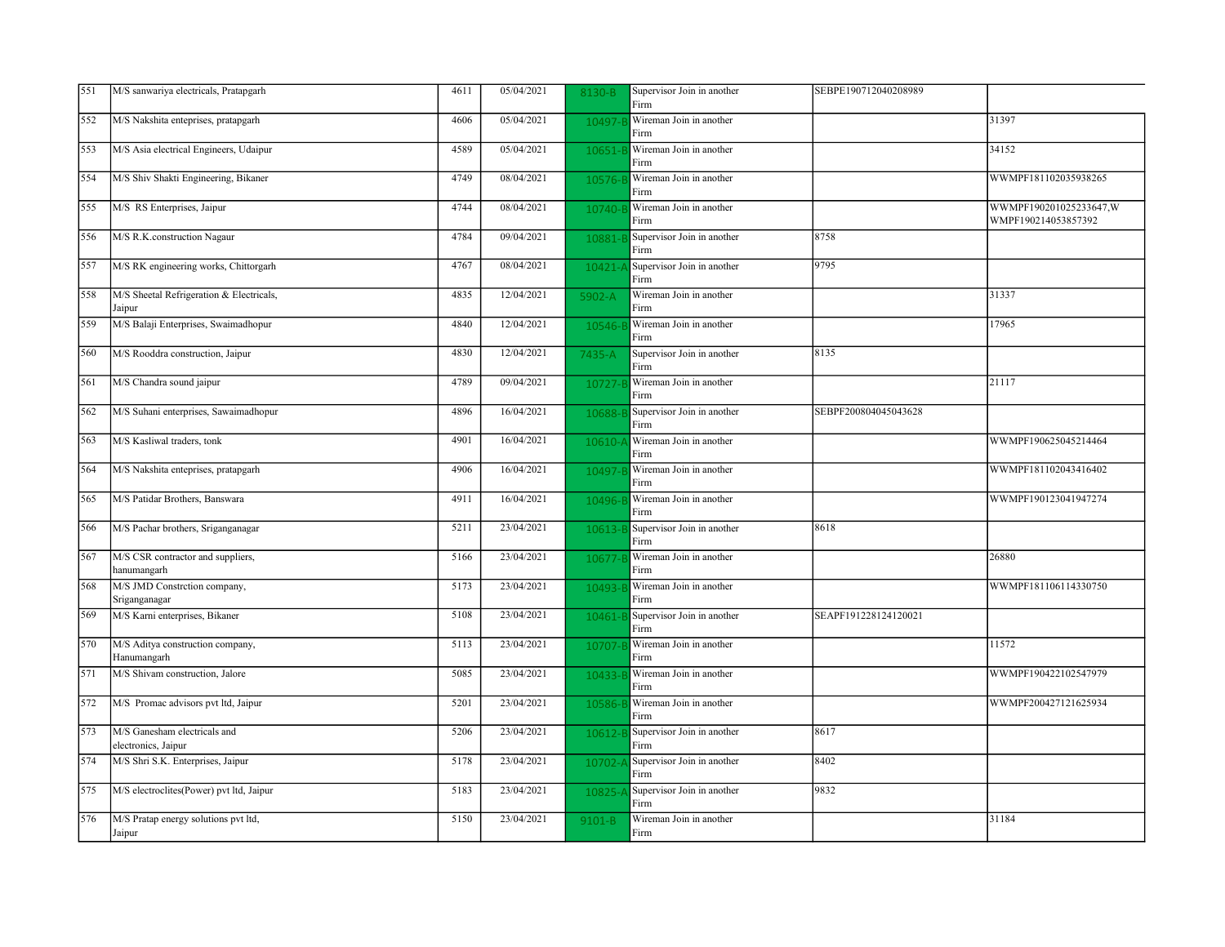| 551 | M/S sanwariya electricals, Pratapgarh               | 4611 | 05/04/2021 | 8130-B     | Supervisor Join in another<br>Firm | SEBPE190712040208989 |                                                |
|-----|-----------------------------------------------------|------|------------|------------|------------------------------------|----------------------|------------------------------------------------|
| 552 | M/S Nakshita enteprises, pratapgarh                 | 4606 | 05/04/2021 | 10497-     | Wireman Join in another<br>Firm    |                      | 31397                                          |
| 553 | M/S Asia electrical Engineers, Udaipur              | 4589 | 05/04/2021 | 10651-     | Wireman Join in another<br>Firm    |                      | 34152                                          |
| 554 | M/S Shiv Shakti Engineering, Bikaner                | 4749 | 08/04/2021 | 10576-B    | Wireman Join in another<br>Firm    |                      | WWMPF181102035938265                           |
| 555 | M/S RS Enterprises, Jaipur                          | 4744 | 08/04/2021 | 10740-     | Wireman Join in another<br>Firm    |                      | WWMPF190201025233647, W<br>WMPF190214053857392 |
| 556 | M/S R.K.construction Nagaur                         | 4784 | 09/04/2021 | 10881-B    | Supervisor Join in another<br>Firm | 8758                 |                                                |
| 557 | M/S RK engineering works, Chittorgarh               | 4767 | 08/04/2021 | 10421-     | Supervisor Join in another<br>Firm | 9795                 |                                                |
| 558 | M/S Sheetal Refrigeration & Electricals,<br>Jaipur  | 4835 | 12/04/2021 | 5902-A     | Wireman Join in another<br>Firm    |                      | 31337                                          |
| 559 | M/S Balaji Enterprises, Swaimadhopur                | 4840 | 12/04/2021 | 10546-     | Wireman Join in another<br>Firm    |                      | 17965                                          |
| 560 | M/S Rooddra construction, Jaipur                    | 4830 | 12/04/2021 | 7435-A     | Supervisor Join in another<br>Firm | 8135                 |                                                |
| 561 | M/S Chandra sound jaipur                            | 4789 | 09/04/2021 | 10727-     | Wireman Join in another<br>Firm    |                      | 21117                                          |
| 562 | M/S Suhani enterprises, Sawaimadhopur               | 4896 | 16/04/2021 | 10688-     | Supervisor Join in another<br>Firm | SEBPF200804045043628 |                                                |
| 563 | M/S Kasliwal traders, tonk                          | 4901 | 16/04/2021 | 10610-     | Wireman Join in another<br>Firm    |                      | WWMPF190625045214464                           |
| 564 | M/S Nakshita enteprises, pratapgarh                 | 4906 | 16/04/2021 | 10497-     | Wireman Join in another<br>Firm    |                      | WWMPF181102043416402                           |
| 565 | M/S Patidar Brothers, Banswara                      | 4911 | 16/04/2021 | 10496-     | Wireman Join in another<br>Firm    |                      | WWMPF190123041947274                           |
| 566 | M/S Pachar brothers, Sriganganagar                  | 5211 | 23/04/2021 | 10613-E    | Supervisor Join in another<br>Firm | 8618                 |                                                |
| 567 | M/S CSR contractor and suppliers,<br>hanumangarh    | 5166 | 23/04/2021 | 10677-     | Wireman Join in another<br>Firm    |                      | 26880                                          |
| 568 | M/S JMD Constrction company,<br>Sriganganagar       | 5173 | 23/04/2021 | 10493-     | Wireman Join in another<br>Firm    |                      | WWMPF181106114330750                           |
| 569 | M/S Karni enterprises, Bikaner                      | 5108 | 23/04/2021 | 10461-     | Supervisor Join in another<br>Firm | SEAPF191228124120021 |                                                |
| 570 | M/S Aditya construction company,<br>Hanumangarh     | 5113 | 23/04/2021 | 10707-     | Wireman Join in another<br>Firm    |                      | 11572                                          |
| 571 | M/S Shivam construction, Jalore                     | 5085 | 23/04/2021 | 10433-     | Wireman Join in another<br>Firm    |                      | WWMPF190422102547979                           |
| 572 | M/S Promac advisors pvt ltd, Jaipur                 | 5201 | 23/04/2021 | 10586-l    | Wireman Join in another<br>Firm    |                      | WWMPF200427121625934                           |
| 573 | M/S Ganesham electricals and<br>electronics, Jaipur | 5206 | 23/04/2021 | 10612-     | Supervisor Join in another<br>Firm | 8617                 |                                                |
| 574 | M/S Shri S.K. Enterprises, Jaipur                   | 5178 | 23/04/2021 | $10702 -$  | Supervisor Join in another<br>Firm | 8402                 |                                                |
| 575 | M/S electroclites(Power) pvt ltd, Jaipur            | 5183 | 23/04/2021 | 10825-     | Supervisor Join in another<br>Firm | 9832                 |                                                |
| 576 | M/S Pratap energy solutions pvt ltd,<br>Jaipur      | 5150 | 23/04/2021 | $9101 - B$ | Wireman Join in another<br>Firm    |                      | 31184                                          |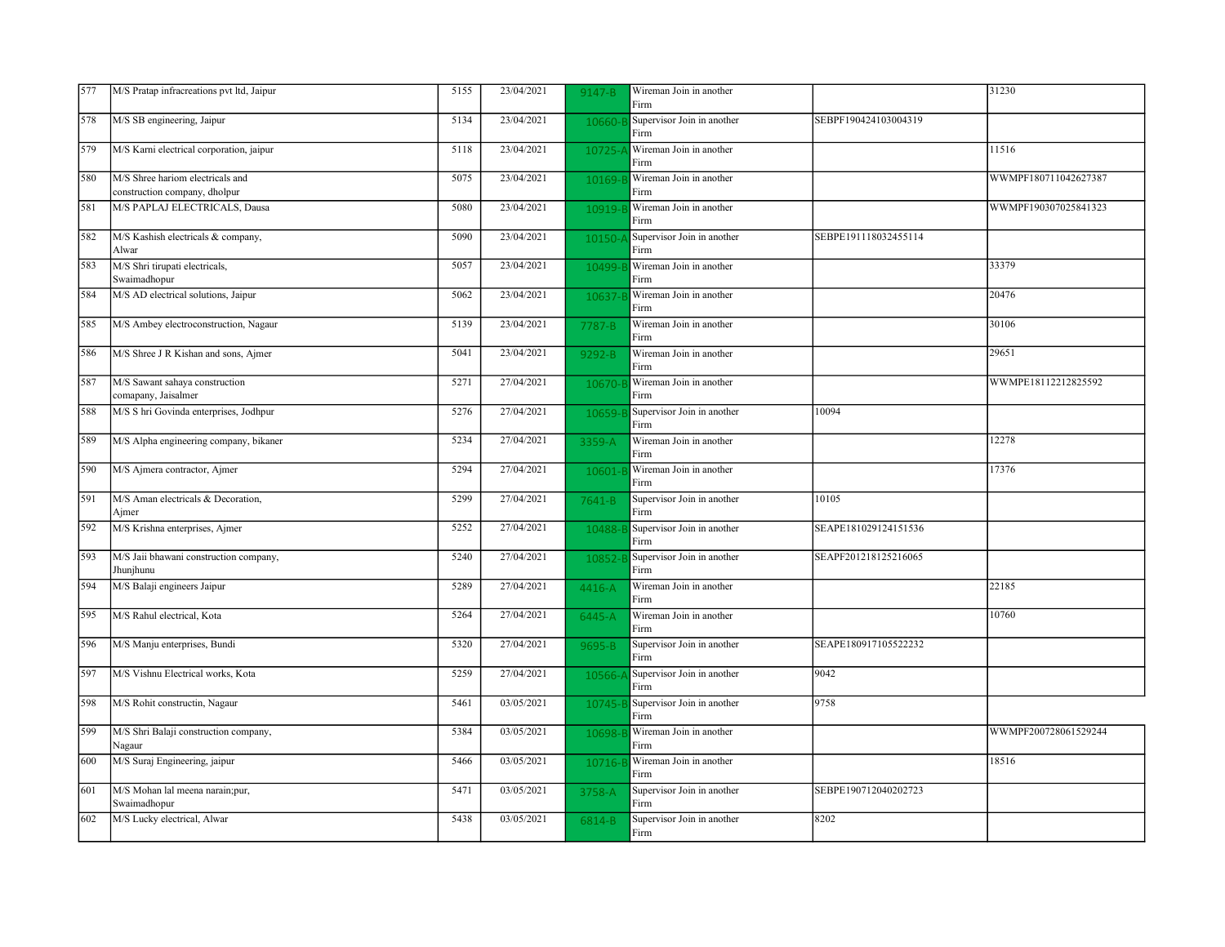| 577 | M/S Pratap infracreations pvt ltd, Jaipur                         | 5155 | 23/04/2021 | $9147 - B$ | Wireman Join in another<br>Firm    |                      | 31230                |
|-----|-------------------------------------------------------------------|------|------------|------------|------------------------------------|----------------------|----------------------|
| 578 | M/S SB engineering, Jaipur                                        | 5134 | 23/04/2021 | 10660-     | Supervisor Join in another<br>Firm | SEBPF190424103004319 |                      |
| 579 | M/S Karni electrical corporation, jaipur                          | 5118 | 23/04/2021 | 10725-     | Wireman Join in another<br>Firm    |                      | 11516                |
| 580 | M/S Shree hariom electricals and<br>construction company, dholpur | 5075 | 23/04/2021 | 10169-     | Wireman Join in another<br>Firm    |                      | WWMPF180711042627387 |
| 581 | M/S PAPLAJ ELECTRICALS, Dausa                                     | 5080 | 23/04/2021 | 10919-     | Wireman Join in another<br>Firm    |                      | WWMPF190307025841323 |
| 582 | M/S Kashish electricals & company,<br>Alwar                       | 5090 | 23/04/2021 | $10150 -$  | Supervisor Join in another<br>Firm | SEBPE191118032455114 |                      |
| 583 | M/S Shri tirupati electricals,<br>Swaimadhopur                    | 5057 | 23/04/2021 | 10499-     | Wireman Join in another<br>Firm    |                      | 33379                |
| 584 | M/S AD electrical solutions, Jaipur                               | 5062 | 23/04/2021 | 10637      | Wireman Join in another<br>Firm    |                      | 20476                |
| 585 | M/S Ambey electroconstruction, Nagaur                             | 5139 | 23/04/2021 | 7787-B     | Wireman Join in another<br>Firm    |                      | 30106                |
| 586 | M/S Shree J R Kishan and sons, Ajmer                              | 5041 | 23/04/2021 | 9292-B     | Wireman Join in another<br>Firm    |                      | 29651                |
| 587 | M/S Sawant sahaya construction<br>comapany, Jaisalmer             | 5271 | 27/04/2021 | 10670-     | Wireman Join in another<br>Firm    |                      | WWMPE18112212825592  |
| 588 | M/S S hri Govinda enterprises, Jodhpur                            | 5276 | 27/04/2021 | 10659-     | Supervisor Join in another<br>Firm | 10094                |                      |
| 589 | M/S Alpha engineering company, bikaner                            | 5234 | 27/04/2021 | 3359-A     | Wireman Join in another<br>Firm    |                      | 12278                |
| 590 | M/S Ajmera contractor, Ajmer                                      | 5294 | 27/04/2021 | 10601-     | Wireman Join in another<br>Firm    |                      | 17376                |
| 591 | M/S Aman electricals & Decoration,<br>Ajmer                       | 5299 | 27/04/2021 | 7641-B     | Supervisor Join in another<br>Firm | 10105                |                      |
| 592 | M/S Krishna enterprises, Ajmer                                    | 5252 | 27/04/2021 | 10488-     | Supervisor Join in another<br>Firm | SEAPE181029124151536 |                      |
| 593 | M/S Jaii bhawani construction company,<br>Jhunjhunu               | 5240 | 27/04/2021 | 10852      | Supervisor Join in another<br>Firm | SEAPF201218125216065 |                      |
| 594 | M/S Balaji engineers Jaipur                                       | 5289 | 27/04/2021 | 4416-A     | Wireman Join in another<br>Firm    |                      | 22185                |
| 595 | M/S Rahul electrical, Kota                                        | 5264 | 27/04/2021 | 6445-A     | Wireman Join in another<br>Firm    |                      | 10760                |
| 596 | M/S Manju enterprises, Bundi                                      | 5320 | 27/04/2021 | 9695-B     | Supervisor Join in another<br>Firm | SEAPE180917105522232 |                      |
| 597 | M/S Vishnu Electrical works, Kota                                 | 5259 | 27/04/2021 | 10566-     | Supervisor Join in another<br>Firm | 9042                 |                      |
| 598 | M/S Rohit constructin, Nagaur                                     | 5461 | 03/05/2021 | 10745-E    | Supervisor Join in another<br>Firm | 9758                 |                      |
| 599 | M/S Shri Balaji construction company,<br>Nagaur                   | 5384 | 03/05/2021 | 10698-     | Wireman Join in another<br>Firm    |                      | WWMPF200728061529244 |
| 600 | M/S Suraj Engineering, jaipur                                     | 5466 | 03/05/2021 | 10716-E    | Wireman Join in another<br>Firm    |                      | 18516                |
| 601 | M/S Mohan lal meena narain;pur,<br>Swaimadhopur                   | 5471 | 03/05/2021 | 3758-A     | Supervisor Join in another<br>Firm | SEBPE190712040202723 |                      |
| 602 | M/S Lucky electrical, Alwar                                       | 5438 | 03/05/2021 | 6814-B     | Supervisor Join in another<br>Firm | 8202                 |                      |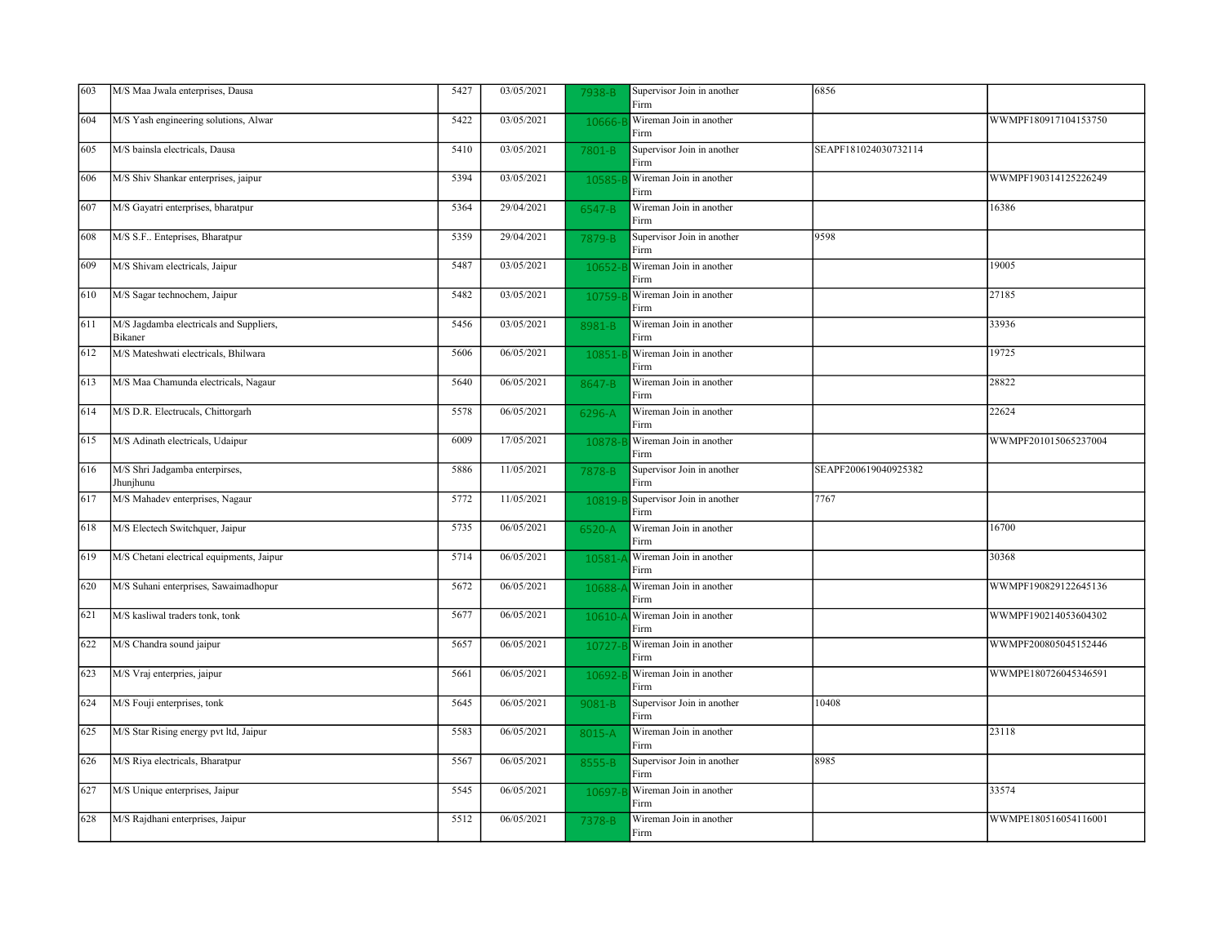| 603 | M/S Maa Jwala enterprises, Dausa                   | 5427 | 03/05/2021 | 7938-B     | Supervisor Join in another<br>Firm | 6856                 |                      |
|-----|----------------------------------------------------|------|------------|------------|------------------------------------|----------------------|----------------------|
| 604 | M/S Yash engineering solutions, Alwar              | 5422 | 03/05/2021 | 10666-     | Wireman Join in another<br>Firm    |                      | WWMPF180917104153750 |
| 605 | M/S bainsla electricals, Dausa                     | 5410 | 03/05/2021 | 7801-B     | Supervisor Join in another<br>Firm | SEAPF181024030732114 |                      |
| 606 | M/S Shiv Shankar enterprises, jaipur               | 5394 | 03/05/2021 | 10585-     | Wireman Join in another<br>Firm    |                      | WWMPF190314125226249 |
| 607 | M/S Gayatri enterprises, bharatpur                 | 5364 | 29/04/2021 | 6547-B     | Wireman Join in another<br>Firm    |                      | 16386                |
| 608 | M/S S.F Enteprises, Bharatpur                      | 5359 | 29/04/2021 | 7879-B     | Supervisor Join in another<br>Firm | 9598                 |                      |
| 609 | M/S Shivam electricals, Jaipur                     | 5487 | 03/05/2021 | 10652-     | Wireman Join in another<br>Firm    |                      | 19005                |
| 610 | M/S Sagar technochem, Jaipur                       | 5482 | 03/05/2021 | 10759-     | Wireman Join in another<br>Firm    |                      | 27185                |
| 611 | M/S Jagdamba electricals and Suppliers,<br>Bikaner | 5456 | 03/05/2021 | 8981-B     | Wireman Join in another<br>Firm    |                      | 33936                |
| 612 | M/S Mateshwati electricals, Bhilwara               | 5606 | 06/05/2021 | 10851-     | Wireman Join in another<br>Firm    |                      | 19725                |
| 613 | M/S Maa Chamunda electricals, Nagaur               | 5640 | 06/05/2021 | 8647-B     | Wireman Join in another<br>Firm    |                      | 28822                |
| 614 | M/S D.R. Electrucals, Chittorgarh                  | 5578 | 06/05/2021 | 6296-A     | Wireman Join in another<br>Firm    |                      | 22624                |
| 615 | M/S Adinath electricals, Udaipur                   | 6009 | 17/05/2021 | 10878-     | Wireman Join in another<br>Firm    |                      | WWMPF201015065237004 |
| 616 | M/S Shri Jadgamba enterpirses,<br>Jhunjhunu        | 5886 | 11/05/2021 | 7878-B     | Supervisor Join in another<br>Firm | SEAPF200619040925382 |                      |
| 617 | M/S Mahadev enterprises, Nagaur                    | 5772 | 11/05/2021 | 10819-1    | Supervisor Join in another<br>Firm | 7767                 |                      |
| 618 | M/S Electech Switchquer, Jaipur                    | 5735 | 06/05/2021 | 6520-A     | Wireman Join in another<br>Firm    |                      | 16700                |
| 619 | M/S Chetani electrical equipments, Jaipur          | 5714 | 06/05/2021 | 10581      | Wireman Join in another<br>Firm    |                      | 30368                |
| 620 | M/S Suhani enterprises, Sawaimadhopur              | 5672 | 06/05/2021 | 10688-     | Wireman Join in another<br>Firm    |                      | WWMPF190829122645136 |
| 621 | M/S kasliwal traders tonk, tonk                    | 5677 | 06/05/2021 | 10610-     | Wireman Join in another<br>Firm    |                      | WWMPF190214053604302 |
| 622 | M/S Chandra sound jaipur                           | 5657 | 06/05/2021 | 10727-     | Wireman Join in another<br>Firm    |                      | WWMPF200805045152446 |
| 623 | M/S Vraj enterpries, jaipur                        | 5661 | 06/05/2021 | 10692-     | Wireman Join in another<br>Firm    |                      | WWMPE180726045346591 |
| 624 | M/S Fouji enterprises, tonk                        | 5645 | 06/05/2021 | $9081 - B$ | Supervisor Join in another<br>Firm | 10408                |                      |
| 625 | M/S Star Rising energy pvt ltd, Jaipur             | 5583 | 06/05/2021 | 8015-A     | Wireman Join in another<br>Firm    |                      | 23118                |
| 626 | M/S Riya electricals, Bharatpur                    | 5567 | 06/05/2021 | 8555-B     | Supervisor Join in another<br>Firm | 8985                 |                      |
| 627 | M/S Unique enterprises, Jaipur                     | 5545 | 06/05/2021 | 10697-     | Wireman Join in another<br>Firm    |                      | 33574                |
| 628 | M/S Rajdhani enterprises, Jaipur                   | 5512 | 06/05/2021 | 7378-B     | Wireman Join in another<br>Firm    |                      | WWMPE180516054116001 |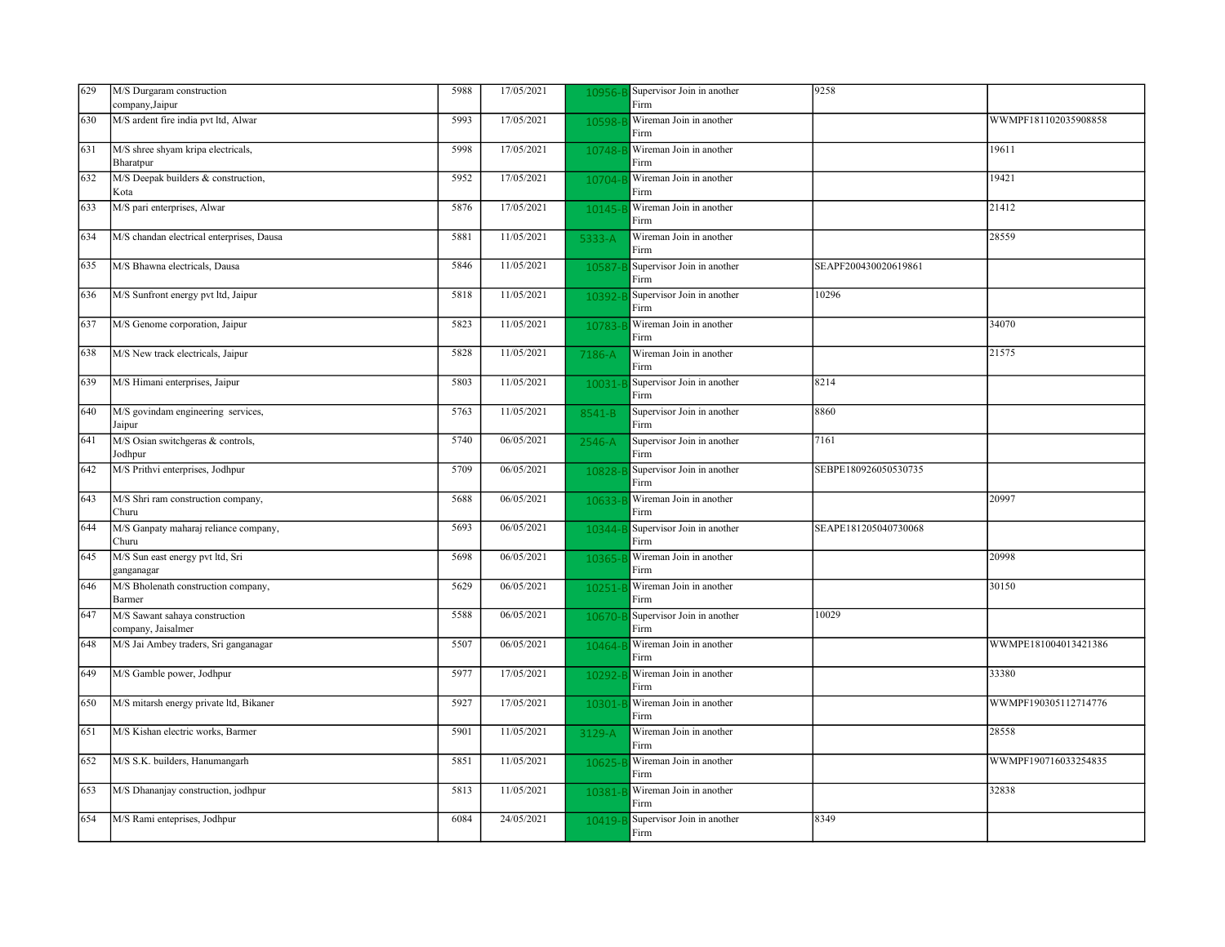| 629 | M/S Durgaram construction                            | 5988 | 17/05/2021 | 10956-l | Supervisor Join in another         | 9258                 |                      |
|-----|------------------------------------------------------|------|------------|---------|------------------------------------|----------------------|----------------------|
|     | company, Jaipur                                      |      |            |         | Firm                               |                      |                      |
| 630 | M/S ardent fire india pvt ltd, Alwar                 | 5993 | 17/05/2021 | 10598-l | Wireman Join in another<br>Firm    |                      | WWMPF181102035908858 |
| 631 | M/S shree shyam kripa electricals,<br>Bharatpur      | 5998 | 17/05/2021 | 10748-  | Wireman Join in another<br>Firm    |                      | 19611                |
|     |                                                      |      |            |         |                                    |                      |                      |
| 632 | M/S Deepak builders & construction,<br>Kota          | 5952 | 17/05/2021 | 10704-1 | Wireman Join in another<br>Firm    |                      | 19421                |
| 633 | M/S pari enterprises, Alwar                          | 5876 | 17/05/2021 | 10145-  | Wireman Join in another<br>Firm    |                      | 21412                |
| 634 | M/S chandan electrical enterprises, Dausa            | 5881 | 11/05/2021 | 5333-A  | Wireman Join in another<br>Firm    |                      | 28559                |
| 635 | M/S Bhawna electricals, Dausa                        | 5846 | 11/05/2021 | 10587   | Supervisor Join in another<br>Firm | SEAPF200430020619861 |                      |
| 636 | M/S Sunfront energy pvt ltd, Jaipur                  | 5818 | 11/05/2021 | 10392-  | Supervisor Join in another<br>Firm | 10296                |                      |
| 637 | M/S Genome corporation, Jaipur                       | 5823 | 11/05/2021 | 10783-  | Wireman Join in another<br>Firm    |                      | 34070                |
| 638 | M/S New track electricals, Jaipur                    | 5828 | 11/05/2021 | 7186-A  | Wireman Join in another<br>Firm    |                      | 21575                |
| 639 | M/S Himani enterprises, Jaipur                       | 5803 | 11/05/2021 | 10031-  | Supervisor Join in another<br>Firm | 8214                 |                      |
| 640 | M/S govindam engineering services,<br>Jaipur         | 5763 | 11/05/2021 | 8541-B  | Supervisor Join in another<br>Firm | 8860                 |                      |
| 641 | M/S Osian switchgeras & controls,<br>Jodhpur         | 5740 | 06/05/2021 | 2546-A  | Supervisor Join in another<br>Firm | 7161                 |                      |
| 642 | M/S Prithvi enterprises, Jodhpur                     | 5709 | 06/05/2021 | 10828-l | Supervisor Join in another<br>Firm | SEBPE180926050530735 |                      |
| 643 | M/S Shri ram construction company,<br>Churu          | 5688 | 06/05/2021 | 10633-  | Wireman Join in another<br>Firm    |                      | 20997                |
| 644 | M/S Ganpaty maharaj reliance company,<br>Churu       | 5693 | 06/05/2021 | 10344-E | Supervisor Join in another<br>Firm | SEAPE181205040730068 |                      |
| 645 | M/S Sun east energy pvt ltd, Sri<br>ganganagar       | 5698 | 06/05/2021 | 10365   | Wireman Join in another<br>Firm    |                      | 20998                |
| 646 | M/S Bholenath construction company,<br>Barmer        | 5629 | 06/05/2021 | 10251-  | Wireman Join in another<br>Firm    |                      | 30150                |
| 647 | M/S Sawant sahaya construction<br>company, Jaisalmer | 5588 | 06/05/2021 | 10670-  | Supervisor Join in another<br>Firm | 10029                |                      |
| 648 | M/S Jai Ambey traders, Sri ganganagar                | 5507 | 06/05/2021 | 10464-  | Wireman Join in another<br>Firm    |                      | WWMPE181004013421386 |
| 649 | M/S Gamble power, Jodhpur                            | 5977 | 17/05/2021 | 10292   | Wireman Join in another<br>Firm    |                      | 33380                |
| 650 | M/S mitarsh energy private ltd, Bikaner              | 5927 | 17/05/2021 | 10301-  | Wireman Join in another<br>Firm    |                      | WWMPF190305112714776 |
| 651 | M/S Kishan electric works, Barmer                    | 5901 | 11/05/2021 | 3129-A  | Wireman Join in another<br>Firm    |                      | 28558                |
| 652 | M/S S.K. builders, Hanumangarh                       | 5851 | 11/05/2021 | 10625-  | Wireman Join in another<br>Firm    |                      | WWMPF190716033254835 |
| 653 | M/S Dhananjay construction, jodhpur                  | 5813 | 11/05/2021 | 10381   | Wireman Join in another<br>Firm    |                      | 32838                |
| 654 | M/S Rami enteprises, Jodhpur                         | 6084 | 24/05/2021 | 10419-  | Supervisor Join in another<br>Firm | 8349                 |                      |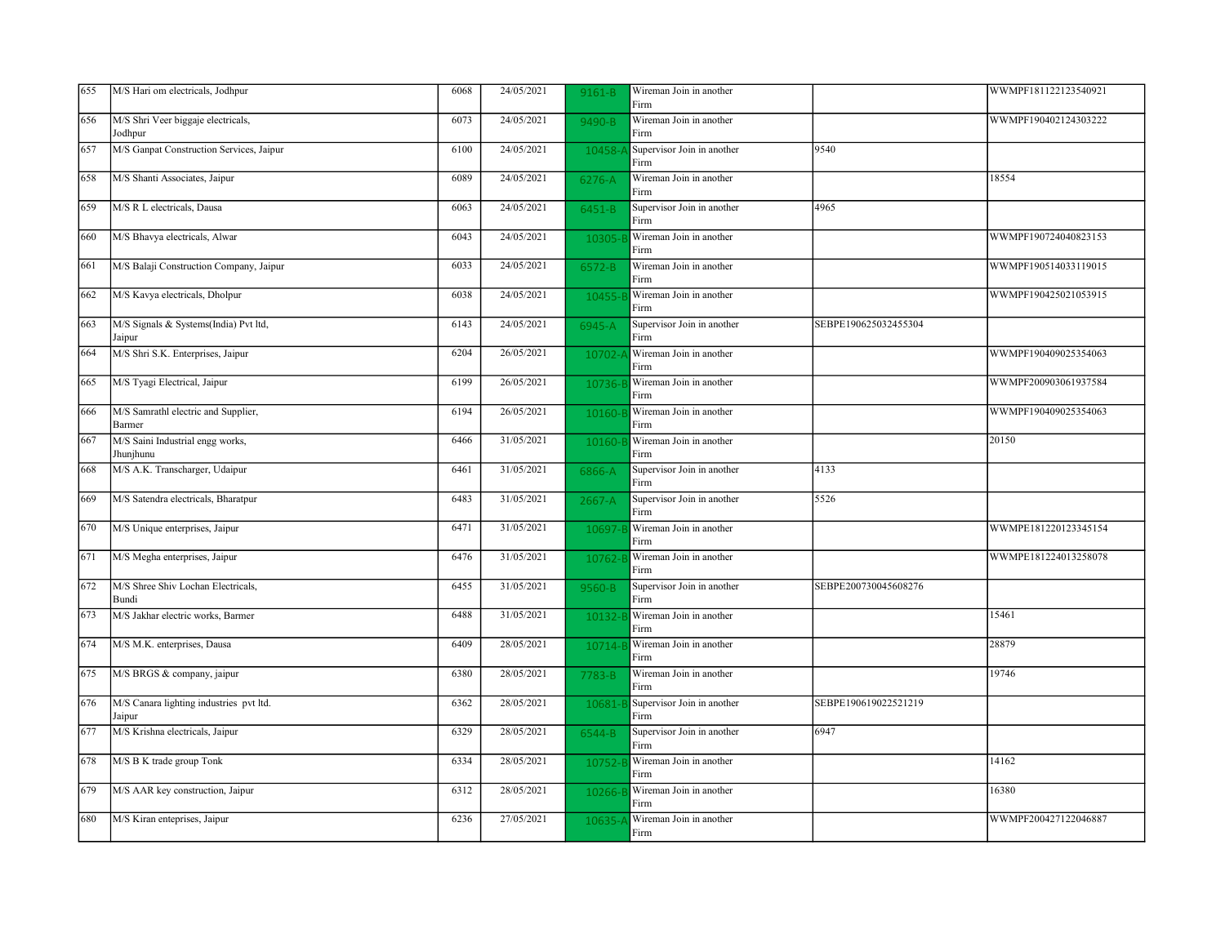| 655 | M/S Hari om electricals, Jodhpur                  | 6068 | 24/05/2021 | 9161-B     | Wireman Join in another<br>Firm    |                      | WWMPF181122123540921 |
|-----|---------------------------------------------------|------|------------|------------|------------------------------------|----------------------|----------------------|
| 656 | M/S Shri Veer biggaje electricals,<br>Jodhpur     | 6073 | 24/05/2021 | 9490-B     | Wireman Join in another<br>Firm    |                      | WWMPF190402124303222 |
| 657 | M/S Ganpat Construction Services, Jaipur          | 6100 | 24/05/2021 | 10458-     | Supervisor Join in another<br>Firm | 9540                 |                      |
| 658 | M/S Shanti Associates, Jaipur                     | 6089 | 24/05/2021 | 6276-A     | Wireman Join in another<br>Firm    |                      | 18554                |
| 659 | M/S R L electricals, Dausa                        | 6063 | 24/05/2021 | 6451-B     | Supervisor Join in another<br>Firm | 4965                 |                      |
| 660 | M/S Bhavya electricals, Alwar                     | 6043 | 24/05/2021 | 10305-1    | Wireman Join in another<br>Firm    |                      | WWMPF190724040823153 |
| 661 | M/S Balaji Construction Company, Jaipur           | 6033 | 24/05/2021 | $6572 - B$ | Wireman Join in another<br>Firm    |                      | WWMPF190514033119015 |
| 662 | M/S Kavya electricals, Dholpur                    | 6038 | 24/05/2021 | 10455-     | Wireman Join in another<br>Firm    |                      | WWMPF190425021053915 |
| 663 | M/S Signals & Systems(India) Pvt ltd,<br>Jaipur   | 6143 | 24/05/2021 | 6945-A     | Supervisor Join in another<br>Firm | SEBPE190625032455304 |                      |
| 664 | M/S Shri S.K. Enterprises, Jaipur                 | 6204 | 26/05/2021 | 10702-     | Wireman Join in another<br>Firm    |                      | WWMPF190409025354063 |
| 665 | M/S Tyagi Electrical, Jaipur                      | 6199 | 26/05/2021 | 10736-     | Wireman Join in another<br>Firm    |                      | WWMPF200903061937584 |
| 666 | M/S Samrathl electric and Supplier,<br>Barmer     | 6194 | 26/05/2021 | 10160-     | Wireman Join in another<br>Firm    |                      | WWMPF190409025354063 |
| 667 | M/S Saini Industrial engg works,<br>Jhunjhunu     | 6466 | 31/05/2021 | 10160-     | Wireman Join in another<br>Firm    |                      | 20150                |
| 668 | M/S A.K. Transcharger, Udaipur                    | 6461 | 31/05/2021 | 6866-A     | Supervisor Join in another<br>Firm | 4133                 |                      |
| 669 | M/S Satendra electricals, Bharatpur               | 6483 | 31/05/2021 | $2667 - A$ | Supervisor Join in another<br>Firm | 5526                 |                      |
| 670 | M/S Unique enterprises, Jaipur                    | 6471 | 31/05/2021 | 10697-     | Wireman Join in another<br>Firm    |                      | WWMPE181220123345154 |
| 671 | M/S Megha enterprises, Jaipur                     | 6476 | 31/05/2021 | 10762-     | Wireman Join in another<br>Firm    |                      | WWMPE181224013258078 |
| 672 | M/S Shree Shiv Lochan Electricals,<br>Bundi       | 6455 | 31/05/2021 | 9560-B     | Supervisor Join in another<br>Firm | SEBPE200730045608276 |                      |
| 673 | M/S Jakhar electric works, Barmer                 | 6488 | 31/05/2021 | 10132-     | Wireman Join in another<br>Firm    |                      | 15461                |
| 674 | M/S M.K. enterprises, Dausa                       | 6409 | 28/05/2021 | 10714-6    | Wireman Join in another<br>Firm    |                      | 28879                |
| 675 | M/S BRGS & company, jaipur                        | 6380 | 28/05/2021 | 7783-B     | Wireman Join in another<br>Firm    |                      | 19746                |
| 676 | M/S Canara lighting industries pvt ltd.<br>Jaipur | 6362 | 28/05/2021 | 10681-B    | Supervisor Join in another<br>Firm | SEBPE190619022521219 |                      |
| 677 | M/S Krishna electricals, Jaipur                   | 6329 | 28/05/2021 | 6544-B     | Supervisor Join in another<br>Firm | 6947                 |                      |
| 678 | M/S B K trade group Tonk                          | 6334 | 28/05/2021 | 10752-E    | Wireman Join in another<br>Firm    |                      | 14162                |
| 679 | M/S AAR key construction, Jaipur                  | 6312 | 28/05/2021 | 10266-     | Wireman Join in another<br>Firm    |                      | 16380                |
| 680 | M/S Kiran enteprises, Jaipur                      | 6236 | 27/05/2021 | 10635-     | Wireman Join in another<br>Firm    |                      | WWMPF200427122046887 |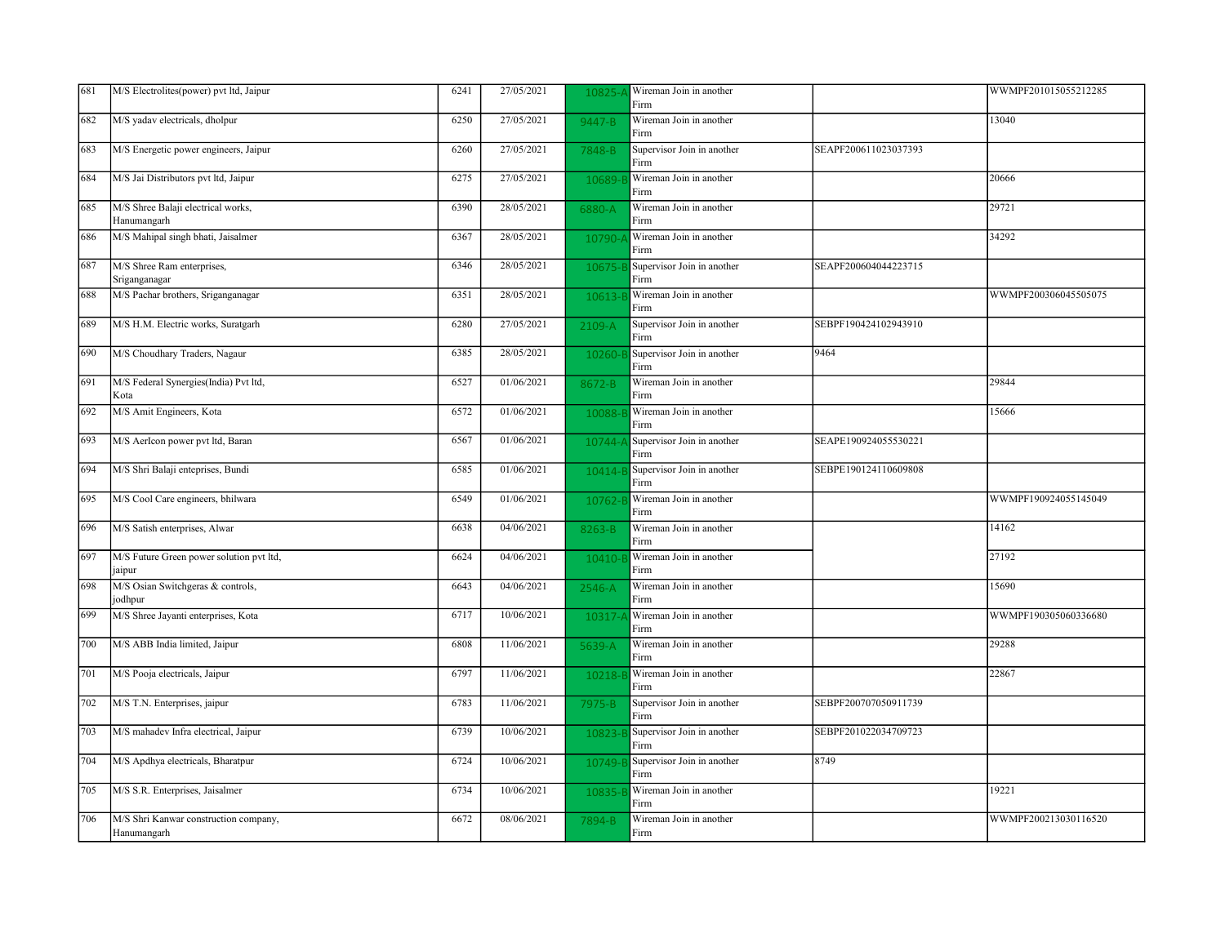| 681 | M/S Electrolites(power) pvt ltd, Jaipur              | 6241 | 27/05/2021 | 10825    | Wireman Join in another<br>Firm    |                      | WWMPF201015055212285 |
|-----|------------------------------------------------------|------|------------|----------|------------------------------------|----------------------|----------------------|
| 682 | M/S yadav electricals, dholpur                       | 6250 | 27/05/2021 | 9447-B   | Wireman Join in another<br>Firm    |                      | 13040                |
| 683 | M/S Energetic power engineers, Jaipur                | 6260 | 27/05/2021 | 7848-B   | Supervisor Join in another<br>Firm | SEAPF200611023037393 |                      |
| 684 | M/S Jai Distributors pvt ltd, Jaipur                 | 6275 | 27/05/2021 | 10689-   | Wireman Join in another<br>Firm    |                      | 20666                |
| 685 | M/S Shree Balaji electrical works,<br>Hanumangarh    | 6390 | 28/05/2021 | 6880-A   | Wireman Join in another<br>Firm    |                      | 29721                |
| 686 | M/S Mahipal singh bhati, Jaisalmer                   | 6367 | 28/05/2021 | 10790-   | Wireman Join in another<br>Firm    |                      | 34292                |
| 687 | M/S Shree Ram enterprises,<br>Sriganganagar          | 6346 | 28/05/2021 | 10675-   | Supervisor Join in another<br>Firm | SEAPF200604044223715 |                      |
| 688 | M/S Pachar brothers, Sriganganagar                   | 6351 | 28/05/2021 | 10613-   | Wireman Join in another<br>Firm    |                      | WWMPF200306045505075 |
| 689 | M/S H.M. Electric works, Suratgarh                   | 6280 | 27/05/2021 | $2109-A$ | Supervisor Join in another<br>Firm | SEBPF190424102943910 |                      |
| 690 | M/S Choudhary Traders, Nagaur                        | 6385 | 28/05/2021 | 10260-   | Supervisor Join in another<br>Firm | 9464                 |                      |
| 691 | M/S Federal Synergies(India) Pvt ltd,<br>Kota        | 6527 | 01/06/2021 | 8672-B   | Wireman Join in another<br>Firm    |                      | 29844                |
| 692 | M/S Amit Engineers, Kota                             | 6572 | 01/06/2021 | 10088-   | Wireman Join in another<br>Firm    |                      | 15666                |
| 693 | M/S AerIcon power pvt ltd, Baran                     | 6567 | 01/06/2021 | 10744-   | Supervisor Join in another<br>Firm | SEAPE190924055530221 |                      |
| 694 | M/S Shri Balaji enteprises, Bundi                    | 6585 | 01/06/2021 | 10414-   | Supervisor Join in another<br>Firm | SEBPE190124110609808 |                      |
| 695 | M/S Cool Care engineers, bhilwara                    | 6549 | 01/06/2021 | 10762-   | Wireman Join in another<br>Firm    |                      | WWMPF190924055145049 |
| 696 | M/S Satish enterprises, Alwar                        | 6638 | 04/06/2021 | 8263-B   | Wireman Join in another<br>Firm    |                      | 14162                |
| 697 | M/S Future Green power solution pvt ltd,<br>jaipur   | 6624 | 04/06/2021 | 10410-   | Wireman Join in another<br>Firm    |                      | 27192                |
| 698 | M/S Osian Switchgeras & controls,<br>jodhpur         | 6643 | 04/06/2021 | 2546-A   | Wireman Join in another<br>Firm    |                      | 15690                |
| 699 | M/S Shree Jayanti enterprises, Kota                  | 6717 | 10/06/2021 | 10317    | Wireman Join in another<br>Firm    |                      | WWMPF190305060336680 |
| 700 | M/S ABB India limited, Jaipur                        | 6808 | 11/06/2021 | 5639-A   | Wireman Join in another<br>Firm    |                      | 29288                |
| 701 | M/S Pooja electricals, Jaipur                        | 6797 | 11/06/2021 | 10218-   | Wireman Join in another<br>Firm    |                      | 22867                |
| 702 | M/S T.N. Enterprises, jaipur                         | 6783 | 11/06/2021 | 7975-B   | Supervisor Join in another<br>Firm | SEBPF200707050911739 |                      |
| 703 | M/S mahadev Infra electrical, Jaipur                 | 6739 | 10/06/2021 | 10823-   | Supervisor Join in another<br>Firm | SEBPF201022034709723 |                      |
| 704 | M/S Apdhya electricals, Bharatpur                    | 6724 | 10/06/2021 | 10749-1  | Supervisor Join in another<br>Firm | 8749                 |                      |
| 705 | M/S S.R. Enterprises, Jaisalmer                      | 6734 | 10/06/2021 | 10835-   | Wireman Join in another<br>Firm    |                      | 19221                |
| 706 | M/S Shri Kanwar construction company,<br>Hanumangarh | 6672 | 08/06/2021 | 7894-B   | Wireman Join in another<br>Firm    |                      | WWMPF200213030116520 |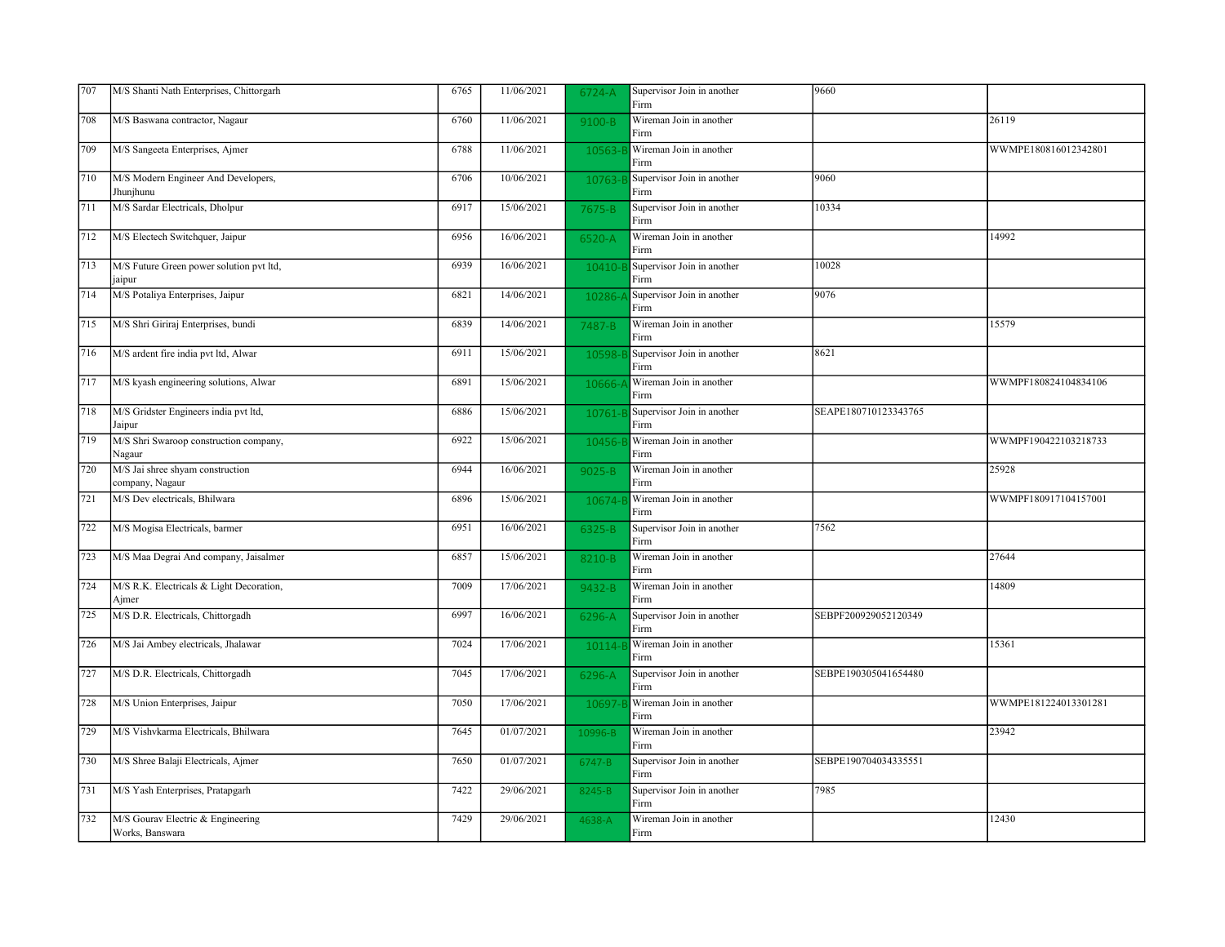| 707 | M/S Shanti Nath Enterprises, Chittorgarh             | 6765 | 11/06/2021 | 6724-A  | Supervisor Join in another<br>Firm | 9660                 |                      |
|-----|------------------------------------------------------|------|------------|---------|------------------------------------|----------------------|----------------------|
| 708 | M/S Baswana contractor, Nagaur                       | 6760 | 11/06/2021 | 9100-B  | Wireman Join in another<br>Firm    |                      | 26119                |
| 709 | M/S Sangeeta Enterprises, Ajmer                      | 6788 | 11/06/2021 | 10563-  | Wireman Join in another<br>Firm    |                      | WWMPE180816012342801 |
| 710 | M/S Modern Engineer And Developers,<br>Jhunjhunu     | 6706 | 10/06/2021 | 10763-E | Supervisor Join in another<br>Firm | 9060                 |                      |
| 711 | M/S Sardar Electricals, Dholpur                      | 6917 | 15/06/2021 | 7675-B  | Supervisor Join in another<br>Firm | 10334                |                      |
| 712 | M/S Electech Switchquer, Jaipur                      | 6956 | 16/06/2021 | 6520-A  | Wireman Join in another<br>Firm    |                      | 14992                |
| 713 | M/S Future Green power solution pvt ltd,<br>jaipur   | 6939 | 16/06/2021 | 10410-  | Supervisor Join in another<br>Firm | 10028                |                      |
| 714 | M/S Potaliya Enterprises, Jaipur                     | 6821 | 14/06/2021 | 10286-  | Supervisor Join in another<br>Firm | 9076                 |                      |
| 715 | M/S Shri Giriraj Enterprises, bundi                  | 6839 | 14/06/2021 | 7487-B  | Wireman Join in another<br>Firm    |                      | 15579                |
| 716 | M/S ardent fire india pvt ltd, Alwar                 | 6911 | 15/06/2021 | 10598-  | Supervisor Join in another<br>Firm | 8621                 |                      |
| 717 | M/S kyash engineering solutions, Alwar               | 6891 | 15/06/2021 | 10666-  | Wireman Join in another<br>Firm    |                      | WWMPF180824104834106 |
| 718 | M/S Gridster Engineers india pvt ltd,<br>Jaipur      | 6886 | 15/06/2021 | 10761-  | Supervisor Join in another<br>Firm | SEAPE180710123343765 |                      |
| 719 | M/S Shri Swaroop construction company,<br>Nagaur     | 6922 | 15/06/2021 | 10456-  | Wireman Join in another<br>Firm    |                      | WWMPF190422103218733 |
| 720 | M/S Jai shree shyam construction<br>company, Nagaur  | 6944 | 16/06/2021 | 9025-B  | Wireman Join in another<br>Firm    |                      | 25928                |
| 721 | M/S Dev electricals, Bhilwara                        | 6896 | 15/06/2021 | 10674-  | Wireman Join in another<br>Firm    |                      | WWMPF180917104157001 |
| 722 | M/S Mogisa Electricals, barmer                       | 6951 | 16/06/2021 | 6325-B  | Supervisor Join in another<br>Firm | 7562                 |                      |
| 723 | M/S Maa Degrai And company, Jaisalmer                | 6857 | 15/06/2021 | 8210-B  | Wireman Join in another<br>Firm    |                      | 27644                |
| 724 | M/S R.K. Electricals & Light Decoration,<br>Ajmer    | 7009 | 17/06/2021 | 9432-B  | Wireman Join in another<br>Firm    |                      | 14809                |
| 725 | M/S D.R. Electricals, Chittorgadh                    | 6997 | 16/06/2021 | 6296-A  | Supervisor Join in another<br>Firm | SEBPF200929052120349 |                      |
| 726 | M/S Jai Ambey electricals, Jhalawar                  | 7024 | 17/06/2021 | 10114-  | Wireman Join in another<br>Firm    |                      | 15361                |
| 727 | M/S D.R. Electricals, Chittorgadh                    | 7045 | 17/06/2021 | 6296-A  | Supervisor Join in another<br>Firm | SEBPE190305041654480 |                      |
| 728 | M/S Union Enterprises, Jaipur                        | 7050 | 17/06/2021 | 10697-  | Wireman Join in another<br>Firm    |                      | WWMPE181224013301281 |
| 729 | M/S Vishvkarma Electricals, Bhilwara                 | 7645 | 01/07/2021 | 10996-B | Wireman Join in another<br>Firm    |                      | 23942                |
| 730 | M/S Shree Balaji Electricals, Ajmer                  | 7650 | 01/07/2021 | 6747-B  | Supervisor Join in another<br>Firm | SEBPE190704034335551 |                      |
| 731 | M/S Yash Enterprises, Pratapgarh                     | 7422 | 29/06/2021 | 8245-B  | Supervisor Join in another<br>Firm | 7985                 |                      |
| 732 | M/S Gourav Electric & Engineering<br>Works, Banswara | 7429 | 29/06/2021 | 4638-A  | Wireman Join in another<br>Firm    |                      | 12430                |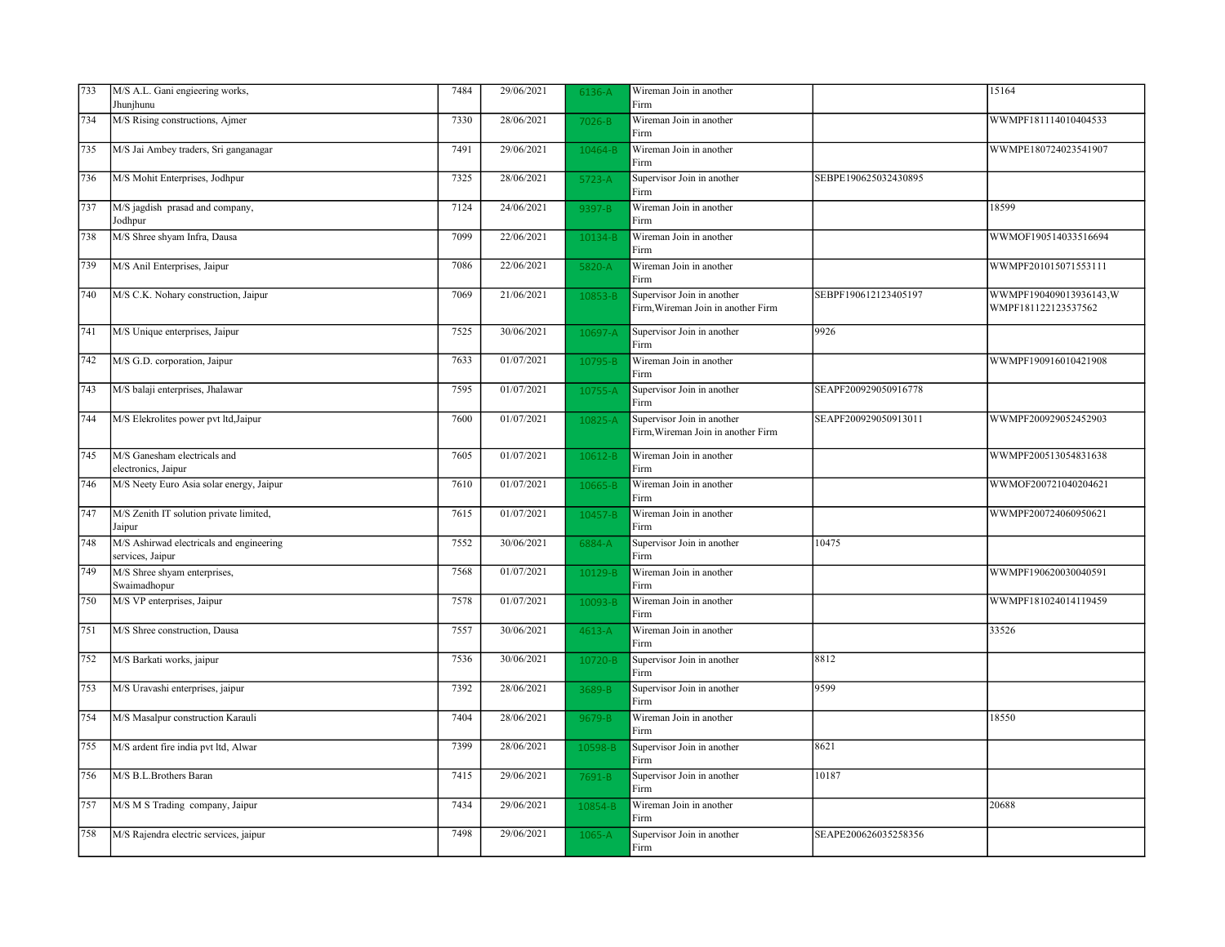| 733 | M/S A.L. Gani engieering works,                              | 7484 | 29/06/2021              | 6136-A  | Wireman Join in another                                          |                      | 15164                                         |
|-----|--------------------------------------------------------------|------|-------------------------|---------|------------------------------------------------------------------|----------------------|-----------------------------------------------|
|     | Jhunjhunu                                                    |      |                         |         | Firm                                                             |                      |                                               |
| 734 | M/S Rising constructions, Ajmer                              | 7330 | 28/06/2021              | 7026-B  | Wireman Join in another<br>Firm                                  |                      | WWMPF181114010404533                          |
| 735 | M/S Jai Ambey traders, Sri ganganagar                        | 7491 | 29/06/2021              | 10464-B | Wireman Join in another<br>Firm                                  |                      | WWMPE180724023541907                          |
| 736 | M/S Mohit Enterprises, Jodhpur                               | 7325 | 28/06/2021              | 5723-A  | Supervisor Join in another<br>Firm                               | SEBPE190625032430895 |                                               |
| 737 | M/S jagdish prasad and company,<br>Jodhpur                   | 7124 | 24/06/2021              | 9397-B  | Wireman Join in another<br>Firm                                  |                      | 18599                                         |
| 738 | M/S Shree shyam Infra, Dausa                                 | 7099 | 22/06/2021              | 10134-B | Wireman Join in another<br>Firm                                  |                      | WWMOF190514033516694                          |
| 739 | M/S Anil Enterprises, Jaipur                                 | 7086 | 22/06/2021              | 5820-A  | Wireman Join in another<br>Firm                                  |                      | WWMPF201015071553111                          |
| 740 | M/S C.K. Nohary construction, Jaipur                         | 7069 | 21/06/2021              | 10853-B | Supervisor Join in another<br>Firm, Wireman Join in another Firm | SEBPF190612123405197 | WWMPF190409013936143,W<br>WMPF181122123537562 |
| 741 | M/S Unique enterprises, Jaipur                               | 7525 | 30/06/2021              | 10697-A | Supervisor Join in another<br>Firm                               | 9926                 |                                               |
| 742 | M/S G.D. corporation, Jaipur                                 | 7633 | 01/07/2021              | 10795-B | Wireman Join in another<br>Firm                                  |                      | WWMPF190916010421908                          |
| 743 | M/S balaji enterprises, Jhalawar                             | 7595 | 01/07/2021              | 10755-A | Supervisor Join in another<br>Firm                               | SEAPF200929050916778 |                                               |
| 744 | M/S Elekrolites power pvt ltd, Jaipur                        | 7600 | 01/07/2021              | 10825-A | Supervisor Join in another<br>Firm, Wireman Join in another Firm | SEAPF200929050913011 | WWMPF200929052452903                          |
| 745 | M/S Ganesham electricals and<br>electronics, Jaipur          | 7605 | $\overline{01}/07/2021$ | 10612-B | Wireman Join in another<br>Firm                                  |                      | WWMPF200513054831638                          |
| 746 | M/S Neety Euro Asia solar energy, Jaipur                     | 7610 | 01/07/2021              | 10665-B | Wireman Join in another<br>Firm                                  |                      | WWMOF200721040204621                          |
| 747 | M/S Zenith IT solution private limited,<br>Jaipur            | 7615 | 01/07/2021              | 10457-B | Wireman Join in another<br>Firm                                  |                      | WWMPF200724060950621                          |
| 748 | M/S Ashirwad electricals and engineering<br>services, Jaipur | 7552 | 30/06/2021              | 6884-A  | Supervisor Join in another<br>Firm                               | 10475                |                                               |
| 749 | M/S Shree shyam enterprises,<br>Swaimadhopur                 | 7568 | 01/07/2021              | 10129-B | Wireman Join in another<br>Firm                                  |                      | WWMPF190620030040591                          |
| 750 | M/S VP enterprises, Jaipur                                   | 7578 | 01/07/2021              | 10093-B | Wireman Join in another<br>Firm                                  |                      | WWMPF181024014119459                          |
| 751 | M/S Shree construction, Dausa                                | 7557 | 30/06/2021              | 4613-A  | Wireman Join in another<br>Firm                                  |                      | 33526                                         |
| 752 | M/S Barkati works, jaipur                                    | 7536 | 30/06/2021              | 10720-B | Supervisor Join in another<br>Firm                               | 8812                 |                                               |
| 753 | M/S Uravashi enterprises, jaipur                             | 7392 | 28/06/2021              | 3689-B  | Supervisor Join in another<br>Firm                               | 9599                 |                                               |
| 754 | M/S Masalpur construction Karauli                            | 7404 | 28/06/2021              | 9679-B  | Wireman Join in another<br>Firm                                  |                      | 18550                                         |
| 755 | M/S ardent fire india pvt ltd, Alwar                         | 7399 | 28/06/2021              | 10598-B | Supervisor Join in another<br>Firm                               | 8621                 |                                               |
| 756 | M/S B.L.Brothers Baran                                       | 7415 | 29/06/2021              | 7691-B  | Supervisor Join in another<br>Firm                               | 10187                |                                               |
| 757 | M/S M S Trading company, Jaipur                              | 7434 | 29/06/2021              | 10854-B | Wireman Join in another<br>Firm                                  |                      | 20688                                         |
| 758 | M/S Rajendra electric services, jaipur                       | 7498 | 29/06/2021              | 1065-A  | Supervisor Join in another<br>Firm                               | SEAPE200626035258356 |                                               |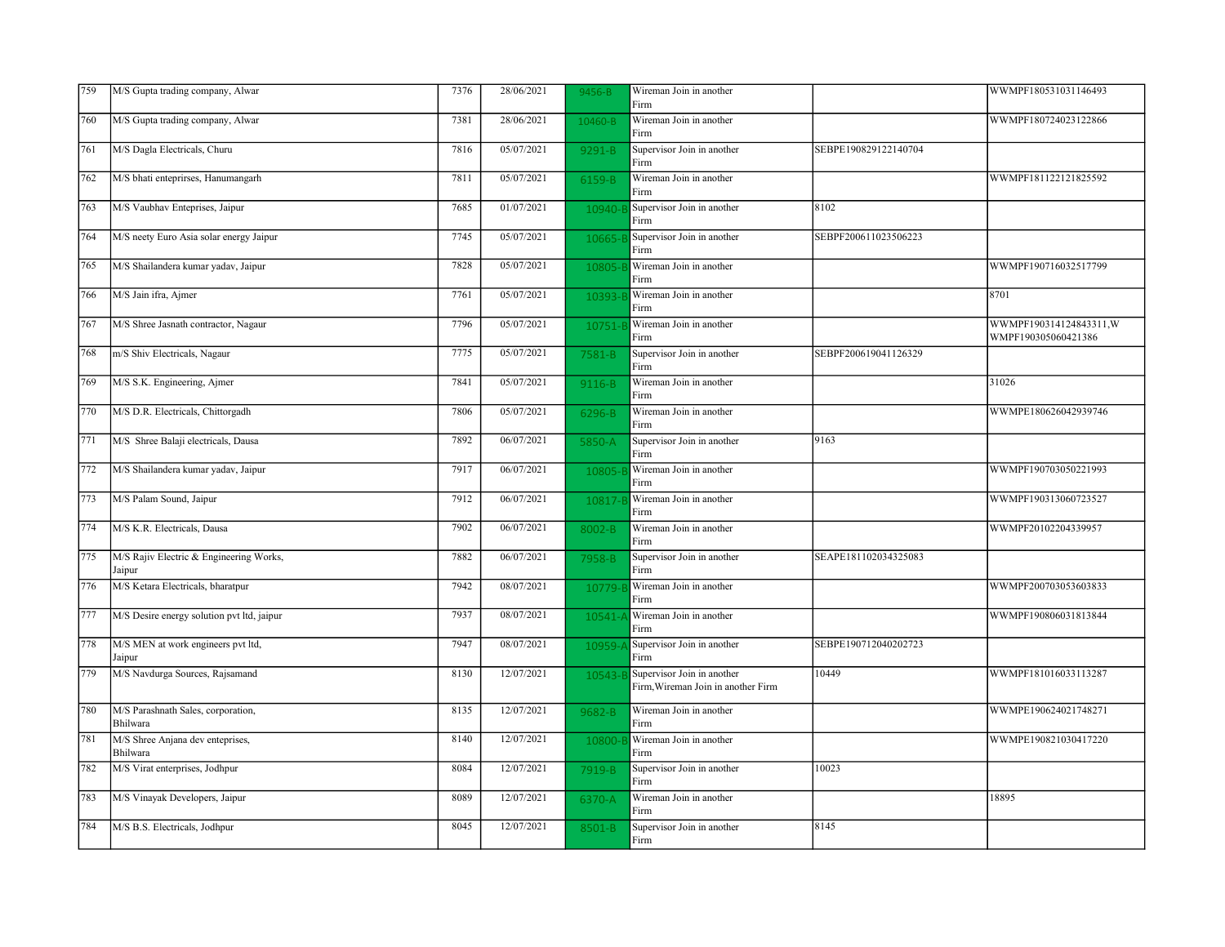| 759 | M/S Gupta trading company, Alwar                  | 7376 | 28/06/2021 | 9456-B     | Wireman Join in another<br>Firm                                  |                      | WWMPF180531031146493                           |
|-----|---------------------------------------------------|------|------------|------------|------------------------------------------------------------------|----------------------|------------------------------------------------|
| 760 | M/S Gupta trading company, Alwar                  | 7381 | 28/06/2021 | 10460-B    | Wireman Join in another<br>Firm                                  |                      | WWMPF180724023122866                           |
| 761 | M/S Dagla Electricals, Churu                      | 7816 | 05/07/2021 | $9291 - B$ | Supervisor Join in another<br>Firm                               | SEBPE190829122140704 |                                                |
| 762 | M/S bhati enteprirses, Hanumangarh                | 7811 | 05/07/2021 | 6159-B     | Wireman Join in another<br>Firm                                  |                      | WWMPF181122121825592                           |
| 763 | M/S Vaubhav Enteprises, Jaipur                    | 7685 | 01/07/2021 | 10940-1    | Supervisor Join in another<br>Firm                               | 8102                 |                                                |
| 764 | M/S neety Euro Asia solar energy Jaipur           | 7745 | 05/07/2021 | 10665-     | Supervisor Join in another<br>Firm                               | SEBPF200611023506223 |                                                |
| 765 | M/S Shailandera kumar yadav, Jaipur               | 7828 | 05/07/2021 | 10805-     | Wireman Join in another<br>Firm                                  |                      | WWMPF190716032517799                           |
| 766 | M/S Jain ifra, Ajmer                              | 7761 | 05/07/2021 | 10393-     | Wireman Join in another<br>Firm                                  |                      | 8701                                           |
| 767 | M/S Shree Jasnath contractor, Nagaur              | 7796 | 05/07/2021 | 10751-     | Wireman Join in another<br>Firm                                  |                      | WWMPF190314124843311, W<br>WMPF190305060421386 |
| 768 | m/S Shiv Electricals, Nagaur                      | 7775 | 05/07/2021 | 7581-B     | Supervisor Join in another<br>Firm                               | SEBPF200619041126329 |                                                |
| 769 | M/S S.K. Engineering, Ajmer                       | 7841 | 05/07/2021 | 9116-B     | Wireman Join in another<br>Firm                                  |                      | 31026                                          |
| 770 | M/S D.R. Electricals, Chittorgadh                 | 7806 | 05/07/2021 | 6296-B     | Wireman Join in another<br>Firm                                  |                      | WWMPE180626042939746                           |
| 771 | M/S Shree Balaji electricals, Dausa               | 7892 | 06/07/2021 | 5850-A     | Supervisor Join in another<br>Firm                               | 9163                 |                                                |
| 772 | M/S Shailandera kumar yadav, Jaipur               | 7917 | 06/07/2021 | 10805      | Wireman Join in another<br>Firm                                  |                      | WWMPF190703050221993                           |
| 773 | M/S Palam Sound, Jaipur                           | 7912 | 06/07/2021 | 10817-     | Wireman Join in another<br>Firm                                  |                      | WWMPF190313060723527                           |
| 774 | M/S K.R. Electricals, Dausa                       | 7902 | 06/07/2021 | 8002-B     | Wireman Join in another<br>Firm                                  |                      | WWMPF20102204339957                            |
| 775 | M/S Rajiv Electric & Engineering Works,<br>Jaipur | 7882 | 06/07/2021 | 7958-B     | Supervisor Join in another<br>Firm                               | SEAPE181102034325083 |                                                |
| 776 | M/S Ketara Electricals, bharatpur                 | 7942 | 08/07/2021 | 10779-     | Wireman Join in another<br>Firm                                  |                      | WWMPF200703053603833                           |
| 777 | M/S Desire energy solution pvt ltd, jaipur        | 7937 | 08/07/2021 | 10541-     | Wireman Join in another<br>Firm                                  |                      | WWMPF190806031813844                           |
| 778 | M/S MEN at work engineers pvt ltd,<br>Jaipur      | 7947 | 08/07/2021 | 10959-     | Supervisor Join in another<br>Firm                               | SEBPE190712040202723 |                                                |
| 779 | M/S Navdurga Sources, Rajsamand                   | 8130 | 12/07/2021 | 10543-     | Supervisor Join in another<br>Firm, Wireman Join in another Firm | 10449                | WWMPF181016033113287                           |
| 780 | M/S Parashnath Sales, corporation,<br>Bhilwara    | 8135 | 12/07/2021 | 9682-B     | Wireman Join in another<br>Firm                                  |                      | WWMPE190624021748271                           |
| 781 | M/S Shree Anjana dev enteprises,<br>Bhilwara      | 8140 | 12/07/2021 | 10800-     | Wireman Join in another<br>Firm                                  |                      | WWMPE190821030417220                           |
| 782 | M/S Virat enterprises, Jodhpur                    | 8084 | 12/07/2021 | 7919-B     | Supervisor Join in another<br>Firm                               | 10023                |                                                |
| 783 | M/S Vinayak Developers, Jaipur                    | 8089 | 12/07/2021 | 6370-A     | Wireman Join in another<br>Firm                                  |                      | 18895                                          |
| 784 | M/S B.S. Electricals, Jodhpur                     | 8045 | 12/07/2021 | 8501-B     | Supervisor Join in another<br>Firm                               | 8145                 |                                                |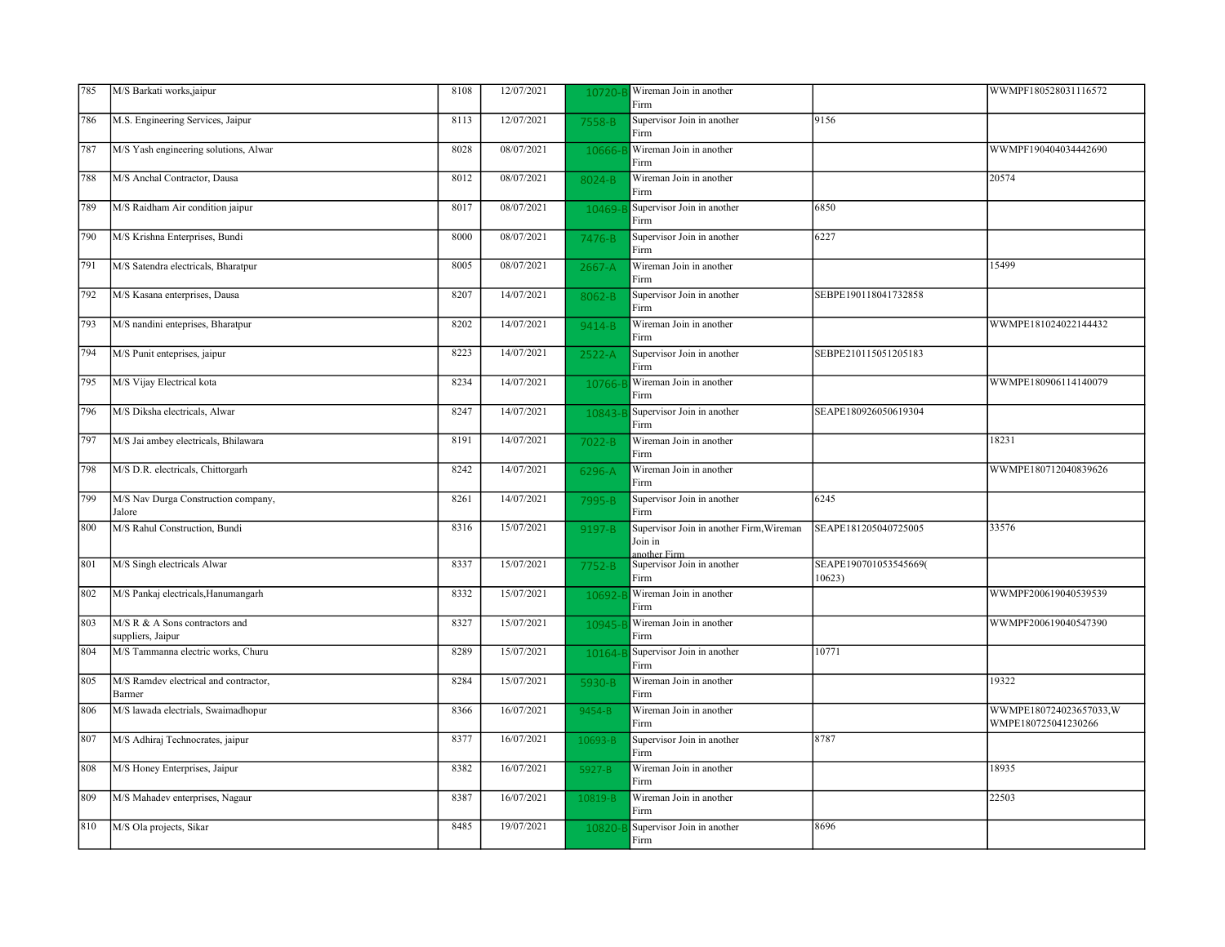| 785 | M/S Barkati works,jaipur                            | 8108 | 12/07/2021 | 10720-     | Wireman Join in another<br>Firm                                     |                                 | WWMPF180528031116572                          |
|-----|-----------------------------------------------------|------|------------|------------|---------------------------------------------------------------------|---------------------------------|-----------------------------------------------|
| 786 | M.S. Engineering Services, Jaipur                   | 8113 | 12/07/2021 | 7558-B     | Supervisor Join in another<br>Firm                                  | 9156                            |                                               |
| 787 | M/S Yash engineering solutions, Alwar               | 8028 | 08/07/2021 | 10666-     | Wireman Join in another<br>Firm                                     |                                 | WWMPF190404034442690                          |
| 788 | M/S Anchal Contractor, Dausa                        | 8012 | 08/07/2021 | 8024-B     | Wireman Join in another<br>Firm                                     |                                 | 20574                                         |
| 789 | M/S Raidham Air condition jaipur                    | 8017 | 08/07/2021 | 10469-     | Supervisor Join in another<br>Firm                                  | 6850                            |                                               |
| 790 | M/S Krishna Enterprises, Bundi                      | 8000 | 08/07/2021 | 7476-B     | Supervisor Join in another<br>Firm                                  | 6227                            |                                               |
| 791 | M/S Satendra electricals, Bharatpur                 | 8005 | 08/07/2021 | 2667-A     | Wireman Join in another<br>Firm                                     |                                 | 15499                                         |
| 792 | M/S Kasana enterprises, Dausa                       | 8207 | 14/07/2021 | 8062-B     | Supervisor Join in another<br>Firm                                  | SEBPE190118041732858            |                                               |
| 793 | M/S nandini enteprises, Bharatpur                   | 8202 | 14/07/2021 | $9414 - B$ | Wireman Join in another<br>Firm                                     |                                 | WWMPE181024022144432                          |
| 794 | M/S Punit enteprises, jaipur                        | 8223 | 14/07/2021 | 2522-A     | Supervisor Join in another<br>Firm                                  | SEBPE210115051205183            |                                               |
| 795 | M/S Vijay Electrical kota                           | 8234 | 14/07/2021 | 10766-     | Wireman Join in another<br>Firm                                     |                                 | WWMPE180906114140079                          |
| 796 | M/S Diksha electricals, Alwar                       | 8247 | 14/07/2021 | 10843-     | Supervisor Join in another<br>Firm                                  | SEAPE180926050619304            |                                               |
| 797 | M/S Jai ambey electricals, Bhilawara                | 8191 | 14/07/2021 | $7022 - B$ | Wireman Join in another<br>Firm                                     |                                 | 18231                                         |
| 798 | M/S D.R. electricals, Chittorgarh                   | 8242 | 14/07/2021 | 6296-A     | Wireman Join in another<br>Firm                                     |                                 | WWMPE180712040839626                          |
| 799 | M/S Nav Durga Construction company,<br>Jalore       | 8261 | 14/07/2021 | 7995-B     | Supervisor Join in another<br>Firm                                  | 6245                            |                                               |
| 800 | M/S Rahul Construction, Bundi                       | 8316 | 15/07/2021 | 9197-B     | Supervisor Join in another Firm, Wireman<br>Join in<br>another Firm | SEAPE181205040725005            | 33576                                         |
| 801 | M/S Singh electricals Alwar                         | 8337 | 15/07/2021 | 7752-B     | Supervisor Join in another<br>Firm                                  | SEAPE190701053545669(<br>10623) |                                               |
| 802 | M/S Pankaj electricals, Hanumangarh                 | 8332 | 15/07/2021 | 10692-     | Wireman Join in another<br>Firm                                     |                                 | WWMPF200619040539539                          |
| 803 | M/S R & A Sons contractors and<br>suppliers, Jaipur | 8327 | 15/07/2021 | 10945-     | Wireman Join in another<br>Firm                                     |                                 | WWMPF200619040547390                          |
| 804 | M/S Tammanna electric works, Churu                  | 8289 | 15/07/2021 | 10164-     | Supervisor Join in another<br>Firm                                  | 10771                           |                                               |
| 805 | M/S Ramdev electrical and contractor,<br>Barmer     | 8284 | 15/07/2021 | 5930-B     | Wireman Join in another<br>Firm                                     |                                 | 19322                                         |
| 806 | M/S lawada electrials, Swaimadhopur                 | 8366 | 16/07/2021 | 9454-B     | Wireman Join in another<br>Firm                                     |                                 | WWMPE180724023657033,W<br>WMPE180725041230266 |
| 807 | M/S Adhiraj Technocrates, jaipur                    | 8377 | 16/07/2021 | 10693-B    | Supervisor Join in another<br>Firm                                  | 8787                            |                                               |
| 808 | M/S Honey Enterprises, Jaipur                       | 8382 | 16/07/2021 | 5927-B     | Wireman Join in another<br>Firm                                     |                                 | 18935                                         |
| 809 | M/S Mahadev enterprises, Nagaur                     | 8387 | 16/07/2021 | 10819-B    | Wireman Join in another<br>Firm                                     |                                 | 22503                                         |
| 810 | M/S Ola projects, Sikar                             | 8485 | 19/07/2021 | 10820-     | Supervisor Join in another<br>Firm                                  | 8696                            |                                               |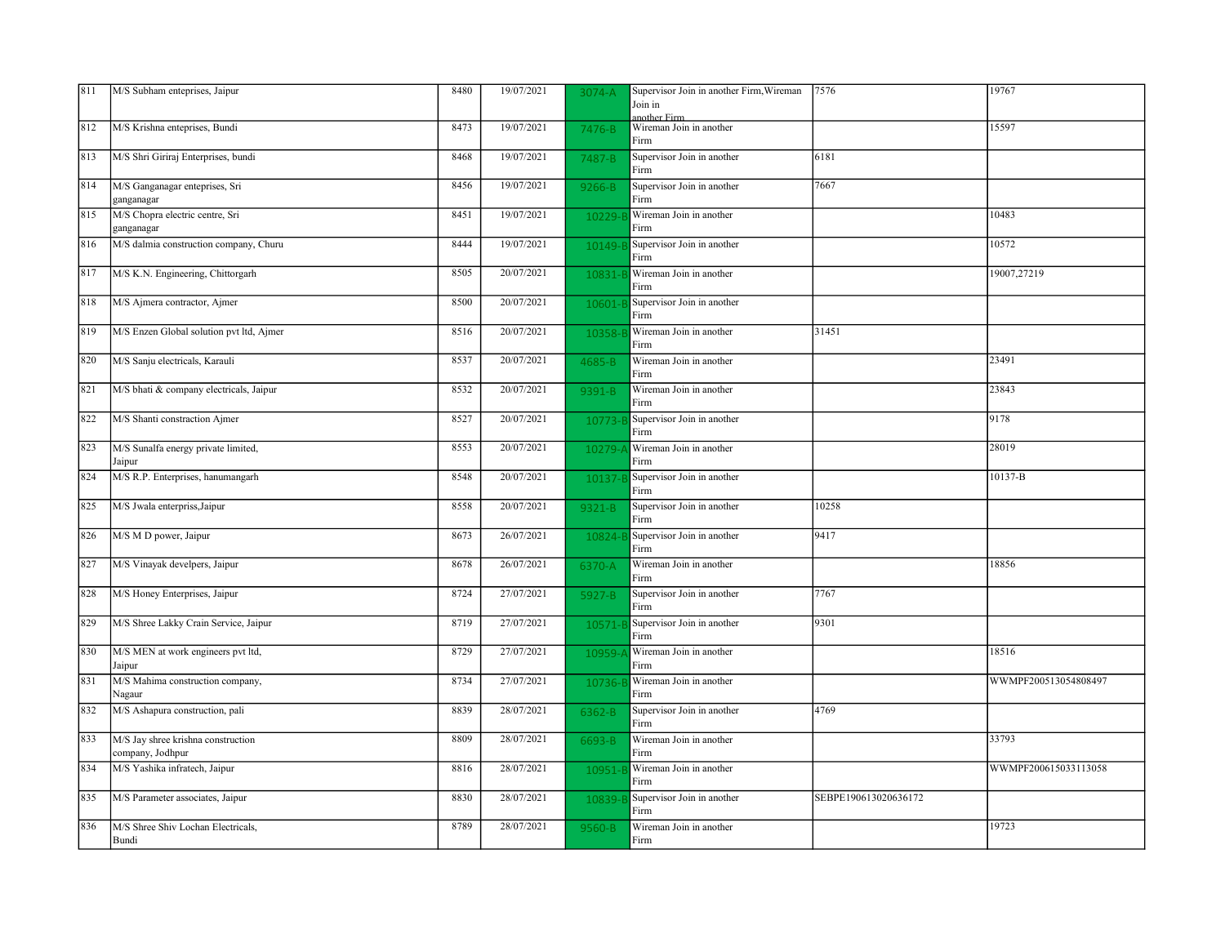| 811 | M/S Subham enteprises, Jaipur                          | 8480 | 19/07/2021 | 3074-A    | Supervisor Join in another Firm, Wireman<br>Join in<br>another Firm | 7576                 | 19767                |
|-----|--------------------------------------------------------|------|------------|-----------|---------------------------------------------------------------------|----------------------|----------------------|
| 812 | M/S Krishna enteprises, Bundi                          | 8473 | 19/07/2021 | 7476-B    | Wireman Join in another<br>Firm                                     |                      | 15597                |
| 813 | M/S Shri Giriraj Enterprises, bundi                    | 8468 | 19/07/2021 | 7487-B    | Supervisor Join in another<br>Firm                                  | 6181                 |                      |
| 814 | M/S Ganganagar enteprises, Sri<br>ganganagar           | 8456 | 19/07/2021 | 9266-B    | Supervisor Join in another<br>Firm                                  | 7667                 |                      |
| 815 | M/S Chopra electric centre, Sri<br>ganganagar          | 8451 | 19/07/2021 | 10229-    | Wireman Join in another<br>Firm                                     |                      | 10483                |
| 816 | M/S dalmia construction company, Churu                 | 8444 | 19/07/2021 | 10149-E   | Supervisor Join in another<br>Firm                                  |                      | 10572                |
| 817 | M/S K.N. Engineering, Chittorgarh                      | 8505 | 20/07/2021 | 10831-    | Wireman Join in another<br>Firm                                     |                      | 19007,27219          |
| 818 | M/S Ajmera contractor, Ajmer                           | 8500 | 20/07/2021 | 10601-    | Supervisor Join in another<br>Firm                                  |                      |                      |
| 819 | M/S Enzen Global solution pvt ltd, Ajmer               | 8516 | 20/07/2021 | 10358-    | Wireman Join in another<br>Firm                                     | 31451                |                      |
| 820 | M/S Sanju electricals, Karauli                         | 8537 | 20/07/2021 | 4685-B    | Wireman Join in another<br>Firm                                     |                      | 23491                |
| 821 | M/S bhati & company electricals, Jaipur                | 8532 | 20/07/2021 | 9391-B    | Wireman Join in another<br>Firm                                     |                      | 23843                |
| 822 | M/S Shanti constraction Ajmer                          | 8527 | 20/07/2021 | 10773-    | Supervisor Join in another<br>Firm                                  |                      | 9178                 |
| 823 | M/S Sunalfa energy private limited,<br>Jaipur          | 8553 | 20/07/2021 | $10279 -$ | Wireman Join in another<br>Firm                                     |                      | 28019                |
| 824 | M/S R.P. Enterprises, hanumangarh                      | 8548 | 20/07/2021 | 10137     | Supervisor Join in another<br>Firm                                  |                      | 10137-B              |
| 825 | M/S Jwala enterpriss, Jaipur                           | 8558 | 20/07/2021 | 9321-B    | Supervisor Join in another<br>Firm                                  | 10258                |                      |
| 826 | M/S M D power, Jaipur                                  | 8673 | 26/07/2021 | 10824-6   | Supervisor Join in another<br>Firm                                  | 9417                 |                      |
| 827 | M/S Vinayak develpers, Jaipur                          | 8678 | 26/07/2021 | 6370-A    | Wireman Join in another<br>Firm                                     |                      | 18856                |
| 828 | M/S Honey Enterprises, Jaipur                          | 8724 | 27/07/2021 | 5927-B    | Supervisor Join in another<br>Firm                                  | 7767                 |                      |
| 829 | M/S Shree Lakky Crain Service, Jaipur                  | 8719 | 27/07/2021 | 10571-1   | Supervisor Join in another<br>Firm                                  | 9301                 |                      |
| 830 | M/S MEN at work engineers pvt ltd,<br>Jaipur           | 8729 | 27/07/2021 | 10959-    | Wireman Join in another<br>Firm                                     |                      | 18516                |
| 831 | M/S Mahima construction company,<br>Nagaur             | 8734 | 27/07/2021 | 10736-    | Wireman Join in another<br>Firm                                     |                      | WWMPF200513054808497 |
| 832 | M/S Ashapura construction, pali                        | 8839 | 28/07/2021 | 6362-B    | Supervisor Join in another<br>Firm                                  | 4769                 |                      |
| 833 | M/S Jay shree krishna construction<br>company, Jodhpur | 8809 | 28/07/2021 | 6693-B    | Wireman Join in another<br>Firm                                     |                      | 33793                |
| 834 | M/S Yashika infratech, Jaipur                          | 8816 | 28/07/2021 | 10951-    | Wireman Join in another<br>Firm                                     |                      | WWMPF200615033113058 |
| 835 | M/S Parameter associates, Jaipur                       | 8830 | 28/07/2021 | 10839-    | Supervisor Join in another<br>Firm                                  | SEBPE190613020636172 |                      |
| 836 | M/S Shree Shiv Lochan Electricals,<br>Bundi            | 8789 | 28/07/2021 | 9560-B    | Wireman Join in another<br>Firm                                     |                      | 19723                |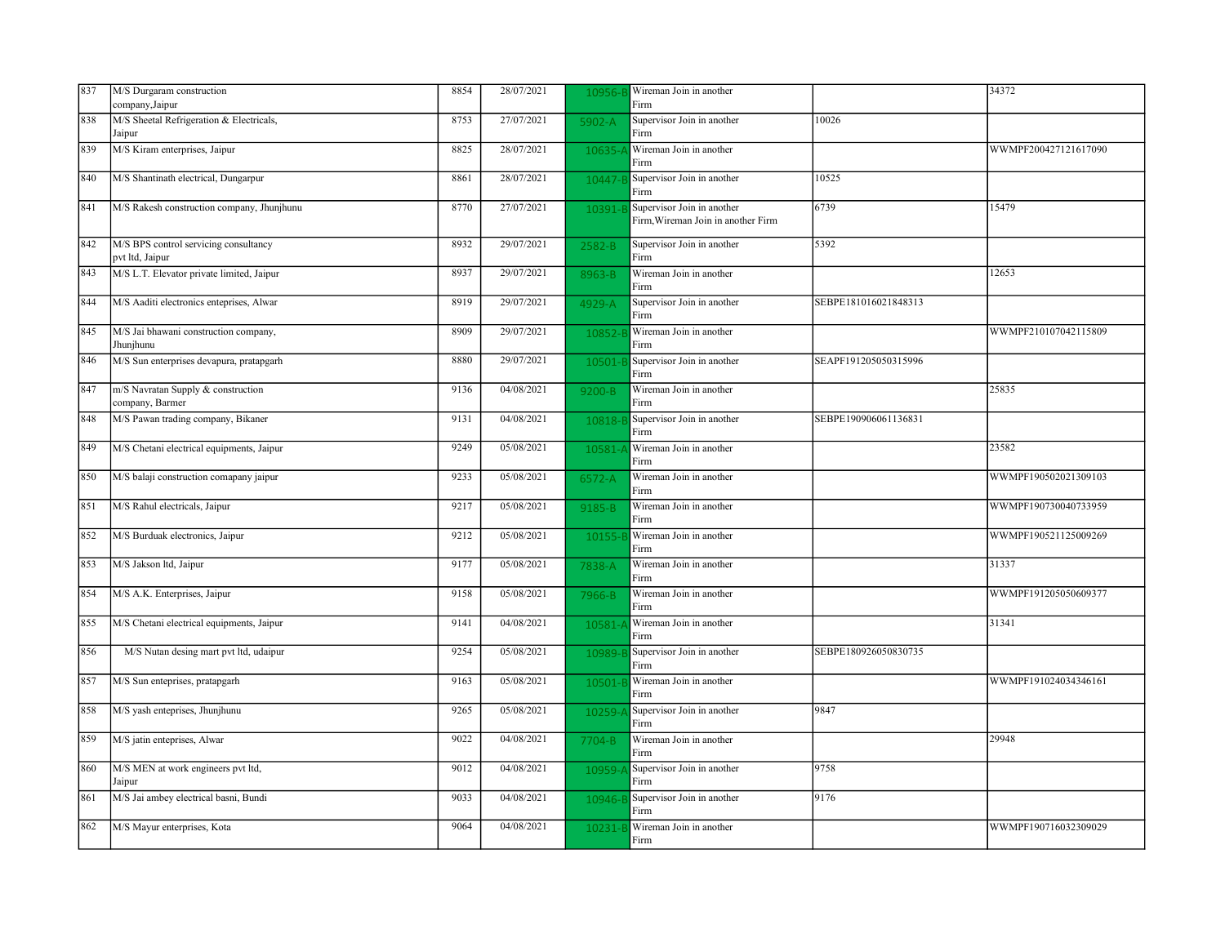| 837 | M/S Durgaram construction                                | 8854 | 28/07/2021 | 10956-     | Wireman Join in another                                          |                      | 34372                |
|-----|----------------------------------------------------------|------|------------|------------|------------------------------------------------------------------|----------------------|----------------------|
|     | company, Jaipur                                          |      |            |            | Firm                                                             |                      |                      |
| 838 | M/S Sheetal Refrigeration & Electricals,<br>Jaipur       | 8753 | 27/07/2021 | 5902-A     | Supervisor Join in another<br>Firm                               | 10026                |                      |
| 839 | M/S Kiram enterprises, Jaipur                            | 8825 | 28/07/2021 | 10635-     | Wireman Join in another<br>Firm                                  |                      | WWMPF200427121617090 |
| 840 | M/S Shantinath electrical, Dungarpur                     | 8861 | 28/07/2021 | 10447-     | Supervisor Join in another<br>Firm                               | 10525                |                      |
| 841 | M/S Rakesh construction company, Jhunjhunu               | 8770 | 27/07/2021 | 10391-     | Supervisor Join in another<br>Firm, Wireman Join in another Firm | 6739                 | 15479                |
| 842 | M/S BPS control servicing consultancy<br>pvt ltd, Jaipur | 8932 | 29/07/2021 | 2582-B     | Supervisor Join in another<br>Firm                               | 5392                 |                      |
| 843 | M/S L.T. Elevator private limited, Jaipur                | 8937 | 29/07/2021 | 8963-B     | Wireman Join in another<br>Firm                                  |                      | 12653                |
| 844 | M/S Aaditi electronics enteprises, Alwar                 | 8919 | 29/07/2021 | 4929-A     | Supervisor Join in another<br>Firm                               | SEBPE181016021848313 |                      |
| 845 | M/S Jai bhawani construction company,<br>Jhunjhunu       | 8909 | 29/07/2021 | 10852      | Wireman Join in another<br>Firm                                  |                      | WWMPF210107042115809 |
| 846 | M/S Sun enterprises devapura, pratapgarh                 | 8880 | 29/07/2021 | 10501-     | Supervisor Join in another<br>Firm                               | SEAPF191205050315996 |                      |
| 847 | m/S Navratan Supply & construction<br>company, Barmer    | 9136 | 04/08/2021 | $9200 - B$ | Wireman Join in another<br>Firm                                  |                      | 25835                |
| 848 | M/S Pawan trading company, Bikaner                       | 9131 | 04/08/2021 | 10818-     | Supervisor Join in another<br>Firm                               | SEBPE190906061136831 |                      |
| 849 | M/S Chetani electrical equipments, Jaipur                | 9249 | 05/08/2021 | 10581-     | Wireman Join in another<br>Firm                                  |                      | 23582                |
| 850 | M/S balaji construction comapany jaipur                  | 9233 | 05/08/2021 | 6572-A     | Wireman Join in another<br>Firm                                  |                      | WWMPF190502021309103 |
| 851 | M/S Rahul electricals, Jaipur                            | 9217 | 05/08/2021 | 9185-B     | Wireman Join in another<br>Firm                                  |                      | WWMPF190730040733959 |
| 852 | M/S Burduak electronics, Jaipur                          | 9212 | 05/08/2021 | 10155      | Wireman Join in another<br>Firm                                  |                      | WWMPF190521125009269 |
| 853 | M/S Jakson ltd, Jaipur                                   | 9177 | 05/08/2021 | 7838-A     | Wireman Join in another<br>Firm                                  |                      | 31337                |
| 854 | M/S A.K. Enterprises, Jaipur                             | 9158 | 05/08/2021 | 7966-B     | Wireman Join in another<br>Firm                                  |                      | WWMPF191205050609377 |
| 855 | M/S Chetani electrical equipments, Jaipur                | 9141 | 04/08/2021 | 10581-     | Wireman Join in another<br>Firm                                  |                      | 31341                |
| 856 | M/S Nutan desing mart pvt ltd, udaipur                   | 9254 | 05/08/2021 | 10989-B    | Supervisor Join in another<br>Firm                               | SEBPE180926050830735 |                      |
| 857 | M/S Sun enteprises, pratapgarh                           | 9163 | 05/08/2021 | 10501      | Wireman Join in another<br>Firm                                  |                      | WWMPF191024034346161 |
| 858 | M/S yash enteprises, Jhunjhunu                           | 9265 | 05/08/2021 | 10259-     | Supervisor Join in another<br>Firm                               | 9847                 |                      |
| 859 | M/S jatin enteprises, Alwar                              | 9022 | 04/08/2021 | 7704-B     | Wireman Join in another<br>Firm                                  |                      | 29948                |
| 860 | M/S MEN at work engineers pvt ltd,<br>Jaipur             | 9012 | 04/08/2021 | 10959-     | Supervisor Join in another<br>Firm                               | 9758                 |                      |
| 861 | M/S Jai ambey electrical basni, Bundi                    | 9033 | 04/08/2021 | 10946-E    | Supervisor Join in another<br>Firm                               | 9176                 |                      |
| 862 | M/S Mayur enterprises, Kota                              | 9064 | 04/08/2021 | 10231-     | Wireman Join in another<br>Firm                                  |                      | WWMPF190716032309029 |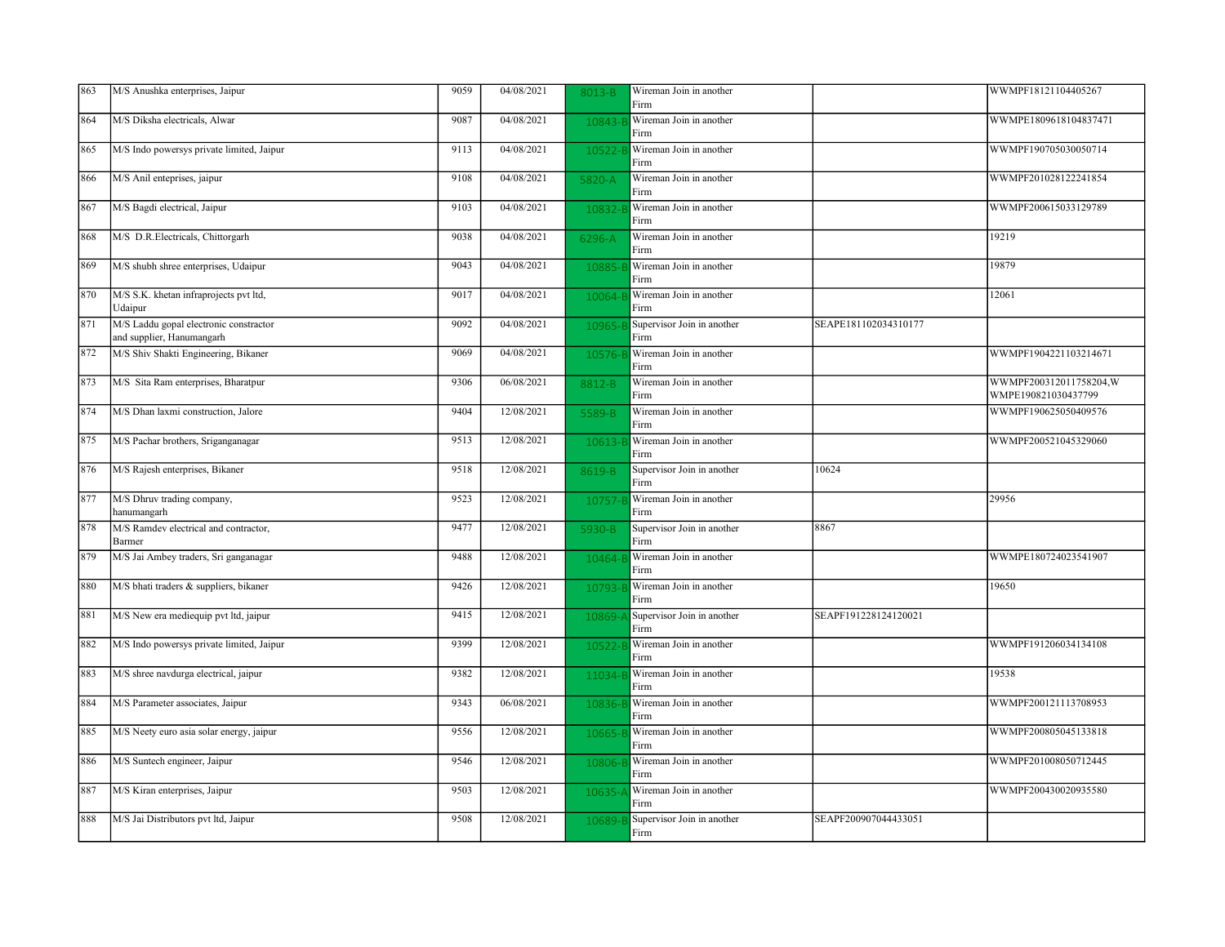| 863 | M/S Anushka enterprises, Jaipur                                     | 9059 | 04/08/2021 | 8013-B  | Wireman Join in another<br>Firm    |                      | WWMPF18121104405267                           |
|-----|---------------------------------------------------------------------|------|------------|---------|------------------------------------|----------------------|-----------------------------------------------|
| 864 | M/S Diksha electricals, Alwar                                       | 9087 | 04/08/2021 | 10843-  | Wireman Join in another<br>Firm    |                      | WWMPE1809618104837471                         |
| 865 | M/S Indo powersys private limited, Jaipur                           | 9113 | 04/08/2021 | 10522-  | Wireman Join in another<br>Firm    |                      | WWMPF190705030050714                          |
| 866 | M/S Anil enteprises, jaipur                                         | 9108 | 04/08/2021 | 5820-A  | Wireman Join in another<br>Firm    |                      | WWMPF201028122241854                          |
| 867 | M/S Bagdi electrical, Jaipur                                        | 9103 | 04/08/2021 | 10832   | Wireman Join in another<br>Firm    |                      | WWMPF200615033129789                          |
| 868 | M/S D.R.Electricals, Chittorgarh                                    | 9038 | 04/08/2021 | 6296-A  | Wireman Join in another<br>Firm    |                      | 19219                                         |
| 869 | M/S shubh shree enterprises, Udaipur                                | 9043 | 04/08/2021 | 10885   | Wireman Join in another<br>Firm    |                      | 19879                                         |
| 870 | M/S S.K. khetan infraprojects pvt ltd,<br>Udaipur                   | 9017 | 04/08/2021 | 10064-  | Wireman Join in another<br>Firm    |                      | 12061                                         |
| 871 | M/S Laddu gopal electronic constractor<br>and supplier, Hanumangarh | 9092 | 04/08/2021 | 10965-  | Supervisor Join in another<br>Firm | SEAPE181102034310177 |                                               |
| 872 | M/S Shiv Shakti Engineering, Bikaner                                | 9069 | 04/08/2021 | 10576-  | Wireman Join in another<br>Firm    |                      | WWMPF1904221103214671                         |
| 873 | M/S Sita Ram enterprises, Bharatpur                                 | 9306 | 06/08/2021 | 8812-B  | Wireman Join in another<br>Firm    |                      | WWMPF200312011758204,W<br>WMPE190821030437799 |
| 874 | M/S Dhan laxmi construction, Jalore                                 | 9404 | 12/08/2021 | 5589-B  | Wireman Join in another<br>Firm    |                      | WWMPF190625050409576                          |
| 875 | M/S Pachar brothers, Sriganganagar                                  | 9513 | 12/08/2021 | 10613-  | Wireman Join in another<br>Firm    |                      | WWMPF200521045329060                          |
| 876 | M/S Rajesh enterprises, Bikaner                                     | 9518 | 12/08/2021 | 8619-B  | Supervisor Join in another<br>Firm | 10624                |                                               |
| 877 | M/S Dhruv trading company,<br>hanumangarh                           | 9523 | 12/08/2021 | 10757-  | Wireman Join in another<br>Firm    |                      | 29956                                         |
| 878 | M/S Ramdev electrical and contractor,<br>Barmer                     | 9477 | 12/08/2021 | 5930-B  | Supervisor Join in another<br>Firm | 8867                 |                                               |
| 879 | M/S Jai Ambey traders, Sri ganganagar                               | 9488 | 12/08/2021 | 10464-  | Wireman Join in another<br>Firm    |                      | WWMPE180724023541907                          |
| 880 | M/S bhati traders & suppliers, bikaner                              | 9426 | 12/08/2021 | 10793-  | Wireman Join in another<br>Firm    |                      | 19650                                         |
| 881 | M/S New era mediequip pvt ltd, jaipur                               | 9415 | 12/08/2021 | 10869-  | Supervisor Join in another<br>Firm | SEAPF191228124120021 |                                               |
| 882 | M/S Indo powersys private limited, Jaipur                           | 9399 | 12/08/2021 | 10522-  | Wireman Join in another<br>Firm    |                      | WWMPF191206034134108                          |
| 883 | M/S shree navdurga electrical, jaipur                               | 9382 | 12/08/2021 | 11034-  | Wireman Join in another<br>Firm    |                      | 19538                                         |
| 884 | M/S Parameter associates, Jaipur                                    | 9343 | 06/08/2021 | 10836-1 | Wireman Join in another<br>Firm    |                      | WWMPF200121113708953                          |
| 885 | M/S Neety euro asia solar energy, jaipur                            | 9556 | 12/08/2021 | 10665-  | Wireman Join in another<br>Firm    |                      | WWMPF200805045133818                          |
| 886 | M/S Suntech engineer, Jaipur                                        | 9546 | 12/08/2021 | 10806-  | Wireman Join in another<br>Firm    |                      | WWMPF201008050712445                          |
| 887 | M/S Kiran enterprises, Jaipur                                       | 9503 | 12/08/2021 | 10635-  | Wireman Join in another<br>Firm    |                      | WWMPF200430020935580                          |
| 888 | M/S Jai Distributors pvt ltd, Jaipur                                | 9508 | 12/08/2021 | 10689-  | Supervisor Join in another<br>Firm | SEAPF200907044433051 |                                               |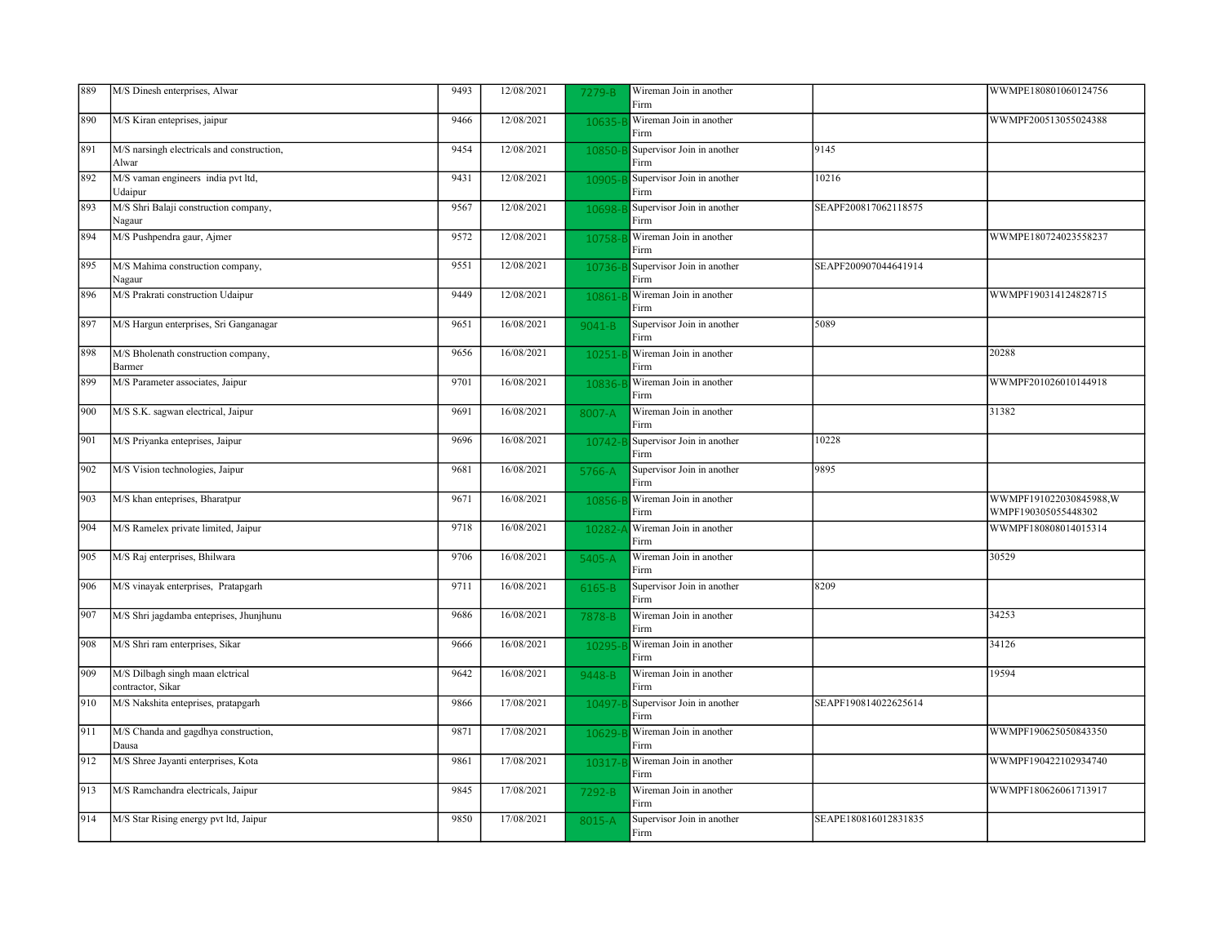| 889 | M/S Dinesh enterprises, Alwar                         | 9493 | 12/08/2021 | 7279-B     | Wireman Join in another<br>Firm    |                      | WWMPE180801060124756                          |
|-----|-------------------------------------------------------|------|------------|------------|------------------------------------|----------------------|-----------------------------------------------|
| 890 | M/S Kiran enteprises, jaipur                          | 9466 | 12/08/2021 | 10635-     | Wireman Join in another<br>Firm    |                      | WWMPF200513055024388                          |
| 891 | M/S narsingh electricals and construction,<br>Alwar   | 9454 | 12/08/2021 | 10850-     | Supervisor Join in another<br>Firm | 9145                 |                                               |
| 892 | M/S vaman engineers india pvt ltd,<br>Udaipur         | 9431 | 12/08/2021 | 10905-E    | Supervisor Join in another<br>Firm | 10216                |                                               |
| 893 | M/S Shri Balaji construction company,<br>Nagaur       | 9567 | 12/08/2021 | 10698-     | Supervisor Join in another<br>Firm | SEAPF200817062118575 |                                               |
| 894 | M/S Pushpendra gaur, Ajmer                            | 9572 | 12/08/2021 | 10758-E    | Wireman Join in another<br>Firm    |                      | WWMPE180724023558237                          |
| 895 | M/S Mahima construction company,<br>Nagaur            | 9551 | 12/08/2021 | 10736-B    | Supervisor Join in another<br>Firm | SEAPF200907044641914 |                                               |
| 896 | M/S Prakrati construction Udaipur                     | 9449 | 12/08/2021 | 10861-     | Wireman Join in another<br>Firm    |                      | WWMPF190314124828715                          |
| 897 | M/S Hargun enterprises, Sri Ganganagar                | 9651 | 16/08/2021 | $9041 - B$ | Supervisor Join in another<br>Firm | 5089                 |                                               |
| 898 | M/S Bholenath construction company,<br>Barmer         | 9656 | 16/08/2021 | 10251-     | Wireman Join in another<br>Firm    |                      | 20288                                         |
| 899 | M/S Parameter associates, Jaipur                      | 9701 | 16/08/2021 | 10836-     | Wireman Join in another<br>Firm    |                      | WWMPF201026010144918                          |
| 900 | M/S S.K. sagwan electrical, Jaipur                    | 9691 | 16/08/2021 | 8007-A     | Wireman Join in another<br>Firm    |                      | 31382                                         |
| 901 | M/S Priyanka enteprises, Jaipur                       | 9696 | 16/08/2021 | 10742-     | Supervisor Join in another<br>Firm | 10228                |                                               |
| 902 | M/S Vision technologies, Jaipur                       | 9681 | 16/08/2021 | 5766-A     | Supervisor Join in another<br>Firm | 9895                 |                                               |
| 903 | M/S khan enteprises, Bharatpur                        | 9671 | 16/08/2021 | 10856-     | Wireman Join in another<br>Firm    |                      | WWMPF191022030845988,W<br>WMPF190305055448302 |
| 904 | M/S Ramelex private limited, Jaipur                   | 9718 | 16/08/2021 | 10282-     | Wireman Join in another<br>Firm    |                      | WWMPF180808014015314                          |
| 905 | M/S Raj enterprises, Bhilwara                         | 9706 | 16/08/2021 | 5405-A     | Wireman Join in another<br>Firm    |                      | 30529                                         |
| 906 | M/S vinayak enterprises, Pratapgarh                   | 9711 | 16/08/2021 | 6165-B     | Supervisor Join in another<br>Firm | 8209                 |                                               |
| 907 | M/S Shri jagdamba enteprises, Jhunjhunu               | 9686 | 16/08/2021 | 7878-B     | Wireman Join in another<br>Firm    |                      | 34253                                         |
| 908 | M/S Shri ram enterprises, Sikar                       | 9666 | 16/08/2021 | 10295-     | Wireman Join in another<br>Firm    |                      | 34126                                         |
| 909 | M/S Dilbagh singh maan elctrical<br>contractor, Sikar | 9642 | 16/08/2021 | 9448-B     | Wireman Join in another<br>Firm    |                      | 19594                                         |
| 910 | M/S Nakshita enteprises, pratapgarh                   | 9866 | 17/08/2021 | 10497-E    | Supervisor Join in another<br>Firm | SEAPF190814022625614 |                                               |
| 911 | M/S Chanda and gagdhya construction,<br>Dausa         | 9871 | 17/08/2021 | 10629-     | Wireman Join in another<br>Firm    |                      | WWMPF190625050843350                          |
| 912 | M/S Shree Jayanti enterprises, Kota                   | 9861 | 17/08/2021 | 10317-     | Wireman Join in another<br>Firm    |                      | WWMPF190422102934740                          |
| 913 | M/S Ramchandra electricals, Jaipur                    | 9845 | 17/08/2021 | 7292-B     | Wireman Join in another<br>Firm    |                      | WWMPF180626061713917                          |
| 914 | M/S Star Rising energy pvt ltd, Jaipur                | 9850 | 17/08/2021 | 8015-A     | Supervisor Join in another<br>Firm | SEAPE180816012831835 |                                               |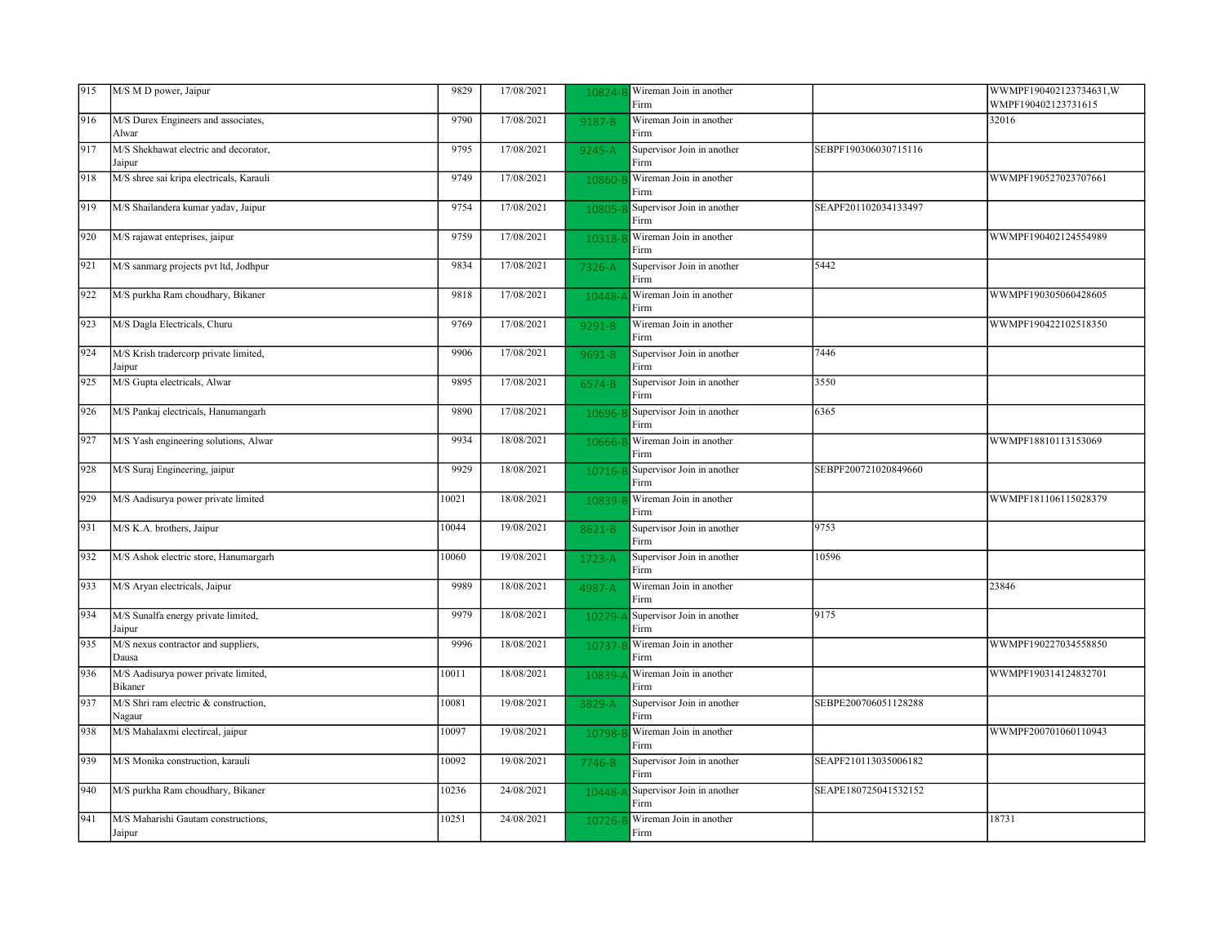| 915 | M/S M D power, Jaipur                           | 9829  | 17/08/2021 | 10824-     | Wireman Join in another<br>Firm    |                      | WWMPF190402123734631, W<br>WMPF190402123731615 |
|-----|-------------------------------------------------|-------|------------|------------|------------------------------------|----------------------|------------------------------------------------|
| 916 | M/S Durex Engineers and associates,<br>Alwar    | 9790  | 17/08/2021 | 9187-B     | Wireman Join in another<br>Firm    |                      | 32016                                          |
| 917 | M/S Shekhawat electric and decorator,<br>Jaipur | 9795  | 17/08/2021 | $9245 - A$ | Supervisor Join in another<br>Firm | SEBPF190306030715116 |                                                |
| 918 | M/S shree sai kripa electricals, Karauli        | 9749  | 17/08/2021 | 10860-     | Wireman Join in another<br>Firm    |                      | WWMPF190527023707661                           |
| 919 | M/S Shailandera kumar yadav, Jaipur             | 9754  | 17/08/2021 | 10805      | Supervisor Join in another<br>Firm | SEAPF201102034133497 |                                                |
| 920 | M/S rajawat enteprises, jaipur                  | 9759  | 17/08/2021 | 10318-1    | Wireman Join in another<br>Firm    |                      | WWMPF190402124554989                           |
| 921 | M/S sanmarg projects pvt ltd, Jodhpur           | 9834  | 17/08/2021 | 7326-A     | Supervisor Join in another<br>Firm | 5442                 |                                                |
| 922 | M/S purkha Ram choudhary, Bikaner               | 9818  | 17/08/2021 | 10448-     | Wireman Join in another<br>Firm    |                      | WWMPF190305060428605                           |
| 923 | M/S Dagla Electricals, Churu                    | 9769  | 17/08/2021 | 9291-B     | Wireman Join in another<br>Firm    |                      | WWMPF190422102518350                           |
| 924 | M/S Krish tradercorp private limited,<br>Jaipur | 9906  | 17/08/2021 | 9691-B     | Supervisor Join in another<br>Firm | 7446                 |                                                |
| 925 | M/S Gupta electricals, Alwar                    | 9895  | 17/08/2021 | 6574-B     | Supervisor Join in another<br>Firm | 3550                 |                                                |
| 926 | M/S Pankaj electricals, Hanumangarh             | 9890  | 17/08/2021 | 10696-     | Supervisor Join in another<br>Firm | 6365                 |                                                |
| 927 | M/S Yash engineering solutions, Alwar           | 9934  | 18/08/2021 | 10666-     | Wireman Join in another<br>Firm    |                      | WWMPF18810113153069                            |
| 928 | M/S Suraj Engineering, jaipur                   | 9929  | 18/08/2021 | 10716-F    | Supervisor Join in another<br>Firm | SEBPF200721020849660 |                                                |
| 929 | M/S Aadisurya power private limited             | 10021 | 18/08/2021 | 10839-     | Wireman Join in another<br>Firm    |                      | WWMPF181106115028379                           |
| 931 | M/S K.A. brothers, Jaipur                       | 10044 | 19/08/2021 | 8621-B     | Supervisor Join in another<br>Firm | 9753                 |                                                |
| 932 | M/S Ashok electric store, Hanumargarh           | 10060 | 19/08/2021 | 1723-A     | Supervisor Join in another<br>Firm | 10596                |                                                |
| 933 | M/S Aryan electricals, Jaipur                   | 9989  | 18/08/2021 | 4987-A     | Wireman Join in another<br>Firm    |                      | 23846                                          |
| 934 | M/S Sunalfa energy private limited,<br>Jaipur   | 9979  | 18/08/2021 | 10279      | Supervisor Join in another<br>Firm | 9175                 |                                                |
| 935 | M/S nexus contractor and suppliers,<br>Dausa    | 9996  | 18/08/2021 | 10737-     | Wireman Join in another<br>Firm    |                      | WWMPF190227034558850                           |
| 936 | M/S Aadisurya power private limited,<br>Bikaner | 10011 | 18/08/2021 | 10839      | Wireman Join in another<br>Firm    |                      | WWMPF190314124832701                           |
| 937 | M/S Shri ram electric & construction,<br>Nagaur | 10081 | 19/08/2021 | 3829-A     | Supervisor Join in another<br>Firm | SEBPE200706051128288 |                                                |
| 938 | M/S Mahalaxmi electircal, jaipur                | 10097 | 19/08/2021 | 10798-     | Wireman Join in another<br>Firm    |                      | WWMPF200701060110943                           |
| 939 | M/S Monika construction, karauli                | 10092 | 19/08/2021 | $7746 - B$ | Supervisor Join in another<br>Firm | SEAPF210113035006182 |                                                |
| 940 | M/S purkha Ram choudhary, Bikaner               | 10236 | 24/08/2021 | 10448-     | Supervisor Join in another<br>Firm | SEAPE180725041532152 |                                                |
| 941 | M/S Maharishi Gautam constructions,<br>Jaipur   | 10251 | 24/08/2021 | 10726-     | Wireman Join in another<br>Firm    |                      | 18731                                          |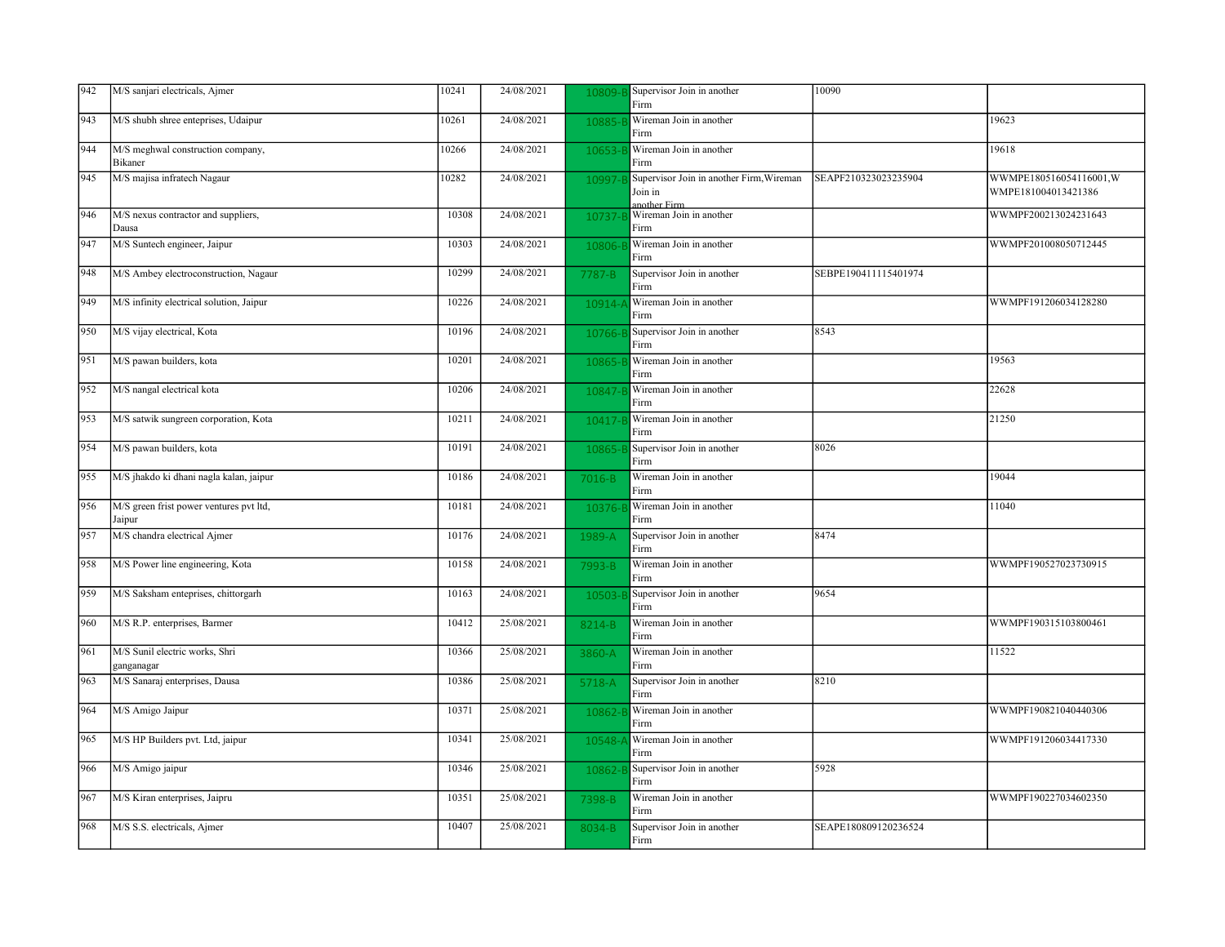| 942 | M/S sanjari electricals, Ajmer                    | 10241 | 24/08/2021 | 10809-  | Supervisor Join in another<br>Firm                                  | 10090                |                                               |
|-----|---------------------------------------------------|-------|------------|---------|---------------------------------------------------------------------|----------------------|-----------------------------------------------|
| 943 | M/S shubh shree enteprises, Udaipur               | 10261 | 24/08/2021 | 10885-  | Wireman Join in another<br>Firm                                     |                      | 19623                                         |
| 944 | M/S meghwal construction company,<br>Bikaner      | 10266 | 24/08/2021 | 10653   | Wireman Join in another<br>Firm                                     |                      | 19618                                         |
| 945 | M/S majisa infratech Nagaur                       | 10282 | 24/08/2021 | 10997-  | Supervisor Join in another Firm, Wireman<br>Join in<br>another Firm | SEAPF210323023235904 | WWMPE180516054116001,W<br>WMPE181004013421386 |
| 946 | M/S nexus contractor and suppliers,<br>Dausa      | 10308 | 24/08/2021 | 10737-  | Wireman Join in another<br>Firm                                     |                      | WWMPF200213024231643                          |
| 947 | M/S Suntech engineer, Jaipur                      | 10303 | 24/08/2021 | 10806-  | Wireman Join in another<br>Firm                                     |                      | WWMPF201008050712445                          |
| 948 | M/S Ambey electroconstruction, Nagaur             | 10299 | 24/08/2021 | 7787-B  | Supervisor Join in another<br>Firm                                  | SEBPE190411115401974 |                                               |
| 949 | M/S infinity electrical solution, Jaipur          | 10226 | 24/08/2021 | 10914-  | Wireman Join in another<br>Firm                                     |                      | WWMPF191206034128280                          |
| 950 | M/S vijay electrical, Kota                        | 10196 | 24/08/2021 | 10766-  | Supervisor Join in another<br>Firm                                  | 8543                 |                                               |
| 951 | M/S pawan builders, kota                          | 10201 | 24/08/2021 | 10865-1 | Wireman Join in another<br>Firm                                     |                      | 19563                                         |
| 952 | M/S nangal electrical kota                        | 10206 | 24/08/2021 | 10847   | Wireman Join in another<br>Firm                                     |                      | 22628                                         |
| 953 | M/S satwik sungreen corporation, Kota             | 10211 | 24/08/2021 | 10417   | Wireman Join in another<br>Firm                                     |                      | 21250                                         |
| 954 | M/S pawan builders, kota                          | 10191 | 24/08/2021 | 10865-  | Supervisor Join in another<br>Firm                                  | 8026                 |                                               |
| 955 | M/S jhakdo ki dhani nagla kalan, jaipur           | 10186 | 24/08/2021 | 7016-B  | Wireman Join in another<br>Firm                                     |                      | 19044                                         |
| 956 | M/S green frist power ventures pvt ltd,<br>Jaipur | 10181 | 24/08/2021 | 10376-1 | Wireman Join in another<br>Firm                                     |                      | 11040                                         |
| 957 | M/S chandra electrical Ajmer                      | 10176 | 24/08/2021 | 1989-A  | Supervisor Join in another<br>Firm                                  | 8474                 |                                               |
| 958 | M/S Power line engineering, Kota                  | 10158 | 24/08/2021 | 7993-B  | Wireman Join in another<br>Firm                                     |                      | WWMPF190527023730915                          |
| 959 | M/S Saksham enteprises, chittorgarh               | 10163 | 24/08/2021 | 10503   | Supervisor Join in another<br>Firm                                  | 9654                 |                                               |
| 960 | M/S R.P. enterprises, Barmer                      | 10412 | 25/08/2021 | 8214-B  | Wireman Join in another<br>Firm                                     |                      | WWMPF190315103800461                          |
| 961 | M/S Sunil electric works, Shri<br>ganganagar      | 10366 | 25/08/2021 | 3860-A  | Wireman Join in another<br>Firm                                     |                      | 11522                                         |
| 963 | M/S Sanaraj enterprises, Dausa                    | 10386 | 25/08/2021 | 5718-A  | Supervisor Join in another<br>Firm                                  | 8210                 |                                               |
| 964 | M/S Amigo Jaipur                                  | 10371 | 25/08/2021 | 10862   | Wireman Join in another<br>Firm                                     |                      | WWMPF190821040440306                          |
| 965 | M/S HP Builders pvt. Ltd, jaipur                  | 10341 | 25/08/2021 | 10548-  | Wireman Join in another<br>Firm                                     |                      | WWMPF191206034417330                          |
| 966 | M/S Amigo jaipur                                  | 10346 | 25/08/2021 | 10862-  | Supervisor Join in another<br>Firm                                  | 5928                 |                                               |
| 967 | M/S Kiran enterprises, Jaipru                     | 10351 | 25/08/2021 | 7398-B  | Wireman Join in another<br>Firm                                     |                      | WWMPF190227034602350                          |
| 968 | M/S S.S. electricals, Ajmer                       | 10407 | 25/08/2021 | 8034-B  | Supervisor Join in another<br>Firm                                  | SEAPE180809120236524 |                                               |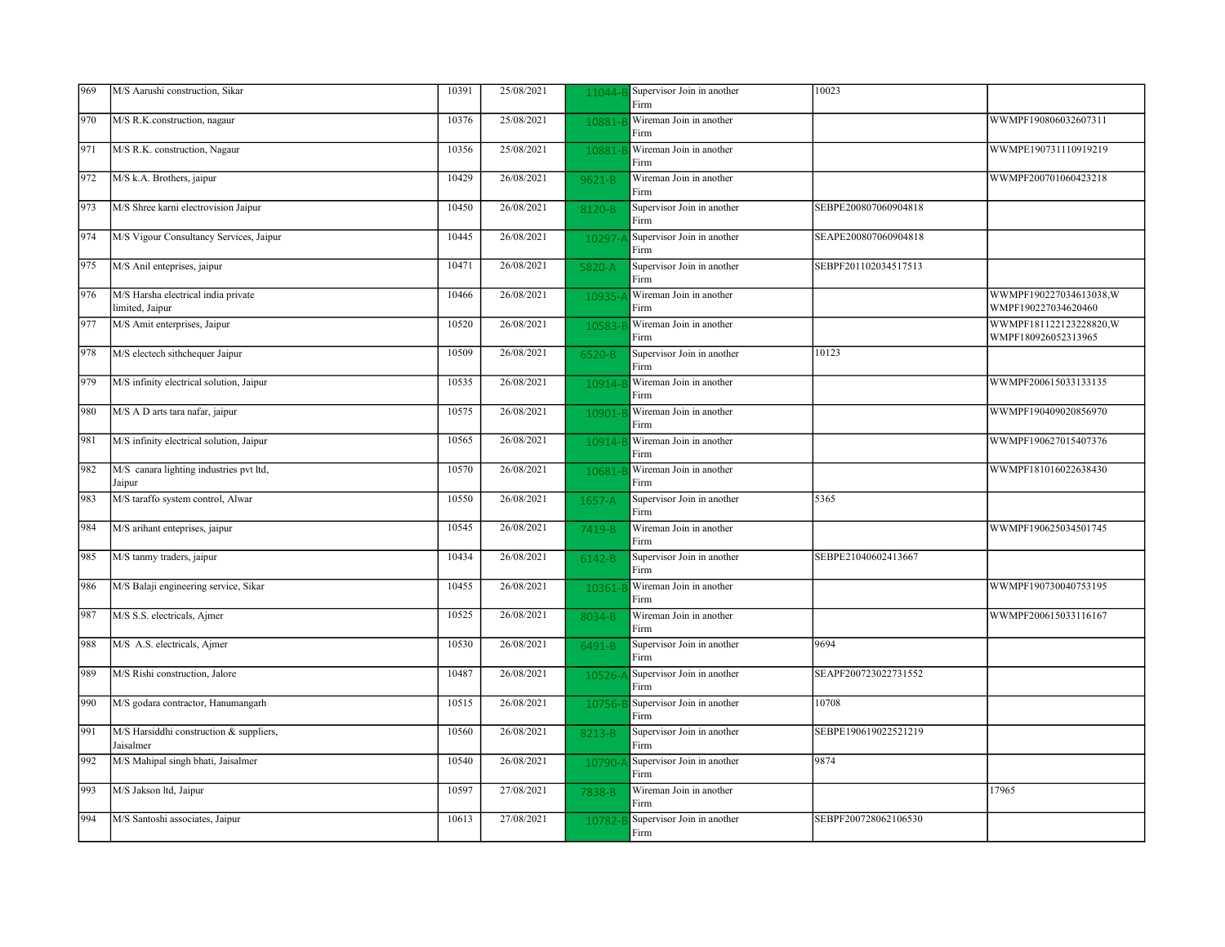| 969 | M/S Aarushi construction, Sikar                        | 10391 | 25/08/2021 | 11044-    | Supervisor Join in another<br>Firm | 10023                |                                               |
|-----|--------------------------------------------------------|-------|------------|-----------|------------------------------------|----------------------|-----------------------------------------------|
| 970 | M/S R.K.construction, nagaur                           | 10376 | 25/08/2021 | 10881-    | Wireman Join in another<br>Firm    |                      | WWMPF190806032607311                          |
| 971 | M/S R.K. construction, Nagaur                          | 10356 | 25/08/2021 | 10881-    | Wireman Join in another<br>Firm    |                      | WWMPE190731110919219                          |
| 972 | M/S k.A. Brothers, jaipur                              | 10429 | 26/08/2021 | 9621-B    | Wireman Join in another<br>Firm    |                      | WWMPF200701060423218                          |
| 973 | M/S Shree karni electrovision Jaipur                   | 10450 | 26/08/2021 | 8120-B    | Supervisor Join in another<br>Firm | SEBPE200807060904818 |                                               |
| 974 | M/S Vigour Consultancy Services, Jaipur                | 10445 | 26/08/2021 | $10297 -$ | Supervisor Join in another<br>Firm | SEAPE200807060904818 |                                               |
| 975 | M/S Anil enteprises, jaipur                            | 10471 | 26/08/2021 | 5820-A    | Supervisor Join in another<br>Firm | SEBPF201102034517513 |                                               |
| 976 | M/S Harsha electrical india private<br>limited, Jaipur | 10466 | 26/08/2021 | 10935-    | Wireman Join in another<br>Firm    |                      | WWMPF190227034613038,W<br>WMPF190227034620460 |
| 977 | M/S Amit enterprises, Jaipur                           | 10520 | 26/08/2021 | 10583-    | Wireman Join in another<br>Firm    |                      | WWMPF181122123228820.W<br>WMPF180926052313965 |
| 978 | M/S electech sithchequer Jaipur                        | 10509 | 26/08/2021 | 6520-B    | Supervisor Join in another<br>Firm | 10123                |                                               |
| 979 | M/S infinity electrical solution, Jaipur               | 10535 | 26/08/2021 | 10914-    | Wireman Join in another<br>Firm    |                      | WWMPF200615033133135                          |
| 980 | M/S A D arts tara nafar, jaipur                        | 10575 | 26/08/2021 | 10901     | Wireman Join in another<br>Firm    |                      | WWMPF190409020856970                          |
| 981 | M/S infinity electrical solution, Jaipur               | 10565 | 26/08/2021 | 10914-    | Wireman Join in another<br>Firm    |                      | WWMPF190627015407376                          |
| 982 | M/S canara lighting industries pvt ltd,<br>Jaipur      | 10570 | 26/08/2021 | 10681-    | Wireman Join in another<br>Firm    |                      | WWMPF181016022638430                          |
| 983 | M/S taraffo system control, Alwar                      | 10550 | 26/08/2021 | 1657-A    | Supervisor Join in another<br>Firm | 5365                 |                                               |
| 984 | M/S arihant enteprises, jaipur                         | 10545 | 26/08/2021 | 7419-B    | Wireman Join in another<br>Firm    |                      | WWMPF190625034501745                          |
| 985 | M/S tanmy traders, jaipur                              | 10434 | 26/08/2021 | 6142-B    | Supervisor Join in another<br>Firm | SEBPE21040602413667  |                                               |
| 986 | M/S Balaji engineering service, Sikar                  | 10455 | 26/08/2021 | 10361     | Wireman Join in another<br>Firm    |                      | WWMPF190730040753195                          |
| 987 | M/S S.S. electricals, Ajmer                            | 10525 | 26/08/2021 | 8034-B    | Wireman Join in another<br>Firm    |                      | WWMPF200615033116167                          |
| 988 | M/S A.S. electricals, Ajmer                            | 10530 | 26/08/2021 | 6491-B    | Supervisor Join in another<br>Firm | 9694                 |                                               |
| 989 | M/S Rishi construction, Jalore                         | 10487 | 26/08/2021 | 10526-    | Supervisor Join in another<br>Firm | SEAPF200723022731552 |                                               |
| 990 | M/S godara contractor, Hanumangarh                     | 10515 | 26/08/2021 | 10756-B   | Supervisor Join in another<br>Firm | 10708                |                                               |
| 991 | M/S Harsiddhi construction & suppliers,<br>Jaisalmer   | 10560 | 26/08/2021 | 8213-B    | Supervisor Join in another<br>Firm | SEBPE190619022521219 |                                               |
| 992 | M/S Mahipal singh bhati, Jaisalmer                     | 10540 | 26/08/2021 | $10790 -$ | Supervisor Join in another<br>Firm | 9874                 |                                               |
| 993 | M/S Jakson ltd, Jaipur                                 | 10597 | 27/08/2021 | 7838-B    | Wireman Join in another<br>Firm    |                      | 17965                                         |
| 994 | M/S Santoshi associates, Jaipur                        | 10613 | 27/08/2021 | 10782-    | Supervisor Join in another<br>Firm | SEBPF200728062106530 |                                               |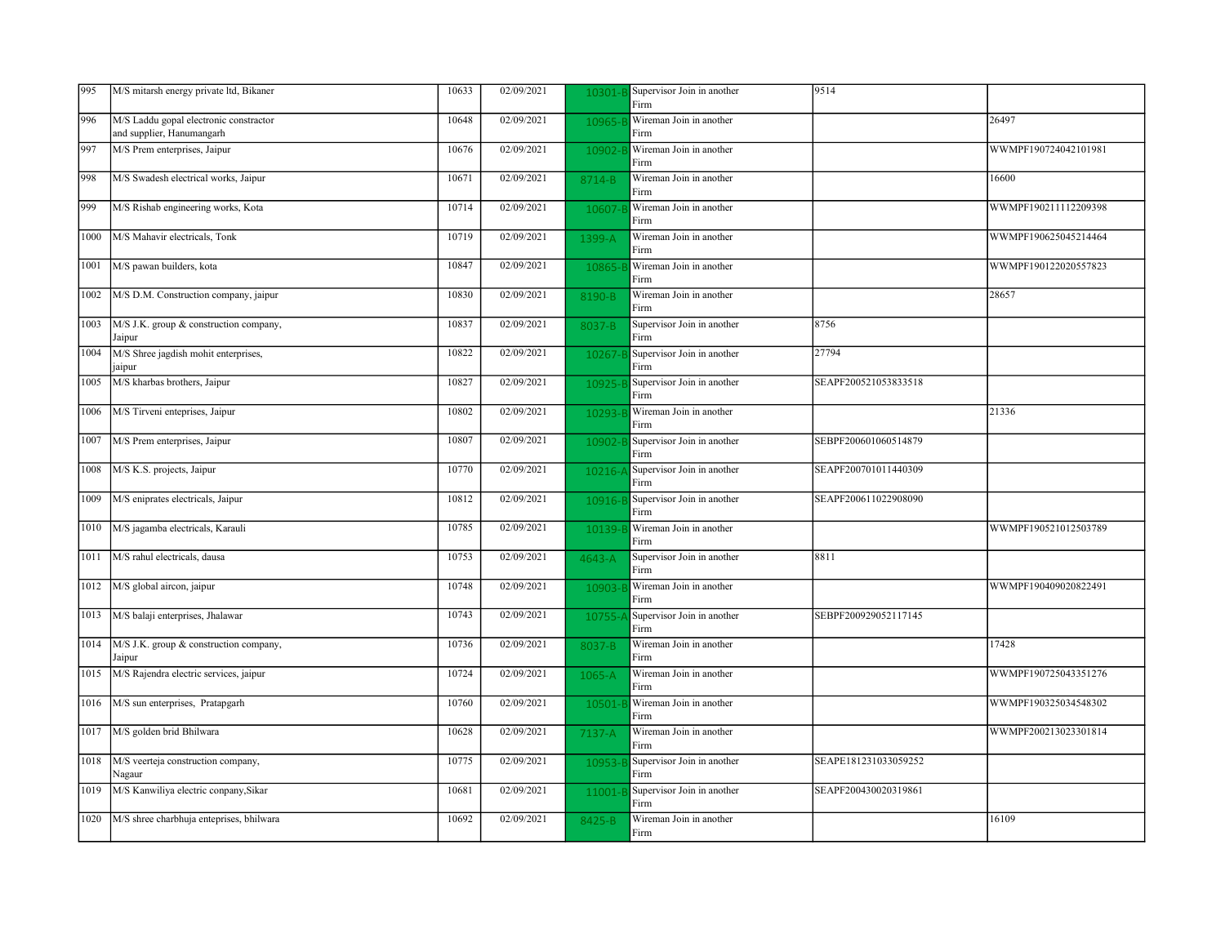| 995  | M/S mitarsh energy private ltd, Bikaner                             | 10633 | 02/09/2021 | 10301-     | Supervisor Join in another<br>Firm | 9514                 |                      |
|------|---------------------------------------------------------------------|-------|------------|------------|------------------------------------|----------------------|----------------------|
| 996  | M/S Laddu gopal electronic constractor<br>and supplier, Hanumangarh | 10648 | 02/09/2021 | 10965-     | Wireman Join in another<br>Firm    |                      | 26497                |
| 997  | M/S Prem enterprises, Jaipur                                        | 10676 | 02/09/2021 | 10902-     | Wireman Join in another<br>Firm    |                      | WWMPF190724042101981 |
| 998  | M/S Swadesh electrical works, Jaipur                                | 10671 | 02/09/2021 | 8714-B     | Wireman Join in another<br>Firm    |                      | 16600                |
| 999  | M/S Rishab engineering works, Kota                                  | 10714 | 02/09/2021 | 10607      | Wireman Join in another<br>Firm    |                      | WWMPF190211112209398 |
| 1000 | M/S Mahavir electricals, Tonk                                       | 10719 | 02/09/2021 | 1399-A     | Wireman Join in another<br>Firm    |                      | WWMPF190625045214464 |
| 1001 | M/S pawan builders, kota                                            | 10847 | 02/09/2021 | 10865      | Wireman Join in another<br>Firm    |                      | WWMPF190122020557823 |
| 1002 | M/S D.M. Construction company, jaipur                               | 10830 | 02/09/2021 | 8190-B     | Wireman Join in another<br>Firm    |                      | 28657                |
| 1003 | M/S J.K. group & construction company,<br>Jaipur                    | 10837 | 02/09/2021 | 8037-B     | Supervisor Join in another<br>Firm | 8756                 |                      |
| 1004 | M/S Shree jagdish mohit enterprises,<br>jaipur                      | 10822 | 02/09/2021 | 10267-     | Supervisor Join in another<br>Firm | 27794                |                      |
| 1005 | M/S kharbas brothers, Jaipur                                        | 10827 | 02/09/2021 | 10925-     | Supervisor Join in another<br>Firm | SEAPF200521053833518 |                      |
| 1006 | M/S Tirveni enteprises, Jaipur                                      | 10802 | 02/09/2021 | 10293-     | Wireman Join in another<br>Firm    |                      | 21336                |
| 1007 | M/S Prem enterprises, Jaipur                                        | 10807 | 02/09/2021 | 10902-     | Supervisor Join in another<br>Firm | SEBPF200601060514879 |                      |
| 1008 | M/S K.S. projects, Jaipur                                           | 10770 | 02/09/2021 | $10216 -$  | Supervisor Join in another<br>Firm | SEAPF200701011440309 |                      |
| 1009 | M/S eniprates electricals, Jaipur                                   | 10812 | 02/09/2021 | 10916-E    | Supervisor Join in another<br>Firm | SEAPF200611022908090 |                      |
| 1010 | M/S jagamba electricals, Karauli                                    | 10785 | 02/09/2021 | 10139-     | Wireman Join in another<br>Firm    |                      | WWMPF190521012503789 |
| 1011 | M/S rahul electricals, dausa                                        | 10753 | 02/09/2021 | 4643-A     | Supervisor Join in another<br>Firm | 8811                 |                      |
| 1012 | M/S global aircon, jaipur                                           | 10748 | 02/09/2021 | 10903-     | Wireman Join in another<br>Firm    |                      | WWMPF190409020822491 |
| 1013 | M/S balaji enterprises, Jhalawar                                    | 10743 | 02/09/2021 | 10755      | Supervisor Join in another<br>Firm | SEBPF200929052117145 |                      |
| 1014 | M/S J.K. group & construction company,<br>Jaipur                    | 10736 | 02/09/2021 | 8037-B     | Wireman Join in another<br>Firm    |                      | 17428                |
| 1015 | M/S Rajendra electric services, jaipur                              | 10724 | 02/09/2021 | 1065-A     | Wireman Join in another<br>Firm    |                      | WWMPF190725043351276 |
| 1016 | M/S sun enterprises, Pratapgarh                                     | 10760 | 02/09/2021 | 10501-     | Wireman Join in another<br>Firm    |                      | WWMPF190325034548302 |
| 1017 | M/S golden brid Bhilwara                                            | 10628 | 02/09/2021 | $7137 - A$ | Wireman Join in another<br>Firm    |                      | WWMPF200213023301814 |
| 1018 | M/S veerteja construction company,<br>Nagaur                        | 10775 | 02/09/2021 | 10953-     | Supervisor Join in another<br>Firm | SEAPE181231033059252 |                      |
| 1019 | M/S Kanwiliya electric conpany, Sikar                               | 10681 | 02/09/2021 | 11001-     | Supervisor Join in another<br>Firm | SEAPF200430020319861 |                      |
| 1020 | M/S shree charbhuja enteprises, bhilwara                            | 10692 | 02/09/2021 | 8425-B     | Wireman Join in another<br>Firm    |                      | 16109                |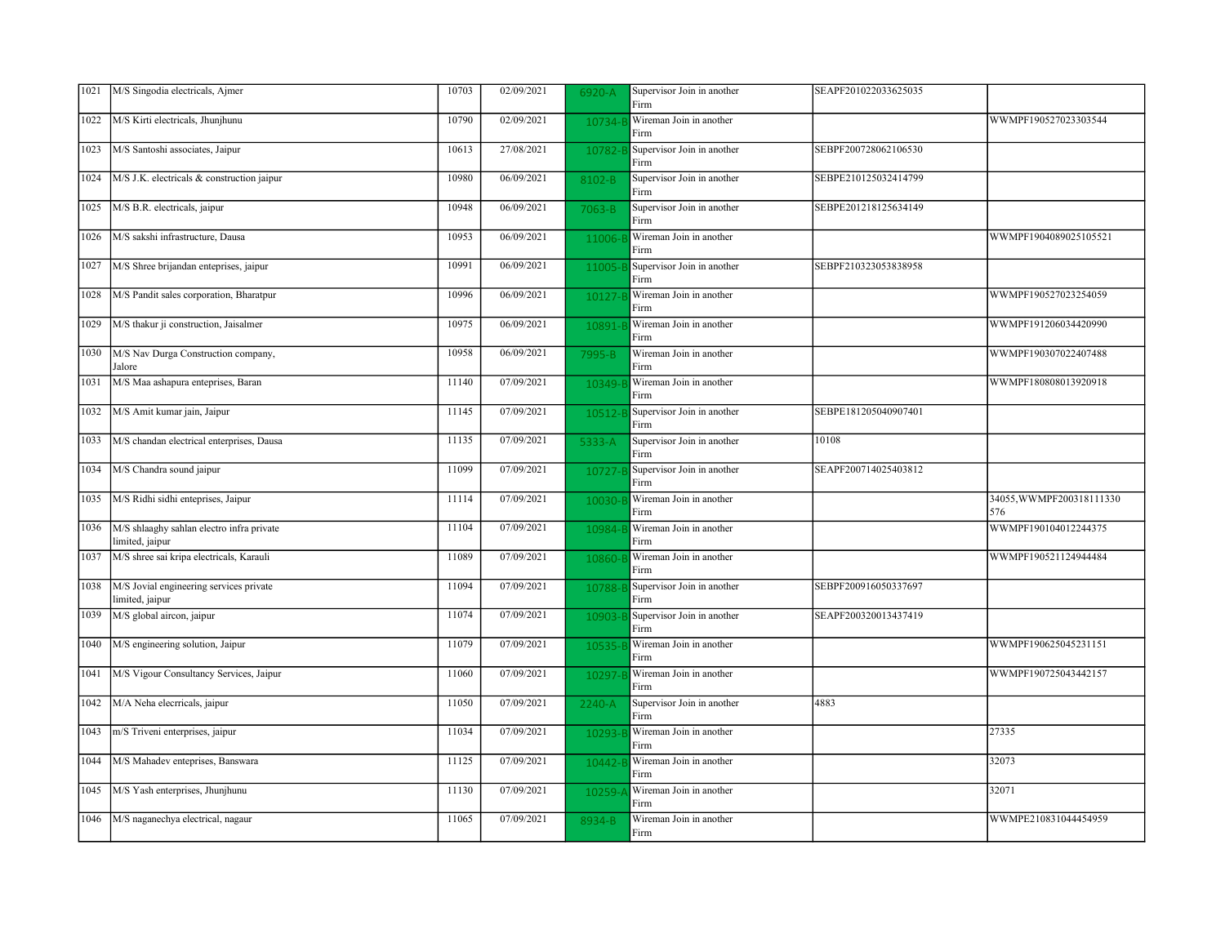| 1021 | M/S Singodia electricals, Ajmer                              | 10703 | 02/09/2021 | 6920-A     | Supervisor Join in another<br>Firm | SEAPF201022033625035 |                                 |
|------|--------------------------------------------------------------|-------|------------|------------|------------------------------------|----------------------|---------------------------------|
| 1022 | M/S Kirti electricals, Jhunjhunu                             | 10790 | 02/09/2021 | 10734-     | Wireman Join in another<br>Firm    |                      | WWMPF190527023303544            |
| 1023 | M/S Santoshi associates, Jaipur                              | 10613 | 27/08/2021 | 10782-     | Supervisor Join in another<br>Firm | SEBPF200728062106530 |                                 |
| 1024 | M/S J.K. electricals & construction jaipur                   | 10980 | 06/09/2021 | 8102-B     | Supervisor Join in another<br>Firm | SEBPE210125032414799 |                                 |
| 1025 | M/S B.R. electricals, jaipur                                 | 10948 | 06/09/2021 | 7063-B     | Supervisor Join in another<br>Firm | SEBPE201218125634149 |                                 |
| 1026 | M/S sakshi infrastructure, Dausa                             | 10953 | 06/09/2021 | 11006-1    | Wireman Join in another<br>Firm    |                      | WWMPF1904089025105521           |
| 1027 | M/S Shree brijandan enteprises, jaipur                       | 10991 | 06/09/2021 | 11005-     | Supervisor Join in another<br>Firm | SEBPF210323053838958 |                                 |
| 1028 | M/S Pandit sales corporation, Bharatpur                      | 10996 | 06/09/2021 | 10127-     | Wireman Join in another<br>Firm    |                      | WWMPF190527023254059            |
| 1029 | M/S thakur ji construction, Jaisalmer                        | 10975 | 06/09/2021 | 10891-     | Wireman Join in another<br>Firm    |                      | WWMPF191206034420990            |
| 1030 | M/S Nav Durga Construction company,<br>Jalore                | 10958 | 06/09/2021 | 7995-B     | Wireman Join in another<br>Firm    |                      | WWMPF190307022407488            |
| 1031 | M/S Maa ashapura enteprises, Baran                           | 11140 | 07/09/2021 | 10349-     | Wireman Join in another<br>Firm    |                      | WWMPF180808013920918            |
| 1032 | M/S Amit kumar jain, Jaipur                                  | 11145 | 07/09/2021 | 10512-     | Supervisor Join in another<br>Firm | SEBPE181205040907401 |                                 |
| 1033 | M/S chandan electrical enterprises, Dausa                    | 11135 | 07/09/2021 | 5333-A     | Supervisor Join in another<br>Firm | 10108                |                                 |
| 1034 | M/S Chandra sound jaipur                                     | 11099 | 07/09/2021 | 10727-1    | Supervisor Join in another<br>Firm | SEAPF200714025403812 |                                 |
| 1035 | M/S Ridhi sidhi enteprises, Jaipur                           | 11114 | 07/09/2021 | 10030-     | Wireman Join in another<br>Firm    |                      | 34055, WWMPF200318111330<br>576 |
| 1036 | M/S shlaaghy sahlan electro infra private<br>limited, jaipur | 11104 | 07/09/2021 | 10984-     | Wireman Join in another<br>Firm    |                      | WWMPF190104012244375            |
| 1037 | M/S shree sai kripa electricals, Karauli                     | 11089 | 07/09/2021 | 10860-     | Wireman Join in another<br>Firm    |                      | WWMPF190521124944484            |
| 1038 | M/S Jovial engineering services private<br>limited, jaipur   | 11094 | 07/09/2021 | 10788-1    | Supervisor Join in another<br>Firm | SEBPF200916050337697 |                                 |
| 1039 | M/S global aircon, jaipur                                    | 11074 | 07/09/2021 | 10903-     | Supervisor Join in another<br>Firm | SEAPF200320013437419 |                                 |
| 1040 | M/S engineering solution, Jaipur                             | 11079 | 07/09/2021 | 10535-1    | Wireman Join in another<br>Firm    |                      | WWMPF190625045231151            |
| 1041 | M/S Vigour Consultancy Services, Jaipur                      | 11060 | 07/09/2021 | 10297      | Wireman Join in another<br>Firm    |                      | WWMPF190725043442157            |
| 1042 | M/A Neha elecrricals, jaipur                                 | 11050 | 07/09/2021 | $2240 - A$ | Supervisor Join in another<br>Firm | 4883                 |                                 |
| 1043 | m/S Triveni enterprises, jaipur                              | 11034 | 07/09/2021 | 10293-     | Wireman Join in another<br>Firm    |                      | 27335                           |
| 1044 | M/S Mahadev enteprises, Banswara                             | 11125 | 07/09/2021 | 10442-1    | Wireman Join in another<br>Firm    |                      | 32073                           |
| 1045 | M/S Yash enterprises, Jhunjhunu                              | 11130 | 07/09/2021 | 10259-     | Wireman Join in another<br>Firm    |                      | 32071                           |
| 1046 | M/S naganechya electrical, nagaur                            | 11065 | 07/09/2021 | 8934-B     | Wireman Join in another<br>Firm    |                      | WWMPE210831044454959            |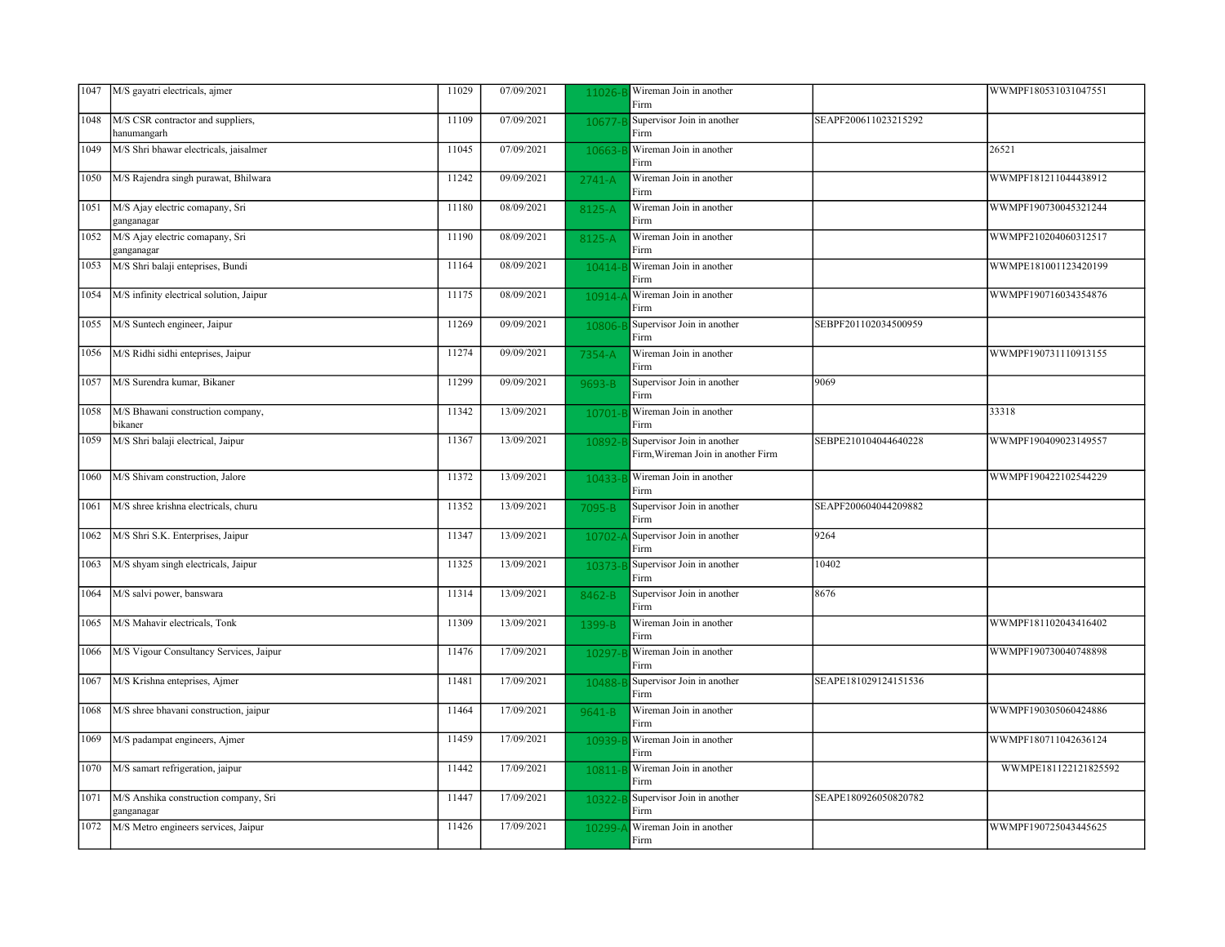| 1047 | M/S gayatri electricals, ajmer                      | 11029 | 07/09/2021 | 11026-     | Wireman Join in another<br>Firm                                  |                      | WWMPF180531031047551 |
|------|-----------------------------------------------------|-------|------------|------------|------------------------------------------------------------------|----------------------|----------------------|
| 1048 | M/S CSR contractor and suppliers,<br>hanumangarh    | 11109 | 07/09/2021 | 10677-     | Supervisor Join in another<br>Firm                               | SEAPF200611023215292 |                      |
| 1049 | M/S Shri bhawar electricals, jaisalmer              | 11045 | 07/09/2021 | 10663-     | Wireman Join in another<br>Firm                                  |                      | 26521                |
| 1050 | M/S Rajendra singh purawat, Bhilwara                | 11242 | 09/09/2021 | $2741 - A$ | Wireman Join in another<br>Firm                                  |                      | WWMPF181211044438912 |
| 1051 | M/S Ajay electric comapany, Sri<br>ganganagar       | 11180 | 08/09/2021 | 8125-A     | Wireman Join in another<br>Firm                                  |                      | WWMPF190730045321244 |
| 1052 | M/S Ajay electric comapany, Sri<br>ganganagar       | 11190 | 08/09/2021 | 8125-A     | Wireman Join in another<br>Firm                                  |                      | WWMPF210204060312517 |
| 1053 | M/S Shri balaji enteprises, Bundi                   | 11164 | 08/09/2021 | $10414 -$  | Wireman Join in another<br>Firm                                  |                      | WWMPE181001123420199 |
| 1054 | M/S infinity electrical solution, Jaipur            | 11175 | 08/09/2021 | 10914-     | Wireman Join in another<br>Firm                                  |                      | WWMPF190716034354876 |
| 1055 | M/S Suntech engineer, Jaipur                        | 11269 | 09/09/2021 | 10806-     | Supervisor Join in another<br>Firm                               | SEBPF201102034500959 |                      |
| 1056 | M/S Ridhi sidhi enteprises, Jaipur                  | 11274 | 09/09/2021 | 7354-A     | Wireman Join in another<br>Firm                                  |                      | WWMPF190731110913155 |
| 1057 | M/S Surendra kumar, Bikaner                         | 11299 | 09/09/2021 | 9693-B     | Supervisor Join in another<br>Firm                               | 9069                 |                      |
| 1058 | M/S Bhawani construction company,<br>bikaner        | 11342 | 13/09/2021 | 10701-     | Wireman Join in another<br>Firm                                  |                      | 33318                |
| 1059 | M/S Shri balaji electrical, Jaipur                  | 11367 | 13/09/2021 | 10892-     | Supervisor Join in another<br>Firm, Wireman Join in another Firm | SEBPE210104044640228 | WWMPF190409023149557 |
| 1060 | M/S Shivam construction, Jalore                     | 11372 | 13/09/2021 | 10433-     | Wireman Join in another<br>Firm                                  |                      | WWMPF190422102544229 |
| 1061 | M/S shree krishna electricals, churu                | 11352 | 13/09/2021 | 7095-B     | Supervisor Join in another<br>Firm                               | SEAPF200604044209882 |                      |
| 1062 | M/S Shri S.K. Enterprises, Jaipur                   | 11347 | 13/09/2021 | 10702-     | Supervisor Join in another<br>Firm                               | 9264                 |                      |
| 1063 | M/S shyam singh electricals, Jaipur                 | 11325 | 13/09/2021 | 10373-E    | Supervisor Join in another<br>Firm                               | 10402                |                      |
| 1064 | M/S salvi power, banswara                           | 11314 | 13/09/2021 | 8462-B     | Supervisor Join in another<br>Firm                               | 8676                 |                      |
| 1065 | M/S Mahavir electricals, Tonk                       | 11309 | 13/09/2021 | 1399-B     | Wireman Join in another<br>Firm                                  |                      | WWMPF181102043416402 |
| 1066 | M/S Vigour Consultancy Services, Jaipur             | 11476 | 17/09/2021 | 10297-     | Wireman Join in another<br>Firm                                  |                      | WWMPF190730040748898 |
| 1067 | M/S Krishna enteprises, Ajmer                       | 11481 | 17/09/2021 | 10488-     | Supervisor Join in another<br>Firm                               | SEAPE181029124151536 |                      |
| 1068 | M/S shree bhavani construction, jaipur              | 11464 | 17/09/2021 | 9641-B     | Wireman Join in another<br>Firm                                  |                      | WWMPF190305060424886 |
| 1069 | M/S padampat engineers, Ajmer                       | 11459 | 17/09/2021 | 10939-     | Wireman Join in another<br>Firm                                  |                      | WWMPF180711042636124 |
| 1070 | M/S samart refrigeration, jaipur                    | 11442 | 17/09/2021 | 10811-     | Wireman Join in another<br>Firm                                  |                      | WWMPE181122121825592 |
| 1071 | M/S Anshika construction company, Sri<br>ganganagar | 11447 | 17/09/2021 | 10322-B    | Supervisor Join in another<br>Firm                               | SEAPE180926050820782 |                      |
| 1072 | M/S Metro engineers services, Jaipur                | 11426 | 17/09/2021 | 10299-     | Wireman Join in another<br>Firm                                  |                      | WWMPF190725043445625 |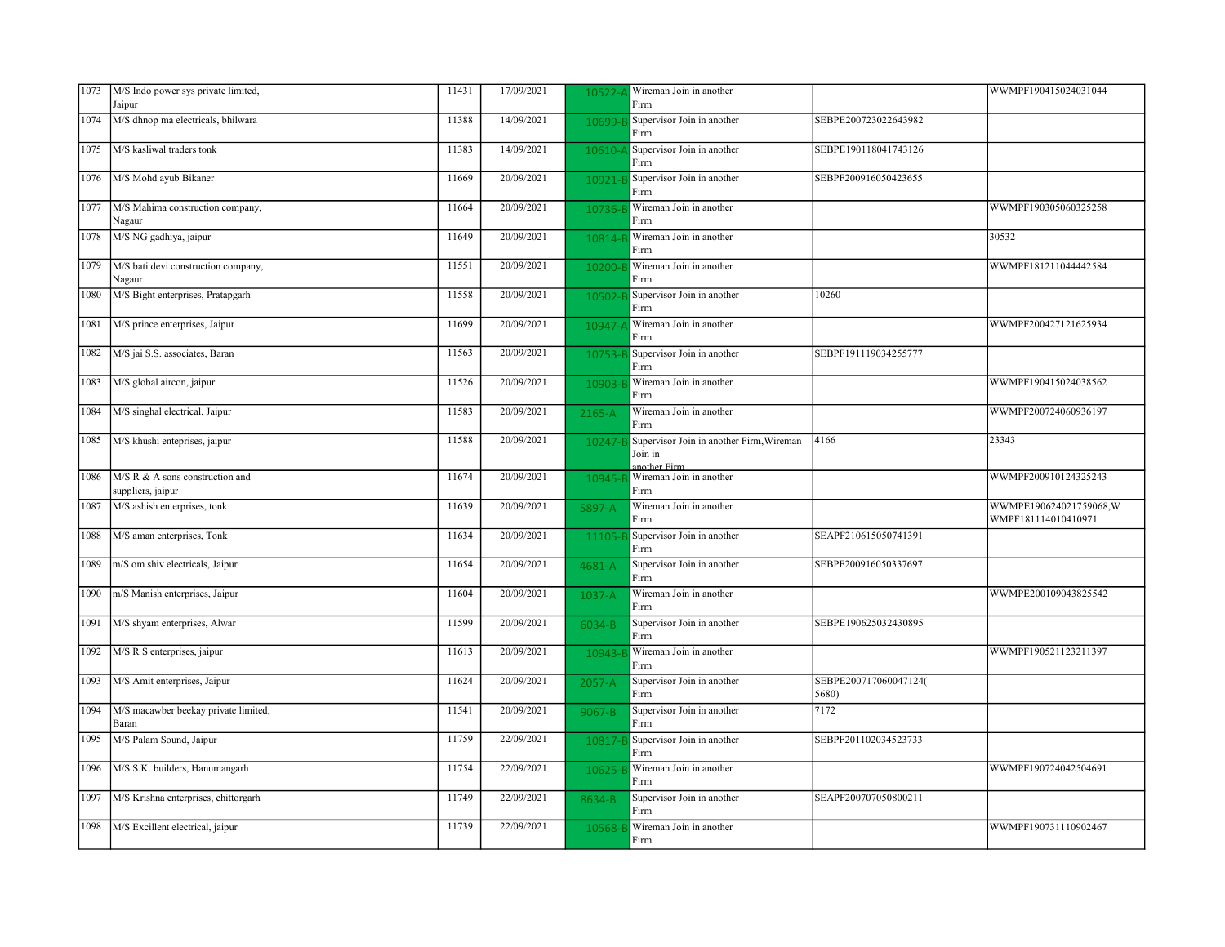| 1073 | M/S Indo power sys private limited,                  | 11431 | 17/09/2021 | 10522-      | Wireman Join in another                                             |                                | WWMPF190415024031044                          |
|------|------------------------------------------------------|-------|------------|-------------|---------------------------------------------------------------------|--------------------------------|-----------------------------------------------|
|      | Jaipur                                               |       |            |             | Firm                                                                |                                |                                               |
| 1074 | M/S dhnop ma electricals, bhilwara                   | 11388 | 14/09/2021 | 10699-B     | Supervisor Join in another<br>Firm                                  | SEBPE200723022643982           |                                               |
| 1075 | M/S kasliwal traders tonk                            | 11383 | 14/09/2021 | $10610 -$   | Supervisor Join in another<br>Firm                                  | SEBPE190118041743126           |                                               |
| 1076 | M/S Mohd ayub Bikaner                                | 11669 | 20/09/2021 | 10921-      | Supervisor Join in another<br>Firm                                  | SEBPF200916050423655           |                                               |
| 1077 | M/S Mahima construction company,<br>Nagaur           | 11664 | 20/09/2021 | 10736-l     | Wireman Join in another<br>Firm                                     |                                | WWMPF190305060325258                          |
| 1078 | M/S NG gadhiya, jaipur                               | 11649 | 20/09/2021 | 10814-1     | Wireman Join in another<br>Firm                                     |                                | 30532                                         |
| 1079 | M/S bati devi construction company,<br>Nagaur        | 11551 | 20/09/2021 | 10200-      | Wireman Join in another<br>Firm                                     |                                | WWMPF181211044442584                          |
| 1080 | M/S Bight enterprises, Pratapgarh                    | 11558 | 20/09/2021 | 10502-      | Supervisor Join in another<br>Firm                                  | 10260                          |                                               |
| 1081 | M/S prince enterprises, Jaipur                       | 11699 | 20/09/2021 | $10947 -$   | Wireman Join in another<br>Firm                                     |                                | WWMPF200427121625934                          |
| 1082 | M/S jai S.S. associates, Baran                       | 11563 | 20/09/2021 | 10753-      | Supervisor Join in another<br>Firm                                  | SEBPF191119034255777           |                                               |
| 1083 | M/S global aircon, jaipur                            | 11526 | 20/09/2021 | 10903-      | Wireman Join in another<br>Firm                                     |                                | WWMPF190415024038562                          |
| 1084 | M/S singhal electrical, Jaipur                       | 11583 | 20/09/2021 | $2165 - A$  | Wireman Join in another<br>Firm                                     |                                | WWMPF200724060936197                          |
| 1085 | M/S khushi enteprises, jaipur                        | 11588 | 20/09/2021 | 10247-      | Supervisor Join in another Firm, Wireman<br>Join in<br>another Firm | 4166                           | 23343                                         |
| 1086 | M/S R & A sons construction and<br>suppliers, jaipur | 11674 | 20/09/2021 | 10945-      | Wireman Join in another<br>Firm                                     |                                | WWMPF200910124325243                          |
| 1087 | M/S ashish enterprises, tonk                         | 11639 | 20/09/2021 | 5897-A      | Wireman Join in another<br>Firm                                     |                                | WWMPE190624021759068,W<br>WMPF181114010410971 |
| 1088 | M/S aman enterprises, Tonk                           | 11634 | 20/09/2021 | 11105-      | Supervisor Join in another<br>Firm                                  | SEAPF210615050741391           |                                               |
| 1089 | m/S om shiv electricals, Jaipur                      | 11654 | 20/09/2021 | 4681-A      | Supervisor Join in another<br>Firm                                  | SEBPF200916050337697           |                                               |
| 1090 | m/S Manish enterprises, Jaipur                       | 11604 | 20/09/2021 | 1037-A      | Wireman Join in another<br>Firm                                     |                                | WWMPE200109043825542                          |
| 1091 | M/S shyam enterprises, Alwar                         | 11599 | 20/09/2021 | 6034-B      | Supervisor Join in another<br>Firm                                  | SEBPE190625032430895           |                                               |
| 1092 | M/S R S enterprises, jaipur                          | 11613 | 20/09/2021 | 10943-      | Wireman Join in another<br>Firm                                     |                                | WWMPF190521123211397                          |
| 1093 | M/S Amit enterprises, Jaipur                         | 11624 | 20/09/2021 | 2057-A      | Supervisor Join in another<br>Firm                                  | SEBPE200717060047124(<br>5680) |                                               |
| 1094 | M/S macawber beekay private limited,<br>Baran        | 11541 | 20/09/2021 | 9067-B      | Supervisor Join in another<br>Firm                                  | 7172                           |                                               |
| 1095 | M/S Palam Sound, Jaipur                              | 11759 | 22/09/2021 | $10817 - F$ | Supervisor Join in another<br>Firm                                  | SEBPF201102034523733           |                                               |
| 1096 | M/S S.K. builders, Hanumangarh                       | 11754 | 22/09/2021 | 10625-      | Wireman Join in another<br>Firm                                     |                                | WWMPF190724042504691                          |
| 1097 | M/S Krishna enterprises, chittorgarh                 | 11749 | 22/09/2021 | 8634-B      | Supervisor Join in another<br>Firm                                  | SEAPF200707050800211           |                                               |
| 1098 | M/S Excillent electrical, jaipur                     | 11739 | 22/09/2021 | 10568-      | Wireman Join in another<br>Firm                                     |                                | WWMPF190731110902467                          |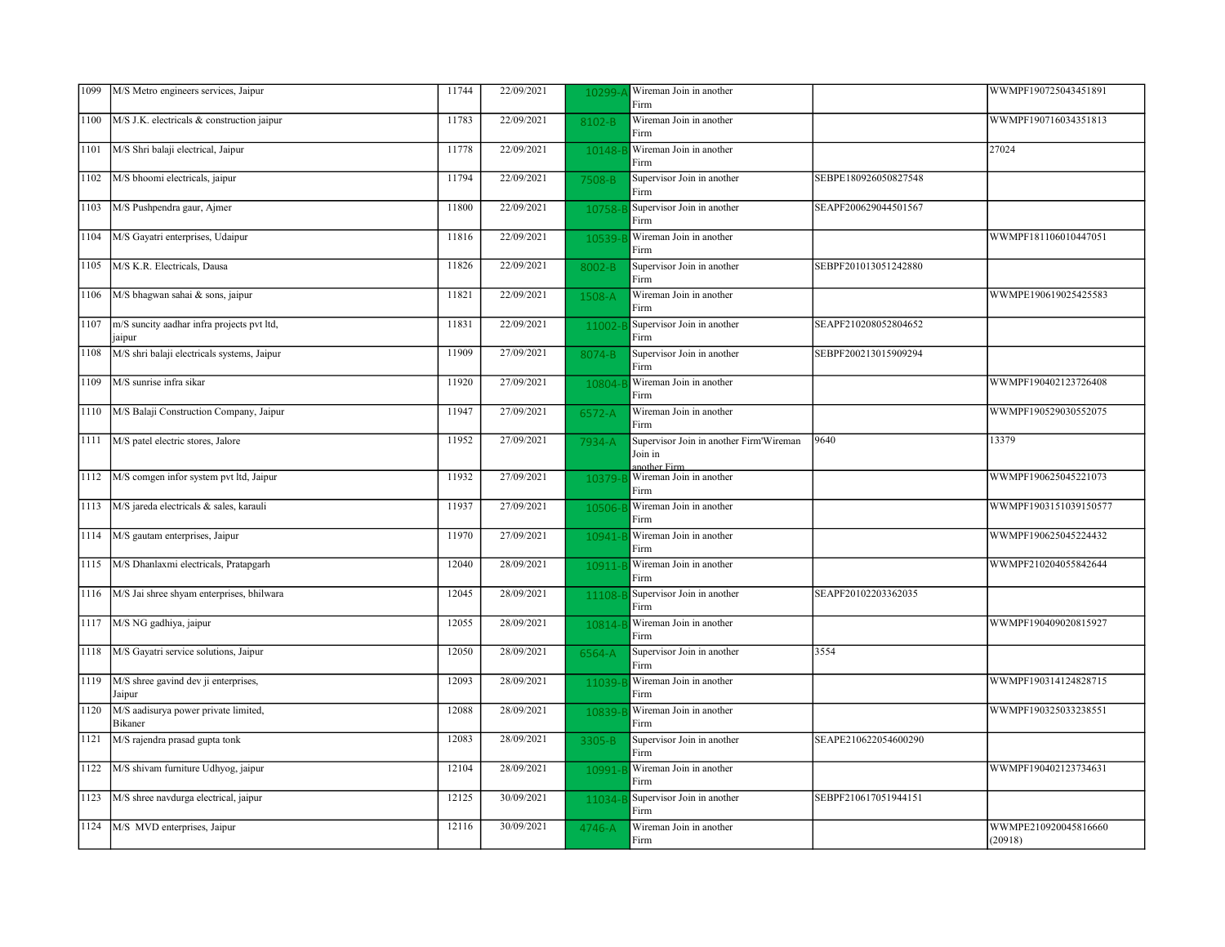| 1099 | M/S Metro engineers services, Jaipur                 | 11744 | 22/09/2021 | 10299-     | Wireman Join in another<br>Firm                                    |                      | WWMPF190725043451891            |
|------|------------------------------------------------------|-------|------------|------------|--------------------------------------------------------------------|----------------------|---------------------------------|
| 1100 | M/S J.K. electricals & construction jaipur           | 11783 | 22/09/2021 | 8102-B     | Wireman Join in another<br>Firm                                    |                      | WWMPF190716034351813            |
| 1101 | M/S Shri balaji electrical, Jaipur                   | 11778 | 22/09/2021 | 10148-     | Wireman Join in another<br>Firm                                    |                      | 27024                           |
| 1102 | M/S bhoomi electricals, jaipur                       | 11794 | 22/09/2021 | 7508-B     | Supervisor Join in another<br>Firm                                 | SEBPE180926050827548 |                                 |
| 1103 | M/S Pushpendra gaur, Ajmer                           | 11800 | 22/09/2021 | 10758-E    | Supervisor Join in another<br>Firm                                 | SEAPF200629044501567 |                                 |
| 1104 | M/S Gayatri enterprises, Udaipur                     | 11816 | 22/09/2021 | 10539-     | Wireman Join in another<br>Firm                                    |                      | WWMPF181106010447051            |
| 1105 | M/S K.R. Electricals, Dausa                          | 11826 | 22/09/2021 | 8002-B     | Supervisor Join in another<br>Firm                                 | SEBPF201013051242880 |                                 |
| 1106 | M/S bhagwan sahai & sons, jaipur                     | 11821 | 22/09/2021 | 1508-A     | Wireman Join in another<br>Firm                                    |                      | WWMPE190619025425583            |
| 1107 | m/S suncity aadhar infra projects pvt ltd,<br>jaipur | 11831 | 22/09/2021 | 11002-     | Supervisor Join in another<br>Firm                                 | SEAPF210208052804652 |                                 |
| 1108 | M/S shri balaji electricals systems, Jaipur          | 11909 | 27/09/2021 | 8074-B     | Supervisor Join in another<br>Firm                                 | SEBPF200213015909294 |                                 |
| 1109 | M/S sunrise infra sikar                              | 11920 | 27/09/2021 | 10804-     | Wireman Join in another<br>Firm                                    |                      | WWMPF190402123726408            |
| 1110 | M/S Balaji Construction Company, Jaipur              | 11947 | 27/09/2021 | 6572-A     | Wireman Join in another<br>Firm                                    |                      | WWMPF190529030552075            |
| 1111 | M/S patel electric stores, Jalore                    | 11952 | 27/09/2021 | 7934-A     | Supervisor Join in another Firm'Wireman<br>Join in<br>another Firm | 9640                 | 13379                           |
| 1112 | M/S comgen infor system pvt ltd, Jaipur              | 11932 | 27/09/2021 | 10379-     | Wireman Join in another<br>Firm                                    |                      | WWMPF190625045221073            |
| 1113 | M/S jareda electricals & sales, karauli              | 11937 | 27/09/2021 | 10506-     | Wireman Join in another<br>Firm                                    |                      | WWMPF1903151039150577           |
| 1114 | M/S gautam enterprises, Jaipur                       | 11970 | 27/09/2021 | 10941-     | Wireman Join in another<br>Firm                                    |                      | WWMPF190625045224432            |
| 1115 | M/S Dhanlaxmi electricals, Pratapgarh                | 12040 | 28/09/2021 | $10911 -$  | Wireman Join in another<br>Firm                                    |                      | WWMPF210204055842644            |
| 1116 | M/S Jai shree shyam enterprises, bhilwara            | 12045 | 28/09/2021 | 11108-     | Supervisor Join in another<br>Firm                                 | SEAPF20102203362035  |                                 |
| 1117 | M/S NG gadhiya, jaipur                               | 12055 | 28/09/2021 | 10814-1    | Wireman Join in another<br>Firm                                    |                      | WWMPF190409020815927            |
| 1118 | M/S Gayatri service solutions, Jaipur                | 12050 | 28/09/2021 | 6564-A     | Supervisor Join in another<br>Firm                                 | 3554                 |                                 |
| 1119 | M/S shree gavind dev ji enterprises,<br>Jaipur       | 12093 | 28/09/2021 | 11039-     | Wireman Join in another<br>Firm                                    |                      | WWMPF190314124828715            |
| 1120 | M/S aadisurya power private limited,<br>Bikaner      | 12088 | 28/09/2021 | 10839-     | Wireman Join in another<br>Firm                                    |                      | WWMPF190325033238551            |
| 1121 | M/S rajendra prasad gupta tonk                       | 12083 | 28/09/2021 | $3305 - B$ | Supervisor Join in another<br>Firm                                 | SEAPE210622054600290 |                                 |
| 1122 | M/S shivam furniture Udhyog, jaipur                  | 12104 | 28/09/2021 | 10991-     | Wireman Join in another<br>Firm                                    |                      | WWMPF190402123734631            |
| 1123 | M/S shree navdurga electrical, jaipur                | 12125 | 30/09/2021 | 11034-1    | Supervisor Join in another<br>Firm                                 | SEBPF210617051944151 |                                 |
| 1124 | M/S MVD enterprises, Jaipur                          | 12116 | 30/09/2021 | 4746-A     | Wireman Join in another<br>Firm                                    |                      | WWMPE210920045816660<br>(20918) |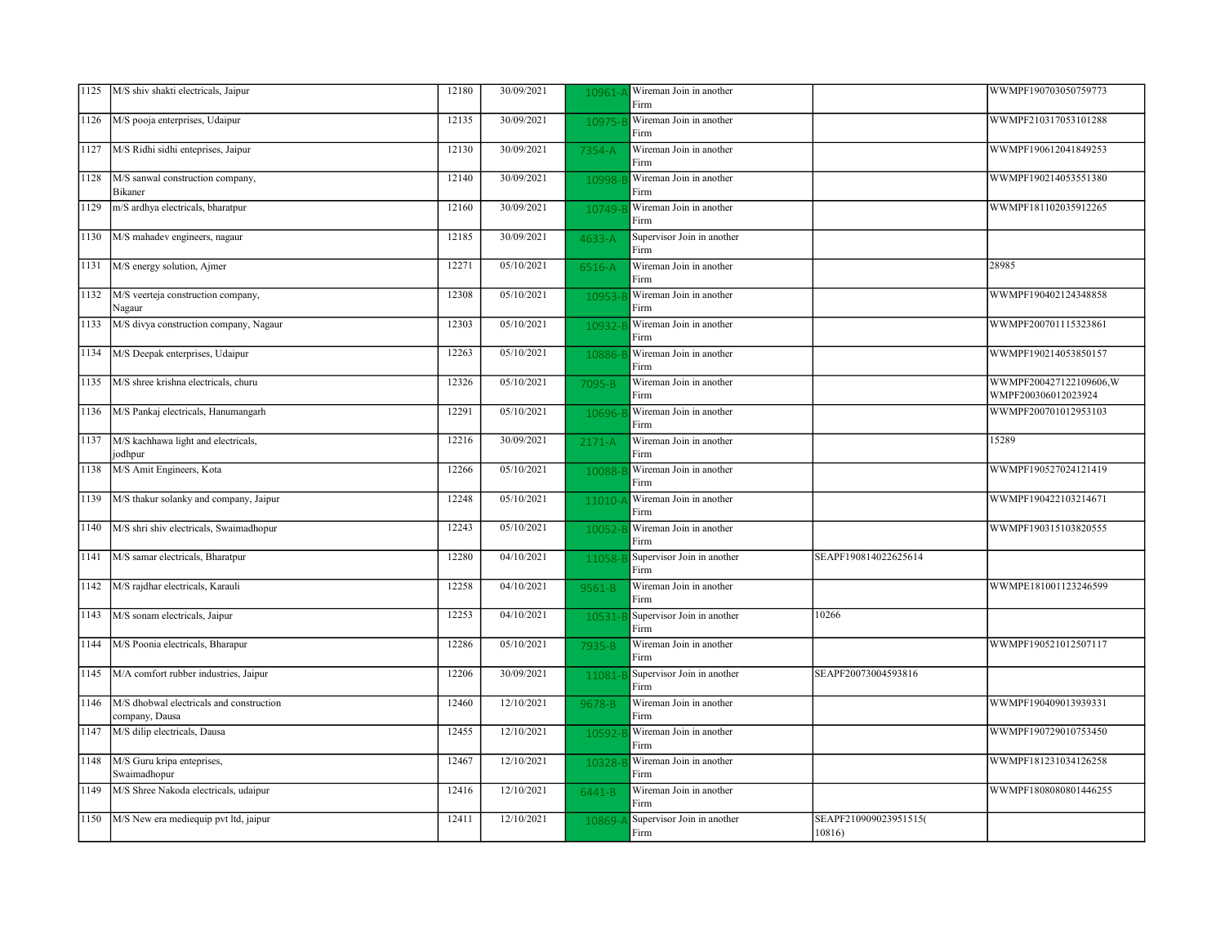| 1125 | M/S shiv shakti electricals, Jaipur                        | 12180 | 30/09/2021 | 10961-     | Wireman Join in another<br>Firm    |                                 | WWMPF190703050759773                           |
|------|------------------------------------------------------------|-------|------------|------------|------------------------------------|---------------------------------|------------------------------------------------|
| 1126 | M/S pooja enterprises, Udaipur                             | 12135 | 30/09/2021 | 10975-     | Wireman Join in another<br>Firm    |                                 | WWMPF210317053101288                           |
| 1127 | M/S Ridhi sidhi enteprises, Jaipur                         | 12130 | 30/09/2021 | 7354-A     | Wireman Join in another<br>Firm    |                                 | WWMPF190612041849253                           |
| 1128 | M/S sanwal construction company,<br>Bikaner                | 12140 | 30/09/2021 | 10998-     | Wireman Join in another<br>Firm    |                                 | WWMPF190214053551380                           |
| 1129 | m/S ardhya electricals, bharatpur                          | 12160 | 30/09/2021 | 10749-     | Wireman Join in another<br>Firm    |                                 | WWMPF181102035912265                           |
| 1130 | M/S mahadev engineers, nagaur                              | 12185 | 30/09/2021 | 4633-A     | Supervisor Join in another<br>Firm |                                 |                                                |
| 1131 | M/S energy solution, Ajmer                                 | 12271 | 05/10/2021 | 6516-A     | Wireman Join in another<br>Firm    |                                 | 28985                                          |
| 1132 | M/S veerteja construction company,<br>Nagaur               | 12308 | 05/10/2021 | 10953-     | Wireman Join in another<br>Firm    |                                 | WWMPF190402124348858                           |
| 1133 | M/S divya construction company, Nagaur                     | 12303 | 05/10/2021 | 10932-     | Wireman Join in another<br>Firm    |                                 | WWMPF200701115323861                           |
| 1134 | M/S Deepak enterprises, Udaipur                            | 12263 | 05/10/2021 | 10886-     | Wireman Join in another<br>Firm    |                                 | WWMPF190214053850157                           |
| 1135 | M/S shree krishna electricals, churu                       | 12326 | 05/10/2021 | 7095-B     | Wireman Join in another<br>Firm    |                                 | WWMPF200427122109606, W<br>WMPF200306012023924 |
| 1136 | M/S Pankaj electricals, Hanumangarh                        | 12291 | 05/10/2021 | 10696-     | Wireman Join in another<br>Firm    |                                 | WWMPF200701012953103                           |
| 1137 | M/S kachhawa light and electricals,<br>jodhpur             | 12216 | 30/09/2021 | $2171 - A$ | Wireman Join in another<br>Firm    |                                 | 15289                                          |
| 1138 | M/S Amit Engineers, Kota                                   | 12266 | 05/10/2021 | 10088-     | Wireman Join in another<br>Firm    |                                 | WWMPF190527024121419                           |
| 1139 | M/S thakur solanky and company, Jaipur                     | 12248 | 05/10/2021 | 11010-     | Wireman Join in another<br>Firm    |                                 | WWMPF190422103214671                           |
| 1140 | M/S shri shiv electricals, Swaimadhopur                    | 12243 | 05/10/2021 | 10052-     | Wireman Join in another<br>Firm    |                                 | WWMPF190315103820555                           |
| 1141 | M/S samar electricals, Bharatpur                           | 12280 | 04/10/2021 | 11058-     | Supervisor Join in another<br>Firm | SEAPF190814022625614            |                                                |
| 1142 | M/S rajdhar electricals, Karauli                           | 12258 | 04/10/2021 | 9561-B     | Wireman Join in another<br>Firm    |                                 | WWMPE181001123246599                           |
| 1143 | M/S sonam electricals, Jaipur                              | 12253 | 04/10/2021 | 10531-     | Supervisor Join in another<br>Firm | 10266                           |                                                |
| 1144 | M/S Poonia electricals, Bharapur                           | 12286 | 05/10/2021 | 7935-B     | Wireman Join in another<br>Firm    |                                 | WWMPF190521012507117                           |
| 1145 | M/A comfort rubber industries, Jaipur                      | 12206 | 30/09/2021 | 11081      | Supervisor Join in another<br>Firm | SEAPF20073004593816             |                                                |
| 1146 | M/S dhobwal electricals and construction<br>company, Dausa | 12460 | 12/10/2021 | 9678-B     | Wireman Join in another<br>Firm    |                                 | WWMPF190409013939331                           |
| 1147 | M/S dilip electricals, Dausa                               | 12455 | 12/10/2021 | 10592-     | Wireman Join in another<br>Firm    |                                 | WWMPF190729010753450                           |
| 1148 | M/S Guru kripa enteprises,<br>Swaimadhopur                 | 12467 | 12/10/2021 | 10328-     | Wireman Join in another<br>Firm    |                                 | WWMPF181231034126258                           |
| 1149 | M/S Shree Nakoda electricals, udaipur                      | 12416 | 12/10/2021 | 6441-B     | Wireman Join in another<br>Firm    |                                 | WWMPF1808080801446255                          |
| 1150 | M/S New era mediequip pvt ltd, jaipur                      | 12411 | 12/10/2021 | 10869-     | Supervisor Join in another<br>Firm | SEAPF210909023951515(<br>10816) |                                                |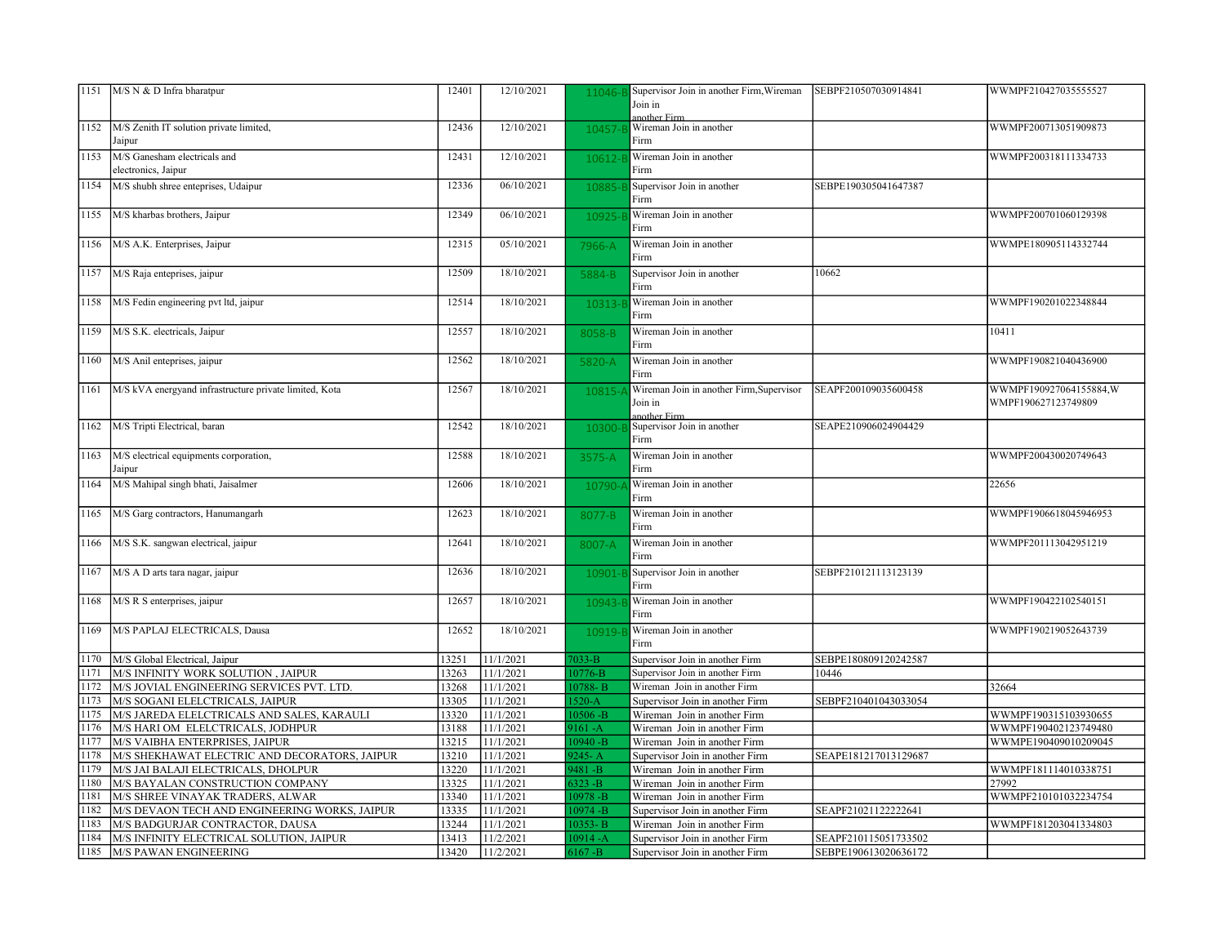|      | 1151   M/S N & D Infra bharatpur                       | 12401 | 12/10/2021 | 11046-      | Supervisor Join in another Firm, Wireman   | SEBPF210507030914841 | WWMPF210427035555527   |
|------|--------------------------------------------------------|-------|------------|-------------|--------------------------------------------|----------------------|------------------------|
|      |                                                        |       |            |             | Join in                                    |                      |                        |
|      |                                                        |       |            |             | another Firm                               |                      |                        |
| 1152 | M/S Zenith IT solution private limited,                | 12436 | 12/10/2021 | 10457-      | Wireman Join in another                    |                      | WWMPF200713051909873   |
|      | Jaipur                                                 |       |            |             | Firm                                       |                      |                        |
| 1153 | M/S Ganesham electricals and                           | 12431 | 12/10/2021 | 10612-      | Wireman Join in another                    |                      | WWMPF200318111334733   |
|      | electronics, Jaipur                                    |       |            |             | Firm                                       |                      |                        |
| 1154 | M/S shubh shree enteprises, Udaipur                    | 12336 | 06/10/2021 | 10885-      | Supervisor Join in another                 | SEBPE190305041647387 |                        |
|      |                                                        |       |            |             | Firm                                       |                      |                        |
| 1155 | M/S kharbas brothers, Jaipur                           | 12349 | 06/10/2021 | 10925-      | Wireman Join in another                    |                      | WWMPF200701060129398   |
|      |                                                        |       |            |             | Firm                                       |                      |                        |
| 1156 | M/S A.K. Enterprises, Jaipur                           | 12315 | 05/10/2021 | 7966-A      | Wireman Join in another                    |                      | WWMPE180905114332744   |
|      |                                                        |       |            |             | Firm                                       |                      |                        |
| 1157 | M/S Raja enteprises, jaipur                            | 12509 | 18/10/2021 | 5884-B      | Supervisor Join in another                 | 10662                |                        |
|      |                                                        |       |            |             | Firm                                       |                      |                        |
| 1158 | M/S Fedin engineering pvt ltd, jaipur                  | 12514 | 18/10/2021 | 10313-1     | Wireman Join in another                    |                      | WWMPF190201022348844   |
|      |                                                        |       |            |             | Firm                                       |                      |                        |
| 1159 | M/S S.K. electricals, Jaipur                           | 12557 | 18/10/2021 |             | Wireman Join in another                    |                      | 10411                  |
|      |                                                        |       |            | 8058-B      | Firm                                       |                      |                        |
|      |                                                        |       |            |             |                                            |                      |                        |
| 1160 | M/S Anil enteprises, jaipur                            | 12562 | 18/10/2021 | 5820-A      | Wireman Join in another                    |                      | WWMPF190821040436900   |
|      |                                                        |       |            |             | Firm                                       |                      |                        |
| 1161 | M/S kVA energyand infrastructure private limited, Kota | 12567 | 18/10/2021 | 10815-      | Wireman Join in another Firm, Supervisor   | SEAPF200109035600458 | WWMPF190927064155884,W |
|      |                                                        |       |            |             | Join in                                    |                      | WMPF190627123749809    |
| 1162 | M/S Tripti Electrical, baran                           | 12542 | 18/10/2021 | 10300-E     | another Firm<br>Supervisor Join in another | SEAPE210906024904429 |                        |
|      |                                                        |       |            |             | Firm                                       |                      |                        |
| 1163 | M/S electrical equipments corporation,                 | 12588 | 18/10/2021 |             | Wireman Join in another                    |                      | WWMPF200430020749643   |
|      | Jaipur                                                 |       |            | 3575-A      | Firm                                       |                      |                        |
|      |                                                        |       | 18/10/2021 |             |                                            |                      |                        |
| 1164 | M/S Mahipal singh bhati, Jaisalmer                     | 12606 |            | 10790       | Wireman Join in another                    |                      | 22656                  |
|      |                                                        |       |            |             | Firm                                       |                      |                        |
| 1165 | M/S Garg contractors, Hanumangarh                      | 12623 | 18/10/2021 | 8077-B      | Wireman Join in another                    |                      | WWMPF1906618045946953  |
|      |                                                        |       |            |             | Firm                                       |                      |                        |
| 1166 | M/S S.K. sangwan electrical, jaipur                    | 12641 | 18/10/2021 | 8007-A      | Wireman Join in another                    |                      | WWMPF201113042951219   |
|      |                                                        |       |            |             | Firm                                       |                      |                        |
| 1167 | M/S A D arts tara nagar, jaipur                        | 12636 | 18/10/2021 | 10901-      | Supervisor Join in another                 | SEBPF210121113123139 |                        |
|      |                                                        |       |            |             | Firm                                       |                      |                        |
| 1168 | M/S R S enterprises, jaipur                            | 12657 | 18/10/2021 | 10943-      | Wireman Join in another                    |                      | WWMPF190422102540151   |
|      |                                                        |       |            |             | Firm                                       |                      |                        |
| 1169 | M/S PAPLAJ ELECTRICALS, Dausa                          | 12652 | 18/10/2021 | 10919-      | Wireman Join in another                    |                      | WWMPF190219052643739   |
|      |                                                        |       |            |             | Firm                                       |                      |                        |
| 1170 | M/S Global Electrical, Jaipur                          | 13251 | 11/1/2021  | $7033 - B$  | Supervisor Join in another Firm            | SEBPE180809120242587 |                        |
| 1171 | M/S INFINITY WORK SOLUTION, JAIPUR                     | 13263 | 11/1/2021  | 0776-B      | Supervisor Join in another Firm            | 10446                |                        |
| 1172 | M/S JOVIAL ENGINEERING SERVICES PVT. LTD.              | 13268 | 11/1/2021  | 0788-B      | Wireman Join in another Firm               |                      | 32664                  |
| 1173 | M/S SOGANI ELELCTRICALS, JAIPUR                        | 13305 | 11/1/2021  | $520-A$     | Supervisor Join in another Firm            | SEBPF210401043033054 |                        |
| 1175 | M/S JAREDA ELELCTRICALS AND SALES, KARAULI             | 13320 | 11/1/2021  | $0506 - B$  | Wireman Join in another Firm               |                      | WWMPF190315103930655   |
| 1176 | M/S HARI OM ELELCTRICALS, JODHPUR                      | 13188 | 11/1/2021  | $161 - A$   | Wireman Join in another Firm               |                      | WWMPF190402123749480   |
| 1177 | M/S VAIBHA ENTERPRISES, JAIPUR                         | 13215 | 11/1/2021  | $0940 - B$  | Wireman Join in another Firm               |                      | WWMPE190409010209045   |
| 1178 | M/S SHEKHAWAT ELECTRIC AND DECORATORS, JAIPUR          | 13210 | 11/1/2021  | $245 - A$   | Supervisor Join in another Firm            | SEAPE181217013129687 |                        |
| 1179 | M/S JAI BALAJI ELECTRICALS, DHOLPUR                    | 13220 | 11/1/2021  | $9481 - B$  | Wireman Join in another Firm               |                      | WWMPF181114010338751   |
| 1180 | M/S BAYALAN CONSTRUCTION COMPANY                       | 13325 | 11/1/2021  | $323 - B$   | Wireman Join in another Firm               |                      | 27992                  |
| 1181 | M/S SHREE VINAYAK TRADERS, ALWAR                       | 13340 | 11/1/2021  | $0978 - B$  | Wireman Join in another Firm               |                      | WWMPF210101032234754   |
| 1182 | M/S DEVAON TECH AND ENGINEERING WORKS, JAIPUR          | 13335 | 11/1/2021  | $0974 - B$  | Supervisor Join in another Firm            | SEAPF21021122222641  |                        |
| 1183 | M/S BADGURJAR CONTRACTOR, DAUSA                        | 13244 | 11/1/2021  | $0353 - B$  | Wireman Join in another Firm               |                      | WWMPF181203041334803   |
| 1184 | M/S INFINITY ELECTRICAL SOLUTION, JAIPUR               | 13413 | 11/2/2021  | $.0914 - A$ | Supervisor Join in another Firm            | SEAPF210115051733502 |                        |
| 1185 | M/S PAWAN ENGINEERING                                  | 13420 | 11/2/2021  | $5167 - B$  | Supervisor Join in another Firm            | SEBPE190613020636172 |                        |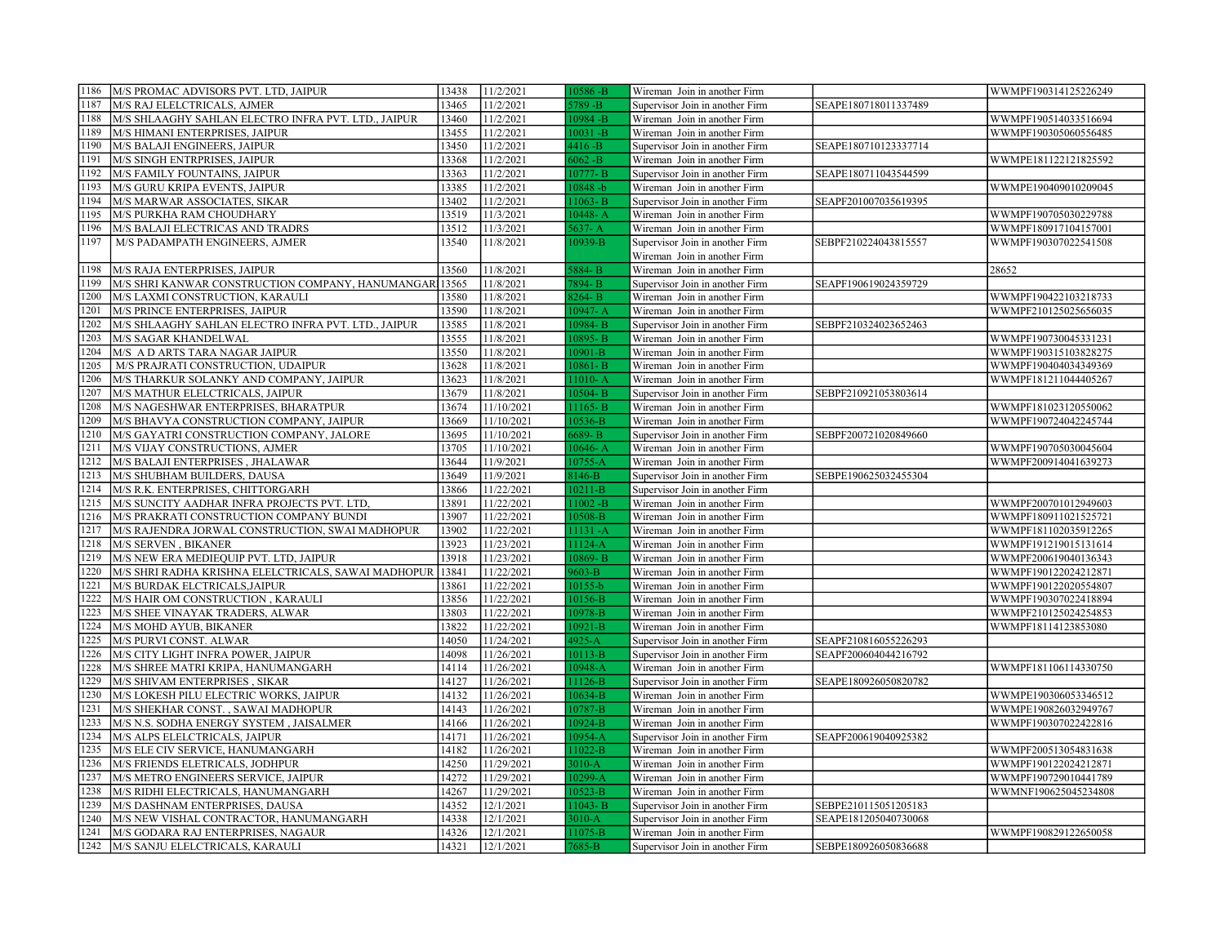| 1186         | M/S PROMAC ADVISORS PVT. LTD, JAIPUR                                  | 13438          | 11/2/2021                | $10586 - B$         | Wireman Join in another Firm                                    |                      | WWMPF190314125226249 |
|--------------|-----------------------------------------------------------------------|----------------|--------------------------|---------------------|-----------------------------------------------------------------|----------------------|----------------------|
| 1187         | M/S RAJ ELELCTRICALS, AJMER                                           | 13465          | 11/2/2021                | 5789 -B             | Supervisor Join in another Firm                                 | SEAPE180718011337489 |                      |
| 1188         | M/S SHLAAGHY SAHLAN ELECTRO INFRA PVT. LTD., JAIPUR                   | 13460          | 11/2/2021                | $10984 - B$         | Wireman Join in another Firm                                    |                      | WWMPF190514033516694 |
| 1189         | M/S HIMANI ENTERPRISES, JAIPUR                                        | 13455          | 11/2/2021                | $10031 - B$         | Wireman Join in another Firm                                    |                      | WWMPF190305060556485 |
| 1190         | M/S BALAJI ENGINEERS, JAIPUR                                          | 13450          | 11/2/2021                | $4416 - B$          | Supervisor Join in another Firm                                 | SEAPE180710123337714 |                      |
| 1191         | M/S SINGH ENTRPRISES, JAIPUR                                          | 13368          | 11/2/2021                | $6062 - B$          | Wireman Join in another Firm                                    |                      | WWMPE181122121825592 |
| 1192         | M/S FAMILY FOUNTAINS, JAIPUR                                          | 13363          | 11/2/2021                | 10777-B             | Supervisor Join in another Firm                                 | SEAPE180711043544599 |                      |
| 1193         | M/S GURU KRIPA EVENTS, JAIPUR                                         | 13385          | 11/2/2021                | $10848 - b$         | Wireman Join in another Firm                                    |                      | WWMPE190409010209045 |
| 1194         | M/S MARWAR ASSOCIATES, SIKAR                                          | 13402          | 11/2/2021                | $1063 - B$          | Supervisor Join in another Firm                                 | SEAPF201007035619395 |                      |
| 1195         | M/S PURKHA RAM CHOUDHARY                                              | 13519          | 11/3/2021                | $10448 - A$         | Wireman Join in another Firm                                    |                      | WWMPF190705030229788 |
| 1196         | M/S BALAJI ELECTRICAS AND TRADRS                                      | 13512          | 11/3/2021                | $5637 - A$          | Wireman Join in another Firm                                    |                      | WWMPF180917104157001 |
| 1197         | M/S PADAMPATH ENGINEERS, AJMER                                        | 13540          | 11/8/2021                | 10939-B             | Supervisor Join in another Firm                                 | SEBPF210224043815557 | WWMPF190307022541508 |
|              |                                                                       |                |                          |                     | Wireman Join in another Firm                                    |                      |                      |
| 1198         | M/S RAJA ENTERPRISES, JAIPUR                                          | 13560          | 11/8/2021                | 5884-B              | Wireman Join in another Firm                                    |                      | 28652                |
| 1199         | M/S SHRI KANWAR CONSTRUCTION COMPANY, HANUMANGAR 13565                |                | 11/8/2021                | 7894-B              | Supervisor Join in another Firm                                 | SEAPF190619024359729 |                      |
| 1200         | M/S LAXMI CONSTRUCTION, KARAULI                                       | 13580          | 11/8/2021                | 8264-B              | Wireman Join in another Firm                                    |                      | WWMPF190422103218733 |
| 1201         | M/S PRINCE ENTERPRISES, JAIPUR                                        | 13590          | 11/8/2021                | $10947 - A$         | Wireman Join in another Firm                                    |                      | WWMPF210125025656035 |
| 1202         | M/S SHLAAGHY SAHLAN ELECTRO INFRA PVT. LTD., JAIPUR                   | 13585          | 11/8/2021                | 10984-B             | Supervisor Join in another Firm                                 | SEBPF210324023652463 |                      |
| 1203         | M/S SAGAR KHANDELWAL                                                  | 13555          | 11/8/2021                | 10895-B             | Wireman Join in another Firm                                    |                      | WWMPF190730045331231 |
| 1204         | M/S A D ARTS TARA NAGAR JAIPUR                                        | 13550          | 11/8/2021                | 10901-B             | Wireman Join in another Firm                                    |                      | WWMPF190315103828275 |
| 1205         | M/S PRAJRATI CONSTRUCTION, UDAIPUR                                    | 13628          | 11/8/2021                | $10861 - B$         | Wireman Join in another Firm                                    |                      | WWMPF190404034349369 |
| 1206         | M/S THARKUR SOLANKY AND COMPANY, JAIPUR                               | 13623          | 11/8/2021                | $11010 - A$         | Wireman Join in another Firm                                    |                      | WWMPF181211044405267 |
| 1207         | M/S MATHUR ELELCTRICALS, JAIPUR                                       | 13679          | 11/8/2021                | $10504 - B$         | Supervisor Join in another Firm                                 | SEBPF210921053803614 |                      |
| 1208         | M/S NAGESHWAR ENTERPRISES, BHARATPUR                                  | 13674          | 11/10/2021               | $11165 - B$         | Wireman Join in another Firm                                    |                      | WWMPF181023120550062 |
| 1209         | M/S BHAVYA CONSTRUCTION COMPANY, JAIPUR                               | 13669          | 11/10/2021               | 10536-B             | Wireman Join in another Firm                                    |                      | WWMPF190724042245744 |
| 1210         | M/S GAYATRI CONSTRUCTION COMPANY, JALORE                              | 13695          | 11/10/2021               | 6689-B              | Supervisor Join in another Firm                                 | SEBPF200721020849660 |                      |
| 1211         | M/S VIJAY CONSTRUCTIONS, AJMER                                        | 13705          | 11/10/2021               | $10646 - A$         | Wireman Join in another Firm                                    |                      | WWMPF190705030045604 |
| 1212         | M/S BALAJI ENTERPRISES, JHALAWAR                                      | 13644          | 11/9/2021                | $10755 - A$         | Wireman Join in another Firm                                    |                      | WWMPF200914041639273 |
| 1213         | M/S SHUBHAM BUILDERS, DAUSA                                           | 13649          | 11/9/2021                | 8146-B              | Supervisor Join in another Firm                                 | SEBPE190625032455304 |                      |
| 1214         | M/S R.K. ENTERPRISES, CHITTORGARH                                     | 13866          | 11/22/2021               | $10211 - B$         | Supervisor Join in another Firm                                 |                      |                      |
| 1215         | M/S SUNCITY AADHAR INFRA PROJECTS PVT. LTD,                           | 13891          | 11/22/2021               | $11002 - B$         | Wireman Join in another Firm                                    |                      | WWMPF200701012949603 |
| 1216         | M/S PRAKRATI CONSTRUCTION COMPANY BUNDI                               | 13907          | 11/22/2021               | 10508-B             | Wireman Join in another Firm                                    |                      | WWMPF180911021525721 |
| 1217         | M/S RAJENDRA JORWAL CONSTRUCTION, SWAI MADHOPUR                       | 13902          | 11/22/2021               | $11131 - A$         | Wireman Join in another Firm                                    |                      | WWMPF181102035912265 |
| 1218         | <b>M/S SERVEN, BIKANER</b>                                            | 13923          | 11/23/2021               | 11124-A             | Wireman Join in another Firm                                    |                      | WWMPF191219015131614 |
| 1219         | M/S NEW ERA MEDIEQUIP PVT. LTD, JAIPUR                                | 13918          | 11/23/2021               | 10869-B             | Wireman Join in another Firm                                    |                      | WWMPF200619040136343 |
| 1220         | M/S SHRI RADHA KRISHNA ELELCTRICALS, SAWAI MADHOPUR                   | 13841          | 11/22/2021               | 9603-B              | Wireman Join in another Firm                                    |                      | WWMPF190122024212871 |
| 1221         | M/S BURDAK ELCTRICALS, JAIPUR                                         | 13861          | 11/22/2021               | $10155 - b$         | Wireman Join in another Firm                                    |                      | WWMPF190122020554807 |
| 1222         | M/S HAIR OM CONSTRUCTION, KARAULI                                     | 13856          | 11/22/2021               | 10156-B             | Wireman Join in another Firm                                    |                      | WWMPF190307022418894 |
| 1223         | M/S SHEE VINAYAK TRADERS, ALWAR                                       | 13803          | 11/22/2021               | 10978-B             |                                                                 |                      | WWMPF210125024254853 |
| 1224         | M/S MOHD AYUB, BIKANER                                                | 13822          | 11/22/2021               | $10921 - B$         | Wireman Join in another Firm<br>Wireman Join in another Firm    |                      | WWMPF18114123853080  |
| 1225         | M/S PURVI CONST. ALWAR                                                | 14050          | 11/24/2021               | $4925 - A$          |                                                                 | SEAPF210816055226293 |                      |
| 1226         |                                                                       | 14098          |                          |                     | Supervisor Join in another Firm                                 |                      |                      |
| 1228         | M/S CITY LIGHT INFRA POWER, JAIPUR                                    |                | 11/26/2021               | $10113 - B$         | Supervisor Join in another Firm                                 | SEAPF200604044216792 |                      |
| 1229         | M/S SHREE MATRI KRIPA, HANUMANGARH                                    | 14114          | 11/26/2021               | 10948-A             | Wireman Join in another Firm                                    |                      | WWMPF181106114330750 |
|              | M/S SHIVAM ENTERPRISES, SIKAR                                         | 14127          | 11/26/2021               | 11126-B             | Supervisor Join in another Firm                                 | SEAPE180926050820782 |                      |
| 1230         | M/S LOKESH PILU ELECTRIC WORKS, JAIPUR                                | 14132          | 11/26/2021               | 10634-B             | Wireman Join in another Firm                                    |                      | WWMPE190306053346512 |
| 1231         | M/S SHEKHAR CONST., SAWAI MADHOPUR                                    | 14143          | 11/26/2021               | 10787-B             | Wireman Join in another Firm                                    |                      | WWMPE190826032949767 |
| 1233<br>1234 | M/S N.S. SODHA ENERGY SYSTEM, JAISALMER                               | 14166          | 11/26/2021               | 10924-B             | Wireman Join in another Firm                                    |                      | WWMPF190307022422816 |
|              | M/S ALPS ELELCTRICALS, JAIPUR                                         | 14171          | 11/26/2021               | 10954-A             | Supervisor Join in another Firm                                 | SEAPF200619040925382 |                      |
| 1235         | M/S ELE CIV SERVICE, HANUMANGARH                                      | 14182          | 11/26/2021               | 11022-B             | Wireman Join in another Firm                                    |                      | WWMPF200513054831638 |
| 1236         | M/S FRIENDS ELETRICALS, JODHPUR                                       | 14250          | 11/29/2021               | $3010-A$            | Wireman Join in another Firm                                    |                      | WWMPF190122024212871 |
| 1237         | M/S METRO ENGINEERS SERVICE, JAIPUR                                   | 14272<br>14267 | 11/29/2021<br>11/29/2021 | $10299 - A$         | Wireman Join in another Firm                                    |                      | WWMPF190729010441789 |
|              |                                                                       |                |                          | $10523 - B$         | Wireman Join in another Firm                                    |                      | WWMNF190625045234808 |
| 1238         | M/S RIDHI ELECTRICALS, HANUMANGARH                                    |                |                          |                     |                                                                 |                      |                      |
| 1239         | M/S DASHNAM ENTERPRISES, DAUSA                                        | 14352          | 12/1/2021                | $11043 - B$         | Supervisor Join in another Firm                                 | SEBPE210115051205183 |                      |
| 1240         | M/S NEW VISHAL CONTRACTOR, HANUMANGARH                                | 14338          | 12/1/2021                | $3010-A$            | Supervisor Join in another Firm                                 | SEAPE181205040730068 |                      |
| 1241<br>1242 | M/S GODARA RAJ ENTERPRISES, NAGAUR<br>M/S SANJU ELELCTRICALS, KARAULI | 14326<br>14321 | 12/1/2021<br>12/1/2021   | 11075-B<br>$7685-B$ | Wireman Join in another Firm<br>Supervisor Join in another Firm | SEBPE180926050836688 | WWMPF190829122650058 |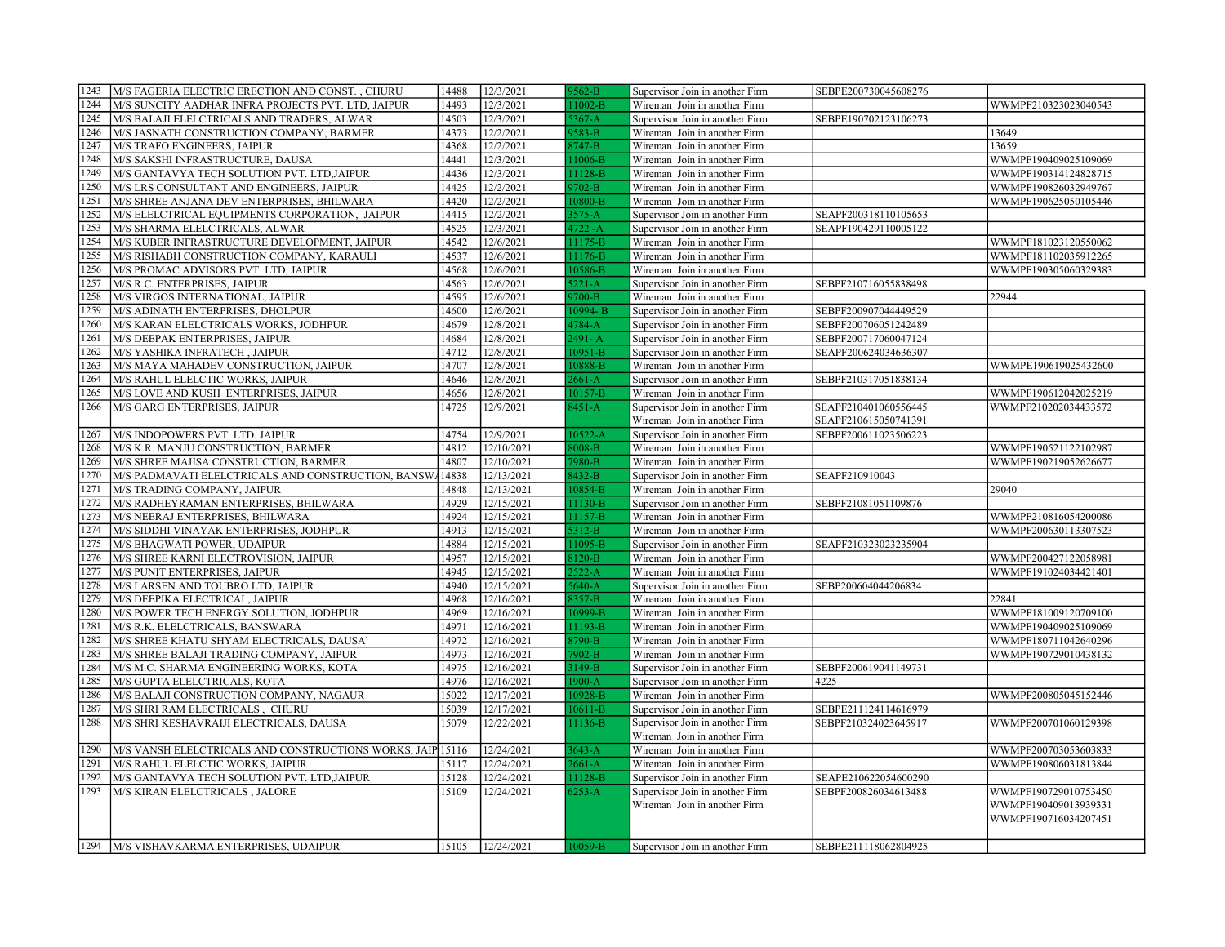| 1243 | M/S FAGERIA ELECTRIC ERECTION AND CONST., CHURU            | 14488 | 12/3/2021  | $9562-B$            | Supervisor Join in another Firm | SEBPE200730045608276 |                      |
|------|------------------------------------------------------------|-------|------------|---------------------|---------------------------------|----------------------|----------------------|
| 1244 | M/S SUNCITY AADHAR INFRA PROJECTS PVT. LTD, JAIPUR         | 14493 | 12/3/2021  | $11002-B$           | Wireman Join in another Firm    |                      | WWMPF210323023040543 |
| 1245 | M/S BALAJI ELELCTRICALS AND TRADERS, ALWAR                 | 14503 | 12/3/2021  | $5367 - A$          | Supervisor Join in another Firm | SEBPE190702123106273 |                      |
| 1246 | M/S JASNATH CONSTRUCTION COMPANY, BARMER                   | 14373 | 12/2/2021  | 9583-B              | Wireman Join in another Firm    |                      | 13649                |
| 1247 | M/S TRAFO ENGINEERS, JAIPUR                                | 14368 | 12/2/2021  | $3747 - B$          | Wireman Join in another Firm    |                      | 13659                |
| 1248 | M/S SAKSHI INFRASTRUCTURE, DAUSA                           | 14441 | 12/3/2021  | 11006-B             | Wireman Join in another Firm    |                      | WWMPF190409025109069 |
| 1249 | M/S GANTAVYA TECH SOLUTION PVT. LTD, JAIPUR                | 14436 | 12/3/2021  | 11128-B             | Wireman Join in another Firm    |                      | WWMPF190314124828715 |
| 1250 | M/S LRS CONSULTANT AND ENGINEERS, JAIPUR                   | 14425 | 12/2/2021  | $9702 - B$          | Wireman Join in another Firm    |                      | WWMPF190826032949767 |
| 1251 | M/S SHREE ANJANA DEV ENTERPRISES, BHILWARA                 | 14420 | 12/2/2021  | 10800-B             | Wireman Join in another Firm    |                      | WWMPF190625050105446 |
| 1252 | M/S ELELCTRICAL EQUIPMENTS CORPORATION, JAIPUR             | 14415 | 12/2/2021  | $3575 - A$          | Supervisor Join in another Firm | SEAPF200318110105653 |                      |
| 1253 | M/S SHARMA ELELCTRICALS, ALWAR                             | 14525 | 12/3/2021  | $4722 - A$          | Supervisor Join in another Firm | SEAPF190429110005122 |                      |
| 1254 | M/S KUBER INFRASTRUCTURE DEVELOPMENT, JAIPUR               | 14542 | 12/6/2021  | 11175-B             | Wireman Join in another Firm    |                      | WWMPF181023120550062 |
| 1255 | M/S RISHABH CONSTRUCTION COMPANY, KARAULI                  | 14537 | 12/6/2021  | 11176-B             | Wireman Join in another Firm    |                      | WWMPF181102035912265 |
| 1256 | M/S PROMAC ADVISORS PVT. LTD, JAIPUR                       | 14568 | 12/6/2021  | 10586-B             | Wireman Join in another Firm    |                      | WWMPF190305060329383 |
| 1257 | M/S R.C. ENTERPRISES, JAIPUR                               | 14563 | 12/6/2021  | $5221 - A$          | Supervisor Join in another Firm | SEBPF210716055838498 |                      |
| 1258 | M/S VIRGOS INTERNATIONAL, JAIPUR                           | 14595 | 12/6/2021  | $9700-B$            | Wireman Join in another Firm    |                      | 22944                |
| 1259 | M/S ADINATH ENTERPRISES, DHOLPUR                           | 14600 | 12/6/2021  | $10994 - B$         | Supervisor Join in another Firm | SEBPF200907044449529 |                      |
| 1260 | M/S KARAN ELELCTRICALS WORKS, JODHPUR                      | 14679 | 12/8/2021  | $1784-A$            | Supervisor Join in another Firm | SEBPF200706051242489 |                      |
| 1261 | M/S DEEPAK ENTERPRISES, JAIPUR                             | 14684 | 12/8/2021  | 2491-A              | Supervisor Join in another Firm | SEBPF200717060047124 |                      |
| 1262 | M/S YASHIKA INFRATECH, JAIPUR                              | 14712 | 12/8/2021  | $10951 - B$         | Supervisor Join in another Firm | SEAPF200624034636307 |                      |
| 1263 | M/S MAYA MAHADEV CONSTRUCTION, JAIPUR                      | 14707 | 12/8/2021  | 10888-B             | Wireman Join in another Firm    |                      | WWMPE190619025432600 |
| 1264 | M/S RAHUL ELELCTIC WORKS, JAIPUR                           | 14646 | 12/8/2021  | $2661 - A$          | Supervisor Join in another Firm | SEBPF210317051838134 |                      |
| 1265 | M/S LOVE AND KUSH ENTERPRISES, JAIPUR                      | 14656 | 12/8/2021  | $10157 - B$         | Wireman Join in another Firm    |                      | WWMPF190612042025219 |
| 1266 | M/S GARG ENTERPRISES, JAIPUR                               | 14725 | 12/9/2021  | $8451 - A$          | Supervisor Join in another Firm | SEAPF210401060556445 | WWMPF210202034433572 |
|      |                                                            |       |            |                     | Wireman Join in another Firm    | SEAPF210615050741391 |                      |
| 1267 | M/S INDOPOWERS PVT. LTD. JAIPUR                            | 14754 | 12/9/2021  | $10522 - A$         | Supervisor Join in another Firm | SEBPF200611023506223 |                      |
| 1268 | M/S K.R. MANJU CONSTRUCTION, BARMER                        | 14812 | 12/10/2021 | 3008-B              | Wireman Join in another Firm    |                      | WWMPF190521122102987 |
| 1269 | M/S SHREE MAJISA CONSTRUCTION, BARMER                      | 14807 | 12/10/2021 | 7980-B              | Wireman Join in another Firm    |                      | WWMPF190219052626677 |
|      |                                                            |       |            |                     |                                 |                      |                      |
|      |                                                            |       |            |                     |                                 |                      |                      |
| 1270 | M/S PADMAVATI ELELCTRICALS AND CONSTRUCTION, BANSW 14838   |       | 12/13/2021 | 8432-B              | Supervisor Join in another Firm | SEAPF210910043       |                      |
| 1271 | M/S TRADING COMPANY, JAIPUR                                | 14848 | 12/13/2021 | 10854-B             | Wireman Join in another Firm    |                      | 29040                |
| 1272 | M/S RADHEYRAMAN ENTERPRISES, BHILWARA                      | 14929 | 12/15/2021 | 11130-B             | Supervisor Join in another Firm | SEBPF21081051109876  |                      |
| 1273 | M/S NEERAJ ENTERPRISES, BHILWARA                           | 14924 | 12/15/2021 | 11157-B             | Wireman Join in another Firm    |                      | WWMPF210816054200086 |
| 1274 | M/S SIDDHI VINAYAK ENTERPRISES, JODHPUR                    | 14913 | 12/15/2021 | 5312-B              | Wireman Join in another Firm    |                      | WWMPF200630113307523 |
| 1275 | M/S BHAGWATI POWER, UDAIPUR                                | 14884 | 12/15/2021 | 11095-B             | Supervisor Join in another Firm | SEAPF210323023235904 |                      |
| 1276 | M/S SHREE KARNI ELECTROVISION, JAIPUR                      | 14957 | 12/15/2021 | 3120-B              | Wireman Join in another Firm    |                      | WWMPF200427122058981 |
| 1277 | M/S PUNIT ENTERPRISES, JAIPUR                              | 14945 | 12/15/2021 | $2522 - A$          | Wireman Join in another Firm    |                      | WWMPF191024034421401 |
| 1278 | M/S LARSEN AND TOUBRO LTD, JAIPUR                          | 14940 | 12/15/2021 | $5640 - A$          | Supervisor Join in another Firm | SEBP200604044206834  |                      |
| 1279 | M/S DEEPIKA ELECTRICAL, JAIPUR                             | 14968 | 12/16/2021 | $\overline{3357-B}$ | Wireman Join in another Firm    |                      | 22841                |
| 1280 | M/S POWER TECH ENERGY SOLUTION, JODHPUR                    | 14969 | 12/16/2021 | 10999-B             | Wireman Join in another Firm    |                      | WWMPF181009120709100 |
| 1281 | M/S R.K. ELELCTRICALS, BANSWARA                            | 14971 | 12/16/2021 | 11193-B             | Wireman Join in another Firm    |                      | WWMPF190409025109069 |
| 1282 | M/S SHREE KHATU SHYAM ELECTRICALS, DAUSA`                  | 14972 | 12/16/2021 | 3790-B              | Wireman Join in another Firm    |                      | WWMPF180711042640296 |
| 1283 | M/S SHREE BALAJI TRADING COMPANY, JAIPUR                   | 14973 | 12/16/2021 | 7902-B              | Wireman Join in another Firm    |                      | WWMPF190729010438132 |
| 1284 | M/S M.C. SHARMA ENGINEERING WORKS, KOTA                    | 14975 | 12/16/2021 | 3149-B              | Supervisor Join in another Firm | SEBPF200619041149731 |                      |
| 1285 | M/S GUPTA ELELCTRICALS, KOTA                               | 14976 | 12/16/2021 | $1900-A$            | Supervisor Join in another Firm | 4225                 |                      |
| 1286 | M/S BALAJI CONSTRUCTION COMPANY, NAGAUR                    | 15022 | 12/17/2021 | 10928-B             | Wireman Join in another Firm    |                      | WWMPF200805045152446 |
| 1287 | M/S SHRI RAM ELECTRICALS, CHURU                            | 15039 | 12/17/2021 | $10611 - B$         | Supervisor Join in another Firm | SEBPE211124114616979 |                      |
| 1288 | M/S SHRI KESHAVRAIJI ELECTRICALS, DAUSA                    | 15079 | 12/22/2021 | 11136-B             | Supervisor Join in another Firm | SEBPF210324023645917 | WWMPF200701060129398 |
|      |                                                            |       |            |                     | Wireman Join in another Firm    |                      |                      |
| 1290 | M/S VANSH ELELCTRICALS AND CONSTRUCTIONS WORKS, JAIP 15116 |       | 12/24/2021 | $3643 - A$          | Wireman Join in another Firm    |                      | WWMPF200703053603833 |
| 1291 | M/S RAHUL ELELCTIC WORKS, JAIPUR                           | 15117 | 12/24/2021 | $2661 - A$          | Wireman Join in another Firm    |                      | WWMPF190806031813844 |
| 1292 | M/S GANTAVYA TECH SOLUTION PVT. LTD, JAIPUR                | 15128 | 12/24/2021 | 11128-B             | Supervisor Join in another Firm | SEAPE210622054600290 |                      |
| 1293 | M/S KIRAN ELELCTRICALS, JALORE                             | 15109 | 12/24/2021 | $6253 - A$          | Supervisor Join in another Firm | SEBPF200826034613488 | WWMPF190729010753450 |
|      |                                                            |       |            |                     | Wireman Join in another Firm    |                      | WWMPF190409013939331 |
|      |                                                            |       |            |                     |                                 |                      | WWMPF190716034207451 |
|      | 1294 M/S VISHAVKARMA ENTERPRISES, UDAIPUR                  | 15105 | 12/24/2021 | 10059-B             | Supervisor Join in another Firm | SEBPE211118062804925 |                      |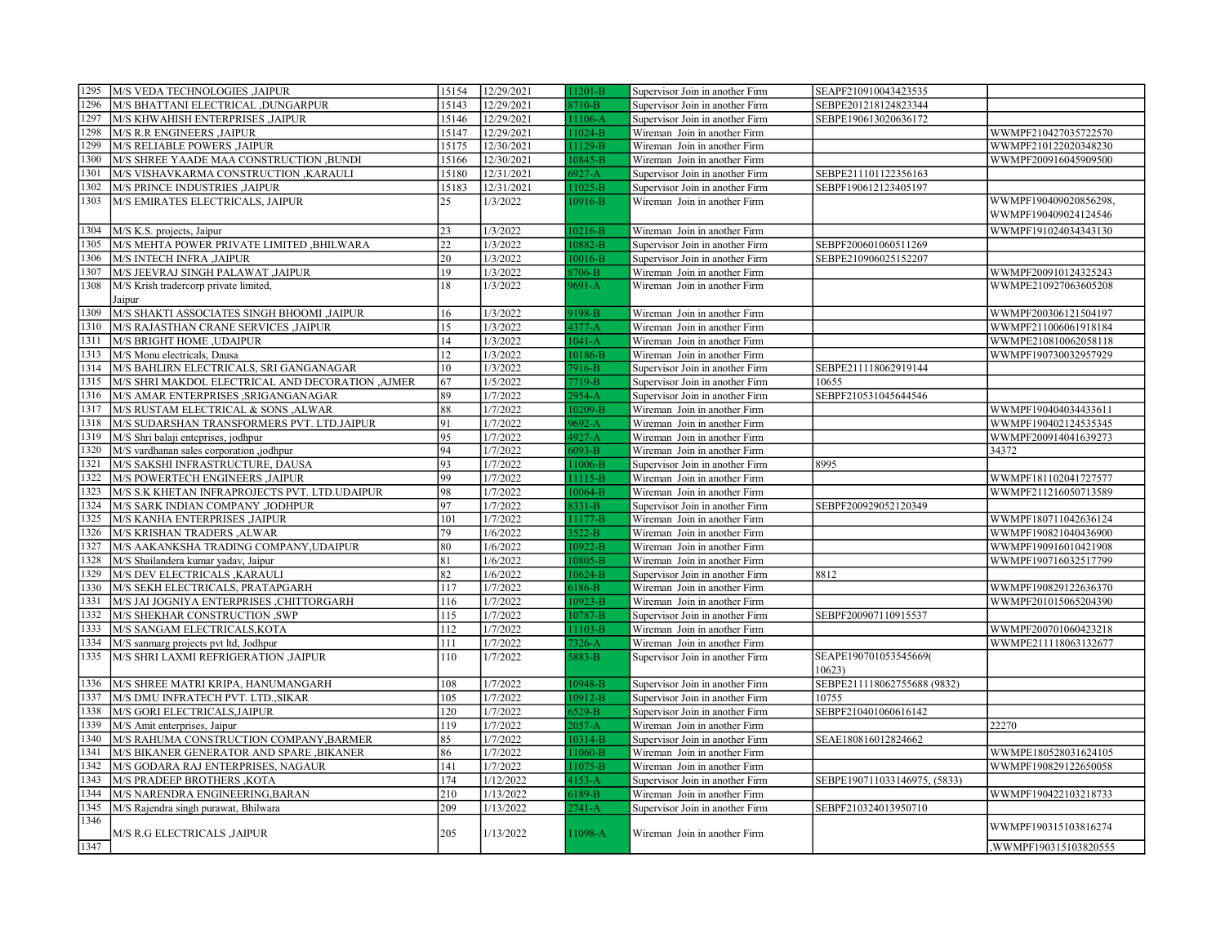| 1295 | M/S VEDA TECHNOLOGIES , JAIPUR                   | 15154 | 12/29/2021 | $1201-B$    | Supervisor Join in another Firm | SEAPF210910043423535         |                        |
|------|--------------------------------------------------|-------|------------|-------------|---------------------------------|------------------------------|------------------------|
| 1296 | M/S BHATTANI ELECTRICAL ,DUNGARPUR               | 15143 | 12/29/2021 | 3710-B      | Supervisor Join in another Firm | SEBPE201218124823344         |                        |
| 1297 | M/S KHWAHISH ENTERPRISES ,JAIPUR                 | 15146 | 12/29/2021 | $1106 - A$  | Supervisor Join in another Firm | SEBPE190613020636172         |                        |
| 1298 | <b>M/S R.R ENGINEERS , JAIPUR</b>                | 15147 | 12/29/2021 | $11024-B$   | Wireman Join in another Firm    |                              | WWMPF210427035722570   |
| 1299 | M/S RELIABLE POWERS , JAIPUR                     | 15175 | 12/30/2021 | $1129 - B$  | Wireman Join in another Firm    |                              | WWMPF210122020348230   |
| 1300 | M/S SHREE YAADE MAA CONSTRUCTION ,BUNDI          | 15166 | 12/30/2021 | $10845 - B$ | Wireman Join in another Firm    |                              | WWMPF200916045909500   |
| 1301 | M/S VISHAVKARMA CONSTRUCTION , KARAULI           | 15180 | 12/31/2021 | $5927 - A$  | Supervisor Join in another Firm | SEBPE211101122356163         |                        |
| 1302 | <b>M/S PRINCE INDUSTRIES ,JAIPUR</b>             | 15183 | 12/31/2021 | 1025-B      | Supervisor Join in another Firm | SEBPF190612123405197         |                        |
| 1303 | M/S EMIRATES ELECTRICALS, JAIPUR                 | 25    | 1/3/2022   | 10916-B     | Wireman Join in another Firm    |                              | WWMPF190409020856298,  |
|      |                                                  |       |            |             |                                 |                              | WWMPF190409024124546   |
| 1304 | M/S K.S. projects, Jaipur                        | 23    | 1/3/2022   | $10216 - B$ | Wireman Join in another Firm    |                              | WWMPF191024034343130   |
| 1305 | M/S MEHTA POWER PRIVATE LIMITED , BHILWARA       | 22    | 1/3/2022   | 0882-B      | Supervisor Join in another Firm | SEBPF200601060511269         |                        |
| 1306 | <b>M/S INTECH INFRA ,JAIPUR</b>                  | 20    | 1/3/2022   | $0016 - B$  | Supervisor Join in another Firm | SEBPE210906025152207         |                        |
| 1307 | M/S JEEVRAJ SINGH PALAWAT ,JAIPUR                | 19    | 1/3/2022   | 3706-B      | Wireman Join in another Firm    |                              | WWMPF200910124325243   |
| 1308 | M/S Krish tradercorp private limited,            | 18    | 1/3/2022   | $9691 - A$  | Wireman Join in another Firm    |                              | WWMPE210927063605208   |
|      | Jaipur                                           |       |            |             |                                 |                              |                        |
| 1309 | M/S SHAKTI ASSOCIATES SINGH BHOOMI ,JAIPUR       | 16    | 1/3/2022   | $9198-B$    | Wireman Join in another Firm    |                              | WWMPF200306121504197   |
| 1310 | M/S RAJASTHAN CRANE SERVICES , JAIPUR            | 15    | 1/3/2022   | $1377 - A$  | Wireman Join in another Firm    |                              | WWMPF211006061918184   |
| 1311 | <b>M/S BRIGHT HOME ,UDAIPUR</b>                  | 14    | 1/3/2022   | $1041-A$    | Wireman Join in another Firm    |                              | WWMPE210810062058118   |
| 1313 | M/S Monu electricals, Dausa                      | 12    | 1/3/2022   | 10186-B     | Wireman Join in another Firm    |                              | WWMPF190730032957929   |
| 1314 | M/S BAHLIRN ELECTRICALS, SRI GANGANAGAR          | 10    | 1/3/2022   | $916-B$     | Supervisor Join in another Firm | SEBPE211118062919144         |                        |
| 1315 | M/S SHRI MAKDOL ELECTRICAL AND DECORATION ,AJMER | 67    | 1/5/2022   | $719-B$     | Supervisor Join in another Firm | 10655                        |                        |
| 1316 | M/S AMAR ENTERPRISES , SRIGANGANAGAR             | 89    | 1/7/2022   | $2954 - A$  | Supervisor Join in another Firm | SEBPF210531045644546         |                        |
| 1317 | M/S RUSTAM ELECTRICAL & SONS, ALWAR              | 88    | 1/7/2022   | 10209-B     | Wireman Join in another Firm    |                              | WWMPF190404034433611   |
| 1318 | M/S SUDARSHAN TRANSFORMERS PVT. LTD.JAIPUR       | 91    | 1/7/2022   | $0692 - A$  | Wireman Join in another Firm    |                              | WWMPF190402124535345   |
| 1319 | M/S Shri balaji enteprises, jodhpur              | 95    | 1/7/2022   | $4927 - A$  | Wireman Join in another Firm    |                              | WWMPF200914041639273   |
| 1320 | M/S vardhanan sales corporation ,jodhpur         | 94    | 1/7/2022   | $5093 - B$  | Wireman Join in another Firm    |                              | 34372                  |
| 1321 | M/S SAKSHI INFRASTRUCTURE, DAUSA                 | 93    | 1/7/2022   | 1006-B      | Supervisor Join in another Firm | 8995                         |                        |
| 1322 | M/S POWERTECH ENGINEERS , JAIPUR                 | 99    | 1/7/2022   | $11115 - B$ | Wireman Join in another Firm    |                              | WWMPF181102041727577   |
| 1323 | M/S S.K KHETAN INFRAPROJECTS PVT. LTD.UDAIPUR    | 98    | 1/7/2022   | 10064-B     | Wireman Join in another Firm    |                              | WWMPF211216050713589   |
| 1324 | M/S SARK INDIAN COMPANY ,JODHPUR                 | 97    | 1/7/2022   | $3331 - B$  | Supervisor Join in another Firm | SEBPF200929052120349         |                        |
| 1325 | M/S KANHA ENTERPRISES , JAIPUR                   | 101   | 1/7/2022   | $11177 - B$ | Wireman Join in another Firm    |                              | WWMPF180711042636124   |
| 1326 | M/S KRISHAN TRADERS , ALWAR                      | 79    | 1/6/2022   | $3522 - B$  | Wireman Join in another Firm    |                              | WWMPF190821040436900   |
| 1327 | M/S AAKANKSHA TRADING COMPANY, UDAIPUR           | 80    | 1/6/2022   | $10922 - B$ | Wireman Join in another Firm    |                              | WWMPF190916010421908   |
| 1328 | M/S Shailandera kumar yadav, Jaipur              | 81    | 1/6/2022   | 0805-B      | Wireman Join in another Firm    |                              | WWMPF190716032517799   |
| 1329 | M/S DEV ELECTRICALS , KARAULI                    | 82    | 1/6/2022   | $0624 - B$  | Supervisor Join in another Firm | 8812                         |                        |
| 1330 | M/S SEKH ELECTRICALS, PRATAPGARH                 | 117   | 1/7/2022   | $5186-B$    | Wireman Join in another Firm    |                              | WWMPF190829122636370   |
| 1331 | M/S JAI JOGNIYA ENTERPRISES ,CHITTORGARH         | 116   | 1/7/2022   | 10923-B     | Wireman Join in another Firm    |                              | WWMPF201015065204390   |
| 1332 | M/S SHEKHAR CONSTRUCTION ,SWP                    | 115   | 1/7/2022   | 0787-B      | Supervisor Join in another Firm | SEBPF200907110915537         |                        |
| 1333 | M/S SANGAM ELECTRICALS, KOTA                     | 112   | 1/7/2022   | 1103-B      | Wireman Join in another Firm    |                              | WWMPF200701060423218   |
| 1334 | M/S sanmarg projects pvt ltd, Jodhpur            | 111   | 1/7/2022   | $7326 - A$  | Wireman Join in another Firm    |                              | WWMPE211118063132677   |
| 1335 | M/S SHRI LAXMI REFRIGERATION ,JAIPUR             | 110   | 1/7/2022   | $883 - B$   | Supervisor Join in another Firm | SEAPE190701053545669(        |                        |
|      |                                                  |       |            |             |                                 | 10623                        |                        |
| 1336 | M/S SHREE MATRI KRIPA, HANUMANGARH               | 108   | 1/7/2022   | 10948-B     | Supervisor Join in another Firm | SEBPE211118062755688 (9832)  |                        |
| 1337 | M/S DMU INFRATECH PVT. LTD., SIKAR               | 105   | 1/7/2022   | $0912 - B$  | Supervisor Join in another Firm | 10755                        |                        |
| 1338 | M/S GORI ELECTRICALS, JAIPUR                     | 120   | 1/7/2022   | $529-B$     | Supervisor Join in another Firm | SEBPF210401060616142         |                        |
| 1339 | M/S Amit enterprises, Jaipur                     | 119   | 1/7/2022   | $2057 - A$  | Wireman Join in another Firm    |                              | 22270                  |
| 1340 | M/S RAHUMA CONSTRUCTION COMPANY, BARMER          | 85    | 1/7/2022   | $10314 - B$ | Supervisor Join in another Firm | SEAE180816012824662          |                        |
| 1341 | M/S BIKANER GENERATOR AND SPARE ,BIKANER         | 86    | 1/7/2022   | 1060-B      | Wireman Join in another Firm    |                              | WWMPE180528031624105   |
| 1342 | M/S GODARA RAJ ENTERPRISES, NAGAUR               | 141   | 1/7/2022   | 11075-B     | Wireman Join in another Firm    |                              | WWMPF190829122650058   |
| 1343 | M/S PRADEEP BROTHERS , KOTA                      | 174   | 1/12/2022  | $4153 - A$  | Supervisor Join in another Firm | SEBPE190711033146975, (5833) |                        |
| 1344 | M/S NARENDRA ENGINEERING, BARAN                  | 210   | 1/13/2022  | 5189-B      | Wireman Join in another Firm    |                              | WWMPF190422103218733   |
| 1345 | M/S Rajendra singh purawat, Bhilwara             | 209   | 1/13/2022  | $2741 - A$  | Supervisor Join in another Firm | SEBPF210324013950710         |                        |
| 1346 |                                                  |       |            |             |                                 |                              | WWMPF190315103816274   |
|      | M/S R.G ELECTRICALS ,JAIPUR                      | 205   | 1/13/2022  | 11098-A     | Wireman Join in another Firm    |                              |                        |
| 1347 |                                                  |       |            |             |                                 |                              | , WWMPF190315103820555 |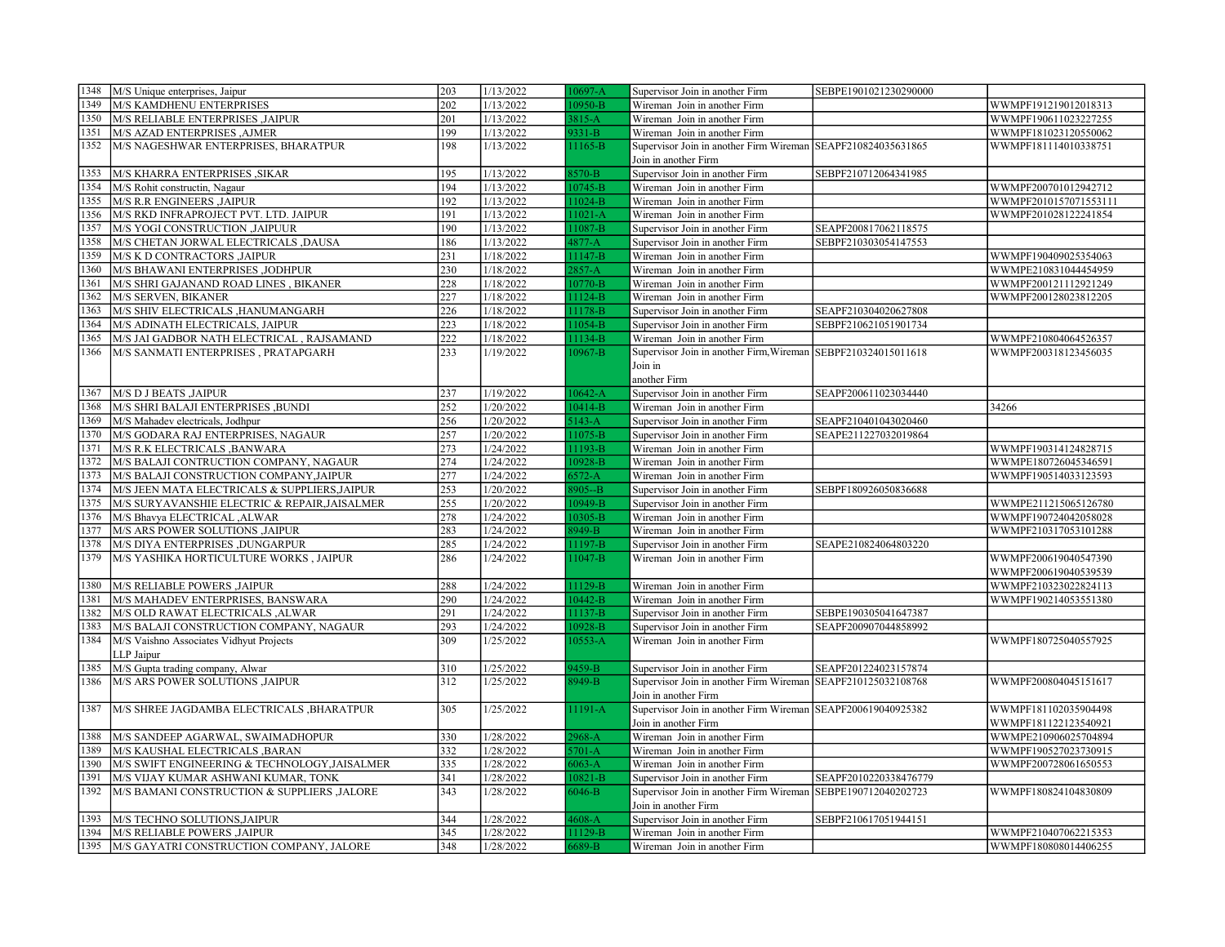| 1348 | M/S Unique enterprises, Jaipur                | 203              | 1/13/2022 | $10697 - A$ | Supervisor Join in another Firm                               | SEBPE1901021230290000 |                       |
|------|-----------------------------------------------|------------------|-----------|-------------|---------------------------------------------------------------|-----------------------|-----------------------|
| 1349 | M/S KAMDHENU ENTERPRISES                      | 202              | 1/13/2022 | 0950-B      | Wireman Join in another Firm                                  |                       | WWMPF191219012018313  |
| 1350 | M/S RELIABLE ENTERPRISES ,JAIPUR              | 201              | 1/13/2022 | $3815 - A$  | Wireman Join in another Firm                                  |                       | WWMPF190611023227255  |
| 1351 | M/S AZAD ENTERPRISES , AJMER                  | 199              | 1/13/2022 | $9331 - B$  | Wireman Join in another Firm                                  |                       | WWMPF181023120550062  |
| 1352 | M/S NAGESHWAR ENTERPRISES, BHARATPUR          | 198              | 1/13/2022 | 11165-B     | Supervisor Join in another Firm Wireman SEAPF210824035631865  |                       | WWMPF181114010338751  |
|      |                                               |                  |           |             | Join in another Firm                                          |                       |                       |
| 1353 | M/S KHARRA ENTERPRISES , SIKAR                | 195              | 1/13/2022 | $3570 - B$  | Supervisor Join in another Firm                               | SEBPF210712064341985  |                       |
| 1354 | M/S Rohit constructin, Nagaur                 | 194              | 1/13/2022 | $0745 - B$  | Wireman Join in another Firm                                  |                       | WWMPF200701012942712  |
| 1355 | <b>M/S R.R ENGINEERS , JAIPUR</b>             | 192              | 1/13/2022 | $1024-B$    | Wireman Join in another Firm                                  |                       | WWMPF2010157071553111 |
| 1356 | M/S RKD INFRAPROJECT PVT. LTD. JAIPUR         | 191              | 1/13/2022 | $1021-A$    | Wireman Join in another Firm                                  |                       | WWMPF201028122241854  |
| 1357 | M/S YOGI CONSTRUCTION , JAIPUUR               | 190              | 1/13/2022 | $1087 - B$  | Supervisor Join in another Firm                               | SEAPF200817062118575  |                       |
| 1358 | M/S CHETAN JORWAL ELECTRICALS ,DAUSA          | 186              | 1/13/2022 | $4877 - A$  | Supervisor Join in another Firm                               | SEBPF210303054147553  |                       |
| 1359 | M/S K D CONTRACTORS , JAIPUR                  | 231              | 1/18/2022 | $1147-B$    | Wireman Join in another Firm                                  |                       | WWMPF190409025354063  |
| 1360 | M/S BHAWANI ENTERPRISES ,JODHPUR              | 230              | 1/18/2022 | $2857 - A$  | Wireman Join in another Firm                                  |                       | WWMPE210831044454959  |
| 1361 | M/S SHRI GAJANAND ROAD LINES, BIKANER         | 228              | 1/18/2022 | $0770 - B$  | Wireman Join in another Firm                                  |                       | WWMPF200121112921249  |
| 1362 | M/S SERVEN, BIKANER                           | 227              | 1/18/2022 | $11124-B$   | Wireman Join in another Firm                                  |                       | WWMPF200128023812205  |
| 1363 | M/S SHIV ELECTRICALS , HANUMANGARH            | 226              | 1/18/2022 | $1178 - B$  | Supervisor Join in another Firm                               | SEAPF210304020627808  |                       |
| 1364 | M/S ADINATH ELECTRICALS, JAIPUR               | 223              | 1/18/2022 | 1054-B      | Supervisor Join in another Firm                               | SEBPF210621051901734  |                       |
| 1365 | M/S JAI GADBOR NATH ELECTRICAL, RAJSAMAND     | $\overline{222}$ | 1/18/2022 | $11134 - B$ | Wireman Join in another Firm                                  |                       | WWMPF210804064526357  |
| 1366 | M/S SANMATI ENTERPRISES, PRATAPGARH           | 233              | 1/19/2022 | $10967 - B$ | Supervisor Join in another Firm, Wireman SEBPF210324015011618 |                       | WWMPF200318123456035  |
|      |                                               |                  |           |             | Join in                                                       |                       |                       |
|      |                                               |                  |           |             | another Firm                                                  |                       |                       |
| 1367 | <b>M/S D J BEATS ,JAIPUR</b>                  | 237              | 1/19/2022 | $10642 - A$ | Supervisor Join in another Firm                               | SEAPF200611023034440  |                       |
| 1368 | M/S SHRI BALAJI ENTERPRISES ,BUNDI            | 252              | 1/20/2022 | $0414 - B$  | Wireman Join in another Firm                                  |                       | 34266                 |
| 1369 | M/S Mahadev electricals, Jodhpur              | 256              | 1/20/2022 | $5143 - A$  | Supervisor Join in another Firm                               | SEAPF210401043020460  |                       |
| 1370 | M/S GODARA RAJ ENTERPRISES, NAGAUR            | 257              | 1/20/2022 | $1075-B$    | Supervisor Join in another Firm                               | SEAPE211227032019864  |                       |
| 1371 | M/S R.K ELECTRICALS , BANWARA                 | 273              | 1/24/2022 | 1193-B      | Wireman Join in another Firm                                  |                       | WWMPF190314124828715  |
| 1372 | M/S BALAJI CONTRUCTION COMPANY, NAGAUR        | 274              | 1/24/2022 | 10928-B     | Wireman Join in another Firm                                  |                       | WWMPE180726045346591  |
| 1373 | M/S BALAJI CONSTRUCTION COMPANY, JAIPUR       | 277              | 1/24/2022 | $5572 - A$  | Wireman Join in another Firm                                  |                       | WWMPF190514033123593  |
| 1374 | M/S JEEN MATA ELECTRICALS & SUPPLIERS, JAIPUR | 253              | 1/20/2022 | $8905 - B$  | Supervisor Join in another Firm                               | SEBPF180926050836688  |                       |
| 1375 | M/S SURYAVANSHIE ELECTRIC & REPAIR, JAISALMER | 255              | 1/20/2022 | 10949-B     | Supervisor Join in another Firm                               |                       | WWMPE211215065126780  |
| 1376 | M/S Bhavya ELECTRICAL , ALWAR                 | 278              | 1/24/2022 | 10305-B     | Wireman Join in another Firm                                  |                       | WWMPF190724042058028  |
| 1377 | M/S ARS POWER SOLUTIONS , JAIPUR              | 283              | 1/24/2022 | $3949 - B$  | Wireman Join in another Firm                                  |                       | WWMPF210317053101288  |
| 1378 | M/S DIYA ENTERPRISES , DUNGARPUR              | 285              | 1/24/2022 | 11197-B     | Supervisor Join in another Firm                               | SEAPE210824064803220  |                       |
| 1379 | M/S YASHIKA HORTICULTURE WORKS, JAIPUR        | 286              | 1/24/2022 | $11047 - B$ | Wireman Join in another Firm                                  |                       | WWMPF200619040547390  |
|      |                                               |                  |           |             |                                                               |                       | WWMPF200619040539539  |
| 1380 | M/S RELIABLE POWERS ,JAIPUR                   | 288              | 1/24/2022 | 11129-B     | Wireman Join in another Firm                                  |                       | WWMPF210323022824113  |
| 1381 | M/S MAHADEV ENTERPRISES, BANSWARA             | 290              | 1/24/2022 | $10442 - B$ | Wireman Join in another Firm                                  |                       | WWMPF190214053551380  |
| 1382 | M/S OLD RAWAT ELECTRICALS , ALWAR             | 291              | 1/24/2022 | $1137 - B$  | Supervisor Join in another Firm                               | SEBPE190305041647387  |                       |
| 1383 | M/S BALAJI CONSTRUCTION COMPANY, NAGAUR       | 293              | 1/24/2022 | 10928-B     | Supervisor Join in another Firm                               | SEAPF200907044858992  |                       |
| 1384 | M/S Vaishno Associates Vidhyut Projects       | 309              | 1/25/2022 | $10553 - A$ | Wireman Join in another Firm                                  |                       | WWMPF180725040557925  |
|      | LLP Jaipur                                    |                  |           |             |                                                               |                       |                       |
| 1385 | M/S Gupta trading company, Alwar              | 310              | 1/25/2022 | 9459-B      | Supervisor Join in another Firm                               | SEAPF201224023157874  |                       |
| 1386 | M/S ARS POWER SOLUTIONS , JAIPUR              | 312              | 1/25/2022 | 3949-B      | Supervisor Join in another Firm Wireman SEAPF210125032108768  |                       | WWMPF200804045151617  |
|      |                                               |                  |           |             | Join in another Firm                                          |                       |                       |
| 1387 | M/S SHREE JAGDAMBA ELECTRICALS , BHARATPUR    | 305              | 1/25/2022 | $11191 - A$ | Supervisor Join in another Firm Wireman SEAPF200619040925382  |                       | WWMPF181102035904498  |
|      |                                               |                  |           |             | Join in another Firm                                          |                       | WWMPF181122123540921  |
| 1388 | M/S SANDEEP AGARWAL, SWAIMADHOPUR             | 330              | 1/28/2022 | $2968 - A$  | Wireman Join in another Firm                                  |                       | WWMPE210906025704894  |
| 1389 | M/S KAUSHAL ELECTRICALS , BARAN               | 332              | 1/28/2022 | $5701-A$    | Wireman Join in another Firm                                  |                       | WWMPF190527023730915  |
| 1390 | M/S SWIFT ENGINEERING & TECHNOLOGY, JAISALMER | 335              | 1/28/2022 | $6063 - A$  | Wireman Join in another Firm                                  |                       | WWMPF200728061650553  |
| 1391 | M/S VIJAY KUMAR ASHWANI KUMAR, TONK           | 341              | 1/28/2022 | $10821 - B$ | Supervisor Join in another Firm                               | SEAPF2010220338476779 |                       |
| 1392 | M/S BAMANI CONSTRUCTION & SUPPLIERS , JALORE  | 343              | 1/28/2022 | $5046-B$    | Supervisor Join in another Firm Wireman                       | SEBPE190712040202723  | WWMPF180824104830809  |
|      |                                               |                  |           |             | Join in another Firm                                          |                       |                       |
| 1393 | M/S TECHNO SOLUTIONS, JAIPUR                  | 344              | 1/28/2022 | $1608 - A$  | Supervisor Join in another Firm                               | SEBPF210617051944151  |                       |
| 1394 | M/S RELIABLE POWERS , JAIPUR                  | 345              | 1/28/2022 | 11129-B     | Wireman Join in another Firm                                  |                       | WWMPF210407062215353  |
| 1395 | M/S GAYATRI CONSTRUCTION COMPANY, JALORE      | 348              | 1/28/2022 | $689-B$     | Wireman Join in another Firm                                  |                       | WWMPF180808014406255  |